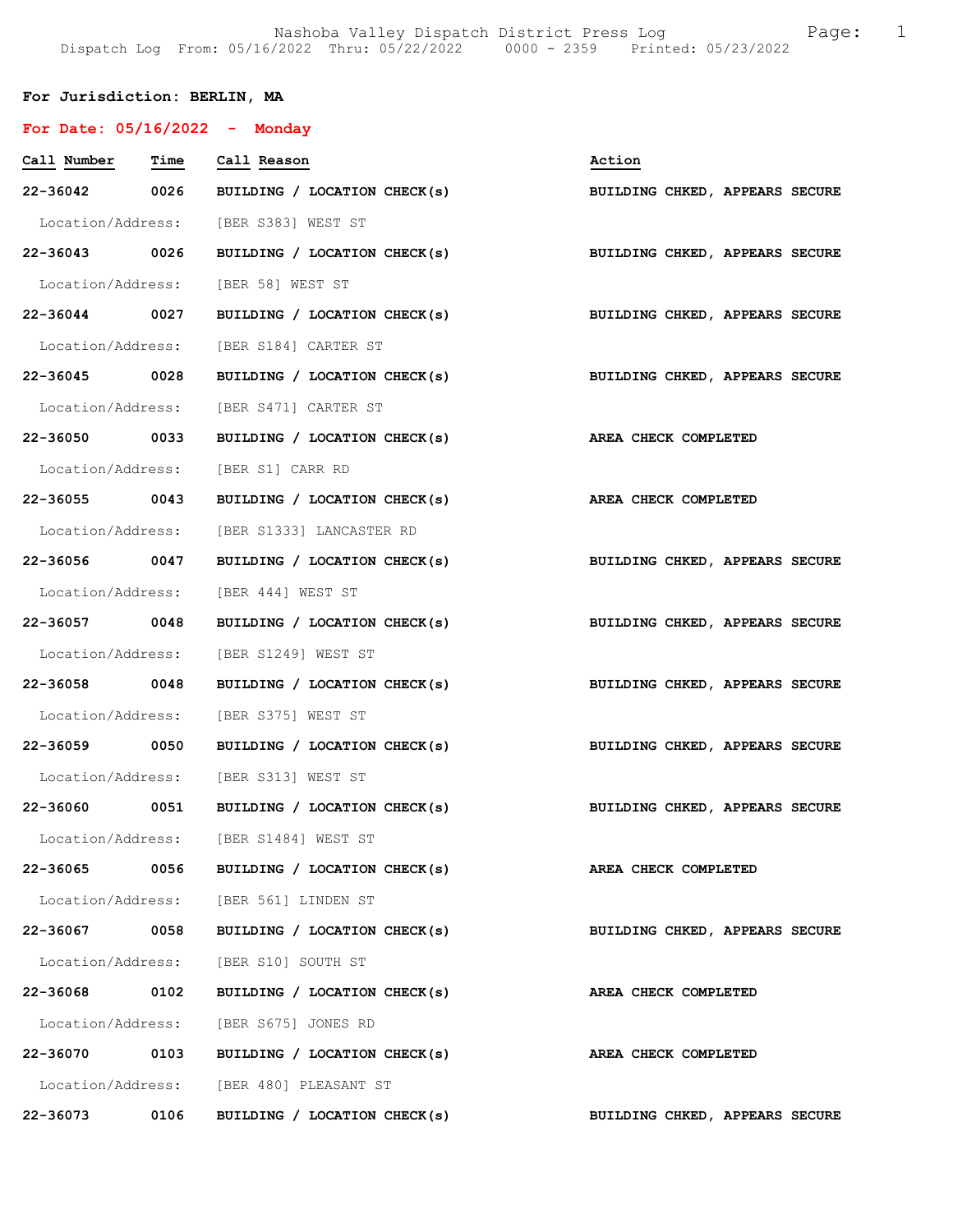## For Jurisdiction: BERLIN, MA

| For Date: $05/16/2022 -$ Monday |      |                                                                           |                                |
|---------------------------------|------|---------------------------------------------------------------------------|--------------------------------|
| Call Number Time Call Reason    |      |                                                                           | Action                         |
|                                 |      | 22-36042 0026 BUILDING / LOCATION CHECK(s)                                | BUILDING CHKED, APPEARS SECURE |
|                                 |      | Location/Address: [BER S383] WEST ST                                      |                                |
|                                 |      | 22-36043 0026 BUILDING / LOCATION CHECK(s) BUILDING CHKED, APPEARS SECURE |                                |
|                                 |      | Location/Address: [BER 58] WEST ST                                        |                                |
|                                 |      | 22-36044 0027 BUILDING / LOCATION CHECK(s) BUILDING CHKED, APPEARS SECURE |                                |
|                                 |      | Location/Address: [BER S184] CARTER ST                                    |                                |
| 22-36045 0028                   |      | BUILDING / LOCATION CHECK(s)                                              | BUILDING CHKED, APPEARS SECURE |
|                                 |      | Location/Address: [BER S471] CARTER ST                                    |                                |
| 22-36050 0033                   |      | BUILDING / LOCATION CHECK(s)                                              | AREA CHECK COMPLETED           |
|                                 |      | Location/Address: [BER S1] CARR RD                                        |                                |
|                                 |      | 22-36055 0043 BUILDING / LOCATION CHECK(s) AREA CHECK COMPLETED           |                                |
|                                 |      | Location/Address: [BER S1333] LANCASTER RD                                |                                |
|                                 |      | 22-36056 0047 BUILDING / LOCATION CHECK(s)                                | BUILDING CHKED, APPEARS SECURE |
|                                 |      | Location/Address: [BER 444] WEST ST                                       |                                |
| 22-36057 0048                   |      | BUILDING / LOCATION CHECK(s)                                              | BUILDING CHKED, APPEARS SECURE |
|                                 |      | Location/Address: [BER S1249] WEST ST                                     |                                |
|                                 |      | 22-36058 0048 BUILDING / LOCATION CHECK(s)                                | BUILDING CHKED, APPEARS SECURE |
|                                 |      | Location/Address: [BER S375] WEST ST                                      |                                |
|                                 |      | 22-36059 0050 BUILDING / LOCATION CHECK(s)                                | BUILDING CHKED, APPEARS SECURE |
|                                 |      | Location/Address: [BER S313] WEST ST                                      |                                |
| 22-36060 0051                   |      | BUILDING / LOCATION CHECK(s) BUILDING CHKED, APPEARS SECURE               |                                |
|                                 |      | Location/Address: [BER S1484] WEST ST                                     |                                |
|                                 |      | 22-36065 0056 BUILDING / LOCATION CHECK(s)                                | AREA CHECK COMPLETED           |
|                                 |      | Location/Address: [BER 561] LINDEN ST                                     |                                |
| 22-36067                        | 0058 | BUILDING / LOCATION CHECK(s)                                              | BUILDING CHKED, APPEARS SECURE |
|                                 |      | Location/Address: [BER S10] SOUTH ST                                      |                                |
| 22-36068                        | 0102 | BUILDING / LOCATION CHECK(s)                                              | AREA CHECK COMPLETED           |
|                                 |      | Location/Address: [BER S675] JONES RD                                     |                                |
| 22-36070 0103                   |      | BUILDING / LOCATION CHECK(s)                                              | AREA CHECK COMPLETED           |
|                                 |      | Location/Address: [BER 480] PLEASANT ST                                   |                                |
| 22-36073                        | 0106 | BUILDING / LOCATION CHECK(s)                                              | BUILDING CHKED, APPEARS SECURE |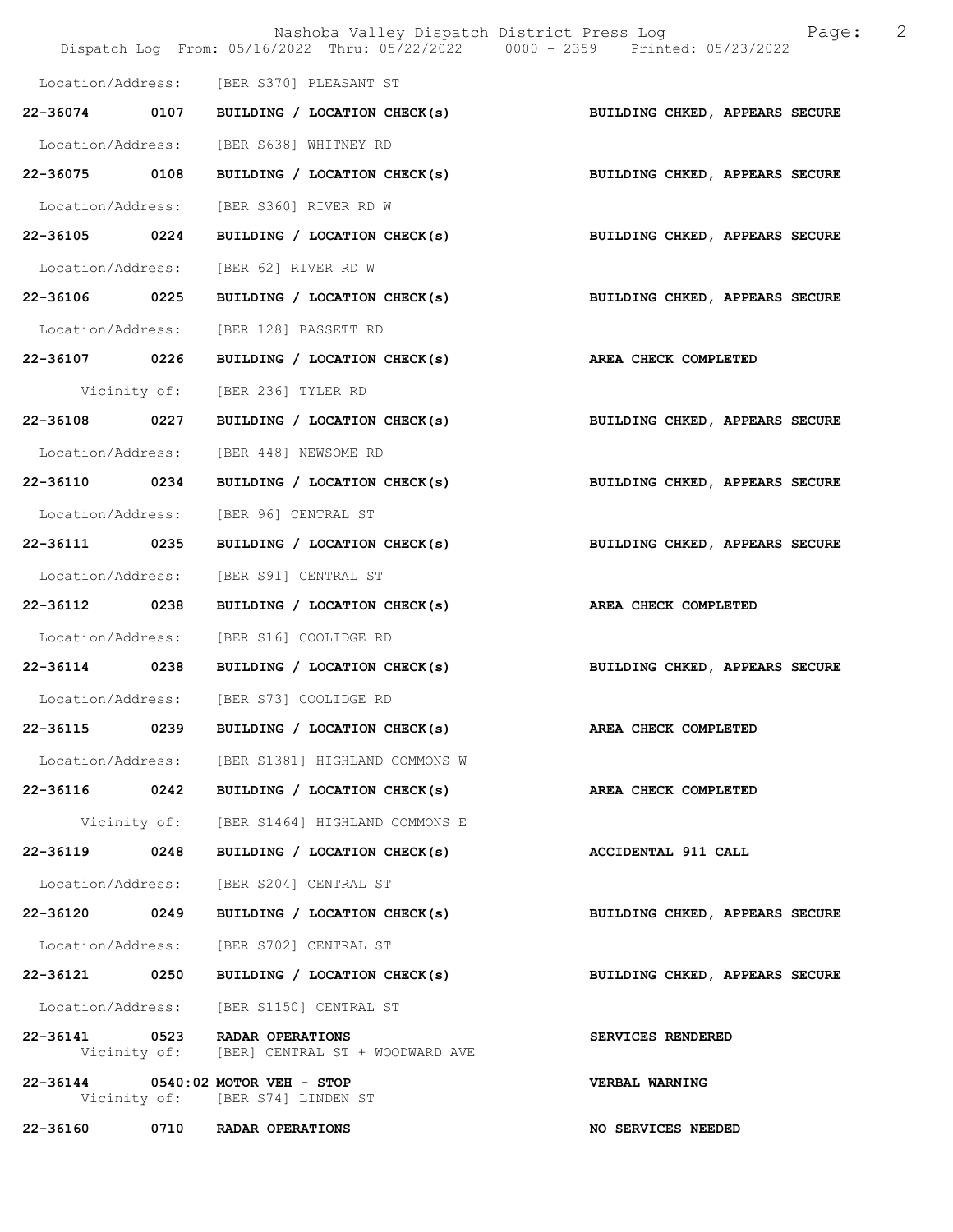|                   |      | Nashoba Valley Dispatch District Press Log<br>Dispatch Log From: 05/16/2022 Thru: 05/22/2022 0000 - 2359 Printed: 05/23/2022 | 2<br>Page:                     |
|-------------------|------|------------------------------------------------------------------------------------------------------------------------------|--------------------------------|
|                   |      |                                                                                                                              |                                |
|                   |      | Location/Address: [BER S370] PLEASANT ST                                                                                     |                                |
| 22-36074 0107     |      | BUILDING / LOCATION CHECK(s)                                                                                                 | BUILDING CHKED, APPEARS SECURE |
| Location/Address: |      | [BER S638] WHITNEY RD                                                                                                        |                                |
| 22-36075 0108     |      | BUILDING / LOCATION CHECK(s)                                                                                                 | BUILDING CHKED, APPEARS SECURE |
| Location/Address: |      | [BER S360] RIVER RD W                                                                                                        |                                |
| 22-36105 0224     |      | BUILDING / LOCATION CHECK(s)                                                                                                 | BUILDING CHKED, APPEARS SECURE |
| Location/Address: |      | [BER 62] RIVER RD W                                                                                                          |                                |
| 22-36106 0225     |      | BUILDING / LOCATION CHECK(s)                                                                                                 | BUILDING CHKED, APPEARS SECURE |
| Location/Address: |      | [BER 128] BASSETT RD                                                                                                         |                                |
| 22-36107 0226     |      | BUILDING / LOCATION CHECK(s)                                                                                                 | <b>AREA CHECK COMPLETED</b>    |
| Vicinity of:      |      | [BER 236] TYLER RD                                                                                                           |                                |
| 22-36108 0227     |      | BUILDING / LOCATION CHECK(s) BUILDING CHKED, APPEARS SECURE                                                                  |                                |
| Location/Address: |      | [BER 448] NEWSOME RD                                                                                                         |                                |
| 22-36110 0234     |      | BUILDING / LOCATION CHECK(s)                                                                                                 | BUILDING CHKED, APPEARS SECURE |
| Location/Address: |      | [BER 96] CENTRAL ST                                                                                                          |                                |
| 22-36111          | 0235 | BUILDING / LOCATION CHECK(s)                                                                                                 | BUILDING CHKED, APPEARS SECURE |
| Location/Address: |      | [BER S91] CENTRAL ST                                                                                                         |                                |
| 22-36112 0238     |      | BUILDING / LOCATION CHECK(s)                                                                                                 | AREA CHECK COMPLETED           |
| Location/Address: |      | [BER S16] COOLIDGE RD                                                                                                        |                                |
| 22-36114 0238     |      | BUILDING / LOCATION CHECK(s)                                                                                                 | BUILDING CHKED, APPEARS SECURE |
|                   |      | Location/Address: [BER S73] COOLIDGE RD                                                                                      |                                |
| 22-36115          | 0239 | BUILDING / LOCATION CHECK(s)                                                                                                 | AREA CHECK COMPLETED           |
|                   |      | Location/Address: [BER S1381] HIGHLAND COMMONS W                                                                             |                                |
| 22-36116 0242     |      | BUILDING / LOCATION CHECK(s)                                                                                                 | AREA CHECK COMPLETED           |
|                   |      | Vicinity of: [BER S1464] HIGHLAND COMMONS E                                                                                  |                                |
| 22-36119          | 0248 | BUILDING / LOCATION CHECK(s)                                                                                                 | ACCIDENTAL 911 CALL            |
| Location/Address: |      | [BER S204] CENTRAL ST                                                                                                        |                                |
| 22-36120 0249     |      | BUILDING / LOCATION CHECK(s)                                                                                                 | BUILDING CHKED, APPEARS SECURE |
| Location/Address: |      | [BER S702] CENTRAL ST                                                                                                        |                                |
| 22-36121 0250     |      | BUILDING / LOCATION CHECK(s)                                                                                                 | BUILDING CHKED, APPEARS SECURE |
| Location/Address: |      | [BER S1150] CENTRAL ST                                                                                                       |                                |
|                   |      | 22-36141 0523 RADAR OPERATIONS<br>Vicinity of: [BER] CENTRAL ST + WOODWARD AVE                                               | SERVICES RENDERED              |
|                   |      | 22-36144 0540:02 MOTOR VEH - STOP<br>Vicinity of: [BER S74] LINDEN ST                                                        | <b>VERBAL WARNING</b>          |
| 22-36160          |      | 0710 RADAR OPERATIONS                                                                                                        | NO SERVICES NEEDED             |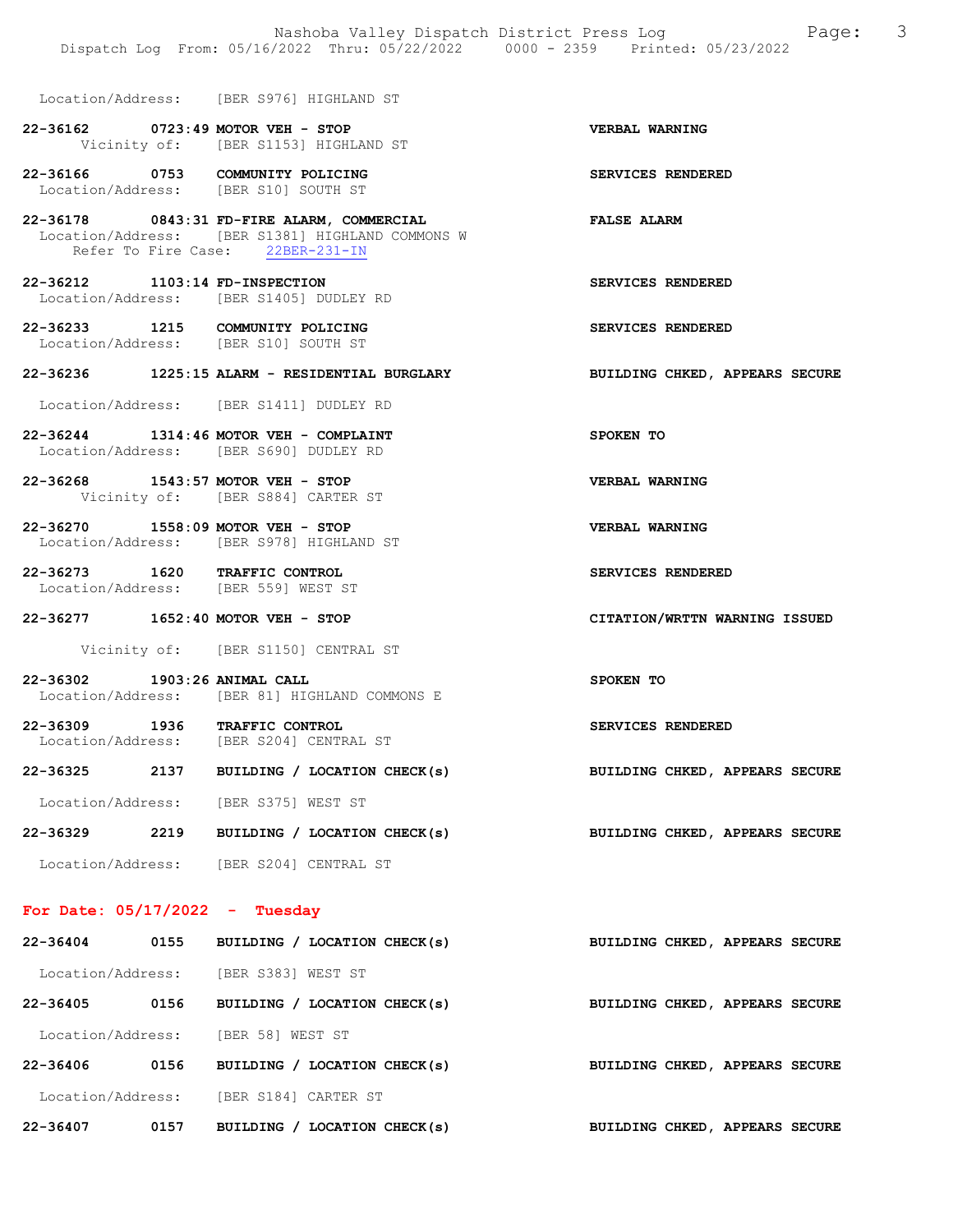Location/Address: [BER S976] HIGHLAND ST

## 22-36162 0723:49 MOTOR VEH - STOP VERBAL WARNING Vicinity of: [BER S1153] HIGHLAND ST

22-36166 0753 COMMUNITY POLICING SERVICES RENDERED Location/Address: [BER S10] SOUTH ST

22-36178 0843:31 FD-FIRE ALARM, COMMERCIAL FALSE ALARM Location/Address: [BER S1381] HIGHLAND COMMONS W Refer To Fire Case: 22BER-231-IN

22-36212 1103:14 FD-INSPECTION SERVICES RENDERED Location/Address: [BER S1405] DUDLEY RD

22-36233 1215 COMMUNITY POLICING SERVICES RENDERED Location/Address: [BER S10] SOUTH ST

#### 22-36236 1225:15 ALARM - RESIDENTIAL BURGLARY BUILDING CHKED, APPEARS SECURE

Location/Address: [BER S1411] DUDLEY RD

22-36244 1314:46 MOTOR VEH - COMPLAINT SPOKEN TO Location/Address: [BER S690] DUDLEY RD

22-36268 1543:57 MOTOR VEH - STOP VERBAL WARNING Vicinity of: [BER S884] CARTER ST

22-36270 1558:09 MOTOR VEH - STOP VERBAL WARNING Location/Address: [BER S978] HIGHLAND ST

22-36273 1620 TRAFFIC CONTROL SERVICES RENDERED Location/Address: [BER 559] WEST ST

22-36277 1652:40 MOTOR VEH - STOP CITATION/WRTTN WARNING ISSUED

Vicinity of: [BER S1150] CENTRAL ST

22-36302 1903:26 ANIMAL CALL SPOKEN TO Location/Address: [BER 81] HIGHLAND COMMONS E

22-36309 1936 TRAFFIC CONTROL SERVICES RENDERED<br>Location/Address: [BER S204] CENTRAL ST [BER S204] CENTRAL ST

22-36325 2137 BUILDING / LOCATION CHECK(s) BUILDING CHKED, APPEARS SECURE Location/Address: [BER S375] WEST ST

22-36329 2219 BUILDING / LOCATION CHECK(s) BUILDING CHKED, APPEARS SECURE

Location/Address: [BER S204] CENTRAL ST

#### For Date: 05/17/2022 - Tuesday

| $22 - 36404$      | 0155 | BUILDING / LOCATION CHECK(s)    | BUILDING CHKED, APPEARS SECURE |
|-------------------|------|---------------------------------|--------------------------------|
| Location/Address: |      | [BER S383] WEST ST              |                                |
| 22-36405          | 0156 | BUILDING / LOCATION CHECK(s)    | BUILDING CHKED, APPEARS SECURE |
| Location/Address: |      | [BER 58] WEST ST                |                                |
| 22-36406          | 0156 | BUILDING / LOCATION CHECK(s)    | BUILDING CHKED, APPEARS SECURE |
| Location/Address: |      | [BER S184] CARTER ST            |                                |
| 22-36407          | 0157 | BUILDING /<br>LOCATION CHECK(s) | BUILDING CHKED, APPEARS SECURE |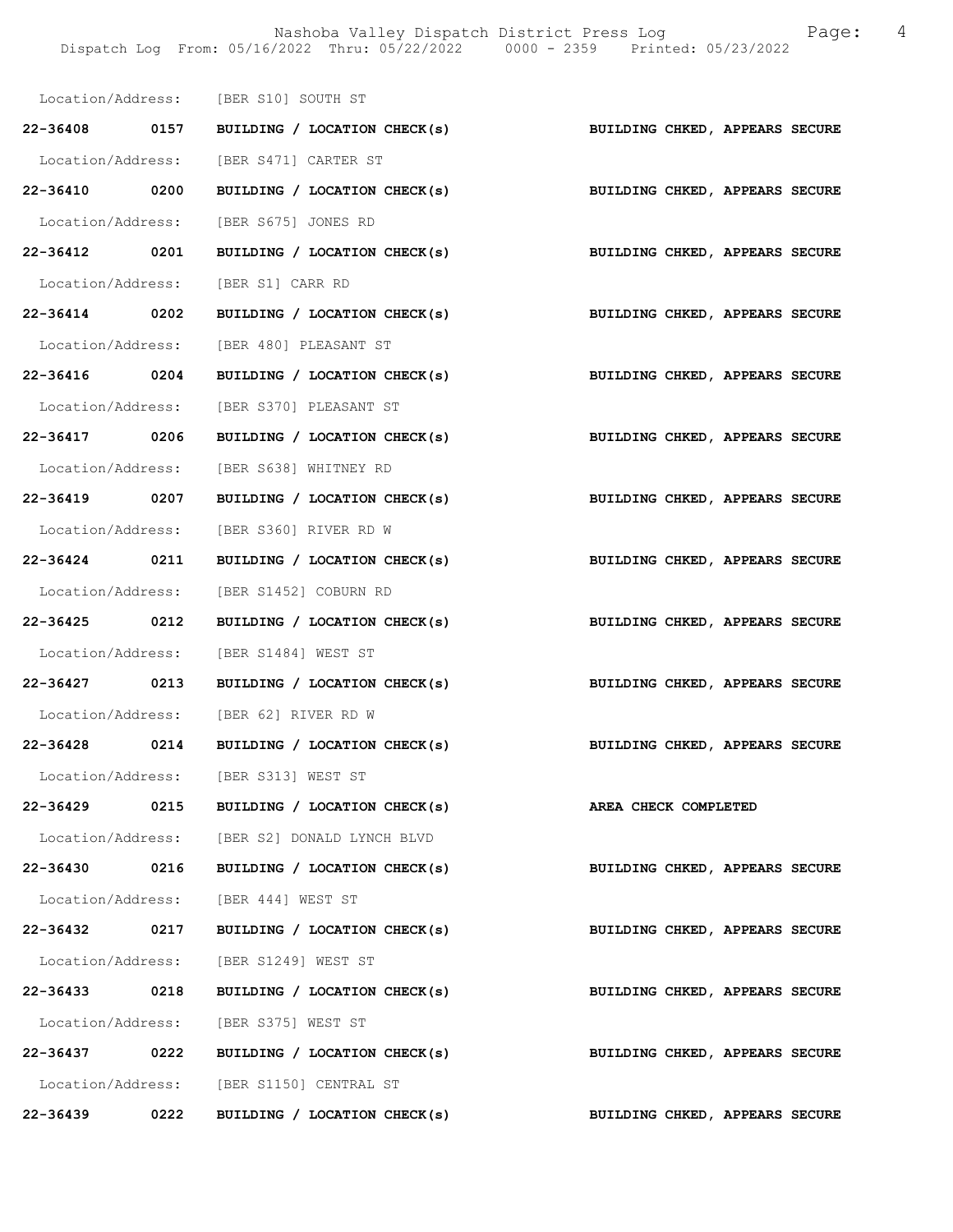|               |      | Location/Address: [BER S10] SOUTH ST                                      |                                |
|---------------|------|---------------------------------------------------------------------------|--------------------------------|
|               |      | 22-36408 0157 BUILDING / LOCATION CHECK(s)                                | BUILDING CHKED, APPEARS SECURE |
|               |      | Location/Address: [BER S471] CARTER ST                                    |                                |
| 22-36410 0200 |      | BUILDING / LOCATION CHECK(s)                                              | BUILDING CHKED, APPEARS SECURE |
|               |      | Location/Address: [BER S675] JONES RD                                     |                                |
| 22-36412 0201 |      | BUILDING / LOCATION CHECK(s)                                              | BUILDING CHKED, APPEARS SECURE |
|               |      | Location/Address: [BER S1] CARR RD                                        |                                |
| 22-36414 0202 |      | BUILDING / LOCATION CHECK(s)                                              | BUILDING CHKED, APPEARS SECURE |
|               |      | Location/Address: [BER 480] PLEASANT ST                                   |                                |
|               |      | 22-36416 0204 BUILDING / LOCATION CHECK(s)                                | BUILDING CHKED, APPEARS SECURE |
|               |      | Location/Address: [BER S370] PLEASANT ST                                  |                                |
| 22-36417 0206 |      | BUILDING / LOCATION CHECK(s)                                              | BUILDING CHKED, APPEARS SECURE |
|               |      | Location/Address: [BER S638] WHITNEY RD                                   |                                |
| 22-36419 0207 |      | BUILDING / LOCATION CHECK(s)                                              | BUILDING CHKED, APPEARS SECURE |
|               |      | Location/Address: [BER S360] RIVER RD W                                   |                                |
|               |      | 22-36424 0211 BUILDING / LOCATION CHECK(s)                                | BUILDING CHKED, APPEARS SECURE |
|               |      | Location/Address: [BER S1452] COBURN RD                                   |                                |
| 22-36425 0212 |      | BUILDING / LOCATION CHECK(s)                                              | BUILDING CHKED, APPEARS SECURE |
|               |      | Location/Address: [BER S1484] WEST ST                                     |                                |
|               |      | 22-36427 0213 BUILDING / LOCATION CHECK(s) BUILDING CHKED, APPEARS SECURE |                                |
|               |      | Location/Address: [BER 62] RIVER RD W                                     |                                |
|               |      | 22-36428 0214 BUILDING / LOCATION CHECK(s)                                | BUILDING CHKED, APPEARS SECURE |
|               |      | Location/Address: [BER S313] WEST ST                                      |                                |
| 22-36429      | 0215 | BUILDING / LOCATION CHECK(s)                                              | AREA CHECK COMPLETED           |
|               |      | Location/Address: [BER S2] DONALD LYNCH BLVD                              |                                |
| 22-36430 0216 |      | BUILDING / LOCATION CHECK(s)                                              | BUILDING CHKED, APPEARS SECURE |
|               |      | Location/Address: [BER 444] WEST ST                                       |                                |
| 22-36432 0217 |      | BUILDING / LOCATION CHECK(s)                                              | BUILDING CHKED, APPEARS SECURE |
|               |      | Location/Address: [BER S1249] WEST ST                                     |                                |
| 22-36433 0218 |      | BUILDING / LOCATION CHECK(s)                                              | BUILDING CHKED, APPEARS SECURE |
|               |      | Location/Address: [BER S375] WEST ST                                      |                                |
| 22-36437      | 0222 | BUILDING / LOCATION CHECK(s)                                              | BUILDING CHKED, APPEARS SECURE |
|               |      | Location/Address: [BER S1150] CENTRAL ST                                  |                                |
| 22-36439      | 0222 | BUILDING / LOCATION CHECK(s)                                              | BUILDING CHKED, APPEARS SECURE |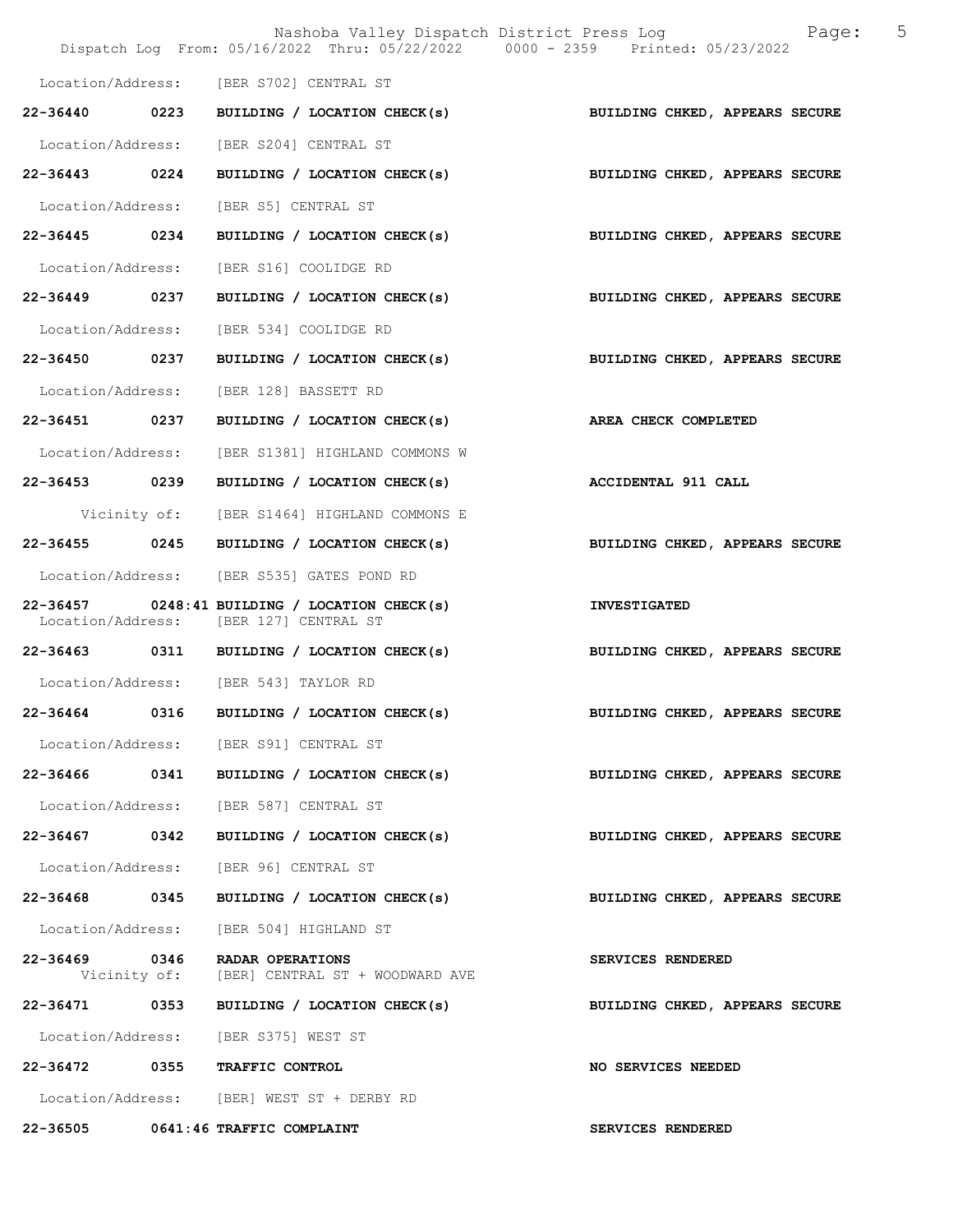|                   |      | Nashoba Valley Dispatch District Press Log Nashoba Valley Dispatch District Press Log<br>Dispatch Log From: 05/16/2022 Thru: 05/22/2022 0000 - 2359 Printed: 05/23/2022 |                                | 5 |
|-------------------|------|-------------------------------------------------------------------------------------------------------------------------------------------------------------------------|--------------------------------|---|
|                   |      | Location/Address: [BER S702] CENTRAL ST                                                                                                                                 |                                |   |
| 22-36440 0223     |      | BUILDING / LOCATION CHECK(s)                                                                                                                                            | BUILDING CHKED, APPEARS SECURE |   |
| Location/Address: |      | [BER S204] CENTRAL ST                                                                                                                                                   |                                |   |
| 22-36443 0224     |      | BUILDING / LOCATION CHECK(s) BUILDING CHKED, APPEARS SECURE                                                                                                             |                                |   |
| Location/Address: |      | [BER S5] CENTRAL ST                                                                                                                                                     |                                |   |
| 22-36445 0234     |      | BUILDING / LOCATION CHECK(s)                                                                                                                                            | BUILDING CHKED, APPEARS SECURE |   |
| Location/Address: |      | [BER S16] COOLIDGE RD                                                                                                                                                   |                                |   |
| 22-36449 0237     |      | BUILDING / LOCATION CHECK(s)                                                                                                                                            | BUILDING CHKED, APPEARS SECURE |   |
| Location/Address: |      | [BER 534] COOLIDGE RD                                                                                                                                                   |                                |   |
| 22-36450 0237     |      | BUILDING / LOCATION CHECK(s)                                                                                                                                            | BUILDING CHKED, APPEARS SECURE |   |
| Location/Address: |      | [BER 128] BASSETT RD                                                                                                                                                    |                                |   |
| 22-36451 0237     |      | BUILDING / LOCATION CHECK(s)                                                                                                                                            | AREA CHECK COMPLETED           |   |
| Location/Address: |      | [BER S1381] HIGHLAND COMMONS W                                                                                                                                          |                                |   |
| 22-36453 0239     |      | BUILDING / LOCATION CHECK(s)                                                                                                                                            | <b>ACCIDENTAL 911 CALL</b>     |   |
| Vicinity of:      |      | [BER S1464] HIGHLAND COMMONS E                                                                                                                                          |                                |   |
| 22-36455          | 0245 | BUILDING / LOCATION CHECK(s)                                                                                                                                            | BUILDING CHKED, APPEARS SECURE |   |
|                   |      | Location/Address: [BER S535] GATES POND RD                                                                                                                              |                                |   |
|                   |      | 22-36457 0248:41 BUILDING / LOCATION CHECK(s)<br>Location/Address: [BER 127] CENTRAL ST                                                                                 | <b>INVESTIGATED</b>            |   |
|                   |      | 22-36463 0311 BUILDING / LOCATION CHECK(s)                                                                                                                              | BUILDING CHKED, APPEARS SECURE |   |
|                   |      | Location/Address: [BER 543] TAYLOR RD                                                                                                                                   |                                |   |
|                   |      | 22-36464 0316 BUILDING / LOCATION CHECK(s)                                                                                                                              | BUILDING CHKED, APPEARS SECURE |   |
|                   |      | Location/Address: [BER S91] CENTRAL ST                                                                                                                                  |                                |   |
|                   |      | $22-36466$ 0341 BUILDING / LOCATION CHECK(s)                                                                                                                            | BUILDING CHKED, APPEARS SECURE |   |
|                   |      | Location/Address: [BER 587] CENTRAL ST                                                                                                                                  |                                |   |
| 22-36467 0342     |      | BUILDING / LOCATION CHECK(s)                                                                                                                                            | BUILDING CHKED, APPEARS SECURE |   |
|                   |      | Location/Address: [BER 96] CENTRAL ST                                                                                                                                   |                                |   |
| 22-36468 0345     |      | BUILDING / LOCATION CHECK(s)                                                                                                                                            | BUILDING CHKED, APPEARS SECURE |   |
|                   |      | Location/Address: [BER 504] HIGHLAND ST                                                                                                                                 |                                |   |
| 22-36469 0346     |      | RADAR OPERATIONS<br>Vicinity of: [BER] CENTRAL ST + WOODWARD AVE                                                                                                        | SERVICES RENDERED              |   |
|                   |      | 22-36471 0353 BUILDING / LOCATION CHECK(s)                                                                                                                              | BUILDING CHKED, APPEARS SECURE |   |
|                   |      | Location/Address: [BER S375] WEST ST                                                                                                                                    |                                |   |
|                   |      | 22-36472 0355 TRAFFIC CONTROL                                                                                                                                           | NO SERVICES NEEDED             |   |
|                   |      | Location/Address: [BER] WEST ST + DERBY RD                                                                                                                              |                                |   |
|                   |      | 22-36505 0641:46 TRAFFIC COMPLAINT                                                                                                                                      | <b>SERVICES RENDERED</b>       |   |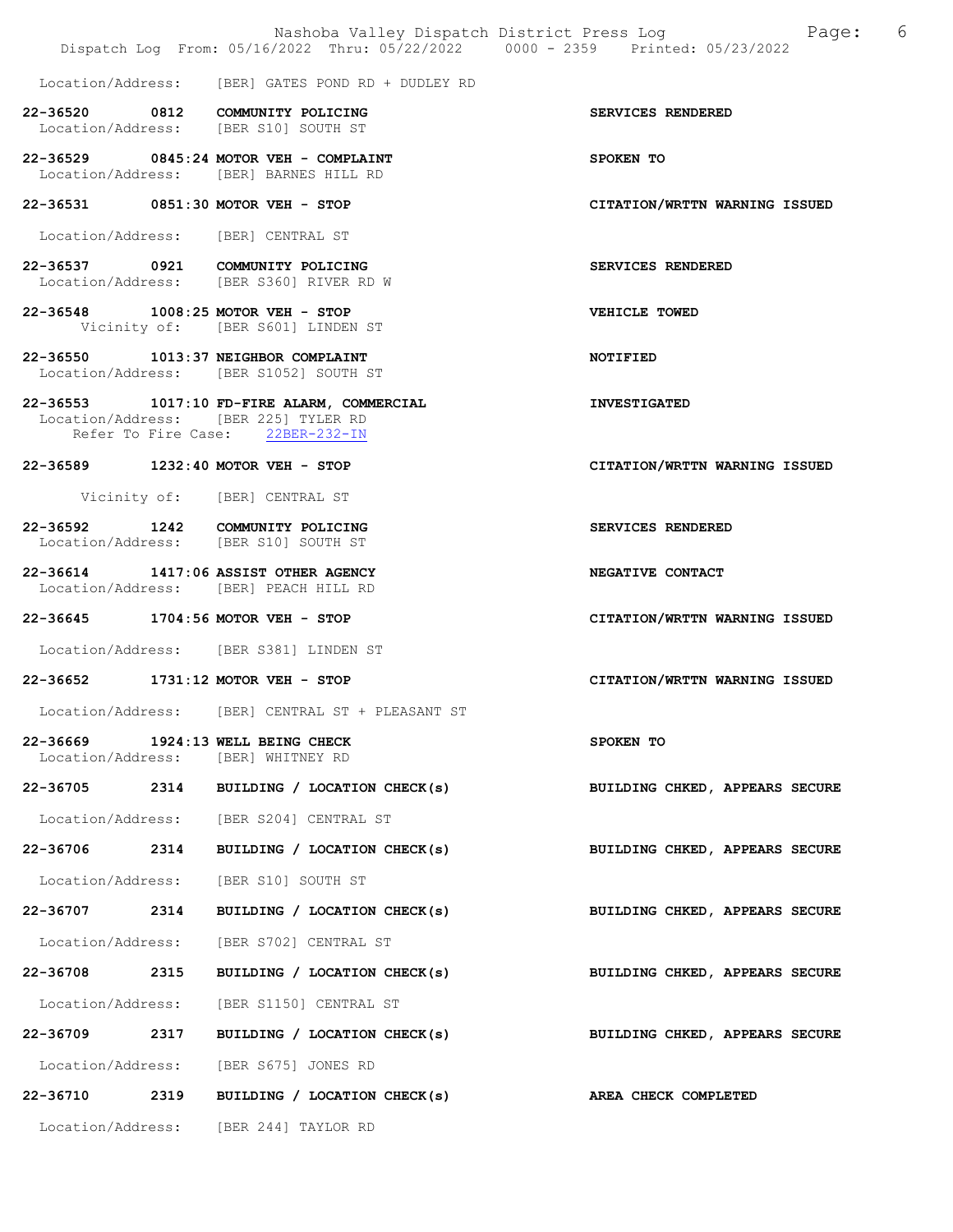|                   | Nashoba Valley Dispatch District Press Log Tange:<br>Dispatch Log From: 05/16/2022 Thru: 05/22/2022 0000 - 2359 Printed: 05/23/2022 | - 6                            |
|-------------------|-------------------------------------------------------------------------------------------------------------------------------------|--------------------------------|
|                   | Location/Address: [BER] GATES POND RD + DUDLEY RD                                                                                   |                                |
|                   | 22-36520 0812 COMMUNITY POLICING<br>Location/Address: [BER S10] SOUTH ST                                                            | SERVICES RENDERED              |
|                   | 22-36529 0845:24 MOTOR VEH - COMPLAINT<br>Location/Address: [BER] BARNES HILL RD                                                    | SPOKEN TO                      |
|                   | 22-36531 0851:30 MOTOR VEH - STOP                                                                                                   | CITATION/WRTTN WARNING ISSUED  |
|                   | Location/Address: [BER] CENTRAL ST                                                                                                  |                                |
|                   | 22-36537 0921 COMMUNITY POLICING<br>Location/Address: [BER S360] RIVER RD W                                                         | SERVICES RENDERED              |
|                   | 22-36548 1008:25 MOTOR VEH - STOP<br>Vicinity of: [BER S601] LINDEN ST                                                              | VEHICLE TOWED                  |
|                   | 22-36550 1013:37 NEIGHBOR COMPLAINT<br>Location/Address: [BER S1052] SOUTH ST                                                       | NOTIFIED                       |
|                   | 22-36553 1017:10 FD-FIRE ALARM, COMMERCIAL<br>Location/Address: [BER 225] TYLER RD<br>Refer To Fire Case: 22BER-232-IN              | <b>INVESTIGATED</b>            |
|                   | 22-36589 1232:40 MOTOR VEH - STOP                                                                                                   | CITATION/WRTTN WARNING ISSUED  |
|                   | Vicinity of: [BER] CENTRAL ST                                                                                                       |                                |
|                   | 22-36592 1242 COMMUNITY POLICING<br>Location/Address: [BER S10] SOUTH ST                                                            | SERVICES RENDERED              |
|                   | 22-36614 1417:06 ASSIST OTHER AGENCY<br>Location/Address: [BER] PEACH HILL RD                                                       | NEGATIVE CONTACT               |
|                   | 22-36645 1704:56 MOTOR VEH - STOP                                                                                                   | CITATION/WRTTN WARNING ISSUED  |
|                   | Location/Address: [BER S381] LINDEN ST                                                                                              |                                |
|                   | 22-36652 1731:12 MOTOR VEH - STOP                                                                                                   | CITATION/WRTTN WARNING ISSUED  |
| Location/Address: | [BER] CENTRAL ST + PLEASANT ST                                                                                                      |                                |
| Location/Address: | 22-36669 1924:13 WELL BEING CHECK<br>[BER] WHITNEY RD                                                                               | SPOKEN TO                      |
|                   | 22-36705 2314 BUILDING / LOCATION CHECK(s)                                                                                          | BUILDING CHKED, APPEARS SECURE |
|                   | Location/Address: [BER S204] CENTRAL ST                                                                                             |                                |
| 22-36706 2314     | BUILDING / LOCATION CHECK(s)                                                                                                        | BUILDING CHKED, APPEARS SECURE |
|                   | Location/Address: [BER S10] SOUTH ST                                                                                                |                                |
| 22-36707 2314     | BUILDING / LOCATION CHECK(s)                                                                                                        | BUILDING CHKED, APPEARS SECURE |
|                   | Location/Address: [BER S702] CENTRAL ST                                                                                             |                                |
| 22-36708 2315     | BUILDING / LOCATION CHECK(s)                                                                                                        | BUILDING CHKED, APPEARS SECURE |
|                   | Location/Address: [BER S1150] CENTRAL ST                                                                                            |                                |
|                   | 22-36709 2317 BUILDING / LOCATION CHECK(s)                                                                                          | BUILDING CHKED, APPEARS SECURE |
|                   | Location/Address: [BER S675] JONES RD                                                                                               |                                |
| 22-36710          | 2319 BUILDING / LOCATION CHECK(s)                                                                                                   | <b>AREA CHECK COMPLETED</b>    |
|                   | Location/Address: [BER 244] TAYLOR RD                                                                                               |                                |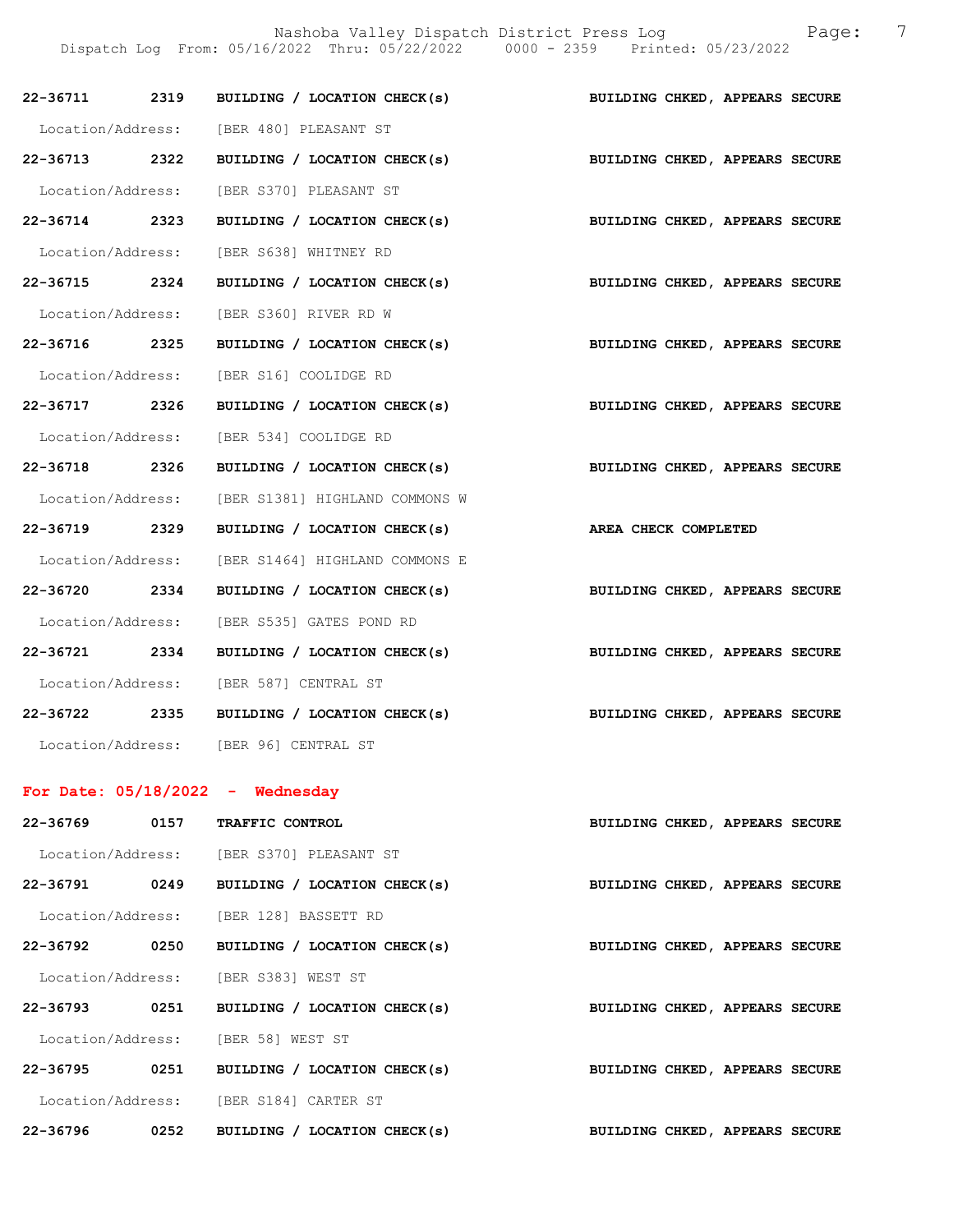Nashoba Valley Dispatch District Press Log Fage: 7

Dispatch Log From: 05/16/2022 Thru: 05/22/2022 0000 - 2359 Printed: 05/23/2022

|               |      | 22-36711 2319 BUILDING / LOCATION CHECK(s) BUILDING CHKED, APPEARS SECURE |                                |
|---------------|------|---------------------------------------------------------------------------|--------------------------------|
|               |      | Location/Address: [BER 480] PLEASANT ST                                   |                                |
| 22-36713 2322 |      | BUILDING / LOCATION CHECK(s)                                              | BUILDING CHKED, APPEARS SECURE |
|               |      | Location/Address: [BER S370] PLEASANT ST                                  |                                |
| 22-36714 2323 |      | BUILDING / LOCATION CHECK(s)                                              | BUILDING CHKED, APPEARS SECURE |
|               |      | Location/Address: [BER S638] WHITNEY RD                                   |                                |
| 22-36715 2324 |      | BUILDING / LOCATION CHECK(s) BUILDING CHKED, APPEARS SECURE               |                                |
|               |      | Location/Address: [BER S360] RIVER RD W                                   |                                |
| 22-36716 2325 |      | BUILDING / LOCATION CHECK(s)                                              | BUILDING CHKED, APPEARS SECURE |
|               |      | Location/Address: [BER S16] COOLIDGE RD                                   |                                |
| 22-36717 2326 |      | BUILDING / LOCATION CHECK(s)                                              | BUILDING CHKED, APPEARS SECURE |
|               |      | Location/Address: [BER 534] COOLIDGE RD                                   |                                |
| 22-36718 2326 |      | BUILDING / LOCATION CHECK(s) BUILDING CHKED, APPEARS SECURE               |                                |
|               |      | Location/Address: [BER S1381] HIGHLAND COMMONS W                          |                                |
| 22-36719 2329 |      | BUILDING / LOCATION CHECK(s) AREA CHECK COMPLETED                         |                                |
|               |      | Location/Address: [BER S1464] HIGHLAND COMMONS E                          |                                |
| 22-36720 2334 |      | BUILDING / LOCATION CHECK(s)                                              | BUILDING CHKED, APPEARS SECURE |
|               |      | Location/Address: [BER S535] GATES POND RD                                |                                |
| 22-36721 2334 |      | BUILDING / LOCATION CHECK(s)                                              | BUILDING CHKED, APPEARS SECURE |
|               |      | Location/Address: [BER 587] CENTRAL ST                                    |                                |
|               |      | 22-36722 2335 BUILDING / LOCATION CHECK(s) BUILDING CHKED, APPEARS SECURE |                                |
|               |      | Location/Address: [BER 96] CENTRAL ST                                     |                                |
|               |      | For Date: $05/18/2022 -$ Wednesday                                        |                                |
| 22-36769 0157 |      | TRAFFIC CONTROL                                                           | BUILDING CHKED, APPEARS SECURE |
|               |      | Location/Address: [BER S370] PLEASANT ST                                  |                                |
|               |      | 22-36791 0249 BUILDING / LOCATION CHECK(s)                                | BUILDING CHKED, APPEARS SECURE |
|               |      | Location/Address: [BER 128] BASSETT RD                                    |                                |
| 22-36792 0250 |      | BUILDING / LOCATION CHECK(s)                                              | BUILDING CHKED, APPEARS SECURE |
|               |      | Location/Address: [BER S383] WEST ST                                      |                                |
| 22-36793 0251 |      | BUILDING / LOCATION CHECK(s)                                              | BUILDING CHKED, APPEARS SECURE |
|               |      | Location/Address: [BER 58] WEST ST                                        |                                |
| 22-36795      | 0251 | BUILDING / LOCATION CHECK(s)                                              | BUILDING CHKED, APPEARS SECURE |
|               |      | Location/Address: [BER S184] CARTER ST                                    |                                |
| 22-36796      | 0252 | BUILDING / LOCATION CHECK(s)                                              | BUILDING CHKED, APPEARS SECURE |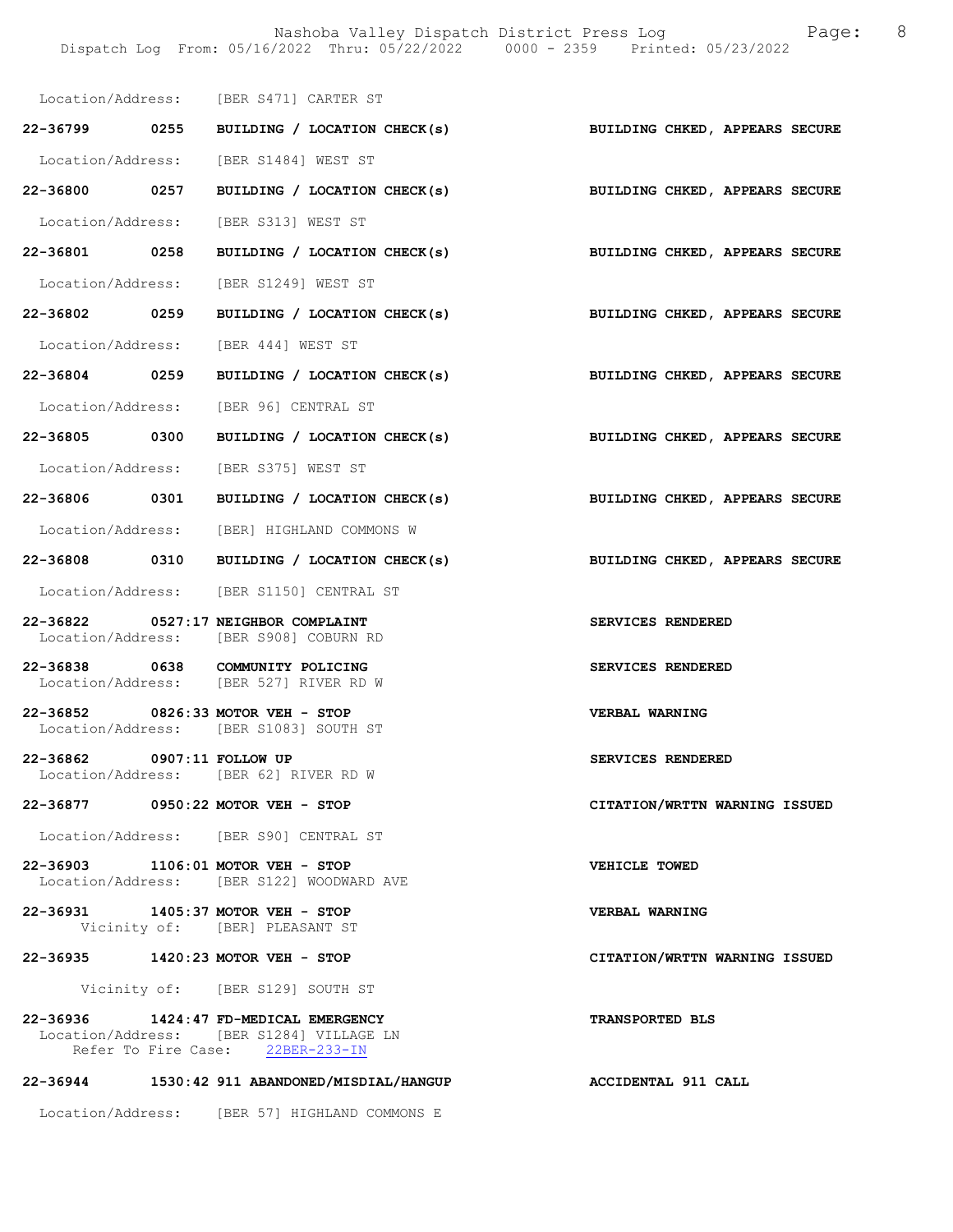|                            | Location/Address: [BER S471] CARTER ST                                                                                |                                |
|----------------------------|-----------------------------------------------------------------------------------------------------------------------|--------------------------------|
|                            | 22-36799 0255 BUILDING / LOCATION CHECK(s) BUILDING CHKED, APPEARS SECURE                                             |                                |
|                            | Location/Address: [BER S1484] WEST ST                                                                                 |                                |
| 22-36800 0257              | BUILDING / LOCATION CHECK(s) BUILDING CHKED, APPEARS SECURE                                                           |                                |
|                            | Location/Address: [BER S313] WEST ST                                                                                  |                                |
| 22-36801 0258              | BUILDING / LOCATION CHECK(s)                                                                                          | BUILDING CHKED, APPEARS SECURE |
|                            | Location/Address: [BER S1249] WEST ST                                                                                 |                                |
| 22-36802 0259              | BUILDING / LOCATION CHECK(s) BUILDING CHKED, APPEARS SECURE                                                           |                                |
|                            | Location/Address: [BER 444] WEST ST                                                                                   |                                |
| 22-36804 0259              | BUILDING / LOCATION CHECK(s) BUILDING CHKED, APPEARS SECURE                                                           |                                |
|                            | Location/Address: [BER 96] CENTRAL ST                                                                                 |                                |
| 22-36805 0300              | BUILDING / LOCATION CHECK(s) BUILDING CHKED, APPEARS SECURE                                                           |                                |
|                            | Location/Address: [BER S375] WEST ST                                                                                  |                                |
|                            | 22-36806 0301 BUILDING / LOCATION CHECK(s) BUILDING CHKED, APPEARS SECURE                                             |                                |
|                            | Location/Address: [BER] HIGHLAND COMMONS W                                                                            |                                |
|                            | 22-36808 0310 BUILDING / LOCATION CHECK(s)                                                                            | BUILDING CHKED, APPEARS SECURE |
|                            | Location/Address: [BER S1150] CENTRAL ST                                                                              |                                |
|                            | 22-36822 0527:17 NEIGHBOR COMPLAINT<br>Location/Address: [BER S908] COBURN RD                                         | SERVICES RENDERED              |
|                            | 22-36838 0638 COMMUNITY POLICING<br>Location/Address: [BER 527] RIVER RD W                                            | SERVICES RENDERED              |
|                            | 22-36852 0826:33 MOTOR VEH - STOP<br>Location/Address: [BER S1083] SOUTH ST                                           | <b>VERBAL WARNING</b>          |
| 22-36862 0907:11 FOLLOW UP | Location/Address: [BER 62] RIVER RD W                                                                                 | SERVICES RENDERED              |
|                            | 22-36877 0950:22 MOTOR VEH - STOP                                                                                     | CITATION/WRTTN WARNING ISSUED  |
|                            | Location/Address: [BER S90] CENTRAL ST                                                                                |                                |
|                            | 22-36903 1106:01 MOTOR VEH - STOP<br>Location/Address: [BER S122] WOODWARD AVE                                        | VEHICLE TOWED                  |
|                            | 22-36931 1405:37 MOTOR VEH - STOP<br>Vicinity of: [BER] PLEASANT ST                                                   | <b>VERBAL WARNING</b>          |
|                            | 22-36935 1420:23 MOTOR VEH - STOP                                                                                     | CITATION/WRTTN WARNING ISSUED  |
|                            | Vicinity of: [BER S129] SOUTH ST                                                                                      |                                |
|                            | 22-36936 1424:47 FD-MEDICAL EMERGENCY<br>Location/Address: [BER S1284] VILLAGE LN<br>Refer To Fire Case: 22BER-233-IN | TRANSPORTED BLS                |
|                            | 22-36944 1530:42 911 ABANDONED/MISDIAL/HANGUP                                                                         | ACCIDENTAL 911 CALL            |

Location/Address: [BER 57] HIGHLAND COMMONS E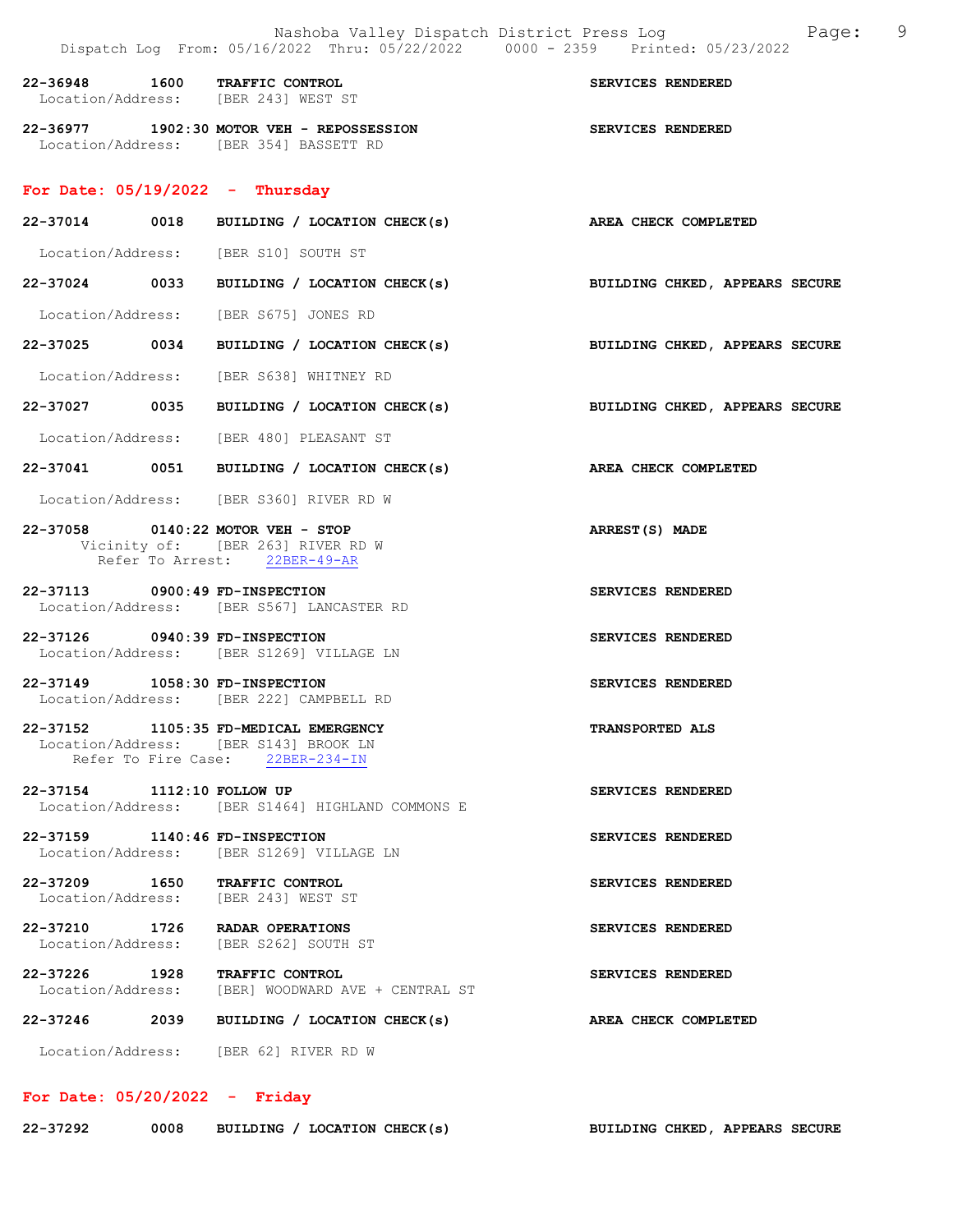| 22-36948 | 1600 | <b>TRAFFIC CONTROL</b><br>Location/Address: [BER 243] WEST ST              | SERVICES RENDERED        |
|----------|------|----------------------------------------------------------------------------|--------------------------|
| 22-36977 |      | 1902:30 MOTOR VEH - REPOSSESSION<br>Location/Address: [BER 354] BASSETT RD | <b>SERVICES RENDERED</b> |

#### For Date:  $05/19/2022 -$  Thursday

| 22-37014          | 0018 | BUILDING / LOCATION CHECK(s) | AREA CHECK COMPLETED           |
|-------------------|------|------------------------------|--------------------------------|
| Location/Address: |      | [BER S10] SOUTH ST           |                                |
| 22-37024          | 0033 | BUILDING / LOCATION CHECK(s) | BUILDING CHKED, APPEARS SECURE |
| Location/Address: |      | [BER S675] JONES RD          |                                |

22-37025 0034 BUILDING / LOCATION CHECK(s) BUILDING CHKED, APPEARS SECURE

Location/Address: [BER S638] WHITNEY RD

22-37027 0035 BUILDING / LOCATION CHECK(s) BUILDING CHKED, APPEARS SECURE

Location/Address: [BER 480] PLEASANT ST

22-37041 0051 BUILDING / LOCATION CHECK(s) AREA CHECK COMPLETED

Location/Address: [BER S360] RIVER RD W

## 22-37058 0140:22 MOTOR VEH - STOP ARREST(S) MADE Vicinity of: [BER 263] RIVER RD W Refer To Arrest: 22BER-49-AR

22-37113 0900:49 FD-INSPECTION SERVICES RENDERED Location/Address: [BER S567] LANCASTER RD

22-37126 0940:39 FD-INSPECTION SERVICES RENDERED Location/Address: [BER S1269] VILLAGE LN

22-37149 1058:30 FD-INSPECTION SERVICES RENDERED Location/Address: [BER 222] CAMPBELL RD

22-37152 1105:35 FD-MEDICAL EMERGENCY TRANSPORTED ALS Location/Address: [BER S143] BROOK LN Refer To Fire Case: 22BER-234-IN

22-37154 1112:10 FOLLOW UP SERVICES RENDERED Location/Address: [BER S1464] HIGHLAND COMMONS E

22-37159 1140:46 FD-INSPECTION SERVICES RENDERED Location/Address: [BER S1269] VILLAGE LN

22-37209 1650 TRAFFIC CONTROL SERVICES RENDERED Location/Address: [BER 243] WEST ST

22-37210 1726 RADAR OPERATIONS SERVICES RENDERED Location/Address: [BER S262] SOUTH ST

22-37226 1928 TRAFFIC CONTROL SERVICES RENDERED Location/Address: [BER] WOODWARD AVE + CENTRAL ST

22-37246 2039 BUILDING / LOCATION CHECK(s) AREA CHECK COMPLETED

Location/Address: [BER 62] RIVER RD W

## For Date: 05/20/2022 - Friday

| 22-37292 | 0008 |  | BUILDING / LOCATION CHECK(s) | <b>BUILDING CHKED, APPEARS SECURE</b> |  |  |
|----------|------|--|------------------------------|---------------------------------------|--|--|
|----------|------|--|------------------------------|---------------------------------------|--|--|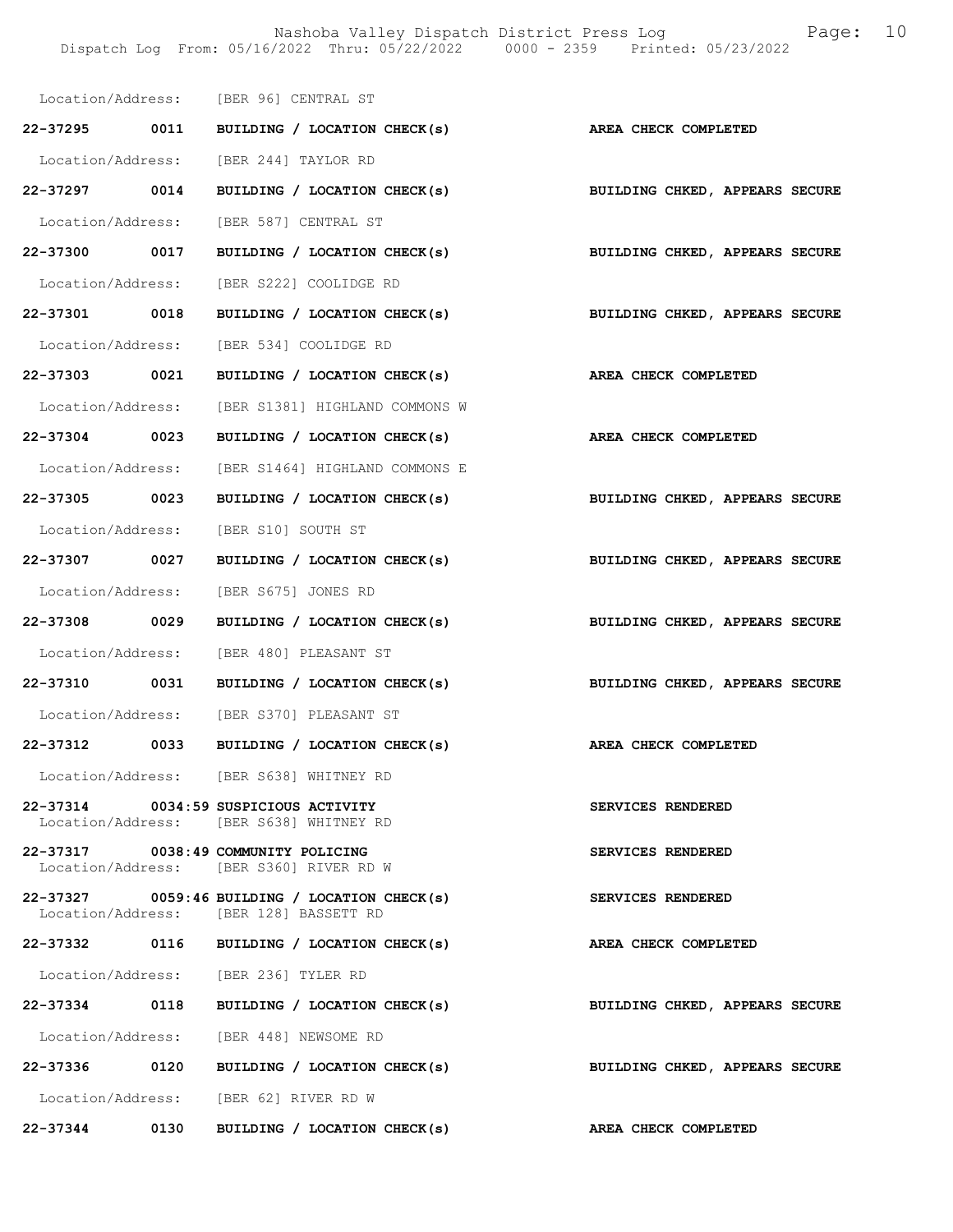Nashoba Valley Dispatch District Press Log Fage: 10 Dispatch Log From: 05/16/2022 Thru: 05/22/2022 0000 - 2359 Printed: 05/23/2022

|               |      | Location/Address: [BER 96] CENTRAL ST                                                   |                                                                 |                                                                           |
|---------------|------|-----------------------------------------------------------------------------------------|-----------------------------------------------------------------|---------------------------------------------------------------------------|
|               |      |                                                                                         | 22-37295 0011 BUILDING / LOCATION CHECK(s) AREA CHECK COMPLETED |                                                                           |
|               |      | Location/Address: [BER 244] TAYLOR RD                                                   |                                                                 |                                                                           |
|               |      |                                                                                         |                                                                 | 22-37297 0014 BUILDING / LOCATION CHECK(s) BUILDING CHKED, APPEARS SECURE |
|               |      | Location/Address: [BER 587] CENTRAL ST                                                  |                                                                 |                                                                           |
| 22-37300 0017 |      |                                                                                         | BUILDING / LOCATION CHECK(s)                                    | BUILDING CHKED, APPEARS SECURE                                            |
|               |      | Location/Address: [BER S222] COOLIDGE RD                                                |                                                                 |                                                                           |
| 22-37301 0018 |      |                                                                                         |                                                                 | BUILDING / LOCATION CHECK(s) BUILDING CHKED, APPEARS SECURE               |
|               |      | Location/Address: [BER 534] COOLIDGE RD                                                 |                                                                 |                                                                           |
|               |      |                                                                                         | 22-37303 0021 BUILDING / LOCATION CHECK(s) AREA CHECK COMPLETED |                                                                           |
|               |      | Location/Address: [BER S1381] HIGHLAND COMMONS W                                        |                                                                 |                                                                           |
| 22-37304 0023 |      |                                                                                         | BUILDING / LOCATION CHECK(s) AREA CHECK COMPLETED               |                                                                           |
|               |      | Location/Address: [BER S1464] HIGHLAND COMMONS E                                        |                                                                 |                                                                           |
| 22-37305 0023 |      |                                                                                         | BUILDING / LOCATION CHECK(s)                                    | BUILDING CHKED, APPEARS SECURE                                            |
|               |      | Location/Address: [BER S10] SOUTH ST                                                    |                                                                 |                                                                           |
| 22-37307 0027 |      |                                                                                         |                                                                 | BUILDING / LOCATION CHECK(s) BUILDING CHKED, APPEARS SECURE               |
|               |      | Location/Address: [BER S675] JONES RD                                                   |                                                                 |                                                                           |
| 22-37308 0029 |      | BUILDING / LOCATION CHECK(s)                                                            |                                                                 | BUILDING CHKED, APPEARS SECURE                                            |
|               |      | Location/Address: [BER 480] PLEASANT ST                                                 |                                                                 |                                                                           |
|               |      |                                                                                         |                                                                 | 22-37310 0031 BUILDING / LOCATION CHECK(s) BUILDING CHKED, APPEARS SECURE |
|               |      | Location/Address: [BER S370] PLEASANT ST                                                |                                                                 |                                                                           |
|               |      |                                                                                         | 22-37312 0033 BUILDING / LOCATION CHECK(s) AREA CHECK COMPLETED |                                                                           |
|               |      | Location/Address: [BER S638] WHITNEY RD                                                 |                                                                 |                                                                           |
|               |      | 22-37314 0034:59 SUSPICIOUS ACTIVITY<br>Location/Address: [BER S638] WHITNEY RD         |                                                                 | SERVICES RENDERED                                                         |
|               |      | 22-37317 0038:49 COMMUNITY POLICING<br>Location/Address: [BER S360] RIVER RD W          |                                                                 | SERVICES RENDERED                                                         |
|               |      | 22-37327 0059:46 BUILDING / LOCATION CHECK(s)<br>Location/Address: [BER 128] BASSETT RD |                                                                 | SERVICES RENDERED                                                         |
|               |      | 22-37332 0116 BUILDING / LOCATION CHECK(s)                                              |                                                                 | AREA CHECK COMPLETED                                                      |
|               |      | Location/Address: [BER 236] TYLER RD                                                    |                                                                 |                                                                           |
|               |      | 22-37334 0118 BUILDING / LOCATION CHECK(s)                                              |                                                                 | BUILDING CHKED, APPEARS SECURE                                            |
|               |      | Location/Address: [BER 448] NEWSOME RD                                                  |                                                                 |                                                                           |
|               |      | 22-37336 0120 BUILDING / LOCATION CHECK(s)                                              |                                                                 | BUILDING CHKED, APPEARS SECURE                                            |
|               |      | Location/Address: [BER 62] RIVER RD W                                                   |                                                                 |                                                                           |
| 22-37344      | 0130 | BUILDING / LOCATION CHECK(s)                                                            |                                                                 | AREA CHECK COMPLETED                                                      |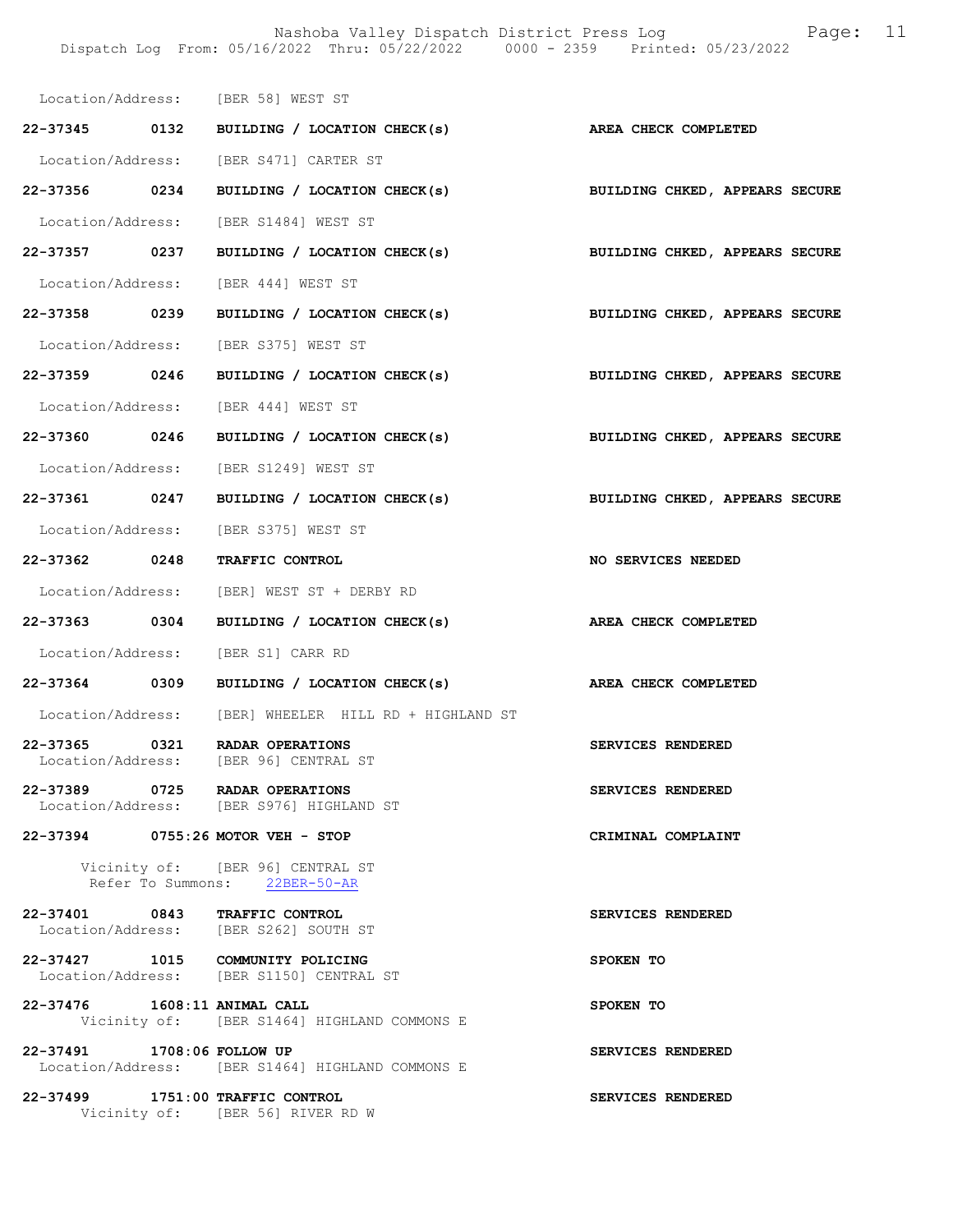Nashoba Valley Dispatch District Press Log Fage: 11 Dispatch Log From: 05/16/2022 Thru: 05/22/2022 0000 - 2359 Printed: 05/23/2022

|                                       | Location/Address: [BER 58] WEST ST                                           |                                |
|---------------------------------------|------------------------------------------------------------------------------|--------------------------------|
|                                       | 22-37345 0132 BUILDING / LOCATION CHECK(s) AREA CHECK COMPLETED              |                                |
|                                       | Location/Address: [BER S471] CARTER ST                                       |                                |
| 22-37356 0234                         | BUILDING / LOCATION CHECK(s)                                                 | BUILDING CHKED, APPEARS SECURE |
|                                       | Location/Address: [BER S1484] WEST ST                                        |                                |
| 22-37357 0237                         | BUILDING / LOCATION CHECK(s)                                                 | BUILDING CHKED, APPEARS SECURE |
|                                       | Location/Address: [BER 444] WEST ST                                          |                                |
| 22-37358 0239                         | BUILDING / LOCATION CHECK(s)                                                 | BUILDING CHKED, APPEARS SECURE |
|                                       | Location/Address: [BER S375] WEST ST                                         |                                |
| 22-37359 0246                         | BUILDING / LOCATION CHECK(s)                                                 | BUILDING CHKED, APPEARS SECURE |
|                                       | Location/Address: [BER 444] WEST ST                                          |                                |
| 22-37360 0246                         | BUILDING / LOCATION CHECK(s)                                                 | BUILDING CHKED, APPEARS SECURE |
|                                       | Location/Address: [BER S1249] WEST ST                                        |                                |
|                                       | 22-37361 0247 BUILDING / LOCATION CHECK(s)                                   | BUILDING CHKED, APPEARS SECURE |
|                                       | Location/Address: [BER S375] WEST ST                                         |                                |
| 22-37362 0248                         | <b>TRAFFIC CONTROL</b>                                                       | NO SERVICES NEEDED             |
|                                       | Location/Address: [BER] WEST ST + DERBY RD                                   |                                |
| 22-37363 0304                         | BUILDING / LOCATION CHECK(s)                                                 | <b>AREA CHECK COMPLETED</b>    |
|                                       | Location/Address: [BER S1] CARR RD                                           |                                |
|                                       | 22-37364 0309 BUILDING / LOCATION CHECK(s)                                   | AREA CHECK COMPLETED           |
|                                       | Location/Address: [BER] WHEELER HILL RD + HIGHLAND ST                        |                                |
| 0321<br>22-37365<br>Location/Address: | RADAR OPERATIONS<br>[BER 96] CENTRAL ST                                      | SERVICES RENDERED              |
|                                       | 22-37389 0725 RADAR OPERATIONS<br>Location/Address: [BER S976] HIGHLAND ST   | SERVICES RENDERED              |
|                                       | 22-37394 0755:26 MOTOR VEH - STOP                                            | CRIMINAL COMPLAINT             |
|                                       | Vicinity of: [BER 96] CENTRAL ST<br>Refer To Summons: 22BER-50-AR            |                                |
|                                       | 22-37401 0843 TRAFFIC CONTROL<br>Location/Address: [BER S262] SOUTH ST       | SERVICES RENDERED              |
|                                       | 22-37427 1015 COMMUNITY POLICING<br>Location/Address: [BER S1150] CENTRAL ST | SPOKEN TO                      |
| 22-37476 1608:11 ANIMAL CALL          | Vicinity of: [BER S1464] HIGHLAND COMMONS E                                  | SPOKEN TO                      |
| 22-37491 1708:06 FOLLOW UP            | Location/Address: [BER S1464] HIGHLAND COMMONS E                             | SERVICES RENDERED              |
|                                       | 22-37499 1751:00 TRAFFIC CONTROL<br>Vicinity of: [BER 56] RIVER RD W         | SERVICES RENDERED              |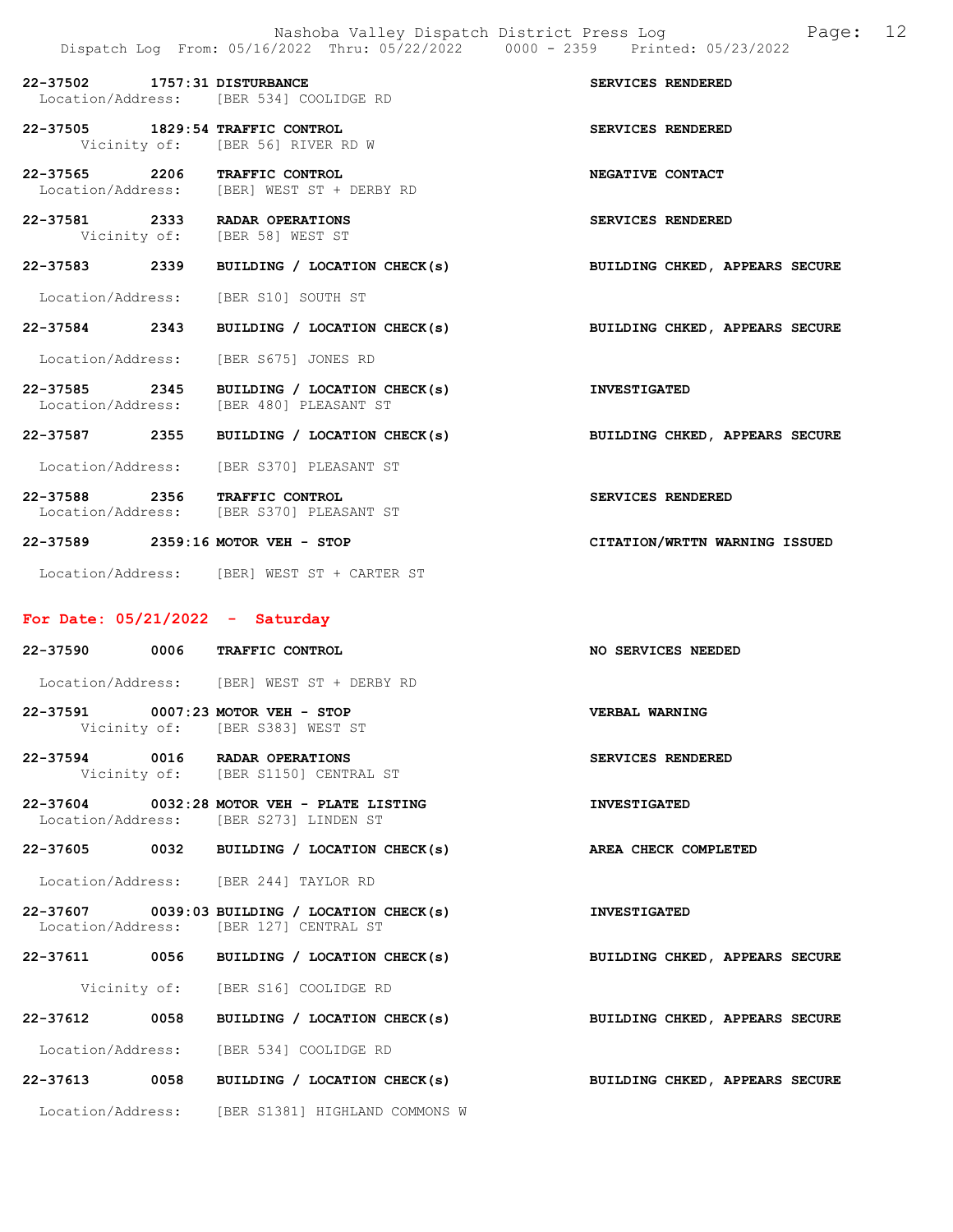|                                         |                                             | Nashoba Valley Dispatch District Press Log<br>Dispatch Log From: 05/16/2022 Thru: 05/22/2022 0000 - 2359 Printed: 05/23/2022 | 12<br>Page: |
|-----------------------------------------|---------------------------------------------|------------------------------------------------------------------------------------------------------------------------------|-------------|
| 22-37502 1757:31 DISTURBANCE            | Location/Address: [BER 534] COOLIDGE RD     | SERVICES RENDERED                                                                                                            |             |
| 22-37505 1829:54 TRAFFIC CONTROL        | Vicinity of: [BER 56] RIVER RD W            | SERVICES RENDERED                                                                                                            |             |
| 22-37565 2206 TRAFFIC CONTROL           | Location/Address: [BER] WEST ST + DERBY RD  | NEGATIVE CONTACT                                                                                                             |             |
| 22-37581 2333 RADAR OPERATIONS          | Vicinity of: [BER 58] WEST ST               | SERVICES RENDERED                                                                                                            |             |
|                                         | 22-37583 2339 BUILDING / LOCATION CHECK(s)  | BUILDING CHKED, APPEARS SECURE                                                                                               |             |
| Location/Address: [BER S10] SOUTH ST    |                                             |                                                                                                                              |             |
|                                         | 22-37584 2343 BUILDING / LOCATION CHECK(s)  | BUILDING CHKED, APPEARS SECURE                                                                                               |             |
| Location/Address: [BER S675] JONES RD   |                                             |                                                                                                                              |             |
| Location/Address: [BER 480] PLEASANT ST | 22-37585 2345 BUILDING / LOCATION CHECK(s)  | <b>INVESTIGATED</b>                                                                                                          |             |
| 22-37587 2355                           | BUILDING / LOCATION CHECK(s)                | BUILDING CHKED, APPEARS SECURE                                                                                               |             |
|                                         | Location/Address: [BER S370] PLEASANT ST    |                                                                                                                              |             |
| 22-37588 2356 TRAFFIC CONTROL           | Location/Address: [BER S370] PLEASANT ST    | SERVICES RENDERED                                                                                                            |             |
| 22-37589 2359:16 MOTOR VEH - STOP       |                                             | CITATION/WRTTN WARNING ISSUED                                                                                                |             |
|                                         | Location/Address: [BER] WEST ST + CARTER ST |                                                                                                                              |             |

# For Date: 05/21/2022 - Saturday

|  | 22-37590 0006 TRAFFIC CONTROL                                                           | <b>NO SERVICES NEEDED</b> |  |  |  |
|--|-----------------------------------------------------------------------------------------|---------------------------|--|--|--|
|  | Location/Address: [BER] WEST ST + DERBY RD                                              |                           |  |  |  |
|  | 22-37591 0007:23 MOTOR VEH - STOP<br>Vicinity of: [BER S383] WEST ST                    | VERBAL WARNING            |  |  |  |
|  | 22-37594 0016 RADAR OPERATIONS<br>Vicinity of: [BER S1150] CENTRAL ST                   | SERVICES RENDERED         |  |  |  |
|  | 22-37604 0032:28 MOTOR VEH - PLATE LISTING<br>Location/Address: [BER S273] LINDEN ST    | <b>INVESTIGATED</b>       |  |  |  |
|  | 22-37605 0032 BUILDING / LOCATION CHECK(s) AREA CHECK COMPLETED                         |                           |  |  |  |
|  | Location/Address: [BER 244] TAYLOR RD                                                   |                           |  |  |  |
|  | 22-37607 0039:03 BUILDING / LOCATION CHECK(s)<br>Location/Address: [BER 127] CENTRAL ST | <b>INVESTIGATED</b>       |  |  |  |
|  | 22-37611 0056 BUILDING / LOCATION CHECK(s) BUILDING CHKED, APPEARS SECURE               |                           |  |  |  |
|  | Vicinity of: [BER S16] COOLIDGE RD                                                      |                           |  |  |  |
|  | 22-37612 0058 BUILDING / LOCATION CHECK(s) BUILDING CHKED, APPEARS SECURE               |                           |  |  |  |
|  | Location/Address: [BER 534] COOLIDGE RD                                                 |                           |  |  |  |
|  | 22-37613 0058 BUILDING / LOCATION CHECK(s) BUILDING CHKED, APPEARS SECURE               |                           |  |  |  |
|  | Location/Address: [BER S1381] HIGHLAND COMMONS W                                        |                           |  |  |  |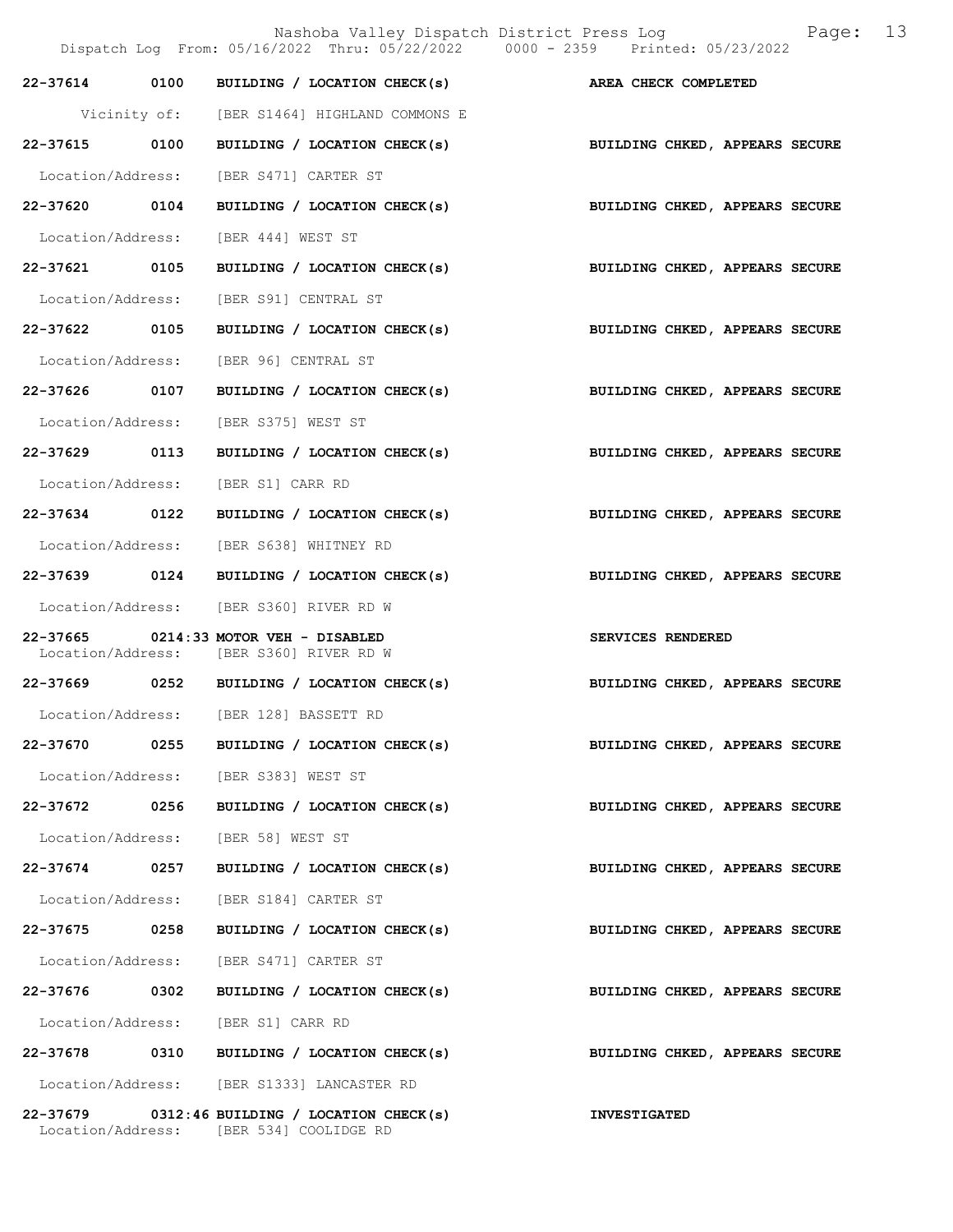|                   |      | Nashoba Valley Dispatch District Press Log X 2008:<br>Dispatch Log From: 05/16/2022 Thru: 05/22/2022 0000 - 2359 Printed: 05/23/2022 | 13                             |
|-------------------|------|--------------------------------------------------------------------------------------------------------------------------------------|--------------------------------|
| 22-37614 0100     |      | BUILDING / LOCATION CHECK(s) AREA CHECK COMPLETED                                                                                    |                                |
|                   |      | Vicinity of: [BER S1464] HIGHLAND COMMONS E                                                                                          |                                |
| 22-37615 0100     |      | BUILDING / LOCATION CHECK(s)                                                                                                         | BUILDING CHKED, APPEARS SECURE |
| Location/Address: |      | [BER S471] CARTER ST                                                                                                                 |                                |
| 22-37620          | 0104 | BUILDING / LOCATION CHECK(s)                                                                                                         | BUILDING CHKED, APPEARS SECURE |
| Location/Address: |      | [BER 444] WEST ST                                                                                                                    |                                |
| 22-37621 0105     |      | BUILDING / LOCATION CHECK(s)                                                                                                         | BUILDING CHKED, APPEARS SECURE |
| Location/Address: |      | [BER S91] CENTRAL ST                                                                                                                 |                                |
| 22-37622 0105     |      | BUILDING / LOCATION CHECK(s)                                                                                                         | BUILDING CHKED, APPEARS SECURE |
| Location/Address: |      | [BER 96] CENTRAL ST                                                                                                                  |                                |
| 22-37626 0107     |      | BUILDING / LOCATION CHECK(s)                                                                                                         | BUILDING CHKED, APPEARS SECURE |
| Location/Address: |      | [BER S375] WEST ST                                                                                                                   |                                |
| 22-37629 0113     |      | BUILDING / LOCATION CHECK(s)                                                                                                         | BUILDING CHKED, APPEARS SECURE |
| Location/Address: |      | [BER S1] CARR RD                                                                                                                     |                                |
| 22-37634 0122     |      | BUILDING / LOCATION CHECK(s)                                                                                                         | BUILDING CHKED, APPEARS SECURE |
| Location/Address: |      | [BER S638] WHITNEY RD                                                                                                                |                                |
| 22-37639 0124     |      | BUILDING / LOCATION CHECK(s)                                                                                                         | BUILDING CHKED, APPEARS SECURE |
|                   |      | Location/Address: [BER S360] RIVER RD W                                                                                              |                                |
|                   |      | 22-37665 0214:33 MOTOR VEH - DISABLED<br>Location/Address: [BER S360] RIVER RD W                                                     | SERVICES RENDERED              |
|                   |      | 22-37669 0252 BUILDING / LOCATION CHECK(s)                                                                                           | BUILDING CHKED, APPEARS SECURE |
|                   |      | Location/Address: [BER 128] BASSETT RD                                                                                               |                                |
| 22-37670          | 0255 | BUILDING / LOCATION CHECK(s)                                                                                                         | BUILDING CHKED, APPEARS SECURE |
|                   |      | Location/Address: [BER S383] WEST ST                                                                                                 |                                |
| 22-37672 0256     |      | BUILDING / LOCATION CHECK(s)                                                                                                         | BUILDING CHKED, APPEARS SECURE |
|                   |      | Location/Address: [BER 58] WEST ST                                                                                                   |                                |
| 22-37674          | 0257 | BUILDING / LOCATION CHECK(s)                                                                                                         | BUILDING CHKED, APPEARS SECURE |
|                   |      | Location/Address: [BER S184] CARTER ST                                                                                               |                                |
| 22-37675 0258     |      | BUILDING / LOCATION CHECK(s)                                                                                                         | BUILDING CHKED, APPEARS SECURE |
| Location/Address: |      | [BER S471] CARTER ST                                                                                                                 |                                |
| 22-37676 0302     |      | BUILDING / LOCATION CHECK(s)                                                                                                         | BUILDING CHKED, APPEARS SECURE |
|                   |      | Location/Address: [BER S1] CARR RD                                                                                                   |                                |
| 22-37678          |      | 0310 BUILDING / LOCATION CHECK(s)                                                                                                    | BUILDING CHKED, APPEARS SECURE |
|                   |      | Location/Address: [BER S1333] LANCASTER RD                                                                                           |                                |
|                   |      | $22-37679$ 0312:46 BUILDING / LOCATION CHECK(s)                                                                                      | <b>INVESTIGATED</b>            |

Location/Address: [BER 534] COOLIDGE RD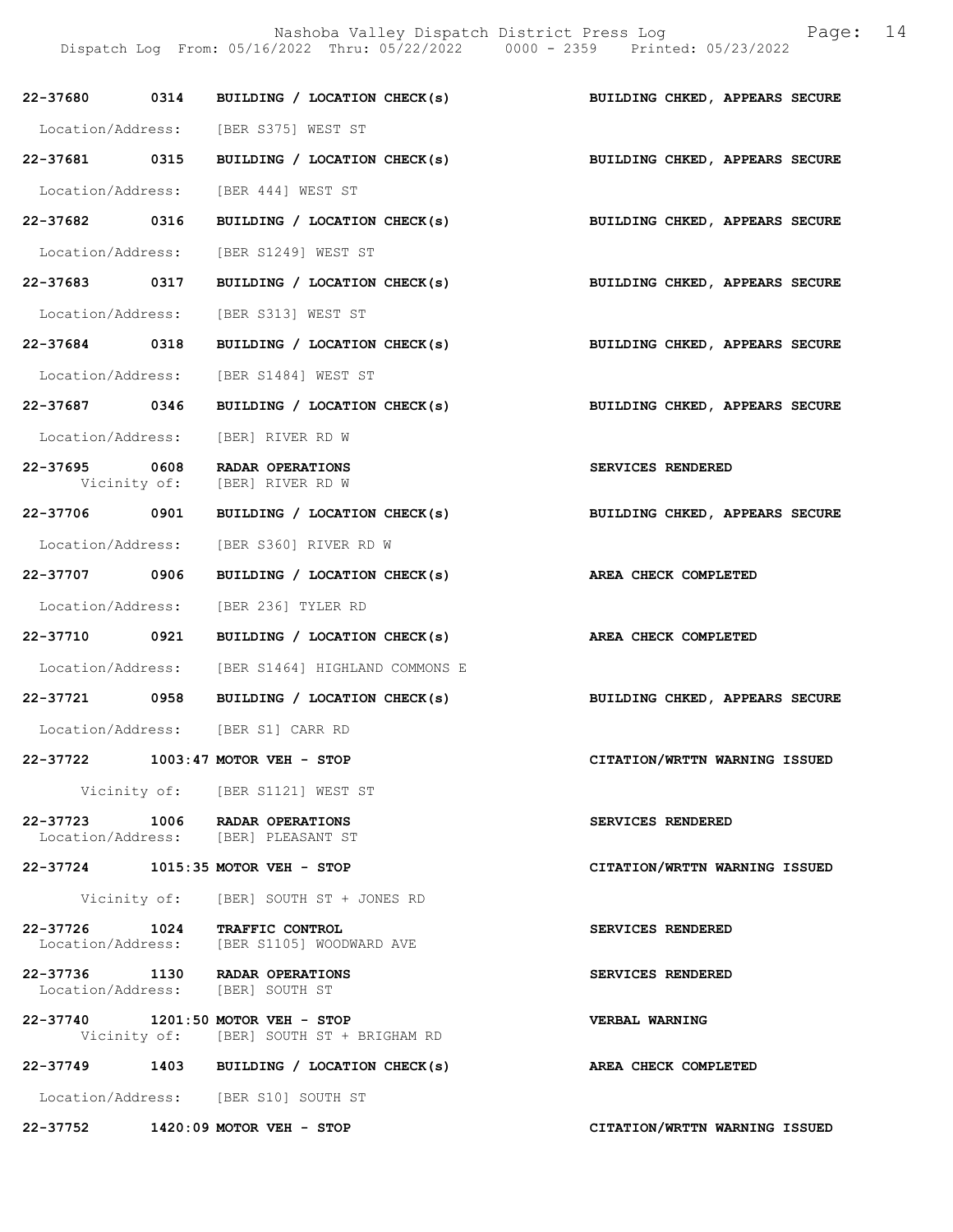Nashoba Valley Dispatch District Press Log Fage: 14

Dispatch Log From: 05/16/2022 Thru: 05/22/2022 0000 - 2359 Printed: 05/23/2022

|               | 22-37680 0314 BUILDING / LOCATION CHECK(s)                                    | BUILDING CHKED, APPEARS SECURE |
|---------------|-------------------------------------------------------------------------------|--------------------------------|
|               | Location/Address: [BER S375] WEST ST                                          |                                |
| 22-37681 0315 | BUILDING / LOCATION CHECK(s) BUILDING CHKED, APPEARS SECURE                   |                                |
|               | Location/Address: [BER 444] WEST ST                                           |                                |
| 22-37682 0316 | BUILDING / LOCATION CHECK(s)                                                  | BUILDING CHKED, APPEARS SECURE |
|               | Location/Address: [BER S1249] WEST ST                                         |                                |
| 22-37683 0317 | BUILDING / LOCATION CHECK(s) BUILDING CHKED, APPEARS SECURE                   |                                |
|               | Location/Address: [BER S313] WEST ST                                          |                                |
| 22-37684 0318 | BUILDING / LOCATION CHECK(s) BUILDING CHKED, APPEARS SECURE                   |                                |
|               | Location/Address: [BER S1484] WEST ST                                         |                                |
| 22-37687 0346 | BUILDING / LOCATION CHECK(s)                                                  | BUILDING CHKED, APPEARS SECURE |
|               | Location/Address: [BER] RIVER RD W                                            |                                |
| 22-37695 0608 | RADAR OPERATIONS<br>Vicinity of: [BER] RIVER RD W                             | SERVICES RENDERED              |
|               | 22-37706 0901 BUILDING / LOCATION CHECK(s) BUILDING CHKED, APPEARS SECURE     |                                |
|               | Location/Address: [BER S360] RIVER RD W                                       |                                |
| 22-37707 0906 | BUILDING / LOCATION CHECK(s)                                                  | AREA CHECK COMPLETED           |
|               | Location/Address: [BER 236] TYLER RD                                          |                                |
| 22-37710 0921 | BUILDING / LOCATION CHECK(s) AREA CHECK COMPLETED                             |                                |
|               | Location/Address: [BER S1464] HIGHLAND COMMONS E                              |                                |
|               | 22-37721 0958 BUILDING / LOCATION CHECK(s) BUILDING CHKED, APPEARS SECURE     |                                |
|               | Location/Address: [BER S1] CARR RD                                            |                                |
|               | 22-37722 1003:47 MOTOR VEH - STOP                                             | CITATION/WRTTN WARNING ISSUED  |
|               | Vicinity of: [BER S1121] WEST ST                                              |                                |
|               | 22-37723 1006 RADAR OPERATIONS<br>Location/Address: [BER] PLEASANT ST         | SERVICES RENDERED              |
|               | 22-37724 1015:35 MOTOR VEH - STOP                                             | CITATION/WRTTN WARNING ISSUED  |
|               | Vicinity of: [BER] SOUTH ST + JONES RD                                        |                                |
|               | 22-37726 1024 TRAFFIC CONTROL<br>Location/Address: [BER S1105] WOODWARD AVE   | SERVICES RENDERED              |
|               | 22-37736 1130 RADAR OPERATIONS<br>Location/Address: [BER] SOUTH ST            | SERVICES RENDERED              |
|               | 22-37740 1201:50 MOTOR VEH - STOP<br>Vicinity of: [BER] SOUTH ST + BRIGHAM RD | VERBAL WARNING                 |
|               | 22-37749 1403 BUILDING / LOCATION CHECK(s)                                    | AREA CHECK COMPLETED           |
|               | Location/Address: [BER S10] SOUTH ST                                          |                                |
|               | 22-37752 1420:09 MOTOR VEH - STOP                                             | CITATION/WRTTN WARNING ISSUED  |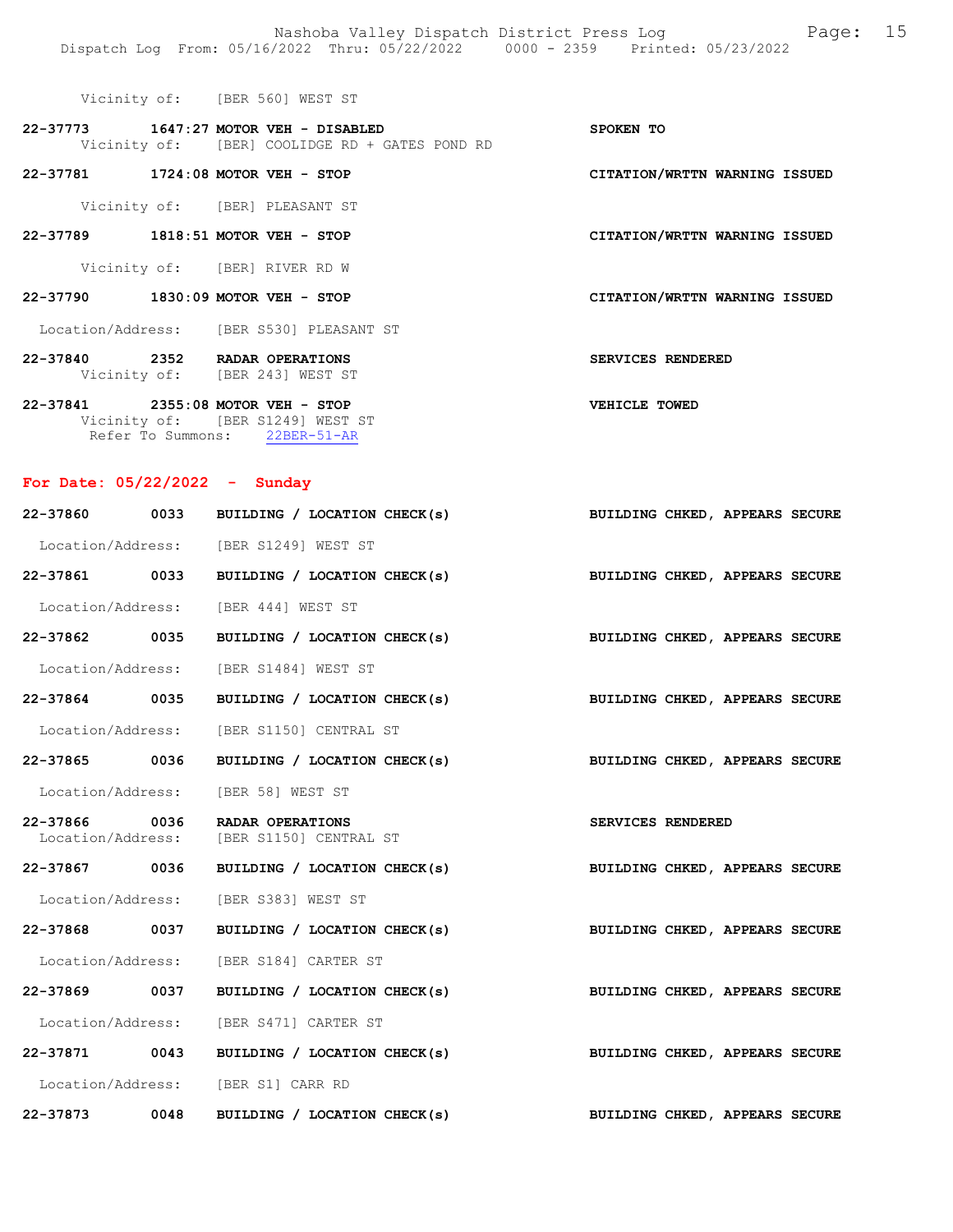| [BER 560] WEST ST<br>Vicinity of: |  |
|-----------------------------------|--|
|-----------------------------------|--|

| 22-37773     |  | 1647:27 MOTOR VEH - DISABLED      | SPOKEN TO                     |  |
|--------------|--|-----------------------------------|-------------------------------|--|
| Vicinity of: |  | [BER] COOLIDGE RD + GATES POND RD |                               |  |
|              |  |                                   |                               |  |
| 22-37781     |  | $1724:08$ MOTOR VEH - STOP        | CITATION/WRTTN WARNING ISSUED |  |

Vicinity of: [BER] PLEASANT ST

22-37789 1818:51 MOTOR VEH - STOP CITATION/WRTTN WARNING ISSUED

Vicinity of: [BER] RIVER RD W

22-37790 1830:09 MOTOR VEH - STOP CITATION/WRTTN WARNING ISSUED

Location/Address: [BER S530] PLEASANT ST

22-37840 2352 RADAR OPERATIONS SERVICES RENDERED Vicinity of: [BER 243] WEST ST 22-37841 2355:08 MOTOR VEH - STOP VEHICLE TOWED

 Vicinity of: [BER S1249] WEST ST Refer To Summons: 22BER-51-AR

## For Date: 05/22/2022 - Sunday

|               | 22-37860 0033 BUILDING / LOCATION CHECK(s)                   | BUILDING CHKED, APPEARS SECURE |
|---------------|--------------------------------------------------------------|--------------------------------|
|               | Location/Address: [BER S1249] WEST ST                        |                                |
| 22-37861 0033 | BUILDING / LOCATION CHECK(s) BUILDING CHKED, APPEARS SECURE  |                                |
|               | Location/Address: [BER 444] WEST ST                          |                                |
| 22-37862 0035 | BUILDING / LOCATION CHECK(s)                                 | BUILDING CHKED, APPEARS SECURE |
|               | Location/Address: [BER S1484] WEST ST                        |                                |
| 22-37864 0035 | BUILDING / LOCATION CHECK(s) BUILDING CHKED, APPEARS SECURE  |                                |
|               | Location/Address: [BER S1150] CENTRAL ST                     |                                |
| 22-37865 0036 | BUILDING / LOCATION CHECK(s) BUILDING CHKED, APPEARS SECURE  |                                |
|               | Location/Address: [BER 58] WEST ST                           |                                |
| 22-37866 0036 | RADAR OPERATIONS<br>Location/Address: [BER S1150] CENTRAL ST | <b>SERVICES RENDERED</b>       |
| 22-37867 0036 | BUILDING / LOCATION CHECK(s) BUILDING CHKED, APPEARS SECURE  |                                |
|               | Location/Address: [BER S383] WEST ST                         |                                |
| 22-37868 0037 | BUILDING / LOCATION CHECK(s) BUILDING CHKED, APPEARS SECURE  |                                |
|               | Location/Address: [BER S184] CARTER ST                       |                                |
| 22-37869 0037 | BUILDING / LOCATION CHECK(s) BUILDING CHKED, APPEARS SECURE  |                                |
|               | Location/Address: [BER S471] CARTER ST                       |                                |
| 22-37871 0043 | BUILDING / LOCATION CHECK(s) BUILDING CHKED, APPEARS SECURE  |                                |
|               | Location/Address: [BER S1] CARR RD                           |                                |
| 22-37873 0048 | BUILDING / LOCATION CHECK(s) BUILDING CHKED, APPEARS SECURE  |                                |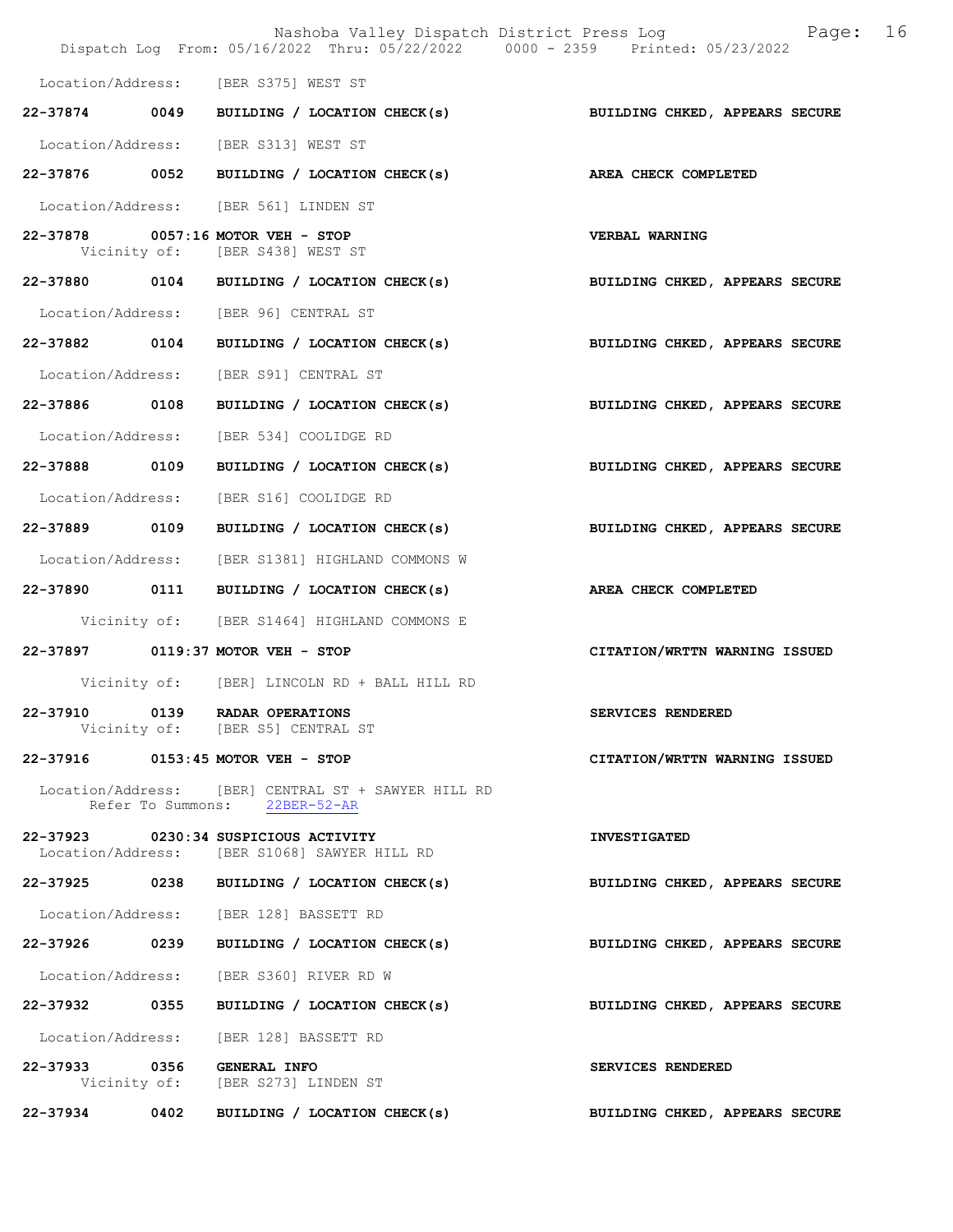|                   | Nashoba Valley Dispatch District Press Log Nashoba Valley Dispatch District Press Log<br>Dispatch Log From: 05/16/2022 Thru: 05/22/2022 0000 - 2359 Printed: 05/23/2022 | 16                             |
|-------------------|-------------------------------------------------------------------------------------------------------------------------------------------------------------------------|--------------------------------|
|                   | Location/Address: [BER S375] WEST ST                                                                                                                                    |                                |
| 22-37874 0049     | BUILDING / LOCATION CHECK(s)                                                                                                                                            | BUILDING CHKED, APPEARS SECURE |
|                   | Location/Address: [BER S313] WEST ST                                                                                                                                    |                                |
| 22-37876 0052     | BUILDING / LOCATION CHECK(s)                                                                                                                                            | AREA CHECK COMPLETED           |
|                   | Location/Address: [BER 561] LINDEN ST                                                                                                                                   |                                |
|                   | 22-37878 0057:16 MOTOR VEH - STOP<br>Vicinity of: [BER S438] WEST ST                                                                                                    | <b>VERBAL WARNING</b>          |
|                   | 22-37880 0104 BUILDING / LOCATION CHECK(s)                                                                                                                              | BUILDING CHKED, APPEARS SECURE |
|                   | Location/Address: [BER 96] CENTRAL ST                                                                                                                                   |                                |
| 22-37882 0104     | BUILDING / LOCATION CHECK(s)                                                                                                                                            | BUILDING CHKED, APPEARS SECURE |
| Location/Address: | [BER S91] CENTRAL ST                                                                                                                                                    |                                |
| 22-37886 0108     | BUILDING / LOCATION CHECK(s)                                                                                                                                            | BUILDING CHKED, APPEARS SECURE |
| Location/Address: | [BER 534] COOLIDGE RD                                                                                                                                                   |                                |
| 22-37888 0109     | BUILDING / LOCATION CHECK(s)                                                                                                                                            | BUILDING CHKED, APPEARS SECURE |
| Location/Address: | [BER S16] COOLIDGE RD                                                                                                                                                   |                                |
| 22-37889 0109     | BUILDING / LOCATION CHECK(s)                                                                                                                                            | BUILDING CHKED, APPEARS SECURE |
|                   | Location/Address: [BER S1381] HIGHLAND COMMONS W                                                                                                                        |                                |
|                   | 22-37890 0111 BUILDING / LOCATION CHECK(s)                                                                                                                              | AREA CHECK COMPLETED           |
|                   | Vicinity of: [BER S1464] HIGHLAND COMMONS E                                                                                                                             |                                |
|                   | 22-37897 0119:37 MOTOR VEH - STOP                                                                                                                                       | CITATION/WRTTN WARNING ISSUED  |
|                   | Vicinity of: [BER] LINCOLN RD + BALL HILL RD                                                                                                                            |                                |
| 22-37910          | 0139 RADAR OPERATIONS<br>Vicinity of: [BER S5] CENTRAL ST                                                                                                               | SERVICES RENDERED              |
|                   | 22-37916 0153:45 MOTOR VEH - STOP                                                                                                                                       | CITATION/WRTTN WARNING ISSUED  |
|                   | Location/Address: [BER] CENTRAL ST + SAWYER HILL RD<br>Refer To Summons: 22BER-52-AR                                                                                    |                                |
|                   | 22-37923 0230:34 SUSPICIOUS ACTIVITY<br>Location/Address: [BER S1068] SAWYER HILL RD                                                                                    | <b>INVESTIGATED</b>            |
|                   | 22-37925 0238 BUILDING / LOCATION CHECK(s)                                                                                                                              | BUILDING CHKED, APPEARS SECURE |
|                   | Location/Address: [BER 128] BASSETT RD                                                                                                                                  |                                |
| 22-37926 0239     | BUILDING / LOCATION CHECK(s)                                                                                                                                            | BUILDING CHKED, APPEARS SECURE |
|                   | Location/Address: [BER S360] RIVER RD W                                                                                                                                 |                                |
| 22-37932 0355     | BUILDING / LOCATION CHECK(s)                                                                                                                                            | BUILDING CHKED, APPEARS SECURE |
| Location/Address: | [BER 128] BASSETT RD                                                                                                                                                    |                                |
| 22-37933 0356     | <b>GENERAL INFO</b><br>Vicinity of: [BER S273] LINDEN ST                                                                                                                | SERVICES RENDERED              |
| 22-37934 0402     | BUILDING / LOCATION CHECK(s)                                                                                                                                            | BUILDING CHKED, APPEARS SECURE |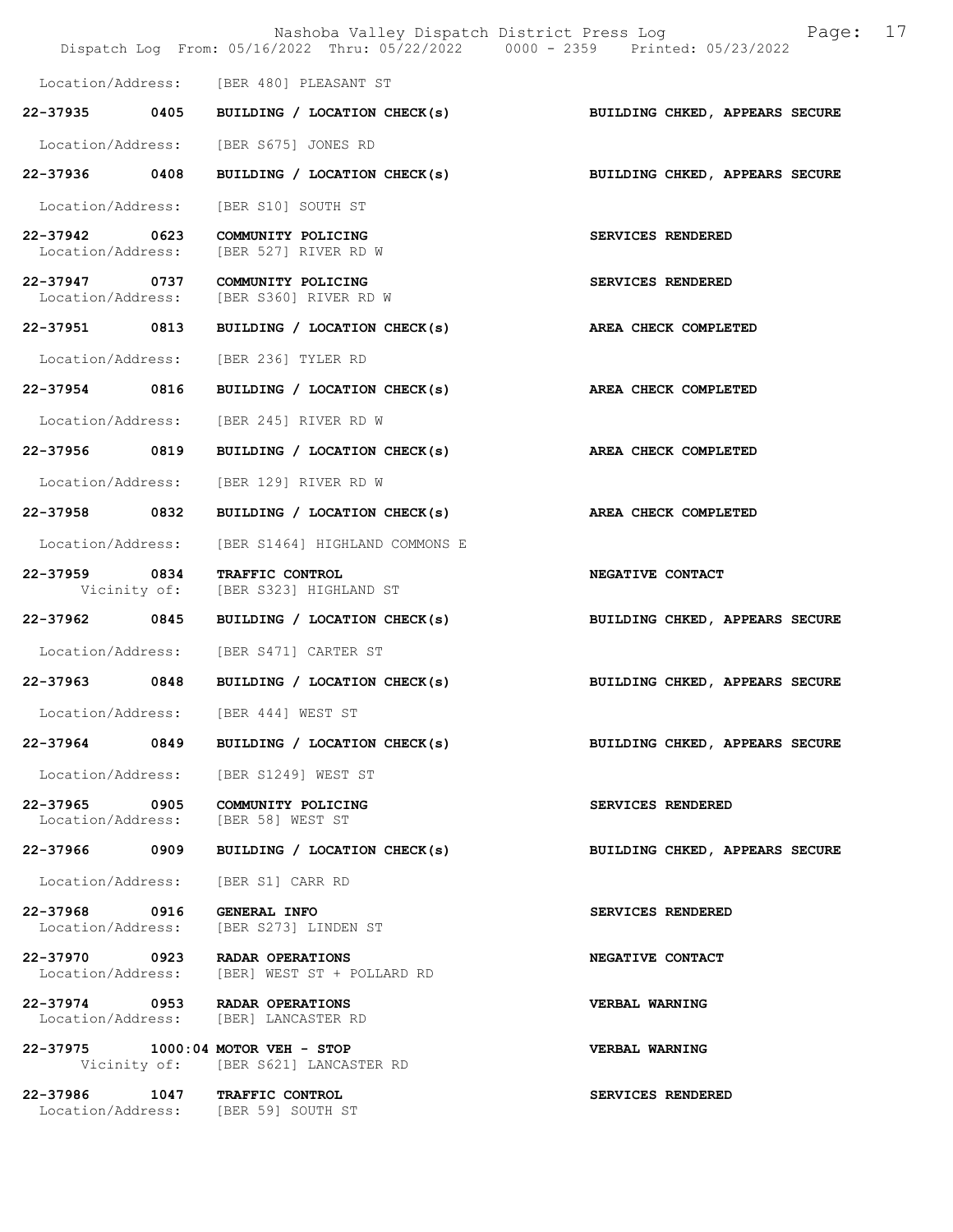|                                                     |      | Nashoba Valley Dispatch District Press Log<br>Dispatch Log From: 05/16/2022 Thru: 05/22/2022 0000 - 2359 Printed: 05/23/2022 | 17<br>Page:                    |
|-----------------------------------------------------|------|------------------------------------------------------------------------------------------------------------------------------|--------------------------------|
|                                                     |      | Location/Address: [BER 480] PLEASANT ST                                                                                      |                                |
|                                                     |      | 22-37935 0405 BUILDING / LOCATION CHECK(s)                                                                                   | BUILDING CHKED, APPEARS SECURE |
|                                                     |      | Location/Address: [BER S675] JONES RD                                                                                        |                                |
| 22-37936 0408                                       |      | BUILDING / LOCATION CHECK(s)                                                                                                 | BUILDING CHKED, APPEARS SECURE |
|                                                     |      | Location/Address: [BER S10] SOUTH ST                                                                                         |                                |
| 22-37942 0623<br>Location/Address:                  |      | COMMUNITY POLICING<br>[BER 527] RIVER RD W                                                                                   | SERVICES RENDERED              |
| 22-37947 0737                                       |      | COMMUNITY POLICING<br>Location/Address: [BER S360] RIVER RD W                                                                | SERVICES RENDERED              |
| 22-37951 0813                                       |      | BUILDING / LOCATION CHECK(s)                                                                                                 | AREA CHECK COMPLETED           |
| Location/Address:                                   |      | [BER 236] TYLER RD                                                                                                           |                                |
| 22-37954 0816                                       |      | BUILDING / LOCATION CHECK(s)                                                                                                 | AREA CHECK COMPLETED           |
|                                                     |      | Location/Address: [BER 245] RIVER RD W                                                                                       |                                |
| 22-37956                                            | 0819 | BUILDING / LOCATION CHECK(s)                                                                                                 | AREA CHECK COMPLETED           |
| Location/Address:                                   |      | [BER 129] RIVER RD W                                                                                                         |                                |
| 22-37958 0832                                       |      | BUILDING / LOCATION CHECK(s)                                                                                                 | AREA CHECK COMPLETED           |
| Location/Address:                                   |      | [BER S1464] HIGHLAND COMMONS E                                                                                               |                                |
| 22-37959 0834                                       |      | TRAFFIC CONTROL<br>Vicinity of: [BER S323] HIGHLAND ST                                                                       | NEGATIVE CONTACT               |
| 22-37962                                            | 0845 | BUILDING / LOCATION CHECK(s)                                                                                                 | BUILDING CHKED, APPEARS SECURE |
|                                                     |      | Location/Address: [BER S471] CARTER ST                                                                                       |                                |
|                                                     |      | 22-37963 0848 BUILDING / LOCATION CHECK(s)                                                                                   | BUILDING CHKED, APPEARS SECURE |
| Location/Address:                                   |      | [BER 444] WEST ST                                                                                                            |                                |
| 22-37964                                            |      | 0849 BUILDING / LOCATION CHECK(s)                                                                                            | BUILDING CHKED, APPEARS SECURE |
|                                                     |      | Location/Address: [BER S1249] WEST ST                                                                                        |                                |
| 22-37965 0905                                       |      | COMMUNITY POLICING<br>Location/Address: [BER 58] WEST ST                                                                     | SERVICES RENDERED              |
| 22-37966 0909                                       |      | BUILDING / LOCATION CHECK(s)                                                                                                 | BUILDING CHKED, APPEARS SECURE |
| Location/Address:                                   |      | [BER S1] CARR RD                                                                                                             |                                |
| 22-37968 0916<br>Location/Address:                  |      | <b>GENERAL INFO</b><br>[BER S273] LINDEN ST                                                                                  | SERVICES RENDERED              |
| 22-37970 0923 RADAR OPERATIONS<br>Location/Address: |      | [BER] WEST ST + POLLARD RD                                                                                                   | NEGATIVE CONTACT               |
| 22-37974 0953 RADAR OPERATIONS                      |      | Location/Address: [BER] LANCASTER RD                                                                                         | VERBAL WARNING                 |
| 22-37975 1000:04 MOTOR VEH - STOP                   |      | Vicinity of: [BER S621] LANCASTER RD                                                                                         | VERBAL WARNING                 |
| 22-37986 1047 TRAFFIC CONTROL                       |      | Location/Address: [BER 59] SOUTH ST                                                                                          | SERVICES RENDERED              |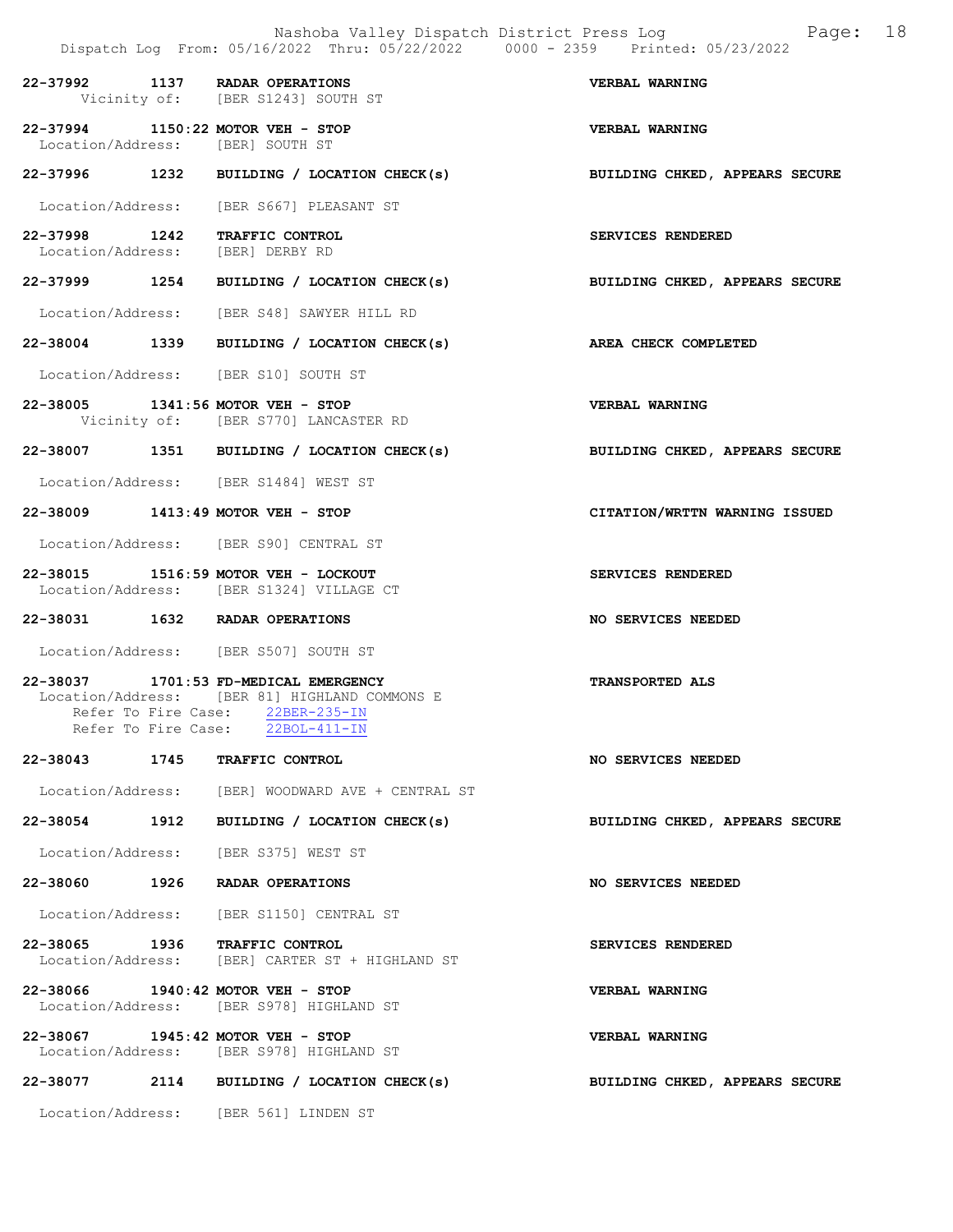|                                  | Dispatch Log From: 05/16/2022 Thru: 05/22/2022 0000 - 2359 Printed: 05/23/2022                                                               | Nashoba Valley Dispatch District Press Log Fage: 18 |
|----------------------------------|----------------------------------------------------------------------------------------------------------------------------------------------|-----------------------------------------------------|
|                                  | 22-37992 1137 RADAR OPERATIONS<br>Vicinity of: [BER S1243] SOUTH ST                                                                          | <b>VERBAL WARNING</b>                               |
| Location/Address: [BER] SOUTH ST | 22-37994 1150:22 MOTOR VEH - STOP                                                                                                            | VERBAL WARNING                                      |
|                                  | 22-37996 1232 BUILDING / LOCATION CHECK(s)                                                                                                   | BUILDING CHKED, APPEARS SECURE                      |
|                                  | Location/Address: [BER S667] PLEASANT ST                                                                                                     |                                                     |
| Location/Address: [BER] DERBY RD | 22-37998 1242 TRAFFIC CONTROL                                                                                                                | SERVICES RENDERED                                   |
|                                  | 22-37999 1254 BUILDING / LOCATION CHECK(s) BUILDING CHKED, APPEARS SECURE                                                                    |                                                     |
|                                  | Location/Address: [BER S48] SAWYER HILL RD                                                                                                   |                                                     |
|                                  | 22-38004 1339 BUILDING / LOCATION CHECK(s)                                                                                                   | AREA CHECK COMPLETED                                |
|                                  | Location/Address: [BER S10] SOUTH ST                                                                                                         |                                                     |
|                                  | 22-38005 1341:56 MOTOR VEH - STOP<br>Vicinity of: [BER S770] LANCASTER RD                                                                    | <b>VERBAL WARNING</b>                               |
|                                  | 22-38007 1351 BUILDING / LOCATION CHECK(s) BUILDING CHKED, APPEARS SECURE                                                                    |                                                     |
|                                  | Location/Address: [BER S1484] WEST ST                                                                                                        |                                                     |
|                                  | 22-38009 1413:49 MOTOR VEH - STOP                                                                                                            | CITATION/WRTTN WARNING ISSUED                       |
|                                  | Location/Address: [BER S90] CENTRAL ST                                                                                                       |                                                     |
|                                  | 22-38015 1516:59 MOTOR VEH - LOCKOUT<br>Location/Address: [BER S1324] VILLAGE CT                                                             | SERVICES RENDERED                                   |
|                                  | 22-38031 1632 RADAR OPERATIONS                                                                                                               | <b>NO SERVICES NEEDED</b>                           |
|                                  | Location/Address: [BER S507] SOUTH ST                                                                                                        |                                                     |
| Refer To Fire Case:              | 22-38037 1701:53 FD-MEDICAL EMERGENCY<br>Location/Address: [BER 81] HIGHLAND COMMONS E<br>Refer To Fire Case: 22BER-235-IN<br>$22BOL-411-IN$ | <b>TRANSPORTED ALS</b>                              |
|                                  | 22-38043 1745 TRAFFIC CONTROL                                                                                                                | NO SERVICES NEEDED                                  |
|                                  | Location/Address: [BER] WOODWARD AVE + CENTRAL ST                                                                                            |                                                     |
|                                  | 22-38054 1912 BUILDING / LOCATION CHECK(s)                                                                                                   | BUILDING CHKED, APPEARS SECURE                      |
|                                  | Location/Address: [BER S375] WEST ST                                                                                                         |                                                     |
|                                  | 22-38060 1926 RADAR OPERATIONS                                                                                                               | NO SERVICES NEEDED                                  |
|                                  | Location/Address: [BER S1150] CENTRAL ST                                                                                                     |                                                     |
|                                  | 22-38065 1936 TRAFFIC CONTROL<br>Location/Address: [BER] CARTER ST + HIGHLAND ST                                                             | SERVICES RENDERED                                   |
|                                  | 22-38066 1940:42 MOTOR VEH - STOP<br>Location/Address: [BER S978] HIGHLAND ST                                                                | VERBAL WARNING                                      |
|                                  | 22-38067 1945:42 MOTOR VEH - STOP<br>Location/Address: [BER S978] HIGHLAND ST                                                                | VERBAL WARNING                                      |
|                                  | 22-38077 2114 BUILDING / LOCATION CHECK(s)                                                                                                   | BUILDING CHKED, APPEARS SECURE                      |
|                                  | Location/Address: [BER 561] LINDEN ST                                                                                                        |                                                     |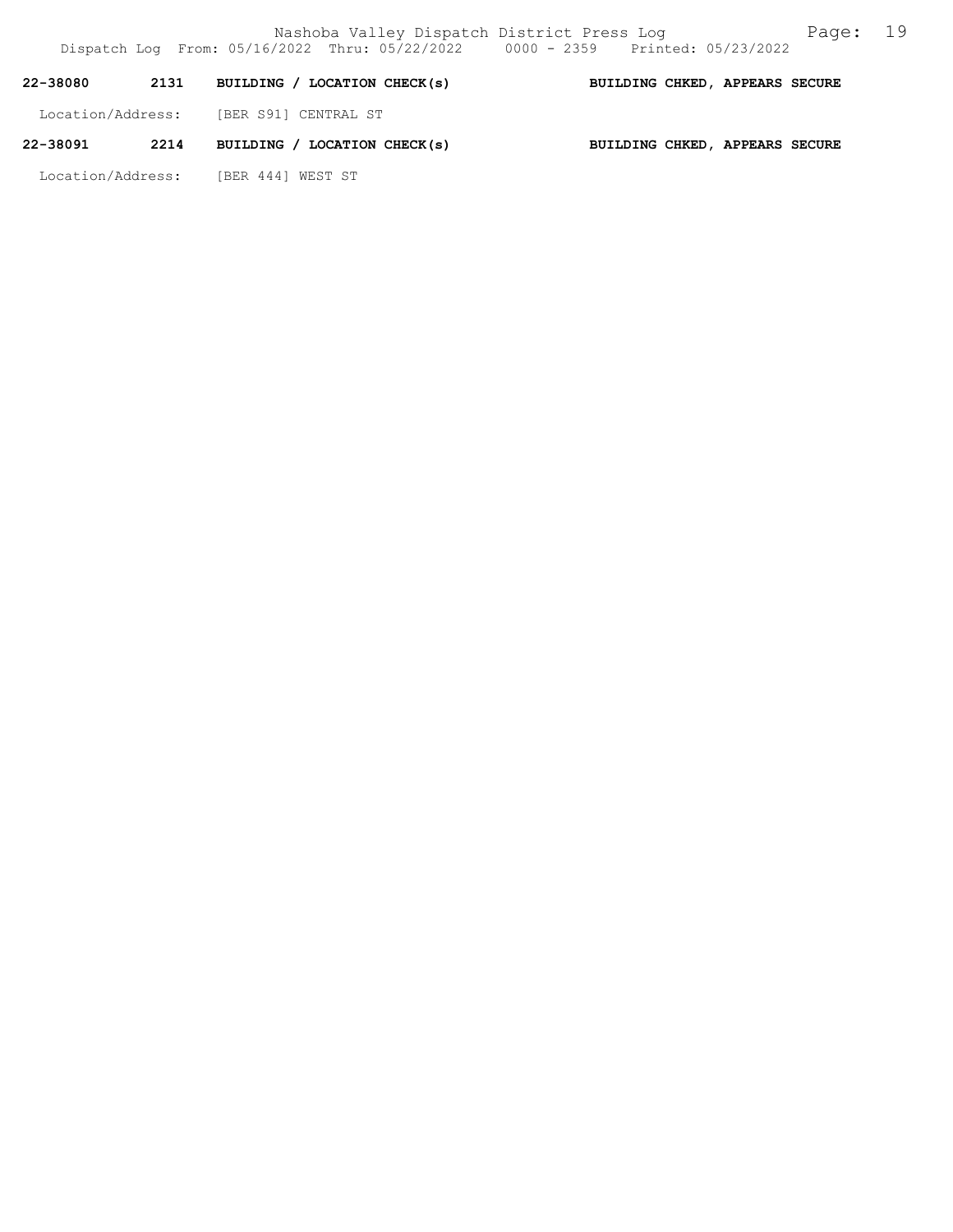| 22-38080          | 2131 | BUILDING / LOCATION CHECK(s) | BUILDING CHKED, APPEARS SECURE |  |  |
|-------------------|------|------------------------------|--------------------------------|--|--|
| Location/Address: |      | [BER S91] CENTRAL ST         |                                |  |  |
| 22-38091          | 2214 | BUILDING / LOCATION CHECK(s) | BUILDING CHKED, APPEARS SECURE |  |  |

Location/Address: [BER 444] WEST ST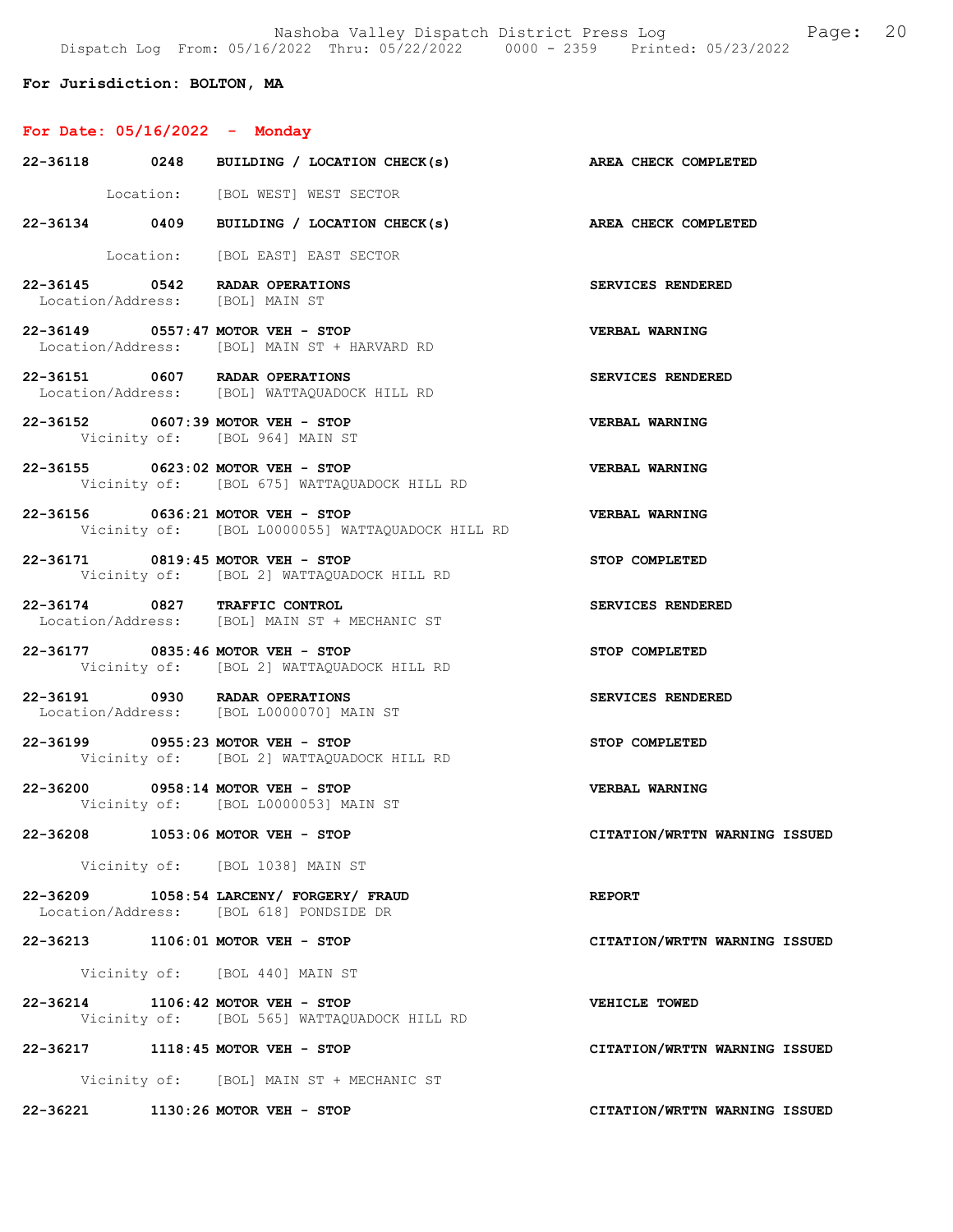Nashoba Valley Dispatch District Press Log Fage: 20 Dispatch Log From: 05/16/2022 Thru: 05/22/2022 0000 - 2359 Printed: 05/23/2022

## For Jurisdiction: BOLTON, MA

## For Date: 05/16/2022 - Monday

|                                 | 22-36118 0248 BUILDING / LOCATION CHECK(s) AREA CHECK COMPLETED                       |                               |
|---------------------------------|---------------------------------------------------------------------------------------|-------------------------------|
|                                 | Location: [BOL WEST] WEST SECTOR                                                      |                               |
|                                 | 22-36134 0409 BUILDING / LOCATION CHECK(s) AREA CHECK COMPLETED                       |                               |
|                                 | Location: [BOL EAST] EAST SECTOR                                                      |                               |
| Location/Address: [BOL] MAIN ST | 22-36145 0542 RADAR OPERATIONS                                                        | SERVICES RENDERED             |
|                                 | 22-36149 0557:47 MOTOR VEH - STOP<br>Location/Address: [BOL] MAIN ST + HARVARD RD     | VERBAL WARNING                |
|                                 | 22-36151 0607 RADAR OPERATIONS<br>Location/Address: [BOL] WATTAQUADOCK HILL RD        | SERVICES RENDERED             |
|                                 | 22-36152 0607:39 MOTOR VEH - STOP<br>Vicinity of: [BOL 964] MAIN ST                   | VERBAL WARNING                |
|                                 | 22-36155 0623:02 MOTOR VEH - STOP<br>Vicinity of: [BOL 675] WATTAQUADOCK HILL RD      | <b>VERBAL WARNING</b>         |
|                                 | 22-36156 0636:21 MOTOR VEH - STOP<br>Vicinity of: [BOL L0000055] WATTAQUADOCK HILL RD | VERBAL WARNING                |
|                                 | 22-36171 0819:45 MOTOR VEH - STOP<br>Vicinity of: [BOL 2] WATTAQUADOCK HILL RD        | STOP COMPLETED                |
|                                 | 22-36174 0827 TRAFFIC CONTROL<br>Location/Address: [BOL] MAIN ST + MECHANIC ST        | SERVICES RENDERED             |
|                                 | 22-36177 0835:46 MOTOR VEH - STOP<br>Vicinity of: [BOL 2] WATTAQUADOCK HILL RD        | STOP COMPLETED                |
|                                 | 22-36191 0930 RADAR OPERATIONS<br>Location/Address: [BOL L0000070] MAIN ST            | SERVICES RENDERED             |
|                                 | 22-36199 0955:23 MOTOR VEH - STOP<br>Vicinity of: [BOL 2] WATTAQUADOCK HILL RD        | STOP COMPLETED                |
|                                 | 22-36200 0958:14 MOTOR VEH - STOP<br>Vicinity of: [BOL L0000053] MAIN ST              | <b>VERBAL WARNING</b>         |
|                                 | 22-36208 1053:06 MOTOR VEH - STOP                                                     | CITATION/WRTTN WARNING ISSUED |
|                                 | Vicinity of: [BOL 1038] MAIN ST                                                       |                               |
|                                 | 22-36209 1058:54 LARCENY/ FORGERY/ FRAUD<br>Location/Address: [BOL 618] PONDSIDE DR   | <b>REPORT</b>                 |
|                                 | 22-36213 1106:01 MOTOR VEH - STOP                                                     | CITATION/WRTTN WARNING ISSUED |
|                                 | Vicinity of: [BOL 440] MAIN ST                                                        |                               |
|                                 | 22-36214 1106:42 MOTOR VEH - STOP<br>Vicinity of: [BOL 565] WATTAQUADOCK HILL RD      | VEHICLE TOWED                 |
|                                 | 22-36217 1118:45 MOTOR VEH - STOP                                                     | CITATION/WRTTN WARNING ISSUED |
|                                 | Vicinity of: [BOL] MAIN ST + MECHANIC ST                                              |                               |
|                                 | 22-36221 1130:26 MOTOR VEH - STOP                                                     | CITATION/WRTTN WARNING ISSUED |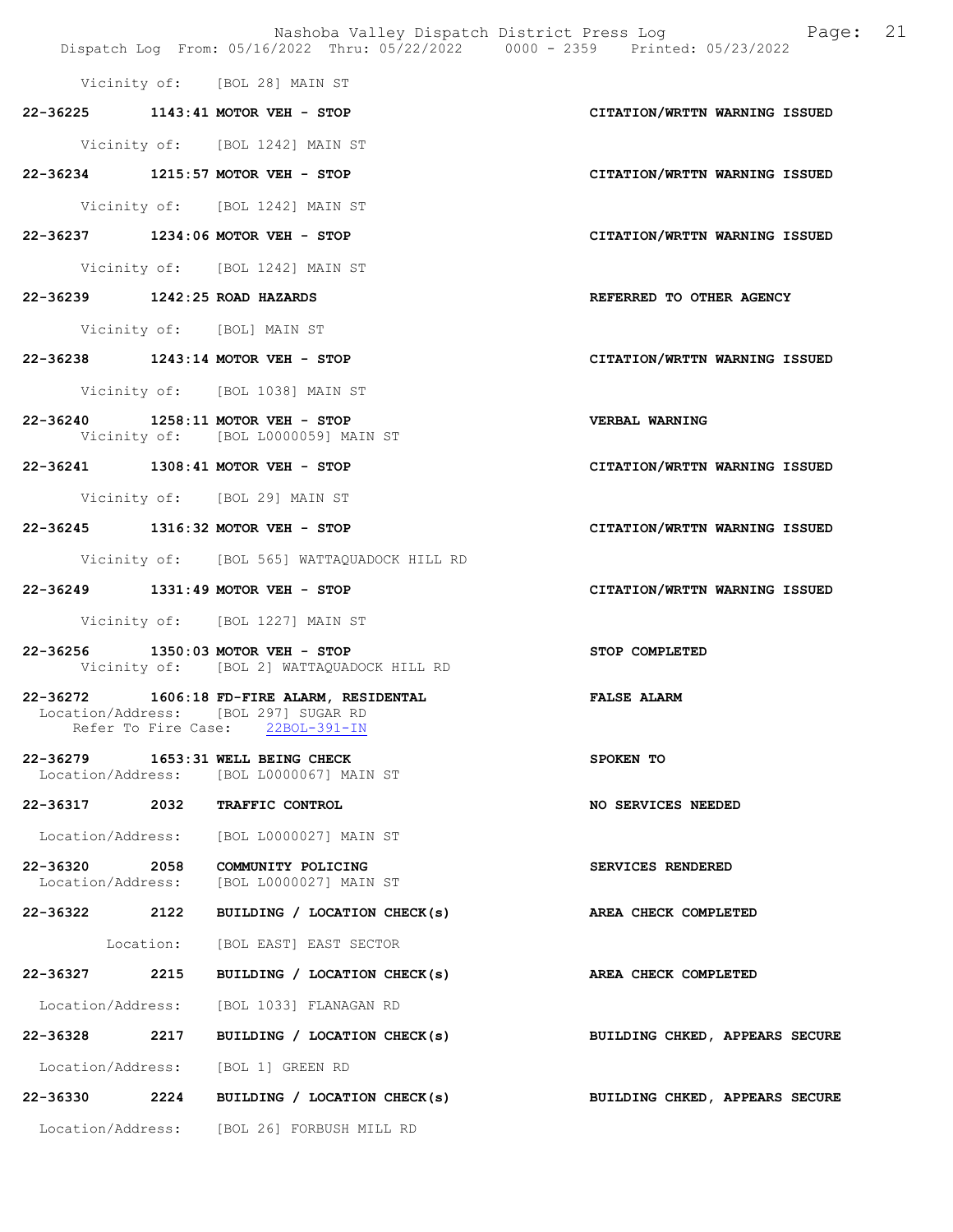Nashoba Valley Dispatch District Press Log Page: 21 Dispatch Log From: 05/16/2022 Thru: 05/22/2022 0000 - 2359 Printed: 05/23/2022

Vicinity of: [BOL 28] MAIN ST

22-36225 1143:41 MOTOR VEH - STOP CITATION/WRTTN WARNING ISSUED

Vicinity of: [BOL 1242] MAIN ST

22-36234 1215:57 MOTOR VEH - STOP CITATION/WRTTN WARNING ISSUED

Vicinity of: [BOL 1242] MAIN ST

22-36237 1234:06 MOTOR VEH - STOP CITATION/WRTTN WARNING ISSUED

Vicinity of: [BOL 1242] MAIN ST

- 22-36239 1242:25 ROAD HAZARDS REFERRED TO OTHER AGENCY
	- Vicinity of: [BOL] MAIN ST
- 22-36238 1243:14 MOTOR VEH STOP CITATION/WRTTN WARNING ISSUED

Vicinity of: [BOL 1038] MAIN ST

- 22-36240 1258:11 MOTOR VEH STOP VERBAL WARNING Vicinity of: [BOL L0000059] MAIN ST
- 22-36241 1308:41 MOTOR VEH STOP CITATION/WRTTN WARNING ISSUED

Vicinity of: [BOL 29] MAIN ST

- 22-36245 1316:32 MOTOR VEH STOP CITATION/WRTTN WARNING ISSUED
	- Vicinity of: [BOL 565] WATTAQUADOCK HILL RD
- 22-36249 1331:49 MOTOR VEH STOP CITATION/WRTTN WARNING ISSUED

Vicinity of: [BOL 1227] MAIN ST

- 22-36256 1350:03 MOTOR VEH STOP STOP COMPLETED Vicinity of: [BOL 2] WATTAQUADOCK HILL RD
- 22-36272 1606:18 FD-FIRE ALARM, RESIDENTAL FALSE ALARM Location/Address: [BOL 297] SUGAR RD Refer To Fire Case: 22BOL-391-IN
- 22-36279 1653:31 WELL BEING CHECK SPOKEN TO Location/Address: [BOL L0000067] MAIN ST
- 22-36317 2032 TRAFFIC CONTROL NO SERVICES NEEDED

Location/Address: [BOL L0000027] MAIN ST

- 22-36320 2058 COMMUNITY POLICING SERVICES RENDERED Location/Address: [BOL L0000027] MAIN ST
- 22-36322 2122 BUILDING / LOCATION CHECK(s) AREA CHECK COMPLETED

Location: [BOL EAST] EAST SECTOR

22-36327 2215 BUILDING / LOCATION CHECK(s) AREA CHECK COMPLETED

Location/Address: [BOL 1033] FLANAGAN RD

22-36328 2217 BUILDING / LOCATION CHECK(s) BUILDING CHKED, APPEARS SECURE

Location/Address: [BOL 1] GREEN RD

22-36330 2224 BUILDING / LOCATION CHECK(s) BUILDING CHKED, APPEARS SECURE

Location/Address: [BOL 26] FORBUSH MILL RD

- 
-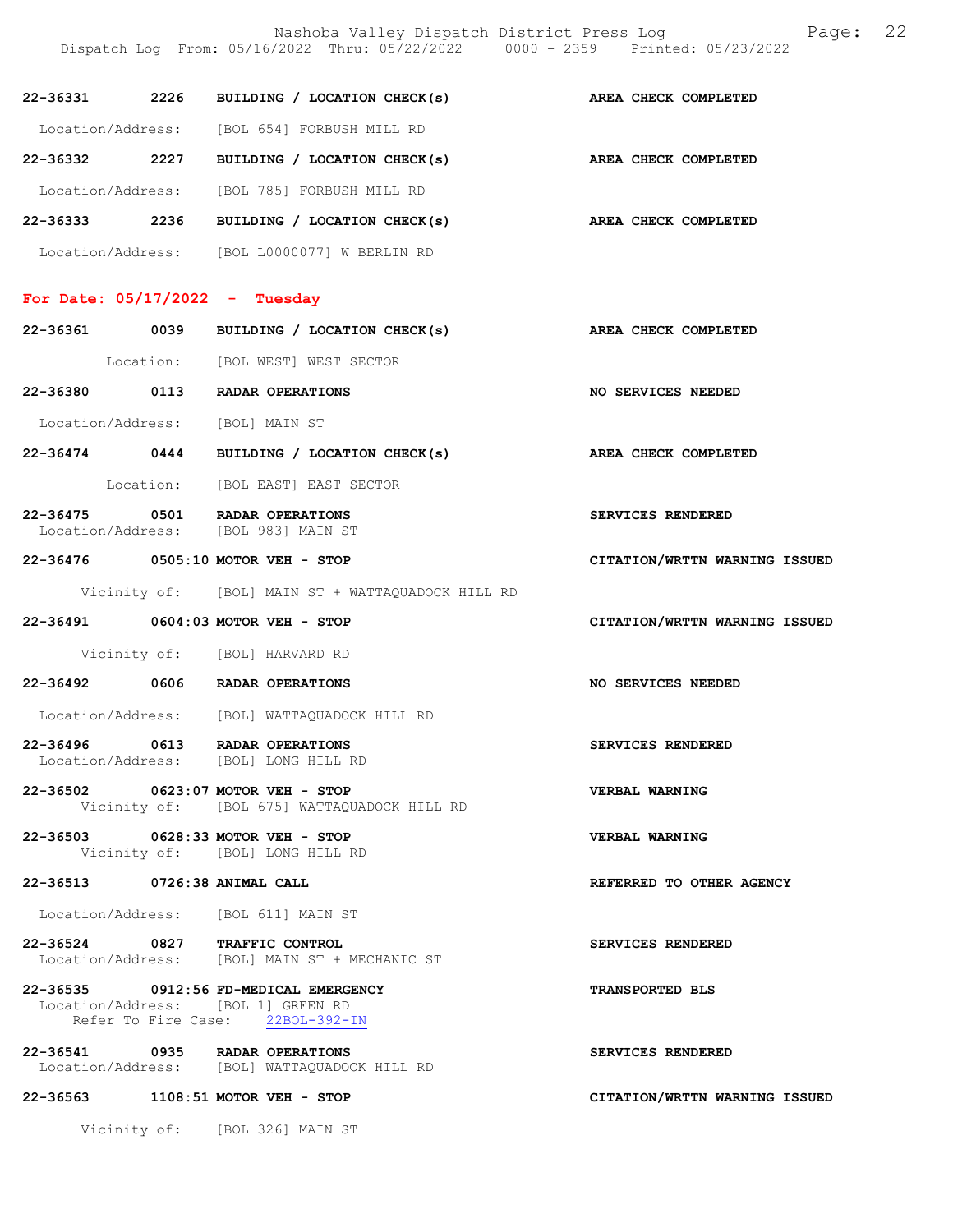Dispatch Log From: 05/16/2022 Thru: 05/22/2022 0000 - 2359 Printed: 05/23/2022 22-36331 2226 BUILDING / LOCATION CHECK(s) AREA CHECK COMPLETED Location/Address: [BOL 654] FORBUSH MILL RD 22-36332 2227 BUILDING / LOCATION CHECK(s) AREA CHECK COMPLETED Location/Address: [BOL 785] FORBUSH MILL RD 22-36333 2236 BUILDING / LOCATION CHECK(s) AREA CHECK COMPLETED Location/Address: [BOL L0000077] W BERLIN RD For Date: 05/17/2022 - Tuesday 22-36361 0039 BUILDING / LOCATION CHECK(s) AREA CHECK COMPLETED Location: [BOL WEST] WEST SECTOR 22-36380 0113 RADAR OPERATIONS NO SERVICES NEEDED Location/Address: [BOL] MAIN ST 22-36474 0444 BUILDING / LOCATION CHECK(s) AREA CHECK COMPLETED Location: [BOL EAST] EAST SECTOR 22-36475 0501 RADAR OPERATIONS SERVICES RENDERED Location/Address: [BOL 983] MAIN ST 22-36476 0505:10 MOTOR VEH - STOP CITATION/WRTTN WARNING ISSUED Vicinity of: [BOL] MAIN ST + WATTAQUADOCK HILL RD 22-36491 0604:03 MOTOR VEH - STOP CITATION/WRTTN WARNING ISSUED Vicinity of: [BOL] HARVARD RD 22-36492 0606 RADAR OPERATIONS NO SERVICES NEEDED Location/Address: [BOL] WATTAQUADOCK HILL RD 22-36496 0613 RADAR OPERATIONS SERVICES RENDERED Location/Address: [BOL] LONG HILL RD 22-36502 0623:07 MOTOR VEH - STOP VERBAL WARNING Vicinity of: [BOL 675] WATTAQUADOCK HILL RD 22-36503 0628:33 MOTOR VEH - STOP VERBAL WARNING Vicinity of: [BOL] LONG HILL RD 22-36513 0726:38 ANIMAL CALL REFERRED TO OTHER AGENCY Location/Address: [BOL 611] MAIN ST 22-36524 0827 TRAFFIC CONTROL SERVICES RENDERED Location/Address: [BOL] MAIN ST + MECHANIC ST 22-36535 0912:56 FD-MEDICAL EMERGENCY TRANSPORTED BLS Location/Address: [BOL 1] GREEN RD Refer To Fire Case: 22BOL-392-IN 22-36541 0935 RADAR OPERATIONS SERVICES RENDERED<br>Location/Address: [BOL] WATTAQUADOCK HILL RD Location/Address: [BOL] WATTAQUADOCK HILL RD 22-36563 1108:51 MOTOR VEH - STOP CITATION/WRTTN WARNING ISSUED

Nashoba Valley Dispatch District Press Log Page: 22

Vicinity of: [BOL 326] MAIN ST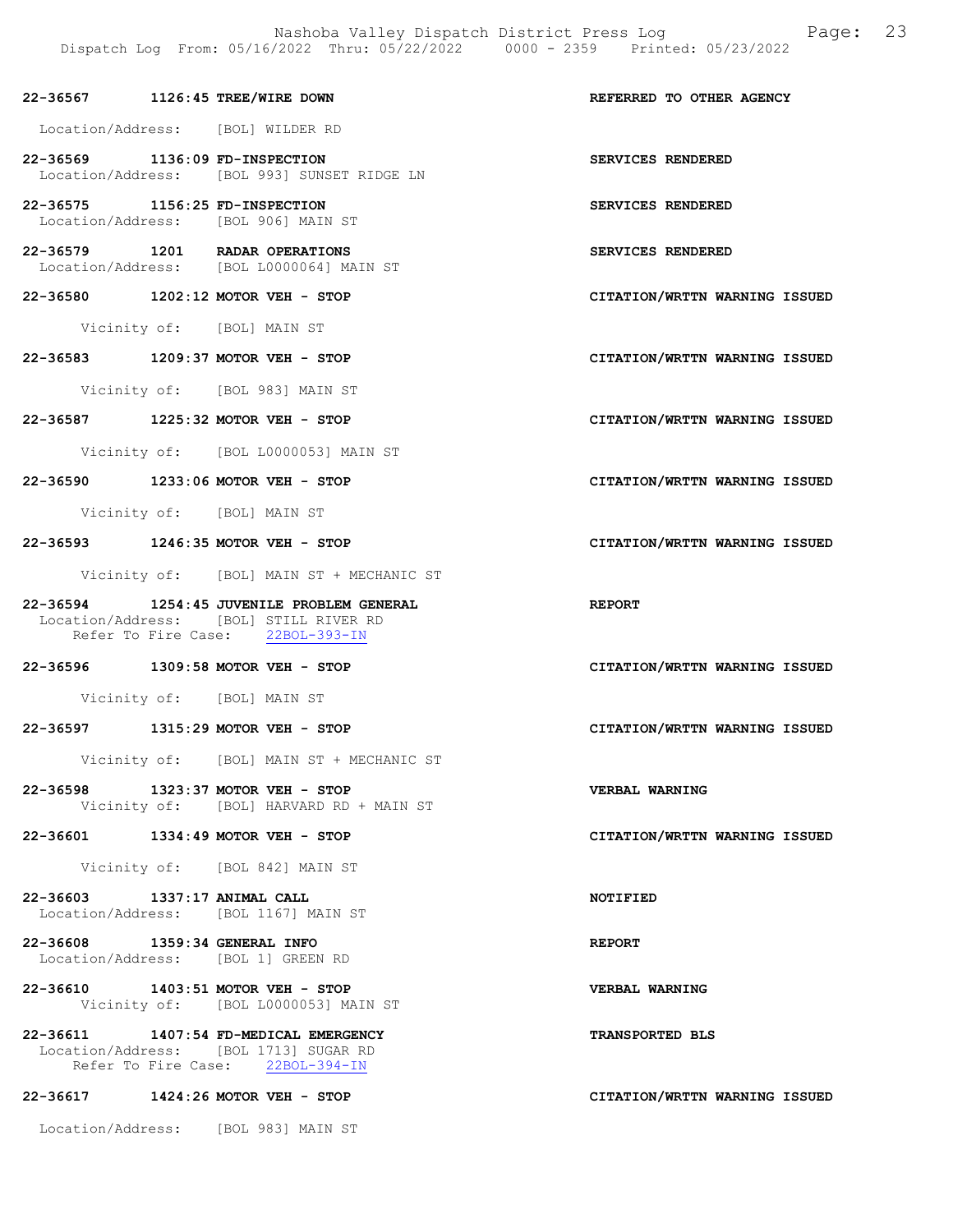Nashoba Valley Dispatch District Press Log Fage: 23 Dispatch Log From: 05/16/2022 Thru: 05/22/2022 0000 - 2359 Printed: 05/23/2022

| 22-36567          | 1126:45 TREE/WIRE DOWN                                               |                   | REFERRED TO OTHER AGENCY |  |
|-------------------|----------------------------------------------------------------------|-------------------|--------------------------|--|
| Location/Address: | [BOL] WILDER RD                                                      |                   |                          |  |
| 22-36569          | 1136:09 FD-INSPECTION<br>Location/Address: [BOL 993] SUNSET RIDGE LN | SERVICES RENDERED |                          |  |
| 22-36575          | 1156:25 FD-INSPECTION                                                | SERVICES RENDERED |                          |  |

Location/Address: [BOL 906] MAIN ST

22-36579 1201 RADAR OPERATIONS SERVICES RENDERED Location/Address: [BOL L0000064] MAIN ST

22-36580 1202:12 MOTOR VEH - STOP CITATION/WRTTN WARNING ISSUED

Vicinity of: [BOL] MAIN ST

22-36583 1209:37 MOTOR VEH - STOP CITATION/WRTTN WARNING ISSUED

Vicinity of: [BOL 983] MAIN ST

22-36587 1225:32 MOTOR VEH - STOP CITATION/WRTTN WARNING ISSUED

Vicinity of: [BOL L0000053] MAIN ST

22-36590 1233:06 MOTOR VEH - STOP CITATION/WRTTN WARNING ISSUED

Vicinity of: [BOL] MAIN ST

22-36593 1246:35 MOTOR VEH - STOP CITATION/WRTTN WARNING ISSUED

Vicinity of: [BOL] MAIN ST + MECHANIC ST

22-36594 1254:45 JUVENILE PROBLEM GENERAL REPORT Location/Address: [BOL] STILL RIVER RD Refer To Fire Case: 22BOL-393-IN

22-36596 1309:58 MOTOR VEH - STOP CITATION/WRTTN WARNING ISSUED

Vicinity of: [BOL] MAIN ST

22-36597 1315:29 MOTOR VEH - STOP CITATION/WRTTN WARNING ISSUED

Vicinity of: [BOL] MAIN ST + MECHANIC ST

22-36598 1323:37 MOTOR VEH - STOP VERBAL WARNING Vicinity of: [BOL] HARVARD RD + MAIN ST

22-36601 1334:49 MOTOR VEH - STOP CITATION/WRTTN WARNING ISSUED

Vicinity of: [BOL 842] MAIN ST

22-36603 1337:17 ANIMAL CALL NOTIFIED Location/Address: [BOL 1167] MAIN ST

22-36608 1359:34 GENERAL INFO REPORT Location/Address: [BOL 1] GREEN RD

22-36610 1403:51 MOTOR VEH - STOP VERBAL WARNING Vicinity of: [BOL L0000053] MAIN ST

22-36611 1407:54 FD-MEDICAL EMERGENCY TRANSPORTED BLS Location/Address: [BOL 1713] SUGAR RD<br>Refer To Fire Case: 22BOL-394-IN Refer To Fire Case:

#### 22-36617 1424:26 MOTOR VEH - STOP CITATION/WRTTN WARNING ISSUED

Location/Address: [BOL 983] MAIN ST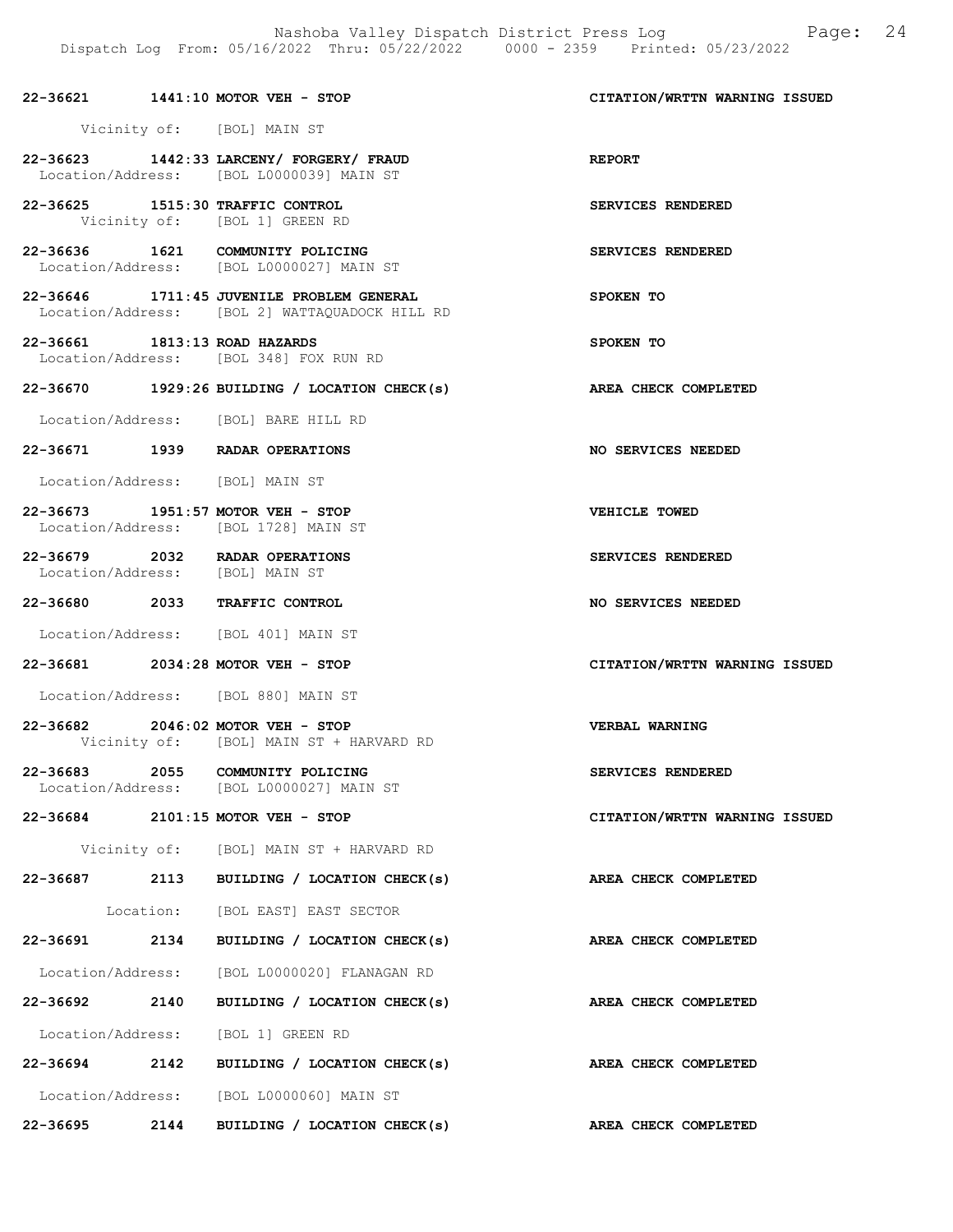|                                 | 22-36621 1441:10 MOTOR VEH - STOP                                                           | CITATION/WRTTN WARNING ISSUED |
|---------------------------------|---------------------------------------------------------------------------------------------|-------------------------------|
|                                 | Vicinity of: [BOL] MAIN ST                                                                  |                               |
|                                 | 22-36623 1442:33 LARCENY/ FORGERY/ FRAUD<br>Location/Address: [BOL L0000039] MAIN ST        | <b>REPORT</b>                 |
|                                 | 22-36625 1515:30 TRAFFIC CONTROL<br>Vicinity of: [BOL 1] GREEN RD                           | SERVICES RENDERED             |
|                                 | 22-36636 1621 COMMUNITY POLICING<br>Location/Address: [BOL L0000027] MAIN ST                | SERVICES RENDERED             |
|                                 | 22-36646 1711:45 JUVENILE PROBLEM GENERAL<br>Location/Address: [BOL 2] WATTAQUADOCK HILL RD | SPOKEN TO                     |
| 22-36661 1813:13 ROAD HAZARDS   | Location/Address: [BOL 348] FOX RUN RD                                                      | SPOKEN TO                     |
|                                 | 22-36670 1929:26 BUILDING / LOCATION CHECK(s)                                               | AREA CHECK COMPLETED          |
|                                 | Location/Address: [BOL] BARE HILL RD                                                        |                               |
|                                 | 22-36671 1939 RADAR OPERATIONS                                                              | NO SERVICES NEEDED            |
| Location/Address: [BOL] MAIN ST |                                                                                             |                               |
|                                 | 22-36673 1951:57 MOTOR VEH - STOP<br>Location/Address: [BOL 1728] MAIN ST                   | VEHICLE TOWED                 |
| Location/Address: [BOL] MAIN ST | 22-36679 2032 RADAR OPERATIONS                                                              | SERVICES RENDERED             |
|                                 | 22-36680 2033 TRAFFIC CONTROL                                                               | NO SERVICES NEEDED            |
|                                 | Location/Address: [BOL 401] MAIN ST                                                         |                               |
|                                 | 22-36681 2034:28 MOTOR VEH - STOP                                                           | CITATION/WRTTN WARNING ISSUED |
|                                 | Location/Address: [BOL 880] MAIN ST                                                         |                               |
|                                 | 22-36682 2046:02 MOTOR VEH - STOP<br>Vicinity of: [BOL] MAIN ST + HARVARD RD                | <b>VERBAL WARNING</b>         |
|                                 | 22-36683 2055 COMMUNITY POLICING<br>Location/Address: [BOL L0000027] MAIN ST                | SERVICES RENDERED             |
|                                 | 22-36684 2101:15 MOTOR VEH - STOP                                                           | CITATION/WRTTN WARNING ISSUED |
|                                 | Vicinity of: [BOL] MAIN ST + HARVARD RD                                                     |                               |
|                                 | 22-36687 2113 BUILDING / LOCATION CHECK(s)                                                  | AREA CHECK COMPLETED          |
|                                 | Location: [BOL EAST] EAST SECTOR                                                            |                               |
|                                 | 22-36691 2134 BUILDING / LOCATION CHECK(s)                                                  | AREA CHECK COMPLETED          |
|                                 | Location/Address: [BOL L0000020] FLANAGAN RD                                                |                               |
|                                 | 22-36692 2140 BUILDING / LOCATION CHECK(s)                                                  | AREA CHECK COMPLETED          |
|                                 | Location/Address: [BOL 1] GREEN RD                                                          |                               |
|                                 | 22-36694 2142 BUILDING / LOCATION CHECK(s)                                                  | <b>AREA CHECK COMPLETED</b>   |
|                                 | Location/Address: [BOL L0000060] MAIN ST                                                    |                               |
| 22-36695 2144                   | BUILDING / LOCATION CHECK(s)                                                                | AREA CHECK COMPLETED          |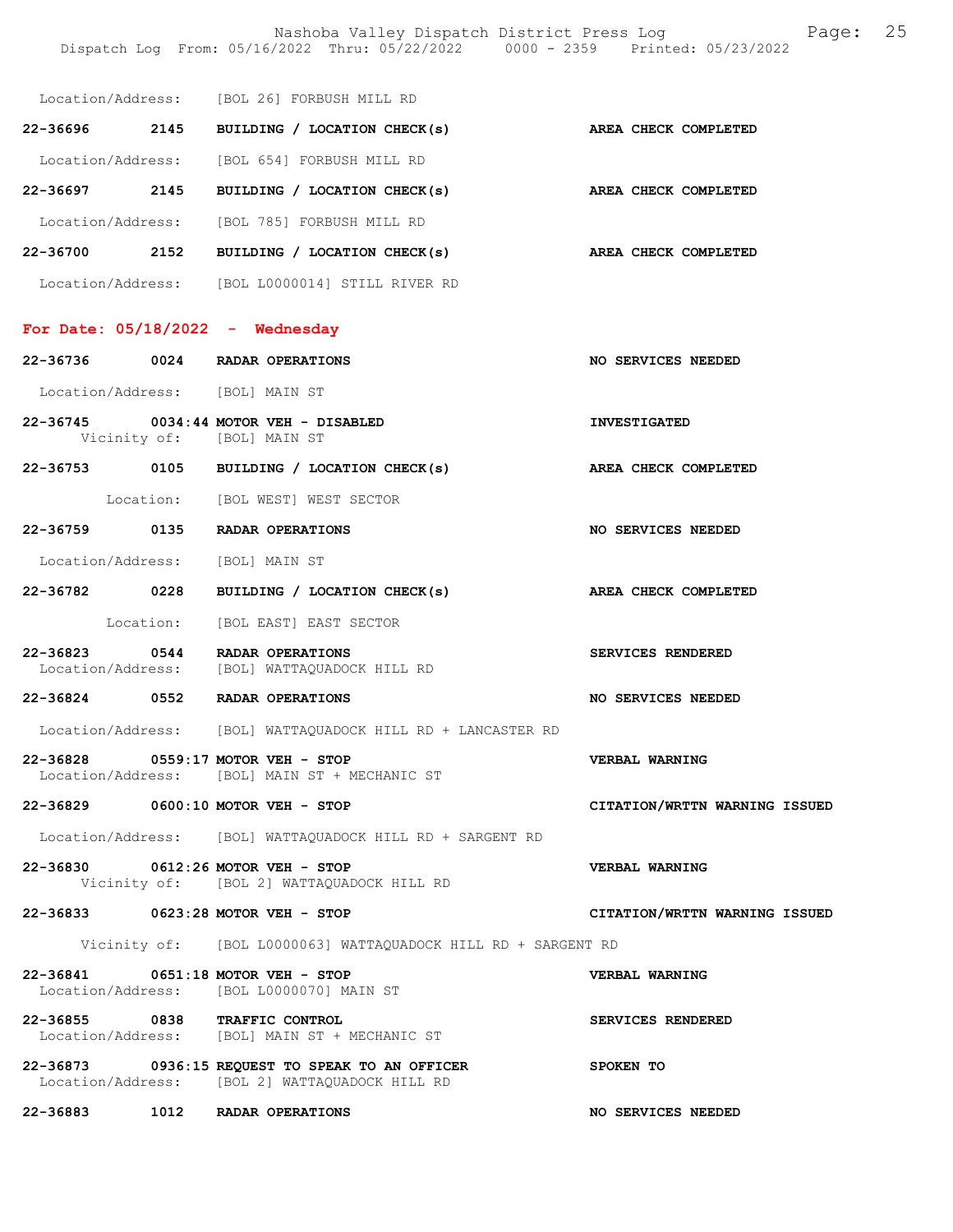Nashoba Valley Dispatch District Press Log Fage: 25 Dispatch Log From: 05/16/2022 Thru: 05/22/2022 0000 - 2359 Printed: 05/23/2022

|          | Location/Address: [BOL 26] FORBUSH MILL RD                                                        |                               |
|----------|---------------------------------------------------------------------------------------------------|-------------------------------|
|          | 22-36696 2145 BUILDING / LOCATION CHECK(s) AREA CHECK COMPLETED                                   |                               |
|          | Location/Address: [BOL 654] FORBUSH MILL RD                                                       |                               |
|          | 22-36697 2145 BUILDING / LOCATION CHECK(s)                                                        | AREA CHECK COMPLETED          |
|          | Location/Address: [BOL 785] FORBUSH MILL RD                                                       |                               |
|          | 22-36700 2152 BUILDING / LOCATION CHECK(s)                                                        | AREA CHECK COMPLETED          |
|          | Location/Address: [BOL L0000014] STILL RIVER RD                                                   |                               |
|          | For Date: $05/18/2022 -$ Wednesday                                                                |                               |
|          | 22-36736 0024 RADAR OPERATIONS                                                                    | NO SERVICES NEEDED            |
|          | Location/Address: [BOL] MAIN ST                                                                   |                               |
|          | 22-36745 0034:44 MOTOR VEH - DISABLED                                                             | <b>INVESTIGATED</b>           |
|          | Vicinity of: [BOL] MAIN ST                                                                        |                               |
|          | 22-36753 0105 BUILDING / LOCATION CHECK(s)                                                        | AREA CHECK COMPLETED          |
|          | Location: [BOL WEST] WEST SECTOR                                                                  |                               |
|          | 22-36759 0135 RADAR OPERATIONS                                                                    | NO SERVICES NEEDED            |
|          | Location/Address: [BOL] MAIN ST                                                                   |                               |
|          | 22-36782 0228 BUILDING / LOCATION CHECK(s)                                                        | AREA CHECK COMPLETED          |
|          | Location: [BOL EAST] EAST SECTOR                                                                  |                               |
|          | 22-36823 0544 RADAR OPERATIONS<br>Location/Address: [BOL] WATTAQUADOCK HILL RD                    | SERVICES RENDERED             |
|          | 22-36824 0552 RADAR OPERATIONS                                                                    | NO SERVICES NEEDED            |
|          | Location/Address: [BOL] WATTAOUADOCK HILL RD + LANCASTER RD                                       |                               |
| 22-36828 | $0559:17$ MOTOR VEH - STOP<br>Location/Address: [BOL] MAIN ST + MECHANIC ST                       | <b>VERBAL WARNING</b>         |
|          | 22-36829 0600:10 MOTOR VEH - STOP                                                                 | CITATION/WRTTN WARNING ISSUED |
|          | Location/Address: [BOL] WATTAQUADOCK HILL RD + SARGENT RD                                         |                               |
|          | 22-36830 0612:26 MOTOR VEH - STOP<br>Vicinity of: [BOL 2] WATTAQUADOCK HILL RD                    | VERBAL WARNING                |
|          | 22-36833 0623:28 MOTOR VEH - STOP                                                                 | CITATION/WRTTN WARNING ISSUED |
|          | Vicinity of: [BOL L0000063] WATTAQUADOCK HILL RD + SARGENT RD                                     |                               |
|          | 22-36841 0651:18 MOTOR VEH - STOP<br>Location/Address: [BOL L0000070] MAIN ST                     | VERBAL WARNING                |
|          | 22-36855 0838 TRAFFIC CONTROL<br>Location/Address: [BOL] MAIN ST + MECHANIC ST                    | SERVICES RENDERED             |
|          | 22-36873 0936:15 REQUEST TO SPEAK TO AN OFFICER<br>Location/Address: [BOL 2] WATTAQUADOCK HILL RD | SPOKEN TO                     |
| 22-36883 | 1012 RADAR OPERATIONS                                                                             | NO SERVICES NEEDED            |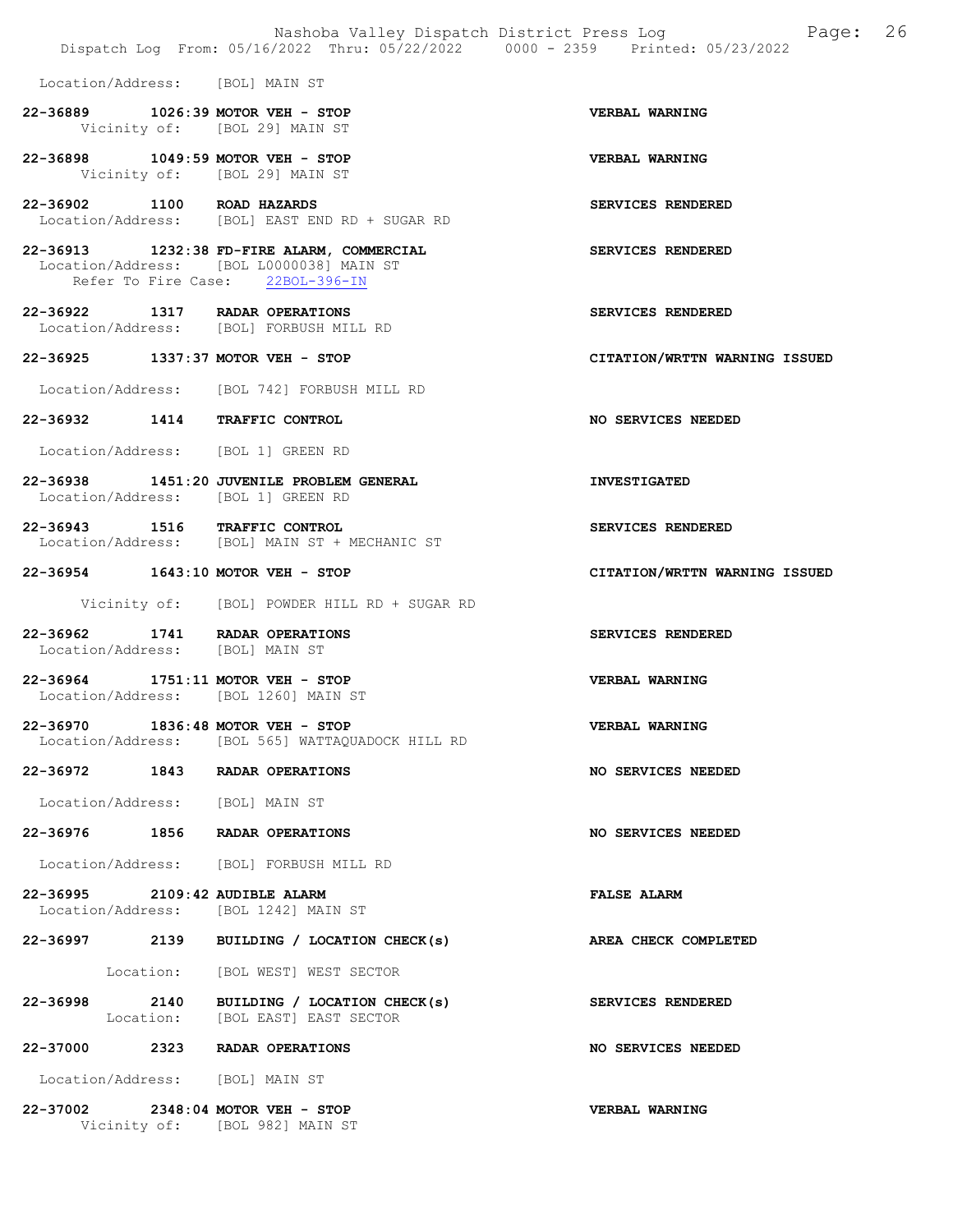|                                 |                                                                                                                            | Nashoba Valley Dispatch District Press Log<br>Page: 26 |  |
|---------------------------------|----------------------------------------------------------------------------------------------------------------------------|--------------------------------------------------------|--|
|                                 | Dispatch Log From: 05/16/2022 Thru: 05/22/2022 0000 - 2359 Printed: 05/23/2022                                             |                                                        |  |
| Location/Address: [BOL] MAIN ST |                                                                                                                            |                                                        |  |
|                                 | 22-36889 1026:39 MOTOR VEH - STOP<br>Vicinity of: [BOL 29] MAIN ST                                                         | VERBAL WARNING                                         |  |
|                                 | 22-36898 1049:59 MOTOR VEH - STOP<br>Vicinity of: [BOL 29] MAIN ST                                                         | <b>VERBAL WARNING</b>                                  |  |
| 22-36902 1100 ROAD HAZARDS      | Location/Address: [BOL] EAST END RD + SUGAR RD                                                                             | SERVICES RENDERED                                      |  |
|                                 | 22-36913 1232:38 FD-FIRE ALARM, COMMERCIAL<br>Location/Address: [BOL L0000038] MAIN ST<br>Refer To Fire Case: 22BOL-396-IN | SERVICES RENDERED                                      |  |
|                                 | 22-36922 1317 RADAR OPERATIONS<br>Location/Address: [BOL] FORBUSH MILL RD                                                  | SERVICES RENDERED                                      |  |
|                                 | 22-36925 1337:37 MOTOR VEH - STOP                                                                                          | CITATION/WRTTN WARNING ISSUED                          |  |
|                                 | Location/Address: [BOL 742] FORBUSH MILL RD                                                                                |                                                        |  |
|                                 | 22-36932 1414 TRAFFIC CONTROL                                                                                              | NO SERVICES NEEDED                                     |  |
|                                 | Location/Address: [BOL 1] GREEN RD                                                                                         |                                                        |  |
|                                 | 22-36938 1451:20 JUVENILE PROBLEM GENERAL<br>Location/Address: [BOL 1] GREEN RD                                            | <b>INVESTIGATED</b>                                    |  |
|                                 | 22-36943 1516 TRAFFIC CONTROL<br>Location/Address: [BOL] MAIN ST + MECHANIC ST                                             | SERVICES RENDERED                                      |  |
|                                 | 22-36954 1643:10 MOTOR VEH - STOP                                                                                          | CITATION/WRTTN WARNING ISSUED                          |  |
|                                 | Vicinity of: [BOL] POWDER HILL RD + SUGAR RD                                                                               |                                                        |  |
| Location/Address: [BOL] MAIN ST | 22-36962 1741 RADAR OPERATIONS                                                                                             | SERVICES RENDERED                                      |  |
|                                 | 22-36964 1751:11 MOTOR VEH - STOP<br>Location/Address: [BOL 1260] MAIN ST                                                  | VERBAL WARNING                                         |  |
|                                 | 22-36970 1836:48 MOTOR VEH - STOP<br>Location/Address: [BOL 565] WATTAOUADOCK HILL RD                                      | VERBAL WARNING                                         |  |
|                                 | 22-36972 1843 RADAR OPERATIONS                                                                                             | NO SERVICES NEEDED                                     |  |
| Location/Address: [BOL] MAIN ST |                                                                                                                            |                                                        |  |
|                                 | 22-36976 1856 RADAR OPERATIONS                                                                                             | NO SERVICES NEEDED                                     |  |
|                                 | Location/Address: [BOL] FORBUSH MILL RD                                                                                    |                                                        |  |
| 22-36995 2109:42 AUDIBLE ALARM  | Location/Address: [BOL 1242] MAIN ST                                                                                       | <b>FALSE ALARM</b>                                     |  |
|                                 | 22-36997 2139 BUILDING / LOCATION CHECK(s) AREA CHECK COMPLETED                                                            |                                                        |  |
|                                 | Location: [BOL WEST] WEST SECTOR                                                                                           |                                                        |  |
|                                 | 22-36998 2140 BUILDING / LOCATION CHECK(s)<br>Location: [BOL EAST] EAST SECTOR                                             | SERVICES RENDERED                                      |  |
|                                 | 22-37000 2323 RADAR OPERATIONS                                                                                             | NO SERVICES NEEDED                                     |  |
| Location/Address: [BOL] MAIN ST |                                                                                                                            |                                                        |  |
|                                 | 22-37002 2348:04 MOTOR VEH - STOP                                                                                          | <b>VERBAL WARNING</b>                                  |  |

Vicinity of: [BOL 982] MAIN ST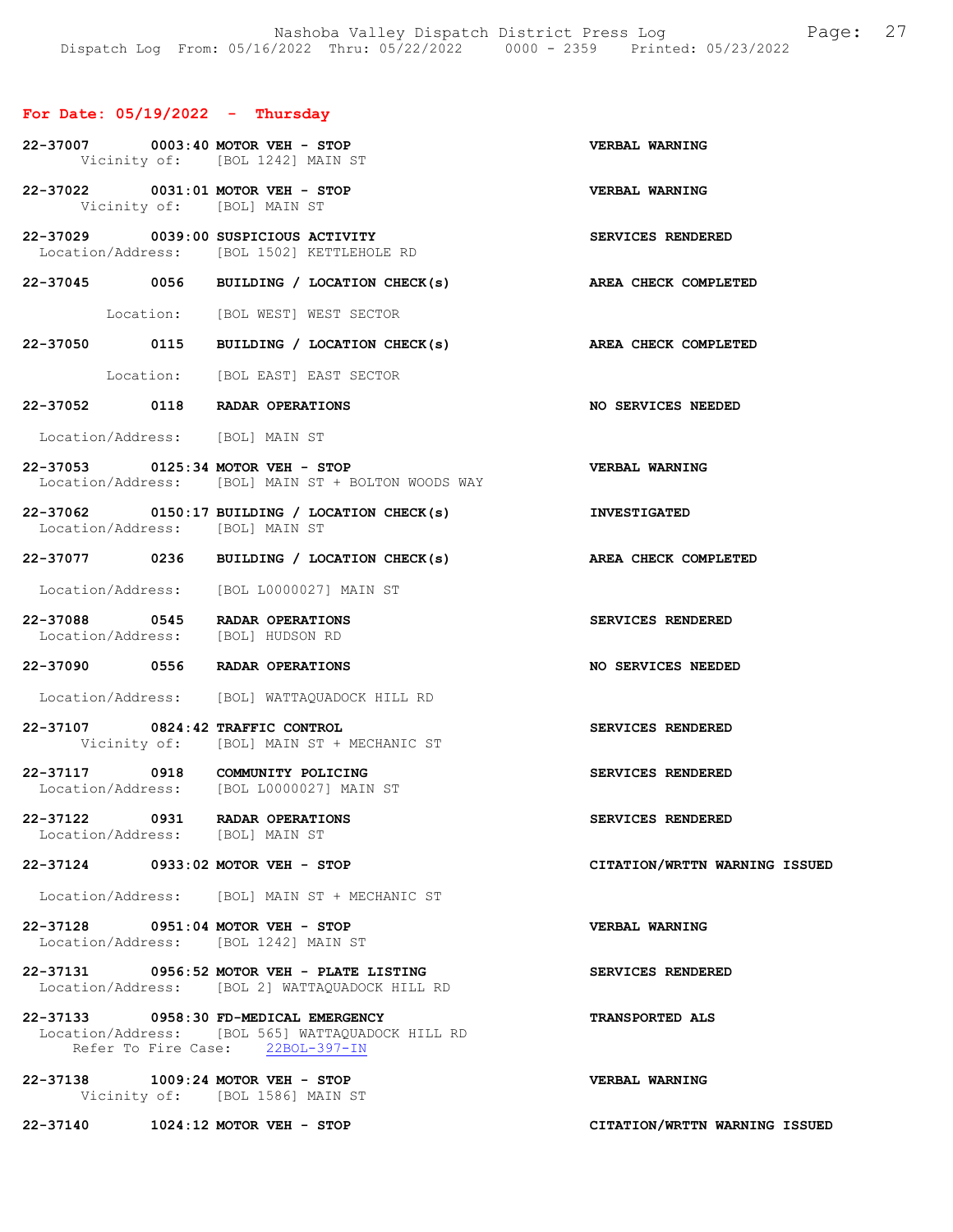## For Date: 05/19/2022 - Thursday

| 22-37007 0003:40 MOTOR VEH - STOP                                         | Vicinity of: [BOL 1242] MAIN ST                                                              | VERBAL WARNING                |
|---------------------------------------------------------------------------|----------------------------------------------------------------------------------------------|-------------------------------|
| 22-37022 0031:01 MOTOR VEH - STOP<br>Vicinity of: [BOL] MAIN ST           |                                                                                              | <b>VERBAL WARNING</b>         |
|                                                                           | 22-37029 0039:00 SUSPICIOUS ACTIVITY<br>Location/Address: [BOL 1502] KETTLEHOLE RD           | SERVICES RENDERED             |
|                                                                           | 22-37045 0056 BUILDING / LOCATION CHECK(s)                                                   | AREA CHECK COMPLETED          |
|                                                                           | Location: [BOL WEST] WEST SECTOR                                                             |                               |
|                                                                           | 22-37050 0115 BUILDING / LOCATION CHECK(s)                                                   | AREA CHECK COMPLETED          |
|                                                                           | Location: [BOL EAST] EAST SECTOR                                                             |                               |
| 22-37052 0118 RADAR OPERATIONS                                            |                                                                                              | NO SERVICES NEEDED            |
| Location/Address: [BOL] MAIN ST                                           |                                                                                              |                               |
| 22-37053 0125:34 MOTOR VEH - STOP                                         | Location/Address: [BOL] MAIN ST + BOLTON WOODS WAY                                           | VERBAL WARNING                |
| Location/Address: [BOL] MAIN ST                                           | 22-37062 0150:17 BUILDING / LOCATION CHECK(s)                                                | <b>INVESTIGATED</b>           |
|                                                                           | 22-37077 0236 BUILDING / LOCATION CHECK(s)                                                   | AREA CHECK COMPLETED          |
|                                                                           | Location/Address: [BOL L0000027] MAIN ST                                                     |                               |
| 22-37088 0545 RADAR OPERATIONS<br>Location/Address: [BOL] HUDSON RD       |                                                                                              | SERVICES RENDERED             |
| 22-37090 0556 RADAR OPERATIONS                                            |                                                                                              | NO SERVICES NEEDED            |
|                                                                           | Location/Address: [BOL] WATTAQUADOCK HILL RD                                                 |                               |
| 22-37107 0824:42 TRAFFIC CONTROL                                          | Vicinity of: [BOL] MAIN ST + MECHANIC ST                                                     | SERVICES RENDERED             |
| 22-37117 0918 COMMUNITY POLICING                                          | Location/Address: [BOL L0000027] MAIN ST                                                     | SERVICES RENDERED             |
| 22-37122 0931 RADAR OPERATIONS<br>Location/Address: [BOL] MAIN ST         |                                                                                              | SERVICES RENDERED             |
| 22-37124 0933:02 MOTOR VEH - STOP                                         |                                                                                              | CITATION/WRTTN WARNING ISSUED |
|                                                                           | Location/Address: [BOL] MAIN ST + MECHANIC ST                                                |                               |
| 22-37128 0951:04 MOTOR VEH - STOP<br>Location/Address: [BOL 1242] MAIN ST |                                                                                              | <b>VERBAL WARNING</b>         |
|                                                                           | 22-37131 0956:52 MOTOR VEH - PLATE LISTING<br>Location/Address: [BOL 2] WATTAQUADOCK HILL RD | SERVICES RENDERED             |
| 22-37133 0958:30 FD-MEDICAL EMERGENCY                                     | Location/Address: [BOL 565] WATTAQUADOCK HILL RD<br>Refer To Fire Case: 22BOL-397-IN         | <b>TRANSPORTED ALS</b>        |
| 22-37138 1009:24 MOTOR VEH - STOP                                         | Vicinity of: [BOL 1586] MAIN ST                                                              | <b>VERBAL WARNING</b>         |
| 22-37140                                                                  | $1024:12$ MOTOR VEH - STOP                                                                   | CITATION/WRTTN WARNING ISSUED |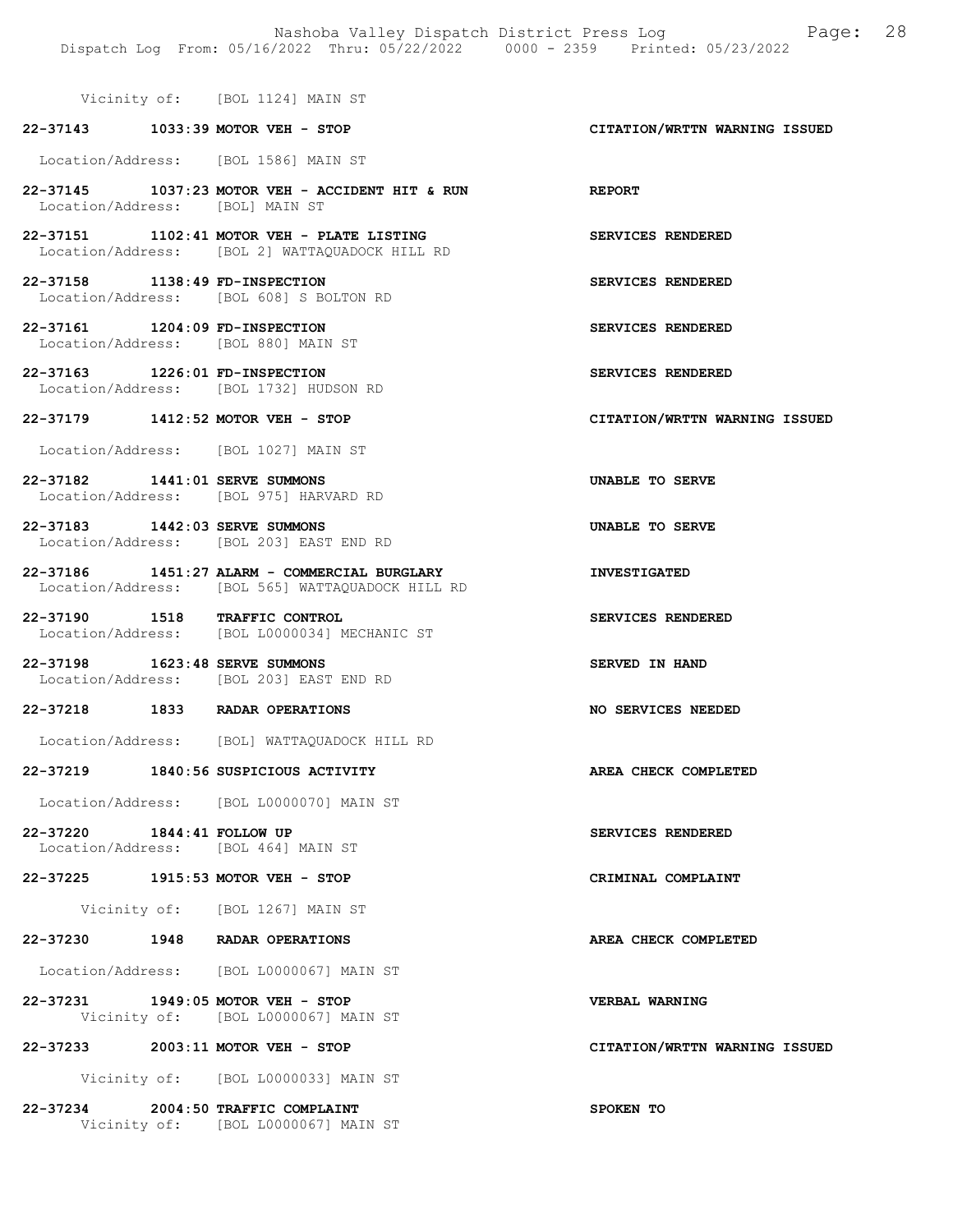Vicinity of: [BOL 1124] MAIN ST

# 22-37143 1033:39 MOTOR VEH - STOP CITATION/WRTTN WARNING ISSUED

Location/Address: [BOL 1586] MAIN ST

- 22-37145 1037:23 MOTOR VEH ACCIDENT HIT & RUN REPORT Location/Address: [BOL] MAIN ST
- 22-37151 1102:41 MOTOR VEH PLATE LISTING SERVICES RENDERED Location/Address: [BOL 2] WATTAQUADOCK HILL RD
- 22-37158 1138:49 FD-INSPECTION SERVICES RENDERED Location/Address: [BOL 608] S BOLTON RD
- 22-37161 1204:09 FD-INSPECTION SERVICES RENDERED Location/Address: [BOL 880] MAIN ST
- 22-37163 1226:01 FD-INSPECTION SERVICES RENDERED Location/Address: [BOL 1732] HUDSON RD

#### 22-37179 1412:52 MOTOR VEH - STOP CITATION/WRTTN WARNING ISSUED

Location/Address: [BOL 1027] MAIN ST

- 22-37182 1441:01 SERVE SUMMONS UNABLE TO SERVE Location/Address: [BOL 975] HARVARD RD
- 22-37183 1442:03 SERVE SUMMONS UNABLE TO SERVE Location/Address: [BOL 203] EAST END RD
- 22-37186 1451:27 ALARM COMMERCIAL BURGLARY INVESTIGATED Location/Address: [BOL 565] WATTAQUADOCK HILL RD
- 22-37190 1518 TRAFFIC CONTROL SERVICES RENDERED Location/Address: [BOL L0000034] MECHANIC ST
- 22-37198 1623:48 SERVE SUMMONS SERVED IN HAND Location/Address: [BOL 203] EAST END RD
- 22-37218 1833 RADAR OPERATIONS NO SERVICES NEEDED
- Location/Address: [BOL] WATTAQUADOCK HILL RD

#### 22-37219 1840:56 SUSPICIOUS ACTIVITY AREA CHECK COMPLETED

Location/Address: [BOL L0000070] MAIN ST

- 22-37220 1844:41 FOLLOW UP SERVICES RENDERED Location/Address: [BOL 464] MAIN ST
- 22-37225 1915:53 MOTOR VEH STOP CRIMINAL COMPLAINT
	- Vicinity of: [BOL 1267] MAIN ST
- 22-37230 1948 RADAR OPERATIONS AREA CHECK COMPLETED
- Location/Address: [BOL L0000067] MAIN ST
- 22-37231 1949:05 MOTOR VEH STOP VERBAL WARNING Vicinity of: [BOL L0000067] MAIN ST
- 22-37233 2003:11 MOTOR VEH STOP CITATION/WRTTN WARNING ISSUED

Vicinity of: [BOL L0000033] MAIN ST

22-37234 2004:50 TRAFFIC COMPLAINT SPOKEN TO Vicinity of: [BOL L0000067] MAIN ST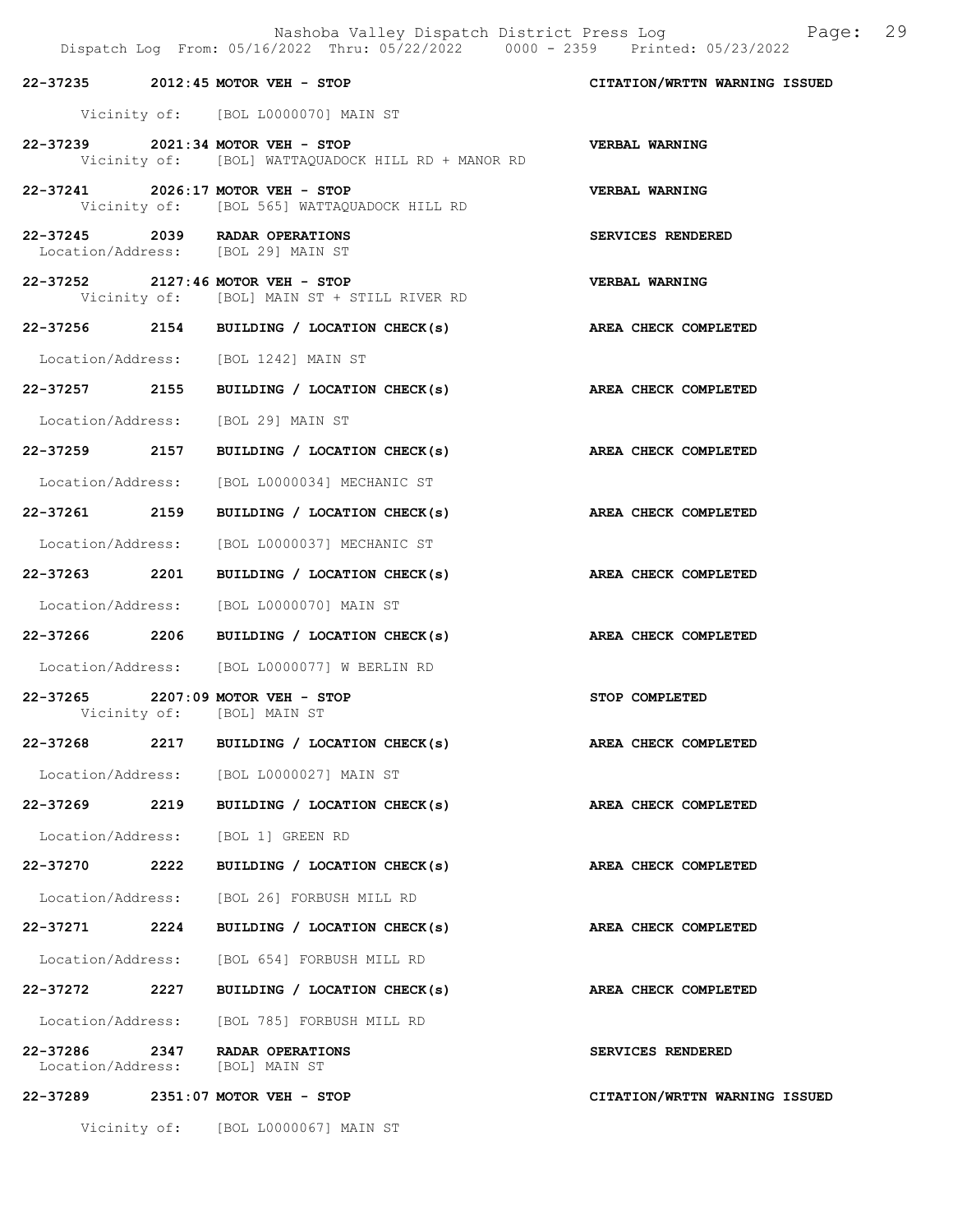|                   |      | Dispatch Log From: 05/16/2022 Thru: 05/22/2022 0000 - 2359 Printed: 05/23/2022          | Nashoba Valley Dispatch District Press Log Faqe: 29 |
|-------------------|------|-----------------------------------------------------------------------------------------|-----------------------------------------------------|
|                   |      | 22-37235 2012:45 MOTOR VEH - STOP                                                       | CITATION/WRTTN WARNING ISSUED                       |
|                   |      | Vicinity of: [BOL L0000070] MAIN ST                                                     |                                                     |
|                   |      | 22-37239 2021:34 MOTOR VEH - STOP<br>Vicinity of: [BOL] WATTAQUADOCK HILL RD + MANOR RD | VERBAL WARNING                                      |
|                   |      | 22-37241 2026:17 MOTOR VEH - STOP<br>Vicinity of: [BOL 565] WATTAQUADOCK HILL RD        | VERBAL WARNING                                      |
|                   |      | 22-37245 2039 RADAR OPERATIONS<br>Location/Address: [BOL 29] MAIN ST                    | SERVICES RENDERED                                   |
|                   |      | 22-37252 2127:46 MOTOR VEH - STOP<br>Vicinity of: [BOL] MAIN ST + STILL RIVER RD        | <b>VERBAL WARNING</b>                               |
|                   |      | 22-37256 2154 BUILDING / LOCATION CHECK(s)                                              | AREA CHECK COMPLETED                                |
|                   |      | Location/Address: [BOL 1242] MAIN ST                                                    |                                                     |
|                   |      | 22-37257 2155 BUILDING / LOCATION CHECK(s) AREA CHECK COMPLETED                         |                                                     |
| Location/Address: |      | [BOL 29] MAIN ST                                                                        |                                                     |
|                   |      | 22-37259 2157 BUILDING / LOCATION CHECK(s) AREA CHECK COMPLETED                         |                                                     |
|                   |      | Location/Address: [BOL L0000034] MECHANIC ST                                            |                                                     |
| 22-37261 2159     |      | BUILDING / LOCATION CHECK(s)                                                            | AREA CHECK COMPLETED                                |
| Location/Address: |      | [BOL L0000037] MECHANIC ST                                                              |                                                     |
| 22-37263 2201     |      | BUILDING / LOCATION CHECK(s)                                                            | AREA CHECK COMPLETED                                |
|                   |      | Location/Address: [BOL L0000070] MAIN ST                                                |                                                     |
|                   |      | 22-37266 2206 BUILDING / LOCATION CHECK(s)                                              | AREA CHECK COMPLETED                                |
|                   |      | Location/Address: [BOL L0000077] W BERLIN RD                                            |                                                     |
| Vicinity of:      |      | 22-37265 2207:09 MOTOR VEH - STOP<br>[BOL] MAIN ST                                      | STOP COMPLETED                                      |
| 22-37268          | 2217 | BUILDING / LOCATION CHECK(s)                                                            | AREA CHECK COMPLETED                                |
|                   |      | Location/Address: [BOL L0000027] MAIN ST                                                |                                                     |
| 22-37269          | 2219 | BUILDING / LOCATION CHECK(s)                                                            | AREA CHECK COMPLETED                                |
| Location/Address: |      | [BOL 1] GREEN RD                                                                        |                                                     |
| 22-37270 2222     |      | BUILDING / LOCATION CHECK(s)                                                            | AREA CHECK COMPLETED                                |
| Location/Address: |      | [BOL 26] FORBUSH MILL RD                                                                |                                                     |
| 22-37271 2224     |      | BUILDING / LOCATION CHECK(s)                                                            | AREA CHECK COMPLETED                                |
|                   |      | Location/Address: [BOL 654] FORBUSH MILL RD                                             |                                                     |
| 22-37272          | 2227 | BUILDING / LOCATION CHECK(s)                                                            | AREA CHECK COMPLETED                                |
|                   |      | Location/Address: [BOL 785] FORBUSH MILL RD                                             |                                                     |

22-37286 2347 RADAR OPERATIONS SERVICES RENDERED Location/Address: [BOL] MAIN ST

22-37289 2351:07 MOTOR VEH - STOP CITATION/WRTTN WARNING ISSUED

Vicinity of: [BOL L0000067] MAIN ST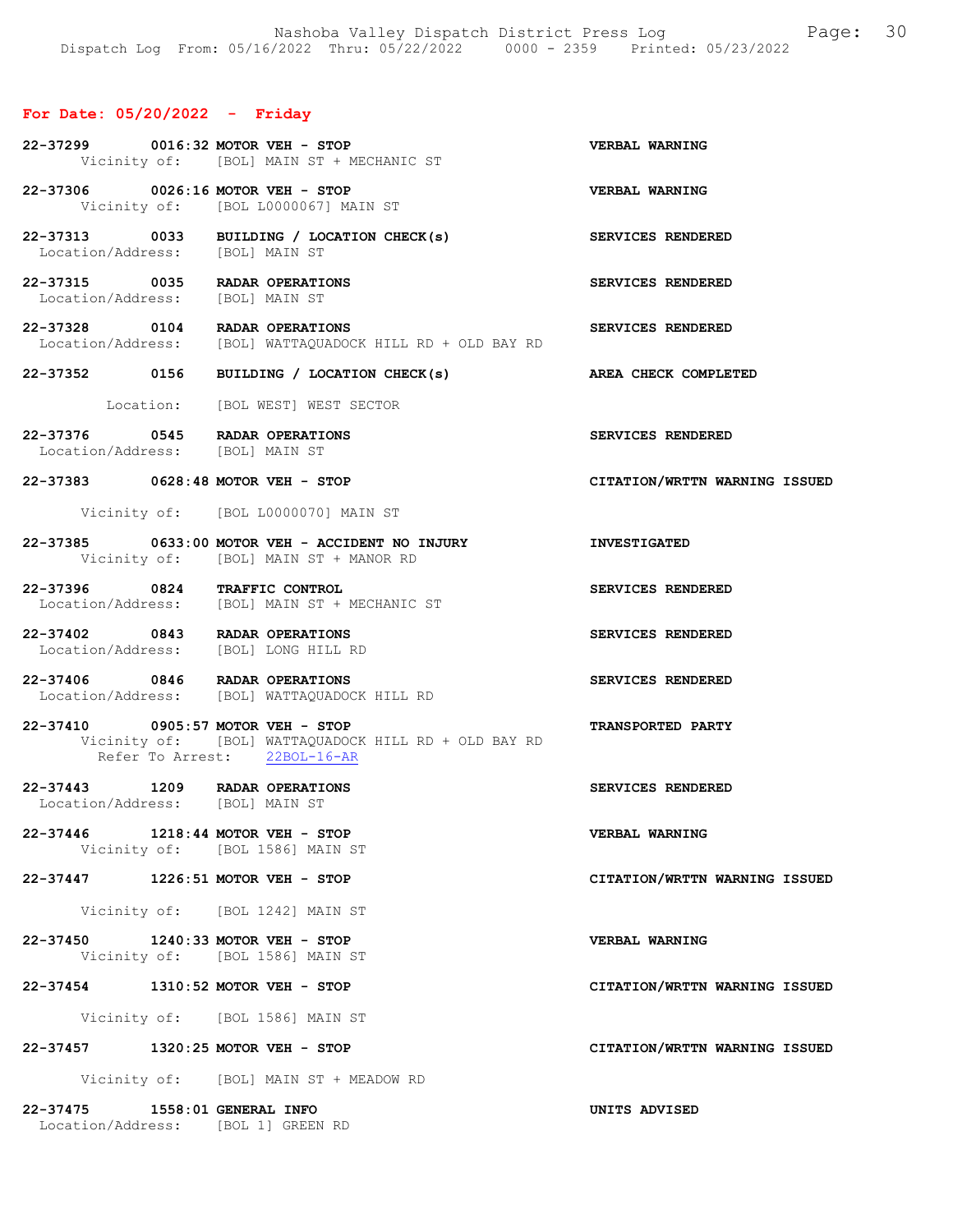## For Date: 05/20/2022 - Friday

| 22-37299 0016:32 MOTOR VEH - STOP                                      | Vicinity of: [BOL] MAIN ST + MECHANIC ST                                                                  | VERBAL WARNING                |
|------------------------------------------------------------------------|-----------------------------------------------------------------------------------------------------------|-------------------------------|
|                                                                        | 22-37306 0026:16 MOTOR VEH - STOP<br>Vicinity of: [BOL L0000067] MAIN ST                                  | <b>VERBAL WARNING</b>         |
| Location/Address: [BOL] MAIN ST                                        | 22-37313 0033 BUILDING / LOCATION CHECK(s)                                                                | <b>SERVICES RENDERED</b>      |
| 22-37315 0035 RADAR OPERATIONS<br>Location/Address: [BOL] MAIN ST      |                                                                                                           | SERVICES RENDERED             |
| 22-37328 0104 RADAR OPERATIONS                                         | Location/Address: [BOL] WATTAQUADOCK HILL RD + OLD BAY RD                                                 | SERVICES RENDERED             |
|                                                                        | 22-37352 0156 BUILDING / LOCATION CHECK(s) AREA CHECK COMPLETED                                           |                               |
|                                                                        | Location: [BOL WEST] WEST SECTOR                                                                          |                               |
| 22-37376 0545 RADAR OPERATIONS<br>Location/Address: [BOL] MAIN ST      |                                                                                                           | SERVICES RENDERED             |
|                                                                        | 22-37383 0628:48 MOTOR VEH - STOP                                                                         | CITATION/WRTTN WARNING ISSUED |
|                                                                        | Vicinity of: [BOL L0000070] MAIN ST                                                                       |                               |
|                                                                        | 22-37385 0633:00 MOTOR VEH - ACCIDENT NO INJURY THE INVESTIGATED<br>Vicinity of: [BOL] MAIN ST + MANOR RD |                               |
| 22-37396 0824 TRAFFIC CONTROL                                          | Location/Address: [BOL] MAIN ST + MECHANIC ST                                                             | SERVICES RENDERED             |
| 22-37402 0843 RADAR OPERATIONS<br>Location/Address: [BOL] LONG HILL RD |                                                                                                           | SERVICES RENDERED             |
|                                                                        | 22-37406 0846 RADAR OPERATIONS<br>Location/Address: [BOL] WATTAQUADOCK HILL RD                            | SERVICES RENDERED             |
| 22-37410 0905:57 MOTOR VEH - STOP                                      | Vicinity of: [BOL] WATTAOUADOCK HILL RD + OLD BAY RD<br>Refer To Arrest: 22BOL-16-AR                      | <b>TRANSPORTED PARTY</b>      |
| 22-37443 1209 RADAR OPERATIONS<br>Location/Address: [BOL] MAIN ST      |                                                                                                           | SERVICES RENDERED             |
| 22-37446 1218:44 MOTOR VEH - STOP                                      | Vicinity of: [BOL 1586] MAIN ST                                                                           | VERBAL WARNING                |
| 22-37447 1226:51 MOTOR VEH - STOP                                      |                                                                                                           | CITATION/WRTTN WARNING ISSUED |
|                                                                        | Vicinity of: [BOL 1242] MAIN ST                                                                           |                               |
| 22-37450 1240:33 MOTOR VEH - STOP                                      | Vicinity of: [BOL 1586] MAIN ST                                                                           | VERBAL WARNING                |
| 22-37454 1310:52 MOTOR VEH - STOP                                      |                                                                                                           | CITATION/WRTTN WARNING ISSUED |
|                                                                        | Vicinity of: [BOL 1586] MAIN ST                                                                           |                               |
| 22-37457 1320:25 MOTOR VEH - STOP                                      |                                                                                                           | CITATION/WRTTN WARNING ISSUED |
|                                                                        | Vicinity of: [BOL] MAIN ST + MEADOW RD                                                                    |                               |
| 22-37475 1558:01 GENERAL INFO<br>Location/Address: [BOL 1] GREEN RD    |                                                                                                           | UNITS ADVISED                 |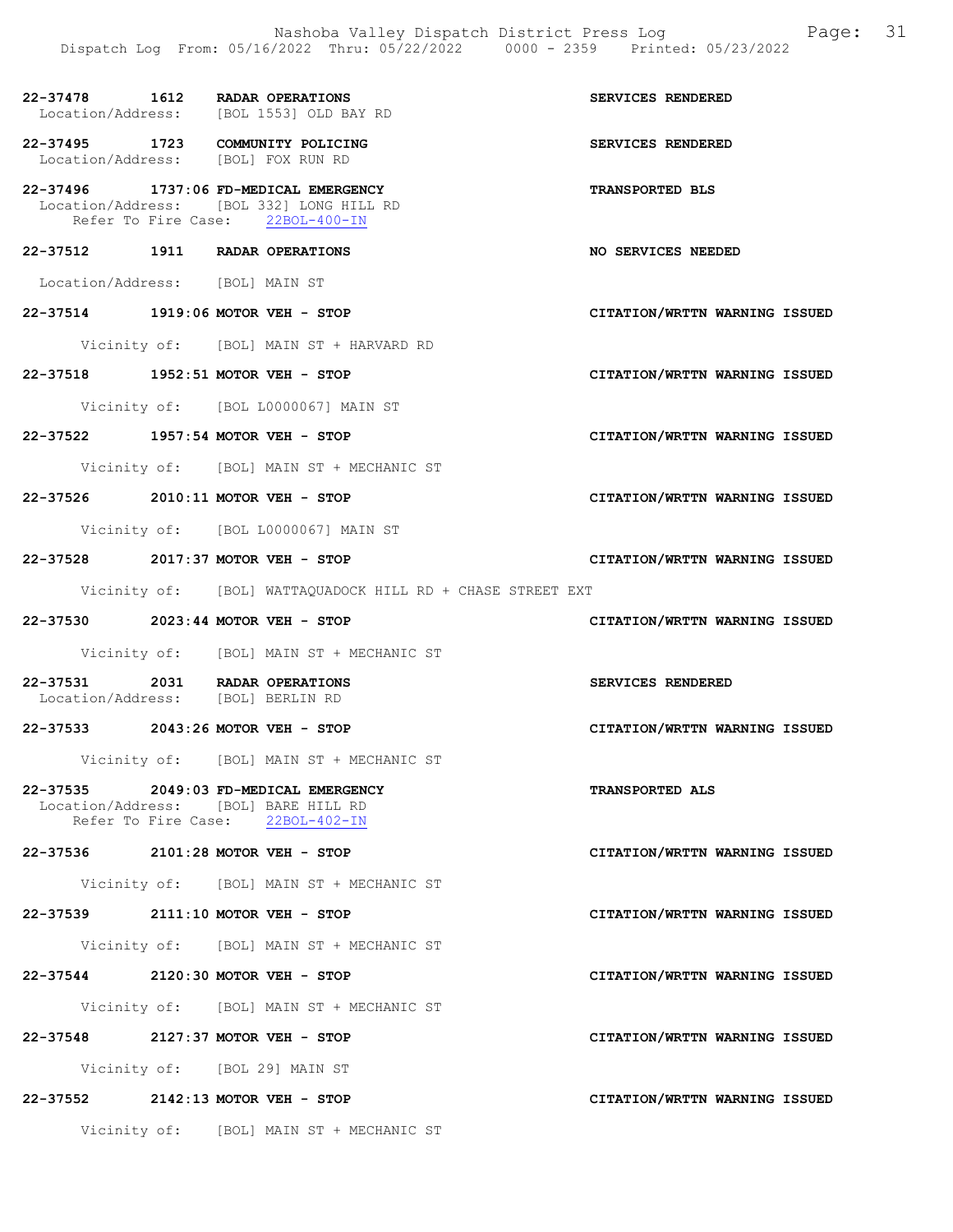22-37478 1612 RADAR OPERATIONS SERVICES RENDERED Location/Address: [BOL 1553] OLD BAY RD 22-37495 1723 COMMUNITY POLICING SERVICES RENDERED Location/Address: [BOL] FOX RUN RD 22-37496 1737:06 FD-MEDICAL EMERGENCY TRANSPORTED BLS Location/Address: [BOL 332] LONG HILL RD<br>Refer To Fire Case: 22BOL-400-IN Refer To Fire Case: 22-37512 1911 RADAR OPERATIONS NO SERVICES NEEDED Location/Address: [BOL] MAIN ST 22-37514 1919:06 MOTOR VEH - STOP CITATION/WRTTN WARNING ISSUED Vicinity of: [BOL] MAIN ST + HARVARD RD 22-37518 1952:51 MOTOR VEH - STOP CITATION/WRTTN WARNING ISSUED Vicinity of: [BOL L0000067] MAIN ST 22-37522 1957:54 MOTOR VEH - STOP CITATION/WRTTN WARNING ISSUED Vicinity of: [BOL] MAIN ST + MECHANIC ST 22-37526 2010:11 MOTOR VEH - STOP CITATION/WRTTN WARNING ISSUED Vicinity of: [BOL L0000067] MAIN ST 22-37528 2017:37 MOTOR VEH - STOP CITATION/WRTTN WARNING ISSUED Vicinity of: [BOL] WATTAQUADOCK HILL RD + CHASE STREET EXT 22-37530 2023:44 MOTOR VEH - STOP CITATION/WRTTN WARNING ISSUED Vicinity of: [BOL] MAIN ST + MECHANIC ST 22-37531 2031 RADAR OPERATIONS SERVICES RENDERED Location/Address: [BOL] BERLIN RD 22-37533 2043:26 MOTOR VEH - STOP CITATION/WRTTN WARNING ISSUED Vicinity of: [BOL] MAIN ST + MECHANIC ST 22-37535 2049:03 FD-MEDICAL EMERGENCY TRANSPORTED ALS Location/Address: [BOL] BARE HILL RD<br>Refer To Fire Case: 22BOL-402-IN Refer To Fire Case: 22-37536 2101:28 MOTOR VEH - STOP CITATION/WRTTN WARNING ISSUED Vicinity of: [BOL] MAIN ST + MECHANIC ST 22-37539 2111:10 MOTOR VEH - STOP CITATION/WRTTN WARNING ISSUED Vicinity of: [BOL] MAIN ST + MECHANIC ST 22-37544 2120:30 MOTOR VEH - STOP CITATION/WRTTN WARNING ISSUED Vicinity of: [BOL] MAIN ST + MECHANIC ST 22-37548 2127:37 MOTOR VEH - STOP CITATION/WRTTN WARNING ISSUED Vicinity of: [BOL 29] MAIN ST 22-37552 2142:13 MOTOR VEH - STOP CITATION/WRTTN WARNING ISSUED

Vicinity of: [BOL] MAIN ST + MECHANIC ST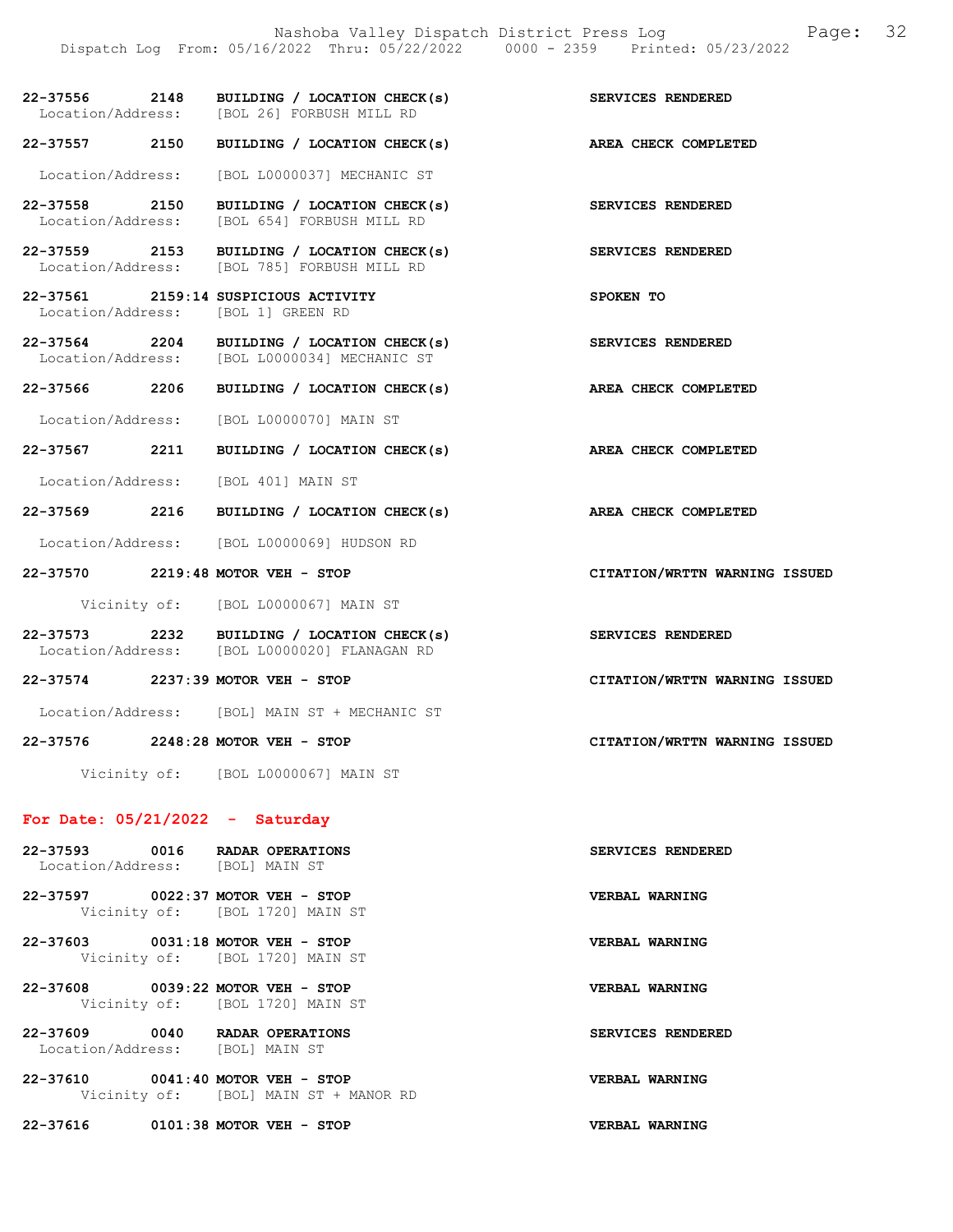Nashoba Valley Dispatch District Press Log Page: 32 Dispatch Log From: 05/16/2022 Thru: 05/22/2022 0000 - 2359 Printed: 05/23/2022 22-37556 2148 BUILDING / LOCATION CHECK(s) SERVICES RENDERED<br>Location/Address: [BOL 26] FORBUSH MILL RD [BOL 26] FORBUSH MILL RD 22-37557 2150 BUILDING / LOCATION CHECK(s) AREA CHECK COMPLETED Location/Address: [BOL L0000037] MECHANIC ST 22-37558 2150 BUILDING / LOCATION CHECK(s) SERVICES RENDERED Location/Address: [BOL 654] FORBUSH MILL RD 22-37559 2153 BUILDING / LOCATION CHECK(s) SERVICES RENDERED Location/Address: [BOL 785] FORBUSH MILL RD 22-37561 2159:14 SUSPICIOUS ACTIVITY SPOKEN TO Location/Address: [BOL 1] GREEN RD 22-37564 2204 BUILDING / LOCATION CHECK(s) SERVICES RENDERED<br>Location/Address: [BOL L0000034] MECHANIC ST Location/Address: [BOL L0000034] MECHANIC ST 22-37566 2206 BUILDING / LOCATION CHECK(s) AREA CHECK COMPLETED Location/Address: [BOL L0000070] MAIN ST 22-37567 2211 BUILDING / LOCATION CHECK(s) AREA CHECK COMPLETED Location/Address: [BOL 401] MAIN ST 22-37569 2216 BUILDING / LOCATION CHECK(s) AREA CHECK COMPLETED Location/Address: [BOL L0000069] HUDSON RD 22-37570 2219:48 MOTOR VEH - STOP CITATION/WRTTN WARNING ISSUED Vicinity of: [BOL L0000067] MAIN ST 22-37573 2232 BUILDING / LOCATION CHECK(s) SERVICES RENDERED<br>
Location/Address: [BOL L0000020] FLANAGAN RD [BOL L0000020] FLANAGAN RD 22-37574 2237:39 MOTOR VEH - STOP CITATION/WRTTN WARNING ISSUED

Location/Address: [BOL] MAIN ST + MECHANIC ST

22-37576 2248:28 MOTOR VEH - STOP CITATION/WRTTN WARNING ISSUED

Vicinity of: [BOL L0000067] MAIN ST

## For Date: 05/21/2022 - Saturday

| 22-37593 0016 RADAR OPERATIONS<br>Location/Address: [BOL] MAIN ST |                                                               | SERVICES RENDERED     |
|-------------------------------------------------------------------|---------------------------------------------------------------|-----------------------|
| 22–37597                                                          | $0022:37$ MOTOR VEH - STOP<br>Vicinity of: [BOL 1720] MAIN ST | <b>VERBAL WARNING</b> |
| 22-37603 0031:18 MOTOR VEH - STOP                                 | Vicinity of: [BOL 1720] MAIN ST                               | <b>VERBAL WARNING</b> |
| 22-37608                                                          | $0039:22$ MOTOR VEH - STOP<br>Vicinity of: [BOL 1720] MAIN ST | <b>VERBAL WARNING</b> |
| 22-37609 0040<br>Location/Address: [BOL] MAIN ST                  | <b>RADAR OPERATIONS</b>                                       | SERVICES RENDERED     |
| 22-37610 0041:40 MOTOR VEH - STOP                                 | Vicinity of: [BOL] MAIN ST + MANOR RD                         | VERBAL WARNING        |

22-37616 0101:38 MOTOR VEH - STOP VERBAL WARNING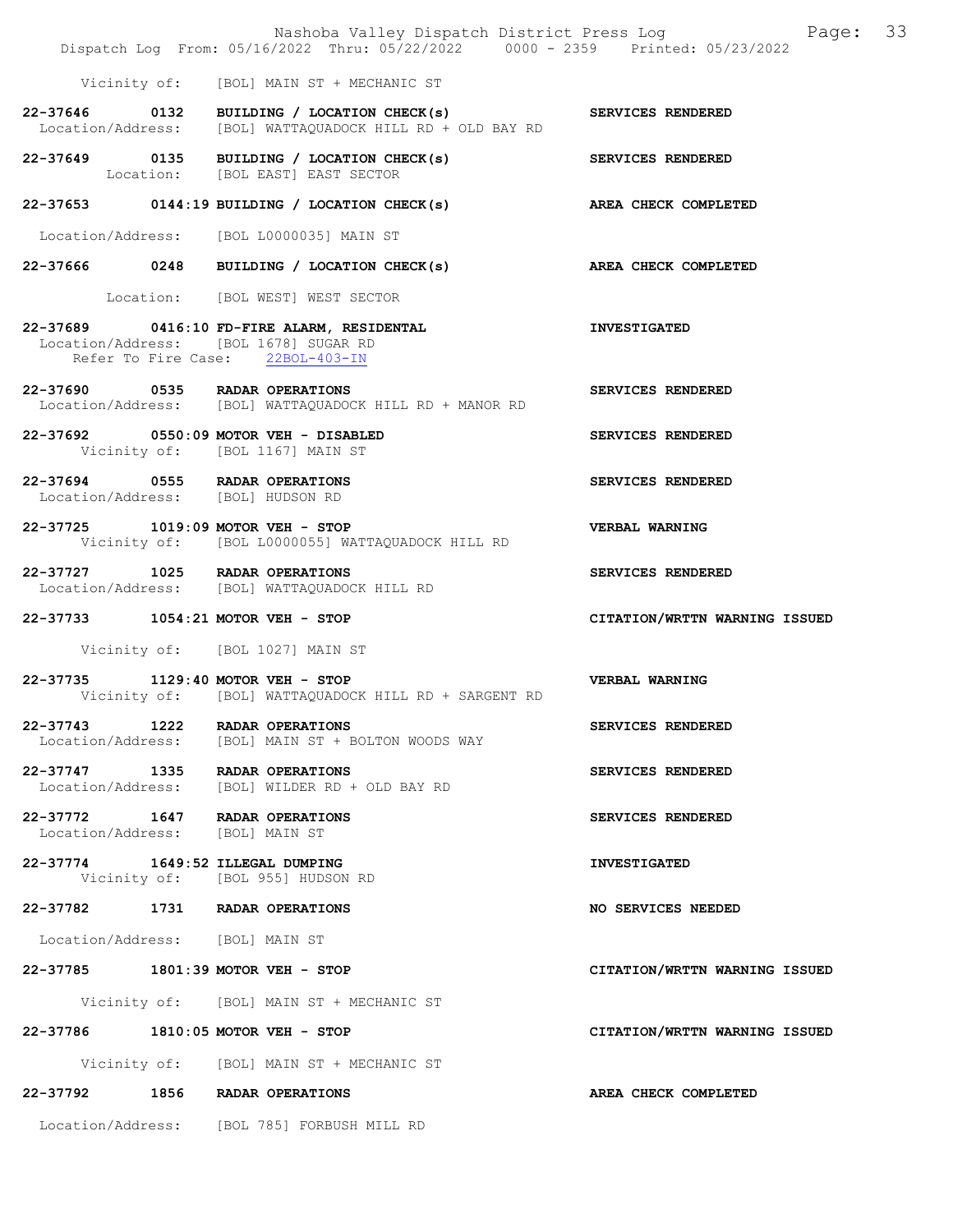|                                  | Dispatch Log From: 05/16/2022 Thru: 05/22/2022 0000 - 2359 Printed: 05/23/2022                                            | Nashoba Valley Dispatch District Press Log Fage: 33 |
|----------------------------------|---------------------------------------------------------------------------------------------------------------------------|-----------------------------------------------------|
|                                  | Vicinity of: [BOL] MAIN ST + MECHANIC ST                                                                                  |                                                     |
|                                  | 22-37646 0132 BUILDING / LOCATION CHECK(s) SERVICES RENDERED<br>Location/Address: [BOL] WATTAQUADOCK HILL RD + OLD BAY RD |                                                     |
|                                  | 22-37649 0135 BUILDING / LOCATION CHECK(s)<br>Location: [BOL EAST] EAST SECTOR                                            | <b>SERVICES RENDERED</b>                            |
|                                  | 22-37653 0144:19 BUILDING / LOCATION CHECK(s) AREA CHECK COMPLETED                                                        |                                                     |
|                                  | Location/Address: [BOL L0000035] MAIN ST                                                                                  |                                                     |
|                                  | 22-37666 0248 BUILDING / LOCATION CHECK(s)                                                                                | AREA CHECK COMPLETED                                |
|                                  | Location: [BOL WEST] WEST SECTOR                                                                                          |                                                     |
|                                  | 22-37689 0416:10 FD-FIRE ALARM, RESIDENTAL<br>Location/Address: [BOL 1678] SUGAR RD<br>Refer To Fire Case: 22BOL-403-IN   | <b>INVESTIGATED</b>                                 |
|                                  | 22-37690 0535 RADAR OPERATIONS<br>Location/Address: [BOL] WATTAQUADOCK HILL RD + MANOR RD                                 | SERVICES RENDERED                                   |
|                                  | 22-37692 0550:09 MOTOR VEH - DISABLED<br>Vicinity of: [BOL 1167] MAIN ST                                                  | SERVICES RENDERED                                   |
|                                  | 22-37694 0555 RADAR OPERATIONS<br>Location/Address: [BOL] HUDSON RD                                                       | SERVICES RENDERED                                   |
|                                  | 22-37725 1019:09 MOTOR VEH - STOP<br>Vicinity of: [BOL L0000055] WATTAQUADOCK HILL RD                                     | <b>VERBAL WARNING</b>                               |
|                                  | 22-37727 1025 RADAR OPERATIONS<br>Location/Address: [BOL] WATTAQUADOCK HILL RD                                            | SERVICES RENDERED                                   |
|                                  | 22-37733 1054:21 MOTOR VEH - STOP                                                                                         | CITATION/WRTTN WARNING ISSUED                       |
|                                  | Vicinity of: [BOL 1027] MAIN ST                                                                                           |                                                     |
|                                  | 22-37735 1129:40 MOTOR VEH - STOP<br>Vicinity of: [BOL] WATTAQUADOCK HILL RD + SARGENT RD                                 | VERBAL WARNING                                      |
|                                  | 22-37743 1222 RADAR OPERATIONS<br>Location/Address: [BOL] MAIN ST + BOLTON WOODS WAY                                      | SERVICES RENDERED                                   |
|                                  | 22-37747 1335 RADAR OPERATIONS<br>Location/Address: [BOL] WILDER RD + OLD BAY RD                                          | SERVICES RENDERED                                   |
| Location/Address: [BOL] MAIN ST  | 22-37772 1647 RADAR OPERATIONS                                                                                            | SERVICES RENDERED                                   |
| 22-37774 1649:52 ILLEGAL DUMPING | Vicinity of: [BOL 955] HUDSON RD                                                                                          | <b>INVESTIGATED</b>                                 |
|                                  | 22-37782 1731 RADAR OPERATIONS                                                                                            | NO SERVICES NEEDED                                  |
| Location/Address: [BOL] MAIN ST  |                                                                                                                           |                                                     |
|                                  | 22-37785 1801:39 MOTOR VEH - STOP                                                                                         | CITATION/WRTTN WARNING ISSUED                       |
|                                  | Vicinity of: [BOL] MAIN ST + MECHANIC ST                                                                                  |                                                     |
|                                  | 22-37786 1810:05 MOTOR VEH - STOP                                                                                         | CITATION/WRTTN WARNING ISSUED                       |
|                                  | Vicinity of: [BOL] MAIN ST + MECHANIC ST                                                                                  |                                                     |
|                                  | 22-37792 1856 RADAR OPERATIONS                                                                                            | AREA CHECK COMPLETED                                |
|                                  | Location/Address: [BOL 785] FORBUSH MILL RD                                                                               |                                                     |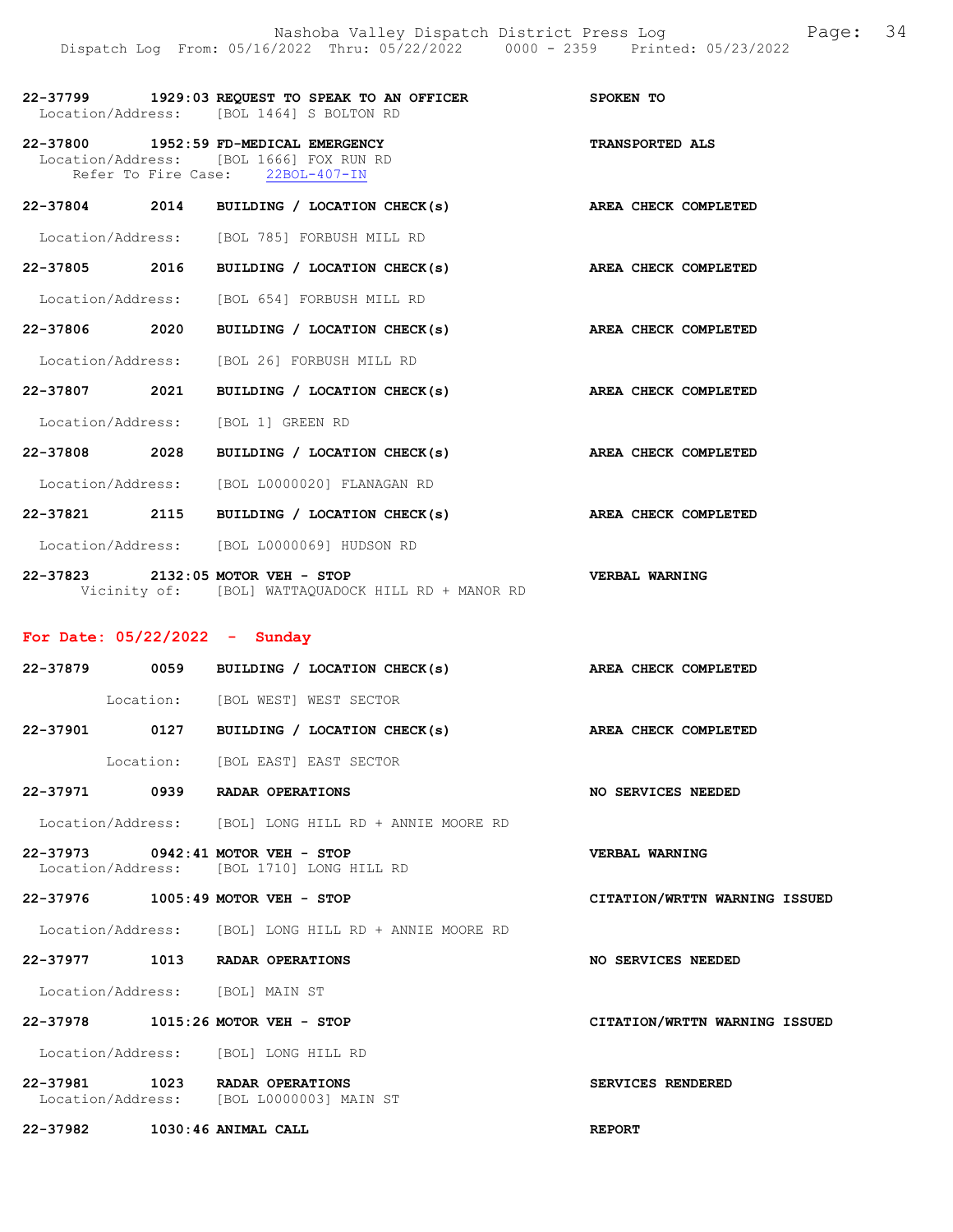|               | 22-37799 1929:03 REQUEST TO SPEAK TO AN OFFICER<br>Location/Address: [BOL 1464] S BOLTON RD                          | SPOKEN TO              |
|---------------|----------------------------------------------------------------------------------------------------------------------|------------------------|
|               | 22-37800 1952:59 FD-MEDICAL EMERGENCY<br>Location/Address: [BOL 1666] FOX RUN RD<br>Refer To Fire Case: 22BOL-407-IN | <b>TRANSPORTED ALS</b> |
|               | 22-37804 2014 BUILDING / LOCATION CHECK(s)                                                                           | AREA CHECK COMPLETED   |
|               | Location/Address: [BOL 785] FORBUSH MILL RD                                                                          |                        |
|               | 22-37805 2016 BUILDING / LOCATION CHECK(s)                                                                           | AREA CHECK COMPLETED   |
|               | Location/Address: [BOL 654] FORBUSH MILL RD                                                                          |                        |
| 22-37806 2020 | BUILDING / LOCATION CHECK(s)                                                                                         | AREA CHECK COMPLETED   |
|               | Location/Address: [BOL 26] FORBUSH MILL RD                                                                           |                        |
| 22-37807 2021 | BUILDING / LOCATION CHECK(s)                                                                                         | AREA CHECK COMPLETED   |
|               | Location/Address: [BOL 1] GREEN RD                                                                                   |                        |
| 22-37808 2028 | BUILDING / LOCATION CHECK(s)                                                                                         | AREA CHECK COMPLETED   |
|               | Location/Address: [BOL L0000020] FLANAGAN RD                                                                         |                        |
| 22-37821 2115 | BUILDING / LOCATION CHECK(s)                                                                                         | AREA CHECK COMPLETED   |
|               | Location/Address: [BOL L0000069] HUDSON RD                                                                           |                        |
|               | 22-37823 2132:05 MOTOR VEH - STOP                                                                                    | VERBAL WARNING         |

For Date: 05/22/2022 - Sunday

Vicinity of: [BOL] WATTAQUADOCK HILL RD + MANOR RD

|                                                                                |                                  | 22-37879 0059 BUILDING / LOCATION CHECK(s) AREA CHECK COMPLETED |                               |  |
|--------------------------------------------------------------------------------|----------------------------------|-----------------------------------------------------------------|-------------------------------|--|
|                                                                                | Location: [BOL WEST] WEST SECTOR |                                                                 |                               |  |
| 22-37901 0127                                                                  |                                  | BUILDING / LOCATION CHECK(s)                                    | AREA CHECK COMPLETED          |  |
|                                                                                | Location: [BOL EAST] EAST SECTOR |                                                                 |                               |  |
| 22-37971 0939 RADAR OPERATIONS                                                 |                                  |                                                                 | NO SERVICES NEEDED            |  |
|                                                                                |                                  | Location/Address: [BOL] LONG HILL RD + ANNIE MOORE RD           |                               |  |
| 22-37973 0942:41 MOTOR VEH - STOP<br>Location/Address: [BOL 1710] LONG HILL RD |                                  |                                                                 | VERBAL WARNING                |  |
| 22-37976 1005:49 MOTOR VEH - STOP                                              |                                  |                                                                 | CITATION/WRTTN WARNING ISSUED |  |
|                                                                                |                                  | Location/Address: [BOL] LONG HILL RD + ANNIE MOORE RD           |                               |  |
| 22-37977 1013 RADAR OPERATIONS                                                 |                                  |                                                                 | NO SERVICES NEEDED            |  |
| Location/Address: [BOL] MAIN ST                                                |                                  |                                                                 |                               |  |
| 22-37978 1015:26 MOTOR VEH - STOP                                              |                                  |                                                                 | CITATION/WRTTN WARNING ISSUED |  |
| Location/Address: [BOL] LONG HILL RD                                           |                                  |                                                                 |                               |  |
| 22-37981 1023 RADAR OPERATIONS<br>Location/Address: [BOL L0000003] MAIN ST     |                                  |                                                                 | SERVICES RENDERED             |  |

22-37982 1030:46 ANIMAL CALL REPORT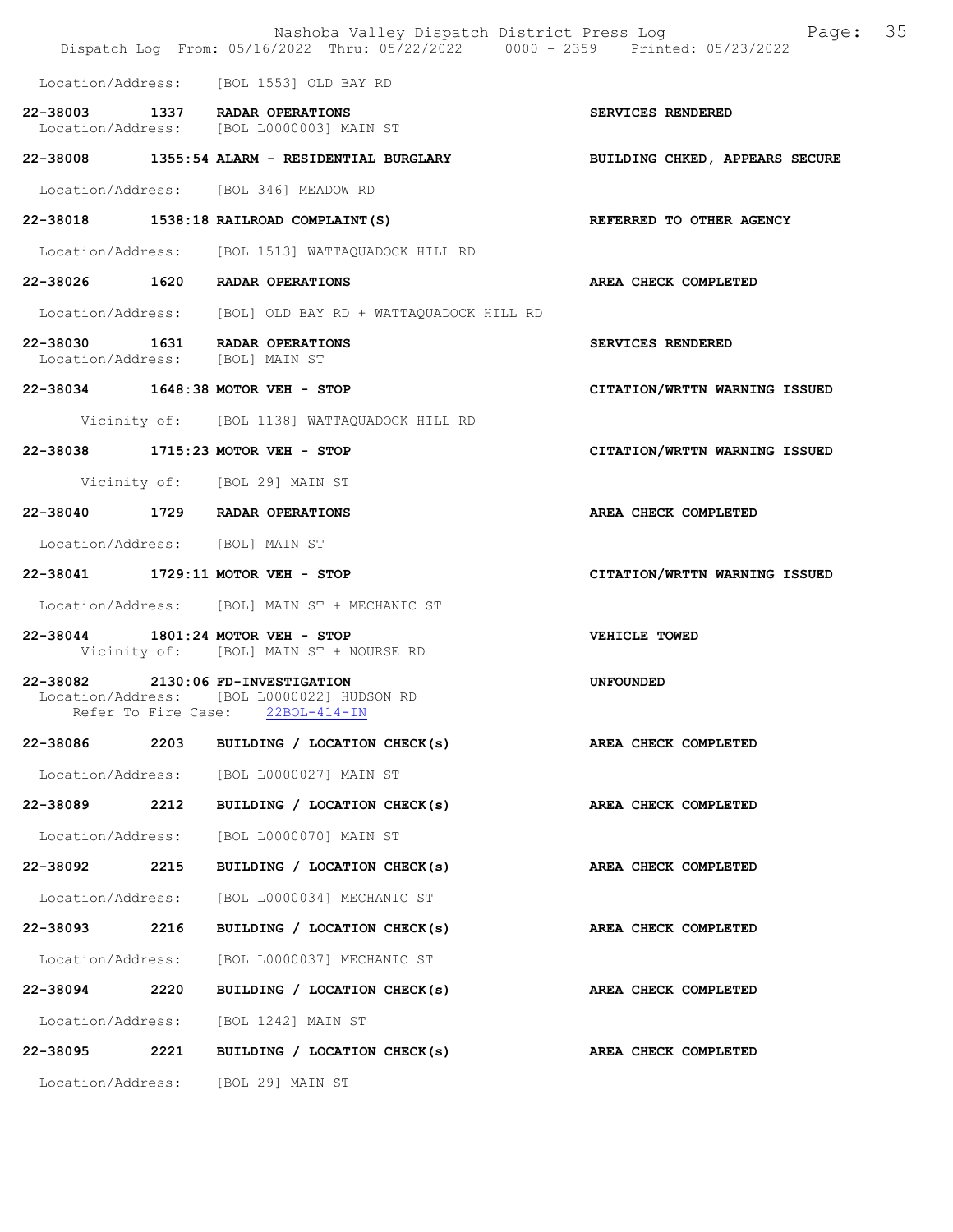|                                 |      | Nashoba Valley Dispatch District Press Log<br>Dispatch Log From: 05/16/2022 Thru: 05/22/2022 0000 - 2359 Printed: 05/23/2022 | Page: 35                      |
|---------------------------------|------|------------------------------------------------------------------------------------------------------------------------------|-------------------------------|
|                                 |      | Location/Address: [BOL 1553] OLD BAY RD                                                                                      |                               |
|                                 |      | 22-38003 1337 RADAR OPERATIONS<br>Location/Address: [BOL L0000003] MAIN ST                                                   | SERVICES RENDERED             |
|                                 |      | 22-38008 1355:54 ALARM - RESIDENTIAL BURGLARY MEDILDING CHKED, APPEARS SECURE                                                |                               |
|                                 |      | Location/Address: [BOL 346] MEADOW RD                                                                                        |                               |
|                                 |      | 22-38018 1538:18 RAILROAD COMPLAINT (S)                                                                                      | REFERRED TO OTHER AGENCY      |
|                                 |      | Location/Address: [BOL 1513] WATTAQUADOCK HILL RD                                                                            |                               |
|                                 |      | 22-38026 1620 RADAR OPERATIONS                                                                                               | AREA CHECK COMPLETED          |
|                                 |      | Location/Address: [BOL] OLD BAY RD + WATTAQUADOCK HILL RD                                                                    |                               |
| Location/Address: [BOL] MAIN ST |      | 22-38030 1631 RADAR OPERATIONS                                                                                               | <b>SERVICES RENDERED</b>      |
|                                 |      | 22-38034 1648:38 MOTOR VEH - STOP                                                                                            | CITATION/WRTTN WARNING ISSUED |
|                                 |      | Vicinity of: [BOL 1138] WATTAQUADOCK HILL RD                                                                                 |                               |
|                                 |      | 22-38038 1715:23 MOTOR VEH - STOP                                                                                            | CITATION/WRTTN WARNING ISSUED |
|                                 |      | Vicinity of: [BOL 29] MAIN ST                                                                                                |                               |
|                                 |      | 22-38040 1729 RADAR OPERATIONS                                                                                               | AREA CHECK COMPLETED          |
| Location/Address: [BOL] MAIN ST |      |                                                                                                                              |                               |
|                                 |      | 22-38041 1729:11 MOTOR VEH - STOP                                                                                            | CITATION/WRTTN WARNING ISSUED |
|                                 |      | Location/Address: [BOL] MAIN ST + MECHANIC ST                                                                                |                               |
|                                 |      | 22-38044 1801:24 MOTOR VEH - STOP<br>Vicinity of: [BOL] MAIN ST + NOURSE RD                                                  | VEHICLE TOWED                 |
|                                 |      | 22-38082 2130:06 FD-INVESTIGATION<br>Location/Address: [BOL L0000022] HUDSON RD<br>Refer To Fire Case: 22BOL-414-IN          | <b>UNFOUNDED</b>              |
| 22-38086                        |      | 2203 BUILDING / LOCATION CHECK(s)                                                                                            | AREA CHECK COMPLETED          |
|                                 |      | Location/Address: [BOL L0000027] MAIN ST                                                                                     |                               |
| 22-38089                        | 2212 | BUILDING / LOCATION CHECK(s)                                                                                                 | <b>AREA CHECK COMPLETED</b>   |
|                                 |      | Location/Address: [BOL L0000070] MAIN ST                                                                                     |                               |
| 22-38092 2215                   |      | BUILDING / LOCATION CHECK(s)                                                                                                 | AREA CHECK COMPLETED          |
| Location/Address:               |      | [BOL L0000034] MECHANIC ST                                                                                                   |                               |
| 22-38093                        | 2216 | BUILDING / LOCATION CHECK(s)                                                                                                 | AREA CHECK COMPLETED          |
|                                 |      | Location/Address: [BOL L0000037] MECHANIC ST                                                                                 |                               |
| 22-38094                        | 2220 | BUILDING / LOCATION CHECK(s)                                                                                                 | AREA CHECK COMPLETED          |
|                                 |      | Location/Address: [BOL 1242] MAIN ST                                                                                         |                               |
| 22-38095                        | 2221 | BUILDING / LOCATION CHECK(s)                                                                                                 | AREA CHECK COMPLETED          |
|                                 |      | Location/Address: [BOL 29] MAIN ST                                                                                           |                               |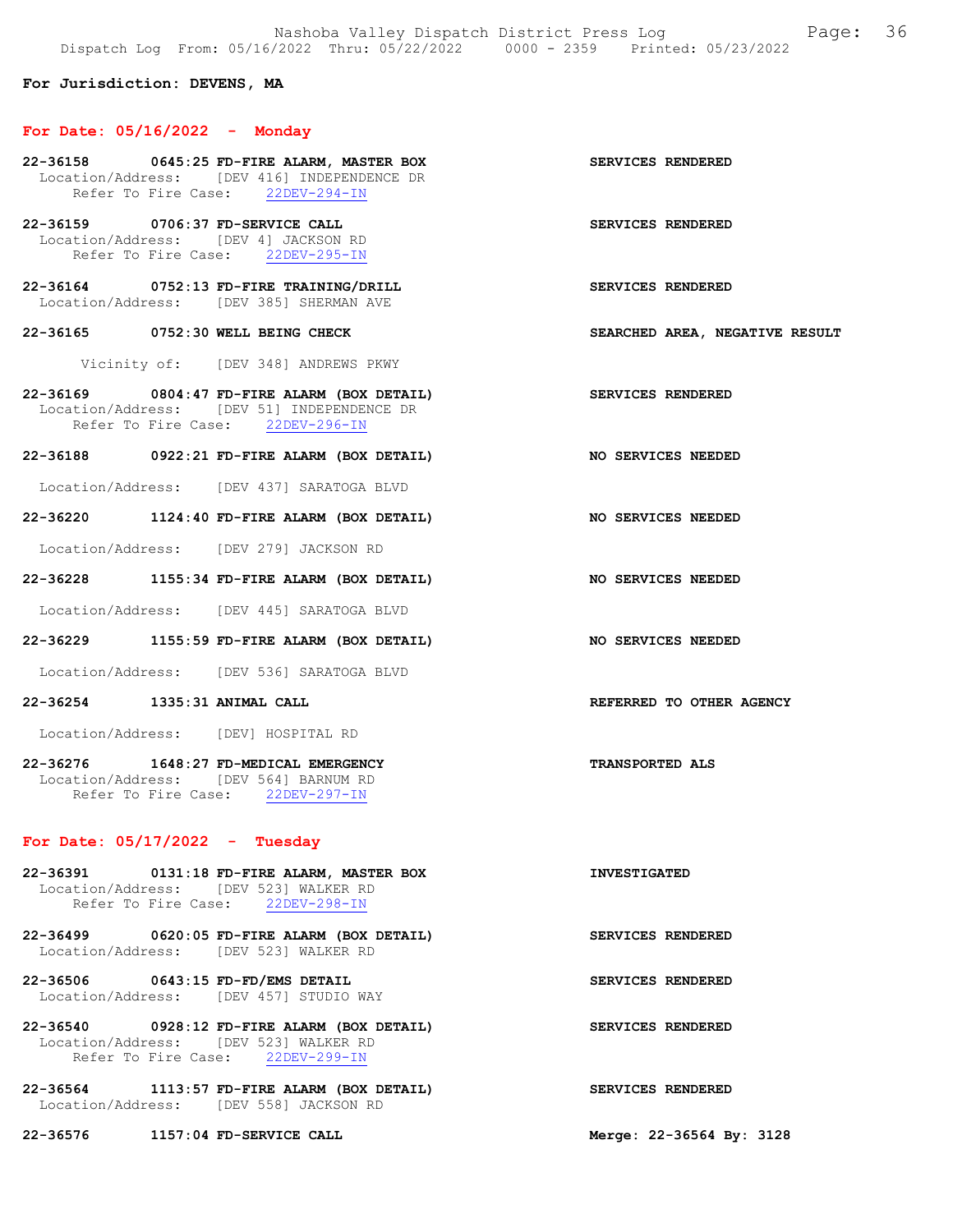## For Jurisdiction: DEVENS, MA

#### For Date: 05/16/2022 - Monday

- 22-36158 0645:25 FD-FIRE ALARM, MASTER BOX SERVICES RENDERED Location/Address: [DEV 416] INDEPENDENCE DR<br>Refer To Fire Case: 22DEV-294-IN Refer To Fire Case:
- 22-36159 0706:37 FD-SERVICE CALL SERVICES RENDERED Location/Address: [DEV 4] JACKSON RD Refer To Fire Case: 22DEV-295-IN
- 22-36164 0752:13 FD-FIRE TRAINING/DRILL SERVICES RENDERED Location/Address: [DEV 385] SHERMAN AVE
- 22-36165 0752:30 WELL BEING CHECK SEARCHED AREA, NEGATIVE RESULT

Vicinity of: [DEV 348] ANDREWS PKWY

- 22-36169 0804:47 FD-FIRE ALARM (BOX DETAIL) SERVICES RENDERED Location/Address: [DEV 51] INDEPENDENCE DR Refer To Fire Case: 22DEV-296-IN
- 22-36188 0922:21 FD-FIRE ALARM (BOX DETAIL) NO SERVICES NEEDED

Location/Address: [DEV 437] SARATOGA BLVD

22-36220 1124:40 FD-FIRE ALARM (BOX DETAIL) NO SERVICES NEEDED

Location/Address: [DEV 279] JACKSON RD

22-36228 1155:34 FD-FIRE ALARM (BOX DETAIL) NO SERVICES NEEDED

Location/Address: [DEV 445] SARATOGA BLVD

22-36229 1155:59 FD-FIRE ALARM (BOX DETAIL) NO SERVICES NEEDED

Location/Address: [DEV 536] SARATOGA BLVD

22-36254 1335:31 ANIMAL CALL REFERRED TO OTHER AGENCY

Location/Address: [DEV] HOSPITAL RD

22-36276 1648:27 FD-MEDICAL EMERGENCY TRANSPORTED ALS Location/Address: [DEV 564] BARNUM RD Refer To Fire Case: 22DEV-297-IN

## For Date: 05/17/2022 - Tuesday

22-36391 0131:18 FD-FIRE ALARM, MASTER BOX INVESTIGATED Location/Address: [DEV 523] WALKER RD<br>Refer To Fire Case: 22DEV-298-IN Refer To Fire Case:

- 22-36499 0620:05 FD-FIRE ALARM (BOX DETAIL) SERVICES RENDERED Location/Address: [DEV 523] WALKER RD
- 22-36506 0643:15 FD-FD/EMS DETAIL SERVICES RENDERED Location/Address: [DEV 457] STUDIO WAY
- 22-36540 0928:12 FD-FIRE ALARM (BOX DETAIL) SERVICES RENDERED Location/Address: [DEV 523] WALKER RD Refer To Fire Case: 22DEV-299-IN
- 22-36564 1113:57 FD-FIRE ALARM (BOX DETAIL) SERVICES RENDERED Location/Address: [DEV 558] JACKSON RD

22-36576 1157:04 FD-SERVICE CALL Merge: 22-36564 By: 3128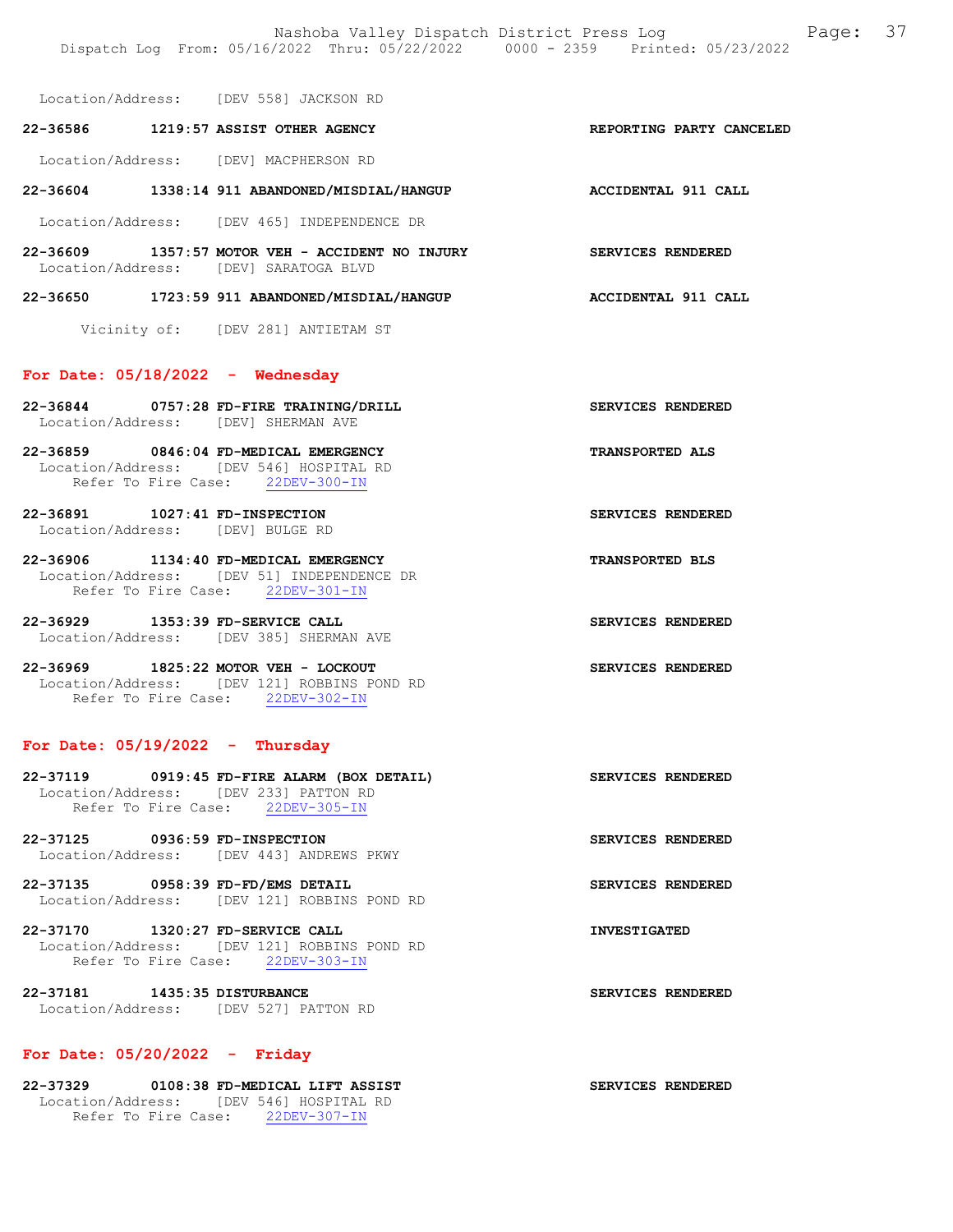Location/Address: [DEV 558] JACKSON RD

# 22-36586 1219:57 ASSIST OTHER AGENCY REPORTING PARTY CANCELED Location/Address: [DEV] MACPHERSON RD

- 22-36604 1338:14 911 ABANDONED/MISDIAL/HANGUP ACCIDENTAL 911 CALL Location/Address: [DEV 465] INDEPENDENCE DR
- 22-36609 1357:57 MOTOR VEH ACCIDENT NO INJURY SERVICES RENDERED Location/Address: [DEV] SARATOGA BLVD

# 22-36650 1723:59 911 ABANDONED/MISDIAL/HANGUP ACCIDENTAL 911 CALL

Vicinity of: [DEV 281] ANTIETAM ST

#### For Date: 05/18/2022 - Wednesday

22-36844 0757:28 FD-FIRE TRAINING/DRILL SERVICES RENDERED Location/Address: [DEV] SHERMAN AVE

22-36859 0846:04 FD-MEDICAL EMERGENCY TRANSPORTED ALS Location/Address: [DEV 546] HOSPITAL RD Refer To Fire Case: 22DEV-300-IN

22-36891 1027:41 FD-INSPECTION SERVICES RENDERED Location/Address: [DEV] BULGE RD

22-36906 1134:40 FD-MEDICAL EMERGENCY TRANSPORTED BLS Location/Address: [DEV 51] INDEPENDENCE DR<br>Refer To Fire Case: 22DEV-301-IN Refer To Fire Case:

22-36929 1353:39 FD-SERVICE CALL SERVICES RENDERED Location/Address: [DEV 385] SHERMAN AVE

22-36969 1825:22 MOTOR VEH - LOCKOUT SERVICES RENDERED Location/Address: [DEV 121] ROBBINS POND RD Refer To Fire Case: 22DEV-302-IN

### For Date: 05/19/2022 - Thursday

- 22-37119 0919:45 FD-FIRE ALARM (BOX DETAIL) SERVICES RENDERED Location/Address: [DEV 233] PATTON RD Refer To Fire Case: 22DEV-305-IN
- 22-37125 0936:59 FD-INSPECTION SERVICES RENDERED Location/Address: [DEV 443] ANDREWS PKWY

22-37135 0958:39 FD-FD/EMS DETAIL SERVICES RENDERED Location/Address: [DEV 121] ROBBINS POND RD

22-37170 1320:27 FD-SERVICE CALL **INVESTIGATED**  Location/Address: [DEV 121] ROBBINS POND RD Refer To Fire Case: 22DEV-303-IN

22-37181 1435:35 DISTURBANCE SERVICES RENDERED Location/Address: [DEV 527] PATTON RD

#### For Date: 05/20/2022 - Friday

22-37329 0108:38 FD-MEDICAL LIFT ASSIST SERVICES RENDERED Location/Address: [DEV 546] HOSPITAL RD Refer To Fire Case: 22DEV-307-IN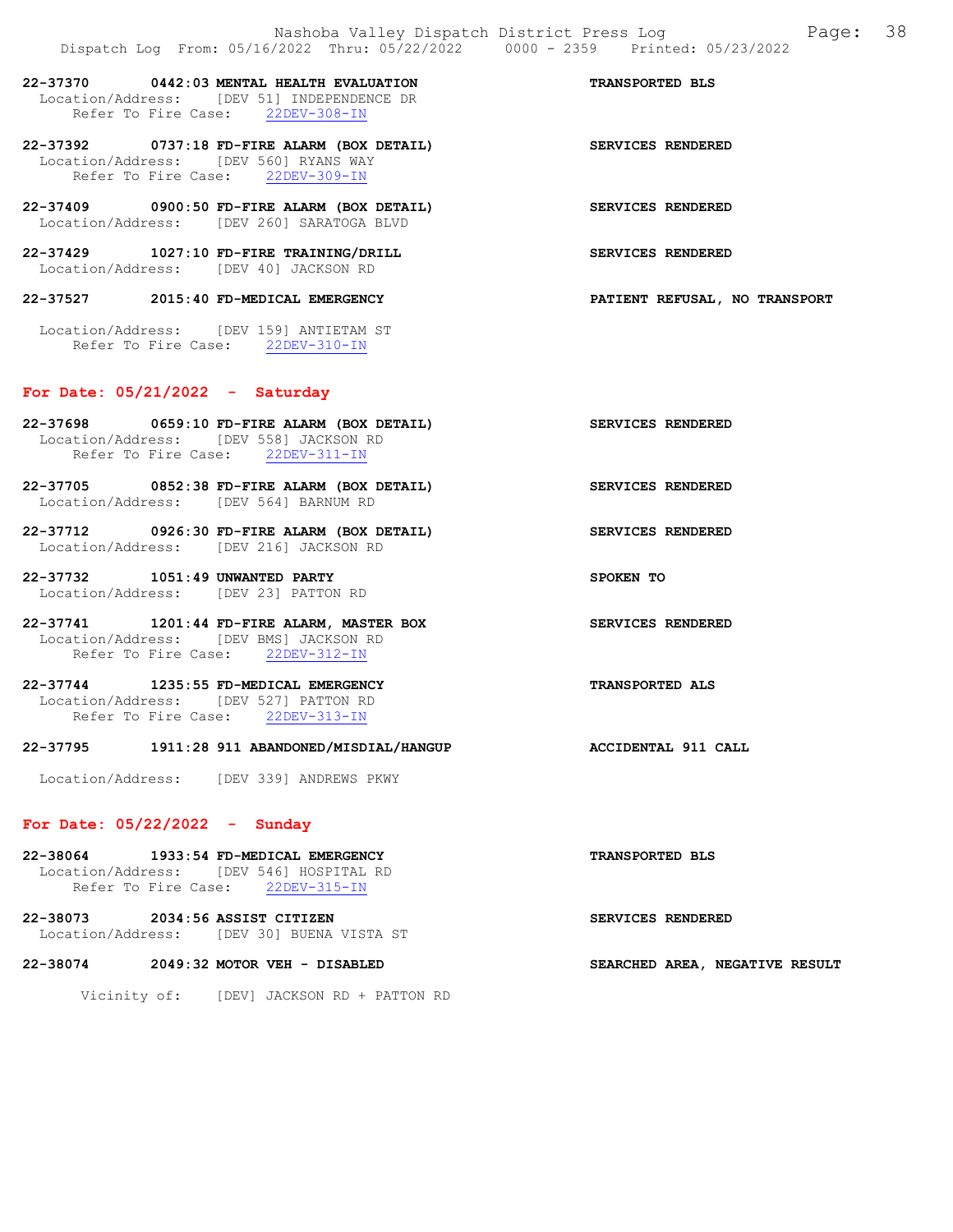# 22-37370 0442:03 MENTAL HEALTH EVALUATION TRANSPORTED BLS Location/Address: [DEV 51] INDEPENDENCE DR Refer To Fire Case: 22DEV-308-IN

22-37392 0737:18 FD-FIRE ALARM (BOX DETAIL) SERVICES RENDERED Location/Address: [DEV 560] RYANS WAY Refer To Fire Case: 22DEV-309-IN

22-37409 0900:50 FD-FIRE ALARM (BOX DETAIL) SERVICES RENDERED Location/Address: [DEV 260] SARATOGA BLVD

22-37429 1027:10 FD-FIRE TRAINING/DRILL SERVICES RENDERED Location/Address: [DEV 40] JACKSON RD

22-37527 2015:40 FD-MEDICAL EMERGENCY PATIENT REFUSAL, NO TRANSPORT

 Location/Address: [DEV 159] ANTIETAM ST Refer To Fire Case: 22DEV-310-IN

### For Date: 05/21/2022 - Saturday

- 22-37698 0659:10 FD-FIRE ALARM (BOX DETAIL) SERVICES RENDERED Location/Address: [DEV 558] JACKSON RD Refer To Fire Case: 22DEV-311-IN
- 22-37705 0852:38 FD-FIRE ALARM (BOX DETAIL) SERVICES RENDERED Location/Address: [DEV 564] BARNUM RD
- 22-37712 0926:30 FD-FIRE ALARM (BOX DETAIL) SERVICES RENDERED Location/Address: [DEV 216] JACKSON RD
- 22-37732 1051:49 UNWANTED PARTY SPOKEN TO Location/Address: [DEV 23] PATTON RD
- 22-37741 1201:44 FD-FIRE ALARM, MASTER BOX SERVICES RENDERED Location/Address: [DEV BMS] JACKSON RD<br>Refer To Fire Case: 22DEV-312-IN Refer To Fire Case:
- 22-37744 1235:55 FD-MEDICAL EMERGENCY TRANSPORTED ALS Location/Address: [DEV 527] PATTON RD Refer To Fire Case: 22DEV-313-IN

#### 22-37795 1911:28 911 ABANDONED/MISDIAL/HANGUP ACCIDENTAL 911 CALL

Location/Address: [DEV 339] ANDREWS PKWY

#### For Date: 05/22/2022 - Sunday

| 22-38064 |                     | 1933:54 FD-MEDICAL EMERGENCY            | <b>TRANSPORTED BLS</b> |
|----------|---------------------|-----------------------------------------|------------------------|
|          |                     | Location/Address: [DEV 546] HOSPITAL RD |                        |
|          | Refer To Fire Case: | 22DEV-315-IN                            |                        |
|          |                     |                                         |                        |

22-38073 2034:56 ASSIST CITIZEN SERVICES RENDERED Location/Address: [DEV 30] BUENA VISTA ST

22-38074 2049:32 MOTOR VEH - DISABLED SEARCHED AREA, NEGATIVE RESULT

Vicinity of: [DEV] JACKSON RD + PATTON RD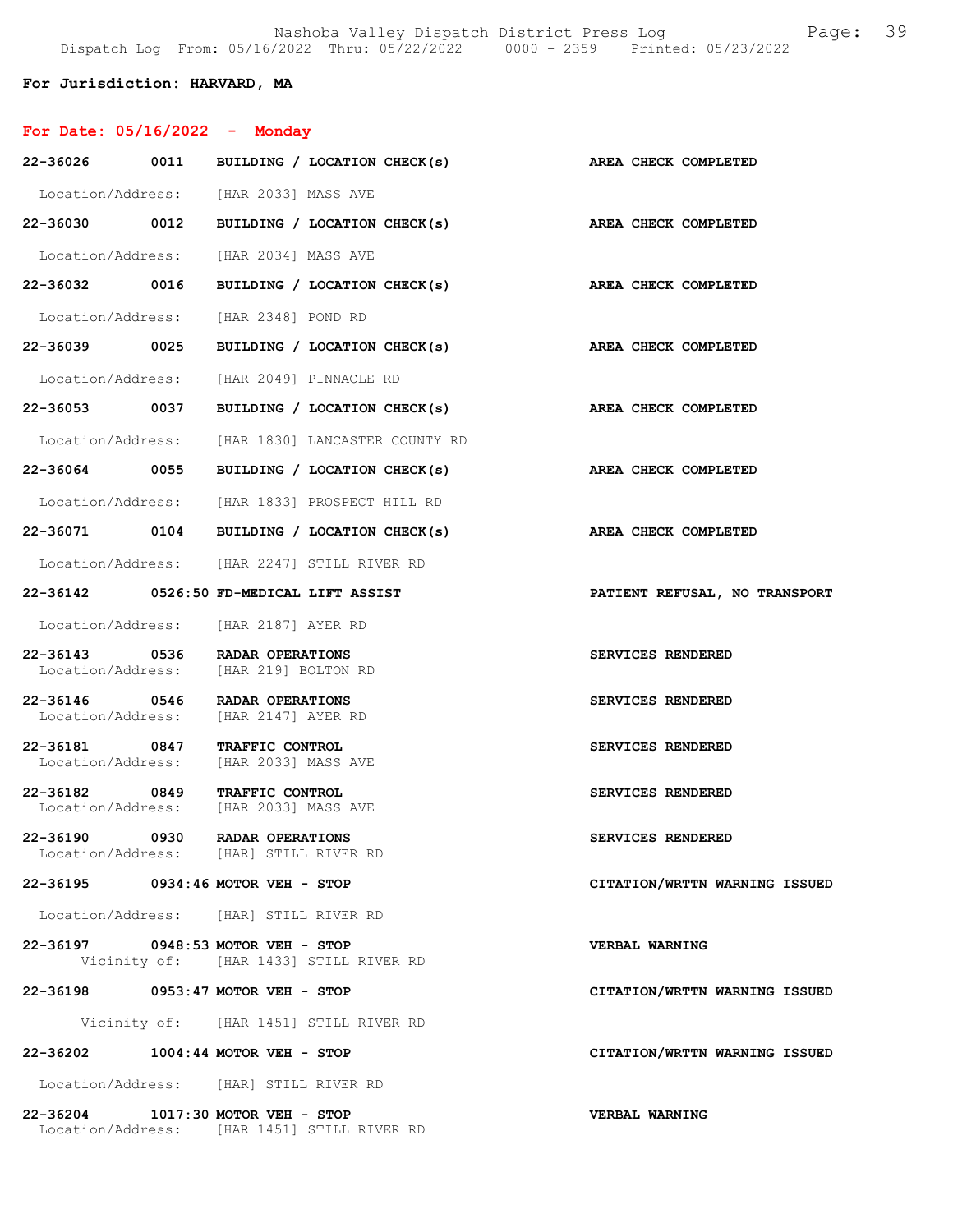22-36039 0025 BUILDING / LOCATION CHECK(s) AREA CHECK COMPLETED

### For Jurisdiction: HARVARD, MA

For Date: 05/16/2022 - Monday

| 22-36026          | 0011 | BUILDING / LOCATION CHECK(s) |                   |  | AREA CHECK COMPLETED   |
|-------------------|------|------------------------------|-------------------|--|------------------------|
| Location/Address: |      | [HAR 2033] MASS AVE          |                   |  |                        |
| 22-36030          | 0012 | BUILDING / LOCATION CHECK(s) |                   |  | AREA CHECK COMPLETED   |
| Location/Address: |      | [HAR 2034] MASS AVE          |                   |  |                        |
| 22-36032          | 0016 | <b>BUILDING</b>              | LOCATION CHECK(s) |  | <b>CHECK COMPLETED</b> |

Location/Address: [HAR 2348] POND RD

- Location/Address: [HAR 2049] PINNACLE RD
- 22-36053 0037 BUILDING / LOCATION CHECK(s) AREA CHECK COMPLETED
- Location/Address: [HAR 1830] LANCASTER COUNTY RD
- 22-36064 0055 BUILDING / LOCATION CHECK(s) AREA CHECK COMPLETED
- Location/Address: [HAR 1833] PROSPECT HILL RD
- 22-36071 0104 BUILDING / LOCATION CHECK(s) AREA CHECK COMPLETED
- Location/Address: [HAR 2247] STILL RIVER RD
- 22-36142 0526:50 FD-MEDICAL LIFT ASSIST PATIENT REFUSAL, NO TRANSPORT
- Location/Address: [HAR 2187] AYER RD
- 22-36143 0536 RADAR OPERATIONS SERVICES RENDERED<br>Location/Address: [HAR 219] BOLTON RD [HAR 219] BOLTON RD
- 22-36146 0546 RADAR OPERATIONS SERVICES RENDERED<br>Location/Address: [HAR 2147] AYER RD [HAR 2147] AYER RD
- 22-36181 0847 TRAFFIC CONTROL SERVICES RENDERED Location/Address: [HAR 2033] MASS AVE
- 22-36182 0849 TRAFFIC CONTROL SERVICES RENDERED<br>
Location/Address: [HAR 2033] MASS AVE [HAR 2033] MASS AVE
- 22-36190 0930 RADAR OPERATIONS SERVICES RENDERED<br>Location/Address: [HAR] STILL RIVER RD [HAR] STILL RIVER RD
- 22-36195 0934:46 MOTOR VEH STOP CITATION/WRTTN WARNING ISSUED
- Location/Address: [HAR] STILL RIVER RD
- 22-36197 0948:53 MOTOR VEH STOP<br>Vicinity of: [HAR 1433] STILL RIVER RD<br>Vicinity of: [HAR 1433] STILL RIVER RD Vicinity of: [HAR 1433] STILL RIVER RD
- 22-36198 0953:47 MOTOR VEH STOP CITATION/WRTTN WARNING ISSUED
	- Vicinity of: [HAR 1451] STILL RIVER RD
- 22-36202 1004:44 MOTOR VEH STOP CITATION/WRTTN WARNING ISSUED
- Location/Address: [HAR] STILL RIVER RD
- 22-36204 1017:30 MOTOR VEH STOP VERBAL WARNING Location/Address: [HAR 1451] STILL RIVER RD
- 
- 
- 
- 
- 
- 
- 
- 
- 
- 
- 
- 
-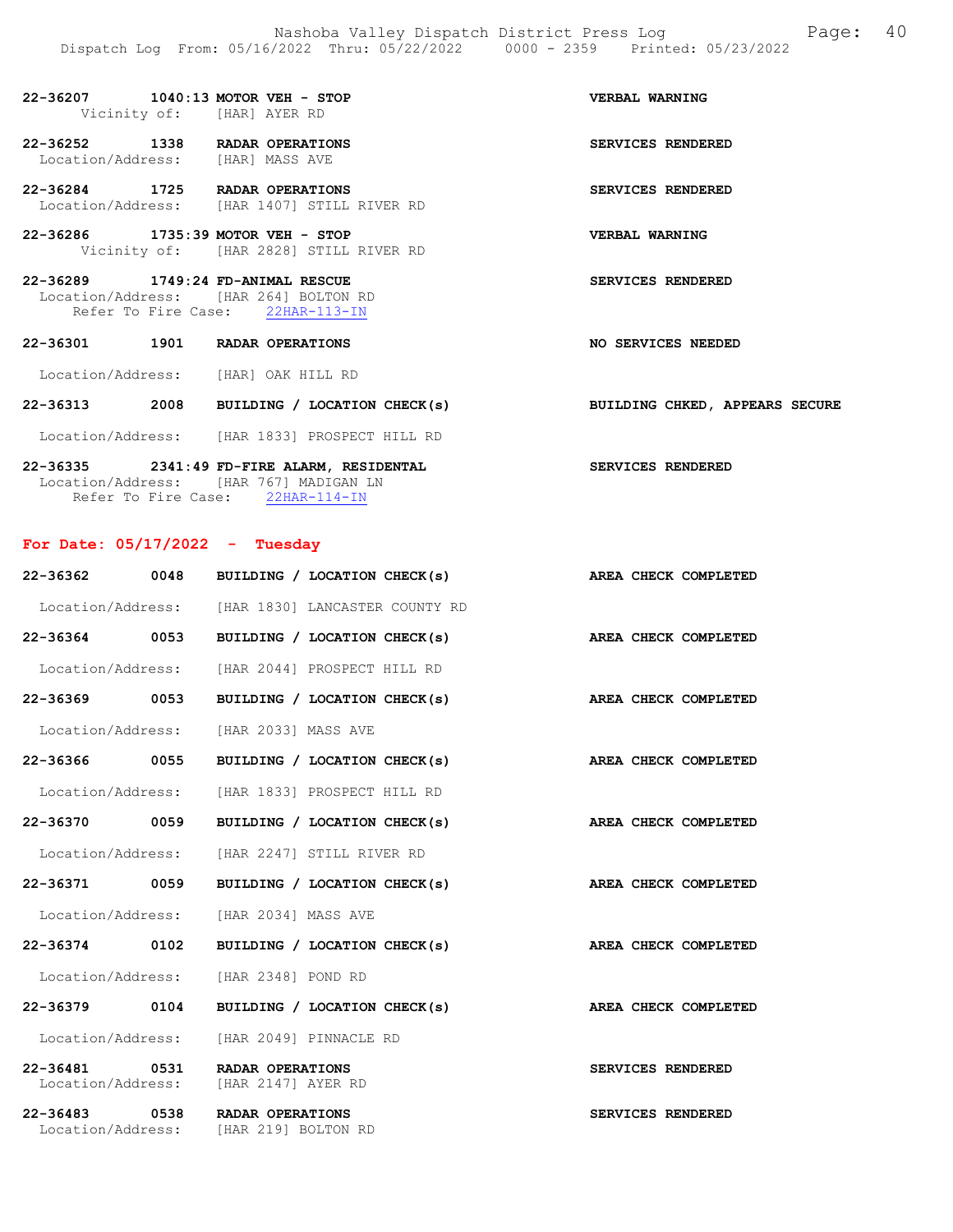# 22-36207 1040:13 MOTOR VEH - STOP VERBAL WARNING Vicinity of: [HAR] AYER RD

22-36252 1338 RADAR OPERATIONS SERVICES RENDERED Location/Address: [HAR] MASS AVE

22-36284 1725 RADAR OPERATIONS SERVICES RENDERED Location/Address: [HAR 1407] STILL RIVER RD

22-36286 1735:39 MOTOR VEH - STOP VERBAL WARNING Vicinity of: [HAR 2828] STILL RIVER RD

22-36289 1749:24 FD-ANIMAL RESCUE SERVICES RENDERED Location/Address: [HAR 264] BOLTON RD Refer To Fire Case: 22HAR-113-IN

22-36301 1901 RADAR OPERATIONS NO SERVICES NEEDED

Location/Address: [HAR] OAK HILL RD

## 22-36313 2008 BUILDING / LOCATION CHECK(s) BUILDING CHKED, APPEARS SECURE

Location/Address: [HAR 1833] PROSPECT HILL RD

22-36335 2341:49 FD-FIRE ALARM, RESIDENTAL SERVICES RENDERED Location/Address: [HAR 767] MADIGAN LN Refer To Fire Case: 22HAR-114-IN

# For Date: 05/17/2022 - Tuesday

| 22-36362                          | 0048 | BUILDING / LOCATION CHECK(s)                     | AREA CHECK COMPLETED        |
|-----------------------------------|------|--------------------------------------------------|-----------------------------|
|                                   |      | Location/Address: [HAR 1830] LANCASTER COUNTY RD |                             |
| 22-36364 0053                     |      | BUILDING / LOCATION CHECK(s)                     | AREA CHECK COMPLETED        |
| Location/Address:                 |      | [HAR 2044] PROSPECT HILL RD                      |                             |
| 22-36369 0053                     |      | BUILDING / LOCATION CHECK(s)                     | AREA CHECK COMPLETED        |
| Location/Address:                 |      | [HAR 2033] MASS AVE                              |                             |
| 22-36366 0055                     |      | BUILDING / LOCATION CHECK(s)                     | AREA CHECK COMPLETED        |
| Location/Address:                 |      | [HAR 1833] PROSPECT HILL RD                      |                             |
| 22-36370 0059                     |      | BUILDING / LOCATION CHECK(s)                     | AREA CHECK COMPLETED        |
| Location/Address:                 |      | [HAR 2247] STILL RIVER RD                        |                             |
| 22-36371 0059                     |      | BUILDING / LOCATION CHECK(s)                     | <b>AREA CHECK COMPLETED</b> |
| Location/Address:                 |      | [HAR 2034] MASS AVE                              |                             |
| 22-36374 0102                     |      | BUILDING / LOCATION CHECK(s)                     | AREA CHECK COMPLETED        |
| Location/Address:                 |      | [HAR 2348] POND RD                               |                             |
| 22-36379 0104                     |      | BUILDING / LOCATION CHECK(s)                     | AREA CHECK COMPLETED        |
| Location/Address:                 |      | [HAR 2049] PINNACLE RD                           |                             |
| $22 - 36481$<br>Location/Address: | 0531 | RADAR OPERATIONS<br>[HAR 2147] AYER RD           | <b>SERVICES RENDERED</b>    |
| $22 - 36483$<br>Location/Address: | 0538 | <b>RADAR OPERATIONS</b><br>[HAR 219] BOLTON RD   | SERVICES RENDERED           |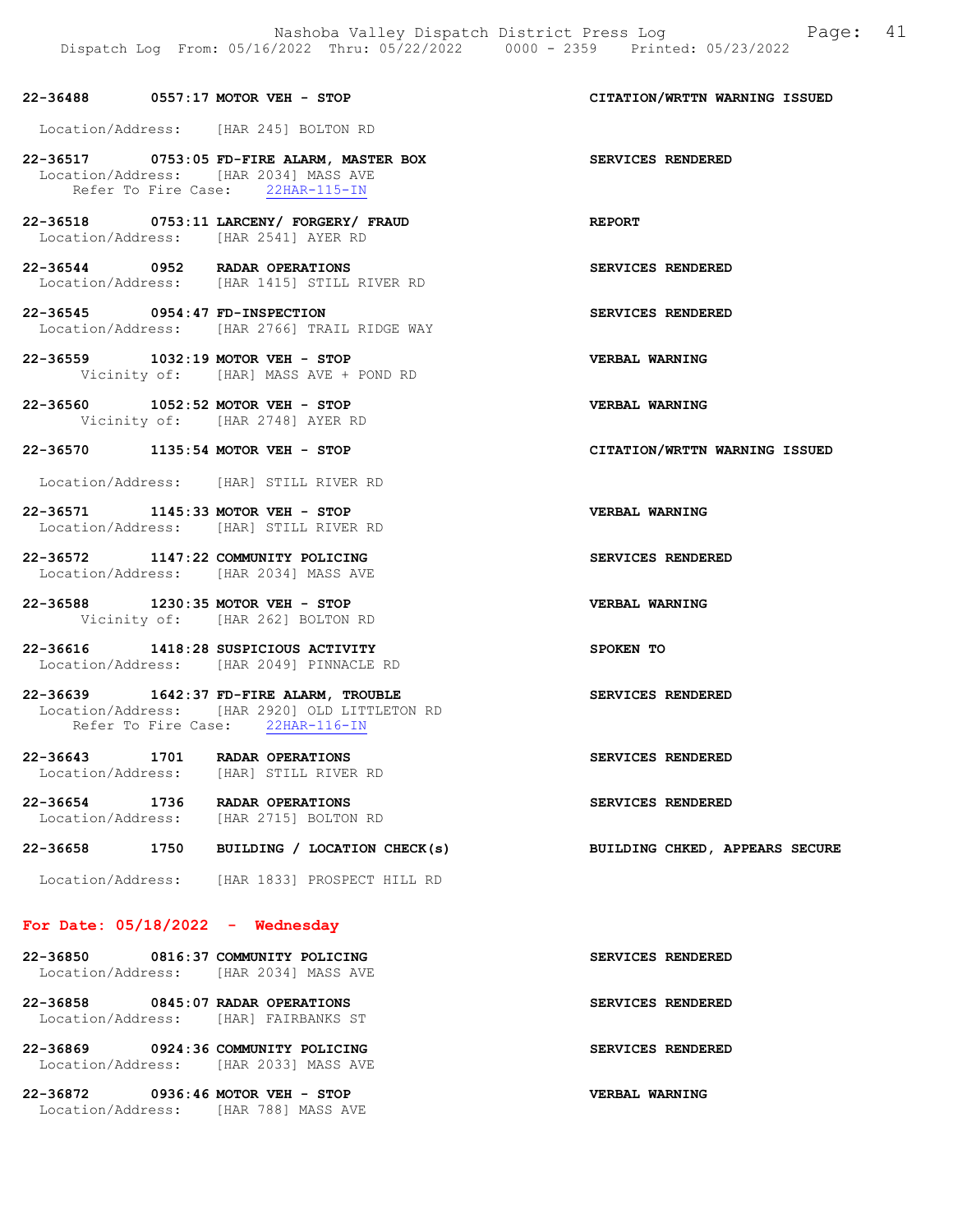#### 22-36488 0557:17 MOTOR VEH - STOP CITATION/WRTTN WARNING ISSUED

Location/Address: [HAR 245] BOLTON RD

22-36517 0753:05 FD-FIRE ALARM, MASTER BOX SERVICES RENDERED Location/Address: [HAR 2034] MASS AVE Refer To Fire Case: 22HAR-115-IN

22-36518 0753:11 LARCENY/ FORGERY/ FRAUD REPORT Location/Address: [HAR 2541] AYER RD

22-36544 0952 RADAR OPERATIONS SERVICES RENDERED Location/Address: [HAR 1415] STILL RIVER RD

22-36545 0954:47 FD-INSPECTION SERVICES RENDERED Location/Address: [HAR 2766] TRAIL RIDGE WAY

22-36559 1032:19 MOTOR VEH - STOP VERBAL WARNING Vicinity of: [HAR] MASS AVE + POND RD

22-36560 1052:52 MOTOR VEH - STOP VERBAL WARNING Vicinity of: [HAR 2748] AYER RD

#### 22-36570 1135:54 MOTOR VEH - STOP CITATION/WRTTN WARNING ISSUED

Location/Address: [HAR] STILL RIVER RD

22-36571 1145:33 MOTOR VEH - STOP VERBAL WARNING Location/Address: [HAR] STILL RIVER RD

22-36572 1147:22 COMMUNITY POLICING SERVICES RENDERED Location/Address: [HAR 2034] MASS AVE

22-36588 1230:35 MOTOR VEH - STOP VERBAL WARNING Vicinity of: [HAR 262] BOLTON RD

22-36616 1418:28 SUSPICIOUS ACTIVITY SPOKEN TO Location/Address: [HAR 2049] PINNACLE RD

22-36639 1642:37 FD-FIRE ALARM, TROUBLE SERVICES RENDERED Location/Address: [HAR 2920] OLD LITTLETON RD Refer To Fire Case: 22HAR-116-IN

22-36643 1701 RADAR OPERATIONS SERVICES RENDERED Location/Address: [HAR] STILL RIVER RD

22-36654 1736 RADAR OPERATIONS SERVICES RENDERED<br>
Location/Address: [HAR 2715] BOLTON RD [HAR 2715] BOLTON RD

22-36658 1750 BUILDING / LOCATION CHECK(s) BUILDING CHKED, APPEARS SECURE

Location/Address: [HAR 1833] PROSPECT HILL RD

# For Date:  $05/18/2022 -$  Wednesday

|          | 22-36850 0816:37 COMMUNITY POLICING                                          | SERVICES RENDERED |
|----------|------------------------------------------------------------------------------|-------------------|
|          | Location/Address: [HAR 2034] MASS AVE                                        |                   |
|          | 22-36858 0845:07 RADAR OPERATIONS<br>Location/Address: [HAR] FAIRBANKS ST    | SERVICES RENDERED |
|          | 22-36869 0924:36 COMMUNITY POLICING<br>Location/Address: [HAR 2033] MASS AVE | SERVICES RENDERED |
| 22-36872 | $0936:46$ MOTOR VEH - STOP                                                   | VERBAL WARNING    |

Location/Address: [HAR 788] MASS AVE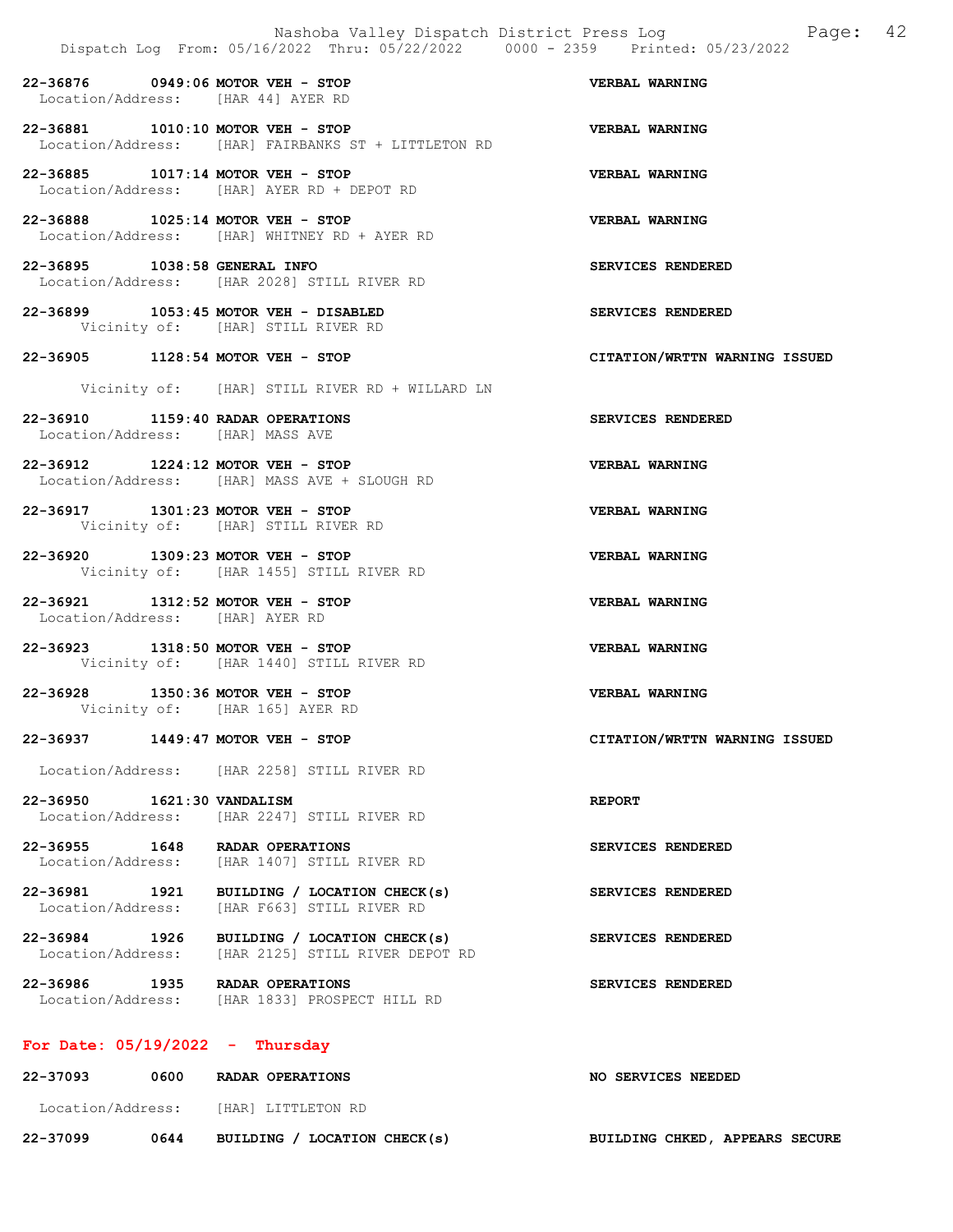22-36876 0949:06 MOTOR VEH - STOP VERBAL WARNING Location/Address: [HAR 44] AYER RD

22-36881 1010:10 MOTOR VEH - STOP VERBAL WARNING Location/Address: [HAR] FAIRBANKS ST + LITTLETON RD

22-36885 1017:14 MOTOR VEH - STOP VERBAL WARNING Location/Address: [HAR] AYER RD + DEPOT RD

22-36888 1025:14 MOTOR VEH - STOP VERBAL WARNING Location/Address: [HAR] WHITNEY RD + AYER RD

22-36895 1038:58 GENERAL INFO SERVICES RENDERED Location/Address: [HAR 2028] STILL RIVER RD

22-36899 1053:45 MOTOR VEH - DISABLED SERVICES RENDERED Vicinity of: [HAR] STILL RIVER RD

22-36905 1128:54 MOTOR VEH - STOP CITATION/WRTTN WARNING ISSUED

Vicinity of: [HAR] STILL RIVER RD + WILLARD LN

22-36910 1159:40 RADAR OPERATIONS SERVICES RENDERED Location/Address: [HAR] MASS AVE

22-36912 1224:12 MOTOR VEH - STOP VERBAL WARNING Location/Address: [HAR] MASS AVE + SLOUGH RD

22-36917 1301:23 MOTOR VEH - STOP VERBAL WARNING Vicinity of: [HAR] STILL RIVER RD

22-36920 1309:23 MOTOR VEH - STOP VERBAL WARNING Vicinity of: [HAR 1455] STILL RIVER RD

22-36921 1312:52 MOTOR VEH - STOP VERBAL WARNING Location/Address: [HAR] AYER RD

22-36923 1318:50 MOTOR VEH - STOP VERBAL WARNING Vicinity of: [HAR 1440] STILL RIVER RD

22-36928 1350:36 MOTOR VEH - STOP VERBAL WARNING Vicinity of: [HAR 165] AYER RD

22-36937 1449:47 MOTOR VEH - STOP CITATION/WRTTN WARNING ISSUED

Location/Address: [HAR 2258] STILL RIVER RD

22-36950 1621:30 VANDALISM REPORT Location/Address: [HAR 2247] STILL RIVER RD

22-36955 1648 RADAR OPERATIONS<br>
Location/Address: [HAR 1407] STILL RIVER RD<br>
SERVICES RENDERED [HAR 1407] STILL RIVER RD

22-36981 1921 BUILDING / LOCATION CHECK(s) SERVICES RENDERED Location/Address: [HAR F663] STILL RIVER RD

22-36984 1926 BUILDING / LOCATION CHECK(s) SERVICES RENDERED<br>Location/Address: [HAR 2125] STILL RIVER DEPOT RD [HAR 2125] STILL RIVER DEPOT RD

22-36986 1935 RADAR OPERATIONS<br>
Location/Address: [HAR 1833] PROSPECT HILL RD<br> **SERVICES RENDERED** [HAR 1833] PROSPECT HILL RD

# For Date: 05/19/2022 - Thursday

| 22-37093          | 0600 | RADAR OPERATIONS             | NO SERVICES NEEDED |                                |  |
|-------------------|------|------------------------------|--------------------|--------------------------------|--|
| Location/Address: |      | [HAR] LITTLETON RD           |                    |                                |  |
| 22-37099          | 0644 | BUILDING / LOCATION CHECK(s) |                    | BUILDING CHKED, APPEARS SECURE |  |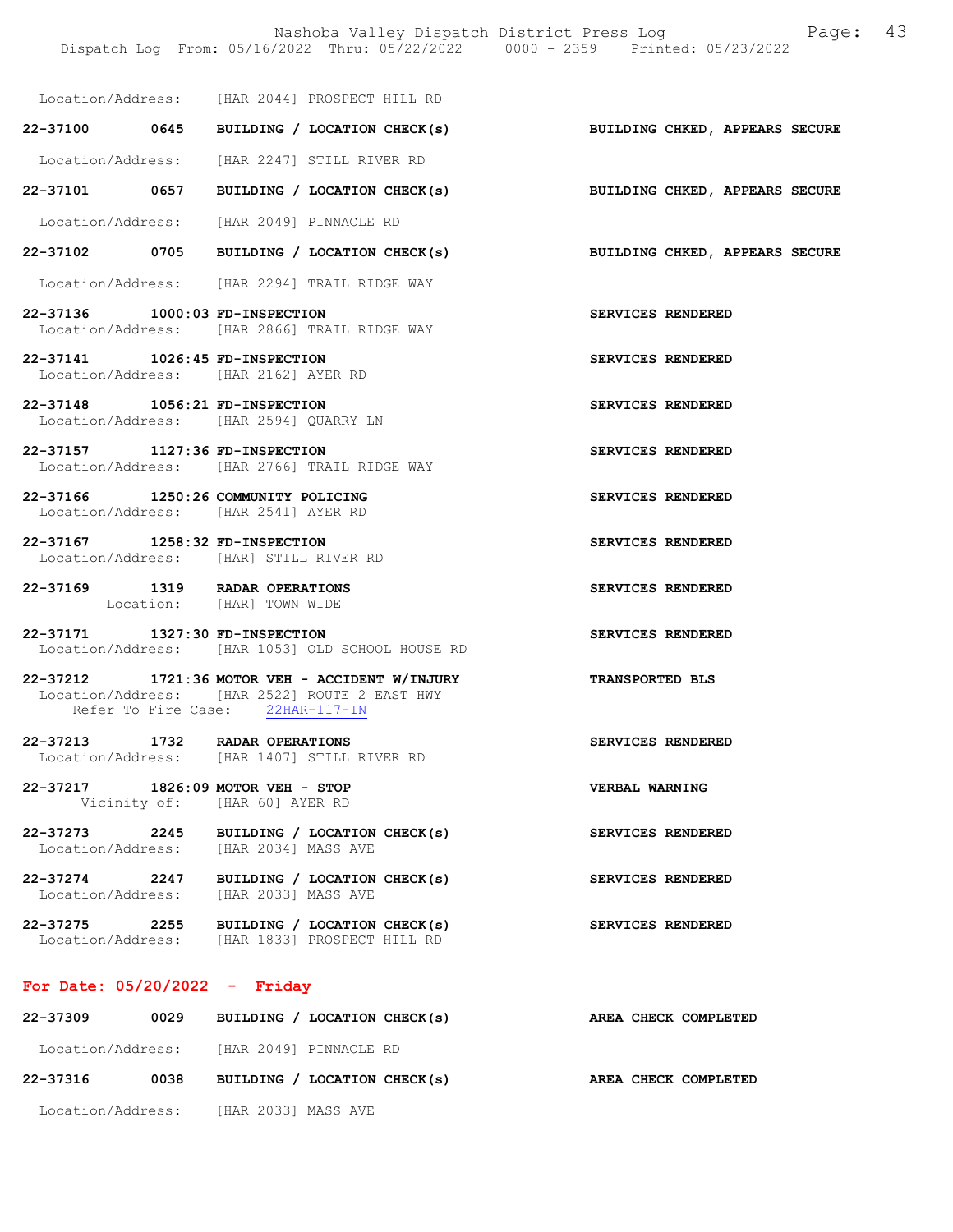Nashoba Valley Dispatch District Press Log Fage: 43

| Location/Address: [HAR 2044] PROSPECT HILL RD                                                   |                                  |  |                                                                           |                       |  |  |
|-------------------------------------------------------------------------------------------------|----------------------------------|--|---------------------------------------------------------------------------|-----------------------|--|--|
|                                                                                                 |                                  |  | 22-37100 0645 BUILDING / LOCATION CHECK(s) BUILDING CHKED, APPEARS SECURE |                       |  |  |
| Location/Address: [HAR 2247] STILL RIVER RD                                                     |                                  |  |                                                                           |                       |  |  |
|                                                                                                 |                                  |  | 22-37101 0657 BUILDING / LOCATION CHECK(s) BUILDING CHKED, APPEARS SECURE |                       |  |  |
| Location/Address: [HAR 2049] PINNACLE RD                                                        |                                  |  |                                                                           |                       |  |  |
|                                                                                                 |                                  |  | 22-37102 0705 BUILDING / LOCATION CHECK(s) BUILDING CHKED, APPEARS SECURE |                       |  |  |
| Location/Address: [HAR 2294] TRAIL RIDGE WAY                                                    |                                  |  |                                                                           |                       |  |  |
| 22-37136 1000:03 FD-INSPECTION<br>Location/Address: [HAR 2866] TRAIL RIDGE WAY                  |                                  |  |                                                                           | SERVICES RENDERED     |  |  |
| 22-37141 1026:45 FD-INSPECTION<br>Location/Address: [HAR 2162] AYER RD                          |                                  |  |                                                                           | SERVICES RENDERED     |  |  |
| 22-37148 1056:21 FD-INSPECTION<br>Location/Address: [HAR 2594] QUARRY LN                        |                                  |  |                                                                           | SERVICES RENDERED     |  |  |
| 22-37157 1127:36 FD-INSPECTION<br>Location/Address: [HAR 2766] TRAIL RIDGE WAY                  |                                  |  |                                                                           | SERVICES RENDERED     |  |  |
| 22-37166 1250:26 COMMUNITY POLICING<br>Location/Address: [HAR 2541] AYER RD                     |                                  |  |                                                                           | SERVICES RENDERED     |  |  |
| 22-37167 1258:32 FD-INSPECTION<br>Location/Address: [HAR] STILL RIVER RD                        |                                  |  |                                                                           | SERVICES RENDERED     |  |  |
| 22-37169 1319 RADAR OPERATIONS<br>Location: [HAR] TOWN WIDE                                     |                                  |  |                                                                           | SERVICES RENDERED     |  |  |
| 22-37171 1327:30 FD-INSPECTION<br>Location/Address: [HAR 1053] OLD SCHOOL HOUSE RD              |                                  |  |                                                                           | SERVICES RENDERED     |  |  |
| 22-37212 1721:36 MOTOR VEH - ACCIDENT W/INJURY<br>Location/Address: [HAR 2522] ROUTE 2 EAST HWY | Refer To Fire Case: 22HAR-117-IN |  |                                                                           | TRANSPORTED BLS       |  |  |
| 22-37213 1732 RADAR OPERATIONS<br>Location/Address: [HAR 1407] STILL RIVER RD                   |                                  |  |                                                                           | SERVICES RENDERED     |  |  |
| 22-37217 1826:09 MOTOR VEH - STOP                                                               | Vicinity of: [HAR 60] AYER RD    |  |                                                                           | <b>VERBAL WARNING</b> |  |  |
| 22-37273 2245 BUILDING / LOCATION CHECK(s)<br>Location/Address: [HAR 2034] MASS AVE             |                                  |  |                                                                           | SERVICES RENDERED     |  |  |
| 22-37274 2247 BUILDING / LOCATION CHECK(s)<br>Location/Address: [HAR 2033] MASS AVE             |                                  |  |                                                                           | SERVICES RENDERED     |  |  |

22-37275 2255 BUILDING / LOCATION CHECK(s) SERVICES RENDERED Location/Address: [HAR 1833] PROSPECT HILL RD

# For Date: 05/20/2022 - Friday

| 22-37309          | 0029 | BUILDING / LOCATION CHECK(s) | AREA CHECK COMPLETED |
|-------------------|------|------------------------------|----------------------|
| Location/Address: |      | [HAR 2049] PINNACLE RD       |                      |
| 22-37316          | 0038 | BUILDING / LOCATION CHECK(s) | AREA CHECK COMPLETED |
| Location/Address: |      | [HAR 2033] MASS AVE          |                      |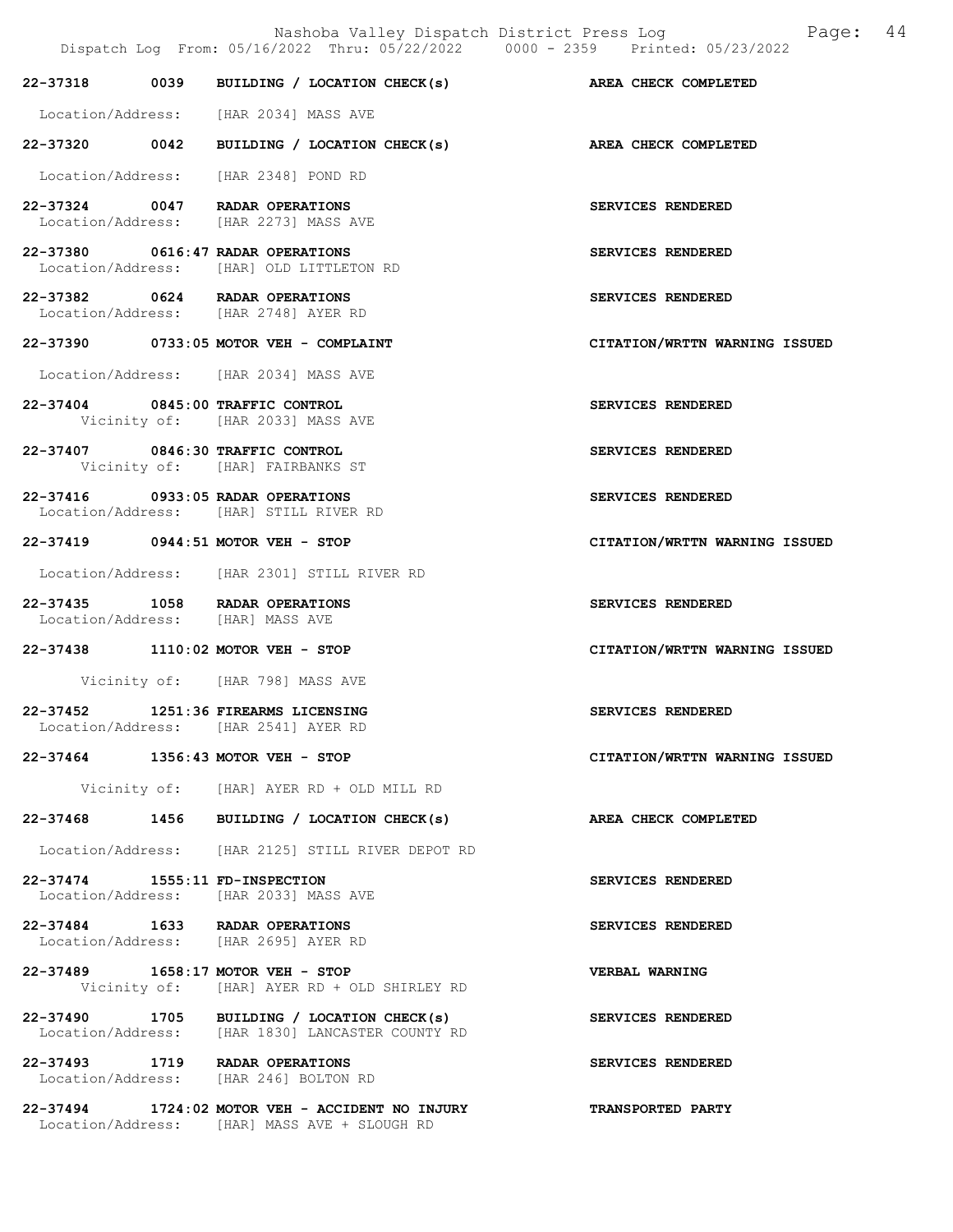Nashoba Valley Dispatch District Press Log Fage: 44

|                                | Dispatch Log From: 05/16/2022 Thru: 05/22/2022 0000 - 2359 Printed: 05/23/2022                  |                               |
|--------------------------------|-------------------------------------------------------------------------------------------------|-------------------------------|
|                                | 22-37318 0039 BUILDING / LOCATION CHECK(s) AREA CHECK COMPLETED                                 |                               |
|                                | Location/Address: [HAR 2034] MASS AVE                                                           |                               |
|                                | 22-37320 0042 BUILDING / LOCATION CHECK(s) AREA CHECK COMPLETED                                 |                               |
|                                | Location/Address: [HAR 2348] POND RD                                                            |                               |
|                                | 22-37324 0047 RADAR OPERATIONS<br>Location/Address: [HAR 2273] MASS AVE                         | SERVICES RENDERED             |
|                                | 22-37380 0616:47 RADAR OPERATIONS<br>Location/Address: [HAR] OLD LITTLETON RD                   | SERVICES RENDERED             |
|                                | 22-37382 0624 RADAR OPERATIONS<br>Location/Address: [HAR 2748] AYER RD                          | SERVICES RENDERED             |
|                                | 22-37390 0733:05 MOTOR VEH - COMPLAINT                                                          | CITATION/WRTTN WARNING ISSUED |
|                                | Location/Address: [HAR 2034] MASS AVE                                                           |                               |
|                                | 22-37404 0845:00 TRAFFIC CONTROL<br>Vicinity of: [HAR 2033] MASS AVE                            | SERVICES RENDERED             |
|                                | 22-37407 0846:30 TRAFFIC CONTROL<br>Vicinity of: [HAR] FAIRBANKS ST                             | SERVICES RENDERED             |
|                                | 22-37416 0933:05 RADAR OPERATIONS<br>Location/Address: [HAR] STILL RIVER RD                     | SERVICES RENDERED             |
|                                | 22-37419 0944:51 MOTOR VEH - STOP                                                               | CITATION/WRTTN WARNING ISSUED |
|                                | Location/Address: [HAR 2301] STILL RIVER RD                                                     |                               |
|                                | 22-37435 1058 RADAR OPERATIONS<br>Location/Address: [HAR] MASS AVE                              | SERVICES RENDERED             |
|                                | 22-37438 1110:02 MOTOR VEH - STOP                                                               | CITATION/WRTTN WARNING ISSUED |
|                                | Vicinity of: [HAR 798] MASS AVE                                                                 |                               |
|                                | 22-37452 1251:36 FIREARMS LICENSING<br>Location/Address: [HAR 2541] AYER RD                     | SERVICES RENDERED             |
|                                | 22-37464 1356:43 MOTOR VEH - STOP                                                               | CITATION/WRTTN WARNING ISSUED |
|                                | Vicinity of: [HAR] AYER RD + OLD MILL RD                                                        |                               |
| 22-37468                       | 1456 BUILDING / LOCATION CHECK(s)                                                               | AREA CHECK COMPLETED          |
|                                | Location/Address: [HAR 2125] STILL RIVER DEPOT RD                                               |                               |
| 22-37474 1555:11 FD-INSPECTION | Location/Address: [HAR 2033] MASS AVE                                                           | SERVICES RENDERED             |
|                                | 22-37484 1633 RADAR OPERATIONS<br>Location/Address: [HAR 2695] AYER RD                          | SERVICES RENDERED             |
|                                | 22-37489 1658:17 MOTOR VEH - STOP<br>Vicinity of: [HAR] AYER RD + OLD SHIRLEY RD                | <b>VERBAL WARNING</b>         |
|                                | 22-37490 1705 BUILDING / LOCATION CHECK(s)<br>Location/Address: [HAR 1830] LANCASTER COUNTY RD  | SERVICES RENDERED             |
|                                | 22-37493 1719 RADAR OPERATIONS<br>Location/Address: [HAR 246] BOLTON RD                         | SERVICES RENDERED             |
|                                | 22-37494 1724:02 MOTOR VEH - ACCIDENT NO INJURY<br>Location/Address: [HAR] MASS AVE + SLOUGH RD | <b>TRANSPORTED PARTY</b>      |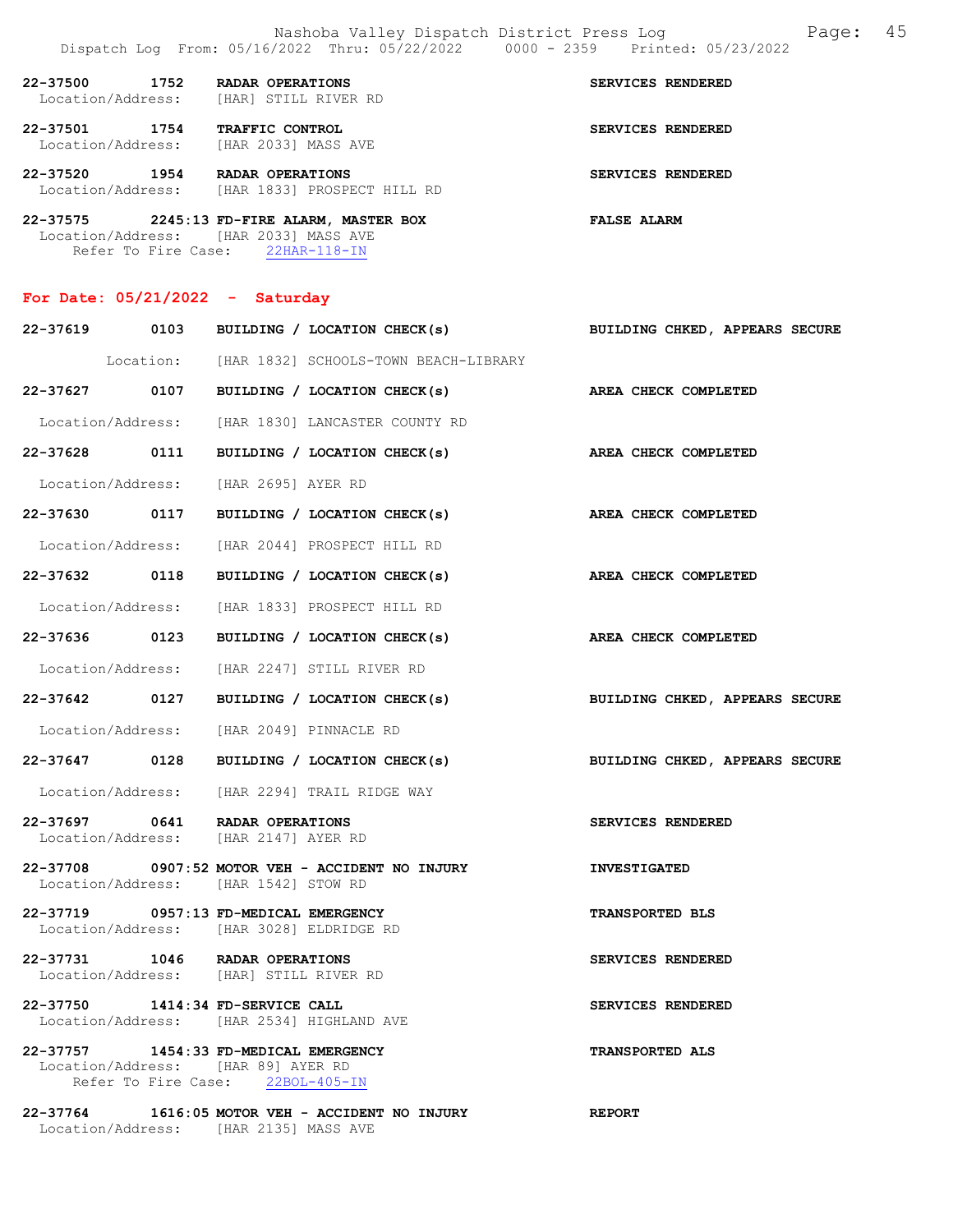|                                                                             | Nashoba Valley Dispatch District Press Log<br>Dispatch Log From: 05/16/2022 Thru: 05/22/2022 0000 - 2359 Printed: 05/23/2022 | 45<br>Page:                           |
|-----------------------------------------------------------------------------|------------------------------------------------------------------------------------------------------------------------------|---------------------------------------|
| 22-37500<br>1752                                                            | RADAR OPERATIONS<br>Location/Address: [HAR] STILL RIVER RD                                                                   | SERVICES RENDERED                     |
| 22-37501 1754 TRAFFIC CONTROL<br>Location/Address: [HAR 2033] MASS AVE      |                                                                                                                              | SERVICES RENDERED                     |
| 22-37520 1954 RADAR OPERATIONS                                              | Location/Address: [HAR 1833] PROSPECT HILL RD                                                                                | SERVICES RENDERED                     |
| Location/Address: [HAR 2033] MASS AVE                                       | 22-37575 2245:13 FD-FIRE ALARM, MASTER BOX<br>Refer To Fire Case: 22HAR-118-IN                                               | <b>FALSE ALARM</b>                    |
| For Date: $05/21/2022 -$ Saturday                                           |                                                                                                                              |                                       |
|                                                                             | 22-37619 0103 BUILDING / LOCATION CHECK(s)                                                                                   | <b>BUILDING CHKED, APPEARS SECURE</b> |
|                                                                             | Location: [HAR 1832] SCHOOLS-TOWN BEACH-LIBRARY                                                                              |                                       |
|                                                                             | 22-37627 0107 BUILDING / LOCATION CHECK(s)                                                                                   | AREA CHECK COMPLETED                  |
|                                                                             | Location/Address: [HAR 1830] LANCASTER COUNTY RD                                                                             |                                       |
| 0111<br>22-37628                                                            | BUILDING / LOCATION CHECK(s)                                                                                                 | AREA CHECK COMPLETED                  |
| Location/Address: [HAR 2695] AYER RD                                        |                                                                                                                              |                                       |
|                                                                             | 22-37630 0117 BUILDING / LOCATION CHECK(s)                                                                                   | AREA CHECK COMPLETED                  |
| Location/Address:                                                           | [HAR 2044] PROSPECT HILL RD                                                                                                  |                                       |
| 22-37632 0118                                                               | BUILDING / LOCATION CHECK(s)                                                                                                 | AREA CHECK COMPLETED                  |
|                                                                             | Location/Address: [HAR 1833] PROSPECT HILL RD                                                                                |                                       |
| 22-37636<br>0123                                                            | BUILDING / LOCATION CHECK(s)                                                                                                 | <b>AREA CHECK COMPLETED</b>           |
|                                                                             | Location/Address: [HAR 2247] STILL RIVER RD                                                                                  |                                       |
| 22-37642 0127                                                               | BUILDING / LOCATION CHECK(s)                                                                                                 | BUILDING CHKED, APPEARS SECURE        |
|                                                                             | Location/Address: [HAR 2049] PINNACLE RD                                                                                     |                                       |
|                                                                             | 22-37647 0128 BUILDING / LOCATION CHECK(s)                                                                                   | BUILDING CHKED, APPEARS SECURE        |
|                                                                             | Location/Address: [HAR 2294] TRAIL RIDGE WAY                                                                                 |                                       |
| 22-37697 0641 RADAR OPERATIONS<br>Location/Address: [HAR 2147] AYER RD      |                                                                                                                              | SERVICES RENDERED                     |
| Location/Address: [HAR 1542] STOW RD                                        | 22-37708 0907:52 MOTOR VEH - ACCIDENT NO INJURY                                                                              | <b>INVESTIGATED</b>                   |
| 22-37719 0957:13 FD-MEDICAL EMERGENCY                                       | Location/Address: [HAR 3028] ELDRIDGE RD                                                                                     | <b>TRANSPORTED BLS</b>                |
| 22-37731 1046 RADAR OPERATIONS                                              | Location/Address: [HAR] STILL RIVER RD                                                                                       | SERVICES RENDERED                     |
| 22-37750 1414:34 FD-SERVICE CALL                                            | Location/Address: [HAR 2534] HIGHLAND AVE                                                                                    | SERVICES RENDERED                     |
| 22-37757 1454:33 FD-MEDICAL EMERGENCY<br>Location/Address: [HAR 89] AYER RD | Refer To Fire Case: 22BOL-405-IN                                                                                             | <b>TRANSPORTED ALS</b>                |
| Location/Address: [HAR 2135] MASS AVE                                       | 22-37764 1616:05 MOTOR VEH - ACCIDENT NO INJURY                                                                              | <b>REPORT</b>                         |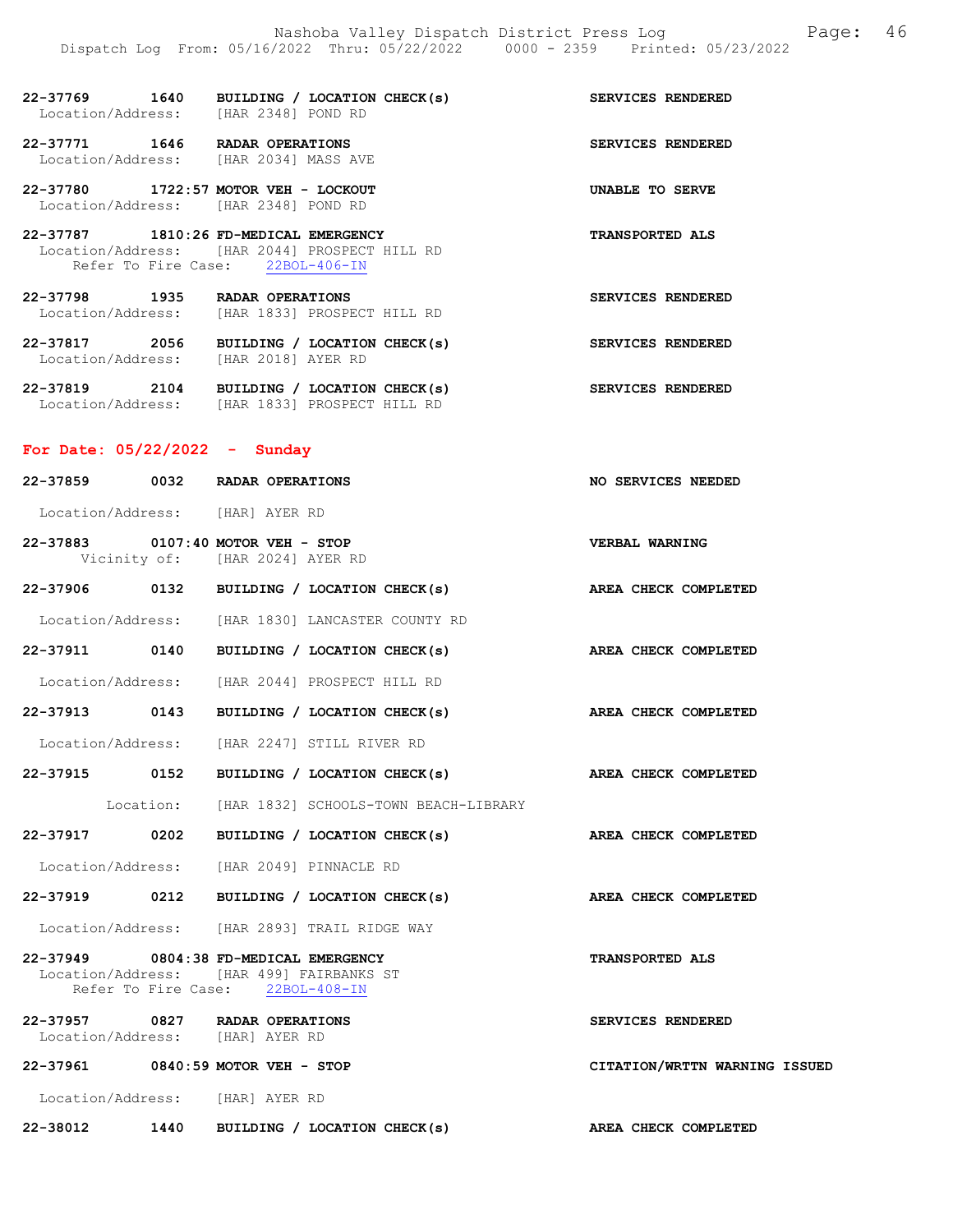22-37769 1640 BUILDING / LOCATION CHECK(s) SERVICES RENDERED Location/Address: [HAR 2348] POND RD

22-37771 1646 RADAR OPERATIONS SERVICES RENDERED Location/Address: [HAR 2034] MASS AVE

22-37780 1722:57 MOTOR VEH - LOCKOUT UNABLE TO SERVE Location/Address: [HAR 2348] POND RD

22-37787 1810:26 FD-MEDICAL EMERGENCY TRANSPORTED ALS Location/Address: [HAR 2044] PROSPECT HILL RD Refer To Fire Case: 22BOL-406-IN

22-37798 1935 RADAR OPERATIONS SERVICES RENDERED Location/Address: [HAR 1833] PROSPECT HILL RD

22-37817 2056 BUILDING / LOCATION CHECK(s) SERVICES RENDERED Location/Address: [HAR 2018] AYER RD

22-37819 2104 BUILDING / LOCATION CHECK(s) SERVICES RENDERED Location/Address: [HAR 1833] PROSPECT HILL RD

# For Date: 05/22/2022 - Sunday

| 22-37859 0032 RADAR OPERATIONS                                                                                        |                                 |                                                                 | NO SERVICES NEEDED            |
|-----------------------------------------------------------------------------------------------------------------------|---------------------------------|-----------------------------------------------------------------|-------------------------------|
| Location/Address: [HAR] AYER RD                                                                                       |                                 |                                                                 |                               |
| 22-37883 0107:40 MOTOR VEH - STOP                                                                                     | Vicinity of: [HAR 2024] AYER RD |                                                                 | VERBAL WARNING                |
|                                                                                                                       |                                 | 22-37906 0132 BUILDING / LOCATION CHECK(s) AREA CHECK COMPLETED |                               |
|                                                                                                                       |                                 | Location/Address: [HAR 1830] LANCASTER COUNTY RD                |                               |
|                                                                                                                       |                                 | 22-37911 0140 BUILDING / LOCATION CHECK(s) AREA CHECK COMPLETED |                               |
|                                                                                                                       |                                 | Location/Address: [HAR 2044] PROSPECT HILL RD                   |                               |
|                                                                                                                       |                                 | 22-37913 0143 BUILDING / LOCATION CHECK(s)                      | AREA CHECK COMPLETED          |
|                                                                                                                       |                                 | Location/Address: [HAR 2247] STILL RIVER RD                     |                               |
|                                                                                                                       |                                 | 22-37915 0152 BUILDING / LOCATION CHECK(s) AREA CHECK COMPLETED |                               |
|                                                                                                                       |                                 | Location: [HAR 1832] SCHOOLS-TOWN BEACH-LIBRARY                 |                               |
|                                                                                                                       |                                 | 22-37917 0202 BUILDING / LOCATION CHECK(s) AREA CHECK COMPLETED |                               |
| Location/Address: [HAR 2049] PINNACLE RD                                                                              |                                 |                                                                 |                               |
|                                                                                                                       |                                 | 22-37919 0212 BUILDING / LOCATION CHECK(s) AREA CHECK COMPLETED |                               |
|                                                                                                                       |                                 | Location/Address: [HAR 2893] TRAIL RIDGE WAY                    |                               |
| 22-37949 0804:38 FD-MEDICAL EMERGENCY<br>Location/Address: [HAR 499] FAIRBANKS ST<br>Refer To Fire Case: 22BOL-408-IN |                                 |                                                                 | <b>TRANSPORTED ALS</b>        |
| 22-37957 0827 RADAR OPERATIONS<br>Location/Address: [HAR] AYER RD                                                     |                                 |                                                                 | <b>SERVICES RENDERED</b>      |
| 22-37961 0840:59 MOTOR VEH - STOP                                                                                     |                                 |                                                                 | CITATION/WRTTN WARNING ISSUED |
| Location/Address: [HAR] AYER RD                                                                                       |                                 |                                                                 |                               |

22-38012 1440 BUILDING / LOCATION CHECK(s) AREA CHECK COMPLETED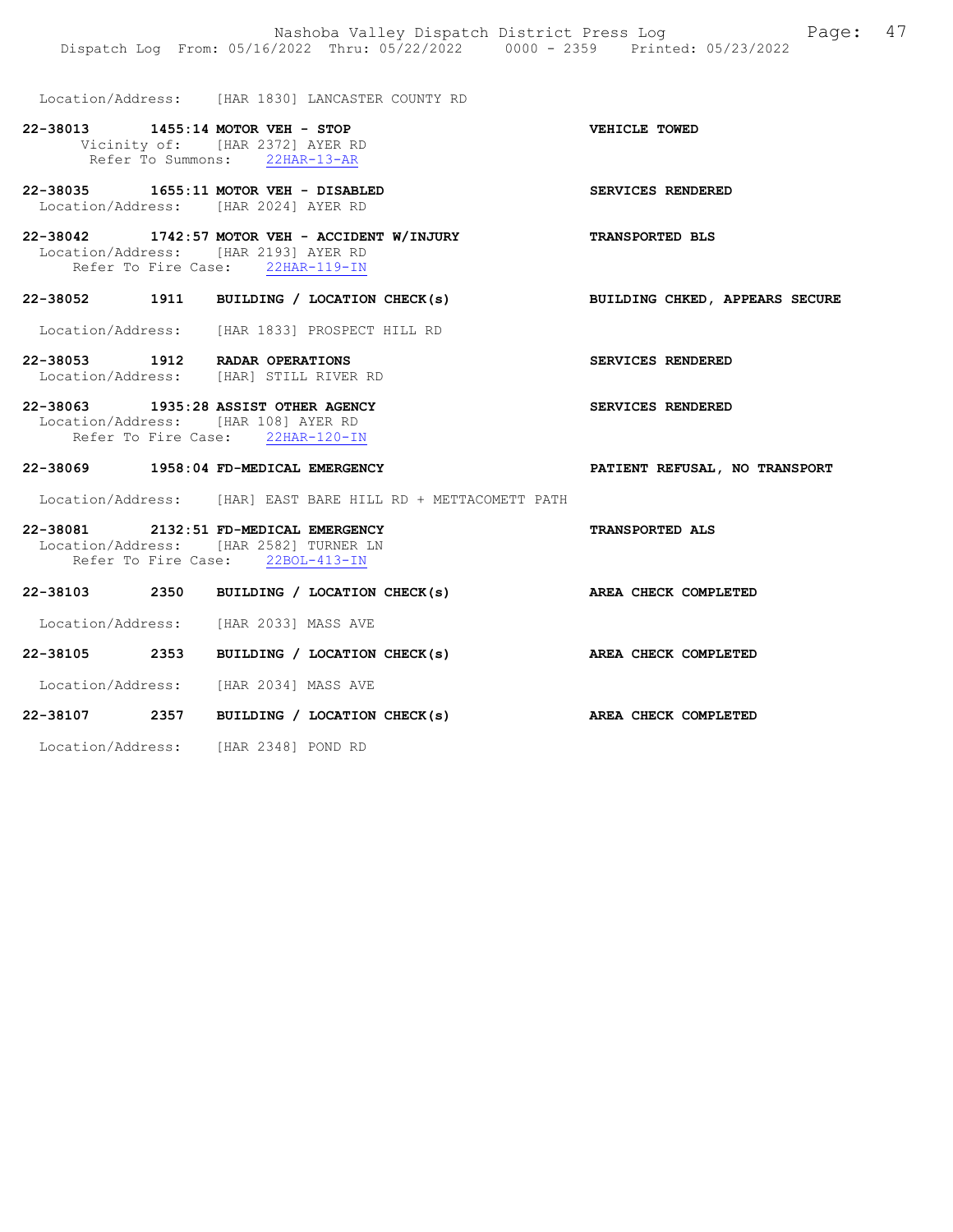Location/Address: [HAR 1830] LANCASTER COUNTY RD

22-38013 1455:14 MOTOR VEH - STOP VEHICLE TOWED Vicinity of: [HAR 2372] AYER RD Refer To Summons: 22HAR-13-AR

22-38035 1655:11 MOTOR VEH - DISABLED SERVICES RENDERED Location/Address: [HAR 2024] AYER RD

22-38042 1742:57 MOTOR VEH - ACCIDENT W/INJURY TRANSPORTED BLS Location/Address: [HAR 2193] AYER RD Refer To Fire Case: 22HAR-119-IN

### 22-38052 1911 BUILDING / LOCATION CHECK(s) BUILDING CHKED, APPEARS SECURE

Location/Address: [HAR 1833] PROSPECT HILL RD

22-38053 1912 RADAR OPERATIONS SERVICES RENDERED Location/Address: [HAR] STILL RIVER RD

22-38063 1935:28 ASSIST OTHER AGENCY SERVICES RENDERED Location/Address: [HAR 108] AYER RD Refer To Fire Case: 22HAR-120-IN

#### 22-38069 1958:04 FD-MEDICAL EMERGENCY PATIENT REFUSAL, NO TRANSPORT

Location/Address: [HAR] EAST BARE HILL RD + METTACOMETT PATH

# 22-38081 2132:51 FD-MEDICAL EMERGENCY TRANSPORTED ALS Location/Address: [HAR 2582] TURNER LN Refer To Fire Case: 22BOL-413-IN

| 22-38103 | 2350 | BUILDING / LOCATION CHECK(s) | AREA CHECK COMPLETED |
|----------|------|------------------------------|----------------------|
|          |      |                              |                      |

Location/Address: [HAR 2033] MASS AVE

# 22-38105 2353 BUILDING / LOCATION CHECK(s) AREA CHECK COMPLETED

Location/Address: [HAR 2034] MASS AVE

# 22-38107 2357 BUILDING / LOCATION CHECK(s) AREA CHECK COMPLETED

Location/Address: [HAR 2348] POND RD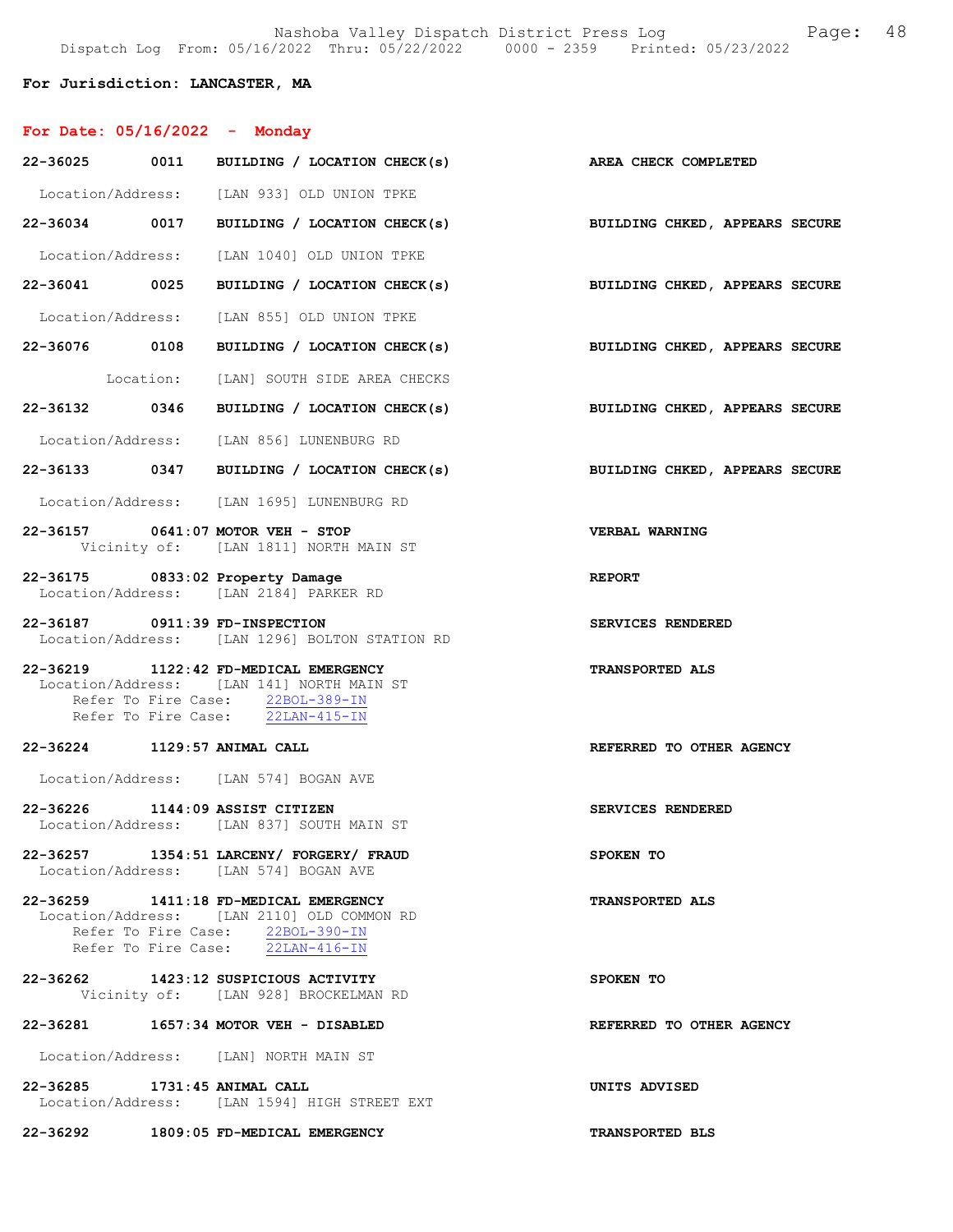# For Jurisdiction: LANCASTER, MA

| For Date: $05/16/2022 -$ Monday   |                                                                                                                                                             |                                |
|-----------------------------------|-------------------------------------------------------------------------------------------------------------------------------------------------------------|--------------------------------|
|                                   | 22-36025 0011 BUILDING / LOCATION CHECK(s) AREA CHECK COMPLETED                                                                                             |                                |
|                                   | Location/Address: [LAN 933] OLD UNION TPKE                                                                                                                  |                                |
|                                   | 22-36034 0017 BUILDING / LOCATION CHECK(s)                                                                                                                  | BUILDING CHKED, APPEARS SECURE |
|                                   | Location/Address: [LAN 1040] OLD UNION TPKE                                                                                                                 |                                |
|                                   | 22-36041 0025 BUILDING / LOCATION CHECK(s)                                                                                                                  | BUILDING CHKED, APPEARS SECURE |
|                                   | Location/Address: [LAN 855] OLD UNION TPKE                                                                                                                  |                                |
|                                   | 22-36076 0108 BUILDING / LOCATION CHECK(s)                                                                                                                  | BUILDING CHKED, APPEARS SECURE |
|                                   | Location: [LAN] SOUTH SIDE AREA CHECKS                                                                                                                      |                                |
|                                   | 22-36132 0346 BUILDING / LOCATION CHECK(s)                                                                                                                  | BUILDING CHKED, APPEARS SECURE |
|                                   | Location/Address: [LAN 856] LUNENBURG RD                                                                                                                    |                                |
|                                   | 22-36133 0347 BUILDING / LOCATION CHECK(s)                                                                                                                  | BUILDING CHKED, APPEARS SECURE |
|                                   | Location/Address: [LAN 1695] LUNENBURG RD                                                                                                                   |                                |
| 22-36157 0641:07 MOTOR VEH - STOP | Vicinity of: [LAN 1811] NORTH MAIN ST                                                                                                                       | VERBAL WARNING                 |
| 22-36175 0833:02 Property Damage  | Location/Address: [LAN 2184] PARKER RD                                                                                                                      | <b>REPORT</b>                  |
| 22-36187 0911:39 FD-INSPECTION    | Location/Address: [LAN 1296] BOLTON STATION RD                                                                                                              | SERVICES RENDERED              |
|                                   | 22-36219 1122:42 FD-MEDICAL EMERGENCY<br>Location/Address: [LAN 141] NORTH MAIN ST<br>Refer To Fire Case: 22BOL-389-IN<br>Refer To Fire Case: 22LAN-415-IN  | <b>TRANSPORTED ALS</b>         |
| 22-36224 1129:57 ANIMAL CALL      |                                                                                                                                                             | REFERRED TO OTHER AGENCY       |
|                                   | Location/Address: [LAN 574] BOGAN AVE                                                                                                                       |                                |
| 22-36226 1144:09 ASSIST CITIZEN   | Location/Address: [LAN 837] SOUTH MAIN ST                                                                                                                   | SERVICES RENDERED              |
|                                   | 22-36257 1354:51 LARCENY/ FORGERY/ FRAUD<br>Location/Address: [LAN 574] BOGAN AVE                                                                           | SPOKEN TO                      |
|                                   | 22-36259 1411:18 FD-MEDICAL EMERGENCY<br>Location/Address: [LAN 2110] OLD COMMON RD<br>Refer To Fire Case: 22BOL-390-IN<br>Refer To Fire Case: 22LAN-416-IN | <b>TRANSPORTED ALS</b>         |
|                                   | 22-36262 1423:12 SUSPICIOUS ACTIVITY<br>Vicinity of: [LAN 928] BROCKELMAN RD                                                                                | SPOKEN TO                      |
|                                   | 22-36281 1657:34 MOTOR VEH - DISABLED                                                                                                                       | REFERRED TO OTHER AGENCY       |
|                                   | Location/Address: [LAN] NORTH MAIN ST                                                                                                                       |                                |
| 22-36285 1731:45 ANIMAL CALL      | Location/Address: [LAN 1594] HIGH STREET EXT                                                                                                                | UNITS ADVISED                  |
|                                   | 22-36292 1809:05 FD-MEDICAL EMERGENCY                                                                                                                       | TRANSPORTED BLS                |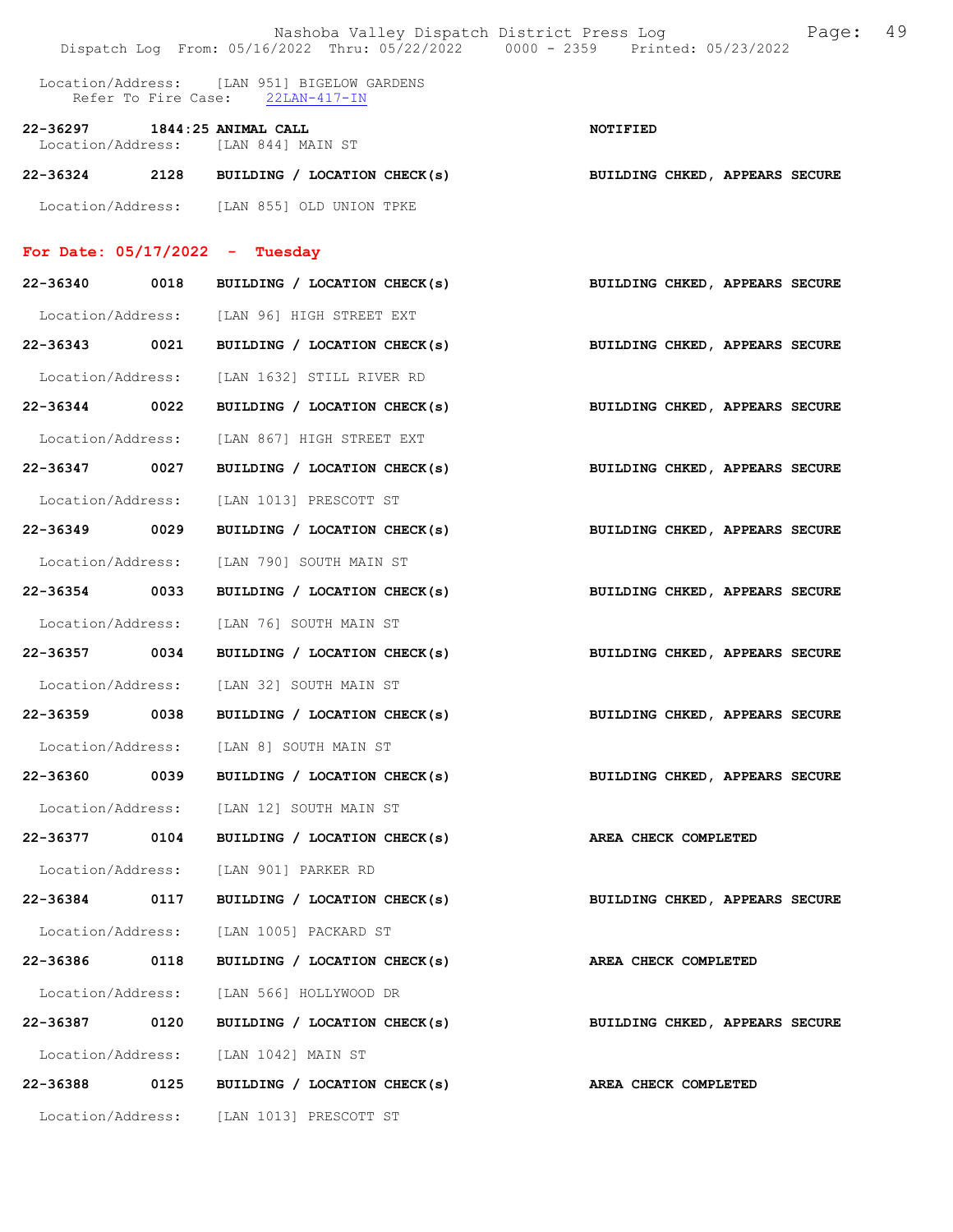|                                  |      | Nashoba Valley Dispatch District Press Log Nashoba Page:<br>Dispatch Log From: 05/16/2022 Thru: 05/22/2022 0000 - 2359 Printed: 05/23/2022 | 49                                    |
|----------------------------------|------|--------------------------------------------------------------------------------------------------------------------------------------------|---------------------------------------|
|                                  |      | Location/Address: [LAN 951] BIGELOW GARDENS<br>Refer To Fire Case: 22LAN-417-IN                                                            |                                       |
| 22-36297 1844:25 ANIMAL CALL     |      | Location/Address: [LAN 844] MAIN ST                                                                                                        | <b>NOTIFIED</b>                       |
|                                  |      | 22-36324 2128 BUILDING / LOCATION CHECK(s)                                                                                                 | <b>BUILDING CHKED, APPEARS SECURE</b> |
|                                  |      | Location/Address: [LAN 855] OLD UNION TPKE                                                                                                 |                                       |
| For Date: $05/17/2022 -$ Tuesday |      |                                                                                                                                            |                                       |
| 22-36340 0018                    |      | BUILDING / LOCATION CHECK(s)                                                                                                               | BUILDING CHKED, APPEARS SECURE        |
|                                  |      | Location/Address: [LAN 96] HIGH STREET EXT                                                                                                 |                                       |
| 22-36343 0021                    |      | BUILDING / LOCATION CHECK(s)                                                                                                               | BUILDING CHKED, APPEARS SECURE        |
| Location/Address:                |      | [LAN 1632] STILL RIVER RD                                                                                                                  |                                       |
| 22-36344 0022                    |      | BUILDING / LOCATION CHECK(s)                                                                                                               | BUILDING CHKED, APPEARS SECURE        |
| Location/Address:                |      | [LAN 867] HIGH STREET EXT                                                                                                                  |                                       |
| 22-36347 0027                    |      | BUILDING / LOCATION CHECK(s)                                                                                                               | BUILDING CHKED, APPEARS SECURE        |
| Location/Address:                |      | [LAN 1013] PRESCOTT ST                                                                                                                     |                                       |
| 22-36349 0029                    |      | BUILDING / LOCATION CHECK(s)                                                                                                               | <b>BUILDING CHKED, APPEARS SECURE</b> |
| Location/Address:                |      | [LAN 790] SOUTH MAIN ST                                                                                                                    |                                       |
| 22-36354 0033                    |      | BUILDING / LOCATION CHECK(s)                                                                                                               | BUILDING CHKED, APPEARS SECURE        |
| Location/Address:                |      | [LAN 76] SOUTH MAIN ST                                                                                                                     |                                       |
| 22-36357 0034                    |      | BUILDING / LOCATION CHECK(s)                                                                                                               | BUILDING CHKED, APPEARS SECURE        |
|                                  |      | Location/Address: [LAN 32] SOUTH MAIN ST                                                                                                   |                                       |
|                                  |      | 22-36359 0038 BUILDING / LOCATION CHECK(s) BUILDING CHKED, APPEARS SECURE                                                                  |                                       |
|                                  |      | Location/Address: [LAN 8] SOUTH MAIN ST                                                                                                    |                                       |
| 22-36360 0039                    |      | BUILDING / LOCATION CHECK(s)                                                                                                               | BUILDING CHKED, APPEARS SECURE        |
|                                  |      | Location/Address: [LAN 12] SOUTH MAIN ST                                                                                                   |                                       |
| 22-36377 0104                    |      | BUILDING / LOCATION CHECK(s)                                                                                                               | AREA CHECK COMPLETED                  |
| Location/Address:                |      | [LAN 901] PARKER RD                                                                                                                        |                                       |
| 22-36384 0117                    |      | BUILDING / LOCATION CHECK(s)                                                                                                               | BUILDING CHKED, APPEARS SECURE        |
| Location/Address:                |      | [LAN 1005] PACKARD ST                                                                                                                      |                                       |
| 22-36386                         | 0118 | BUILDING / LOCATION CHECK(s)                                                                                                               | AREA CHECK COMPLETED                  |
| Location/Address:                |      | [LAN 566] HOLLYWOOD DR                                                                                                                     |                                       |
| 22-36387 0120                    |      | BUILDING / LOCATION CHECK(s)                                                                                                               | BUILDING CHKED, APPEARS SECURE        |
| Location/Address:                |      | [LAN 1042] MAIN ST                                                                                                                         |                                       |
| 22-36388 0125                    |      | BUILDING / LOCATION CHECK(s)                                                                                                               | AREA CHECK COMPLETED                  |
|                                  |      | Location/Address: [LAN 1013] PRESCOTT ST                                                                                                   |                                       |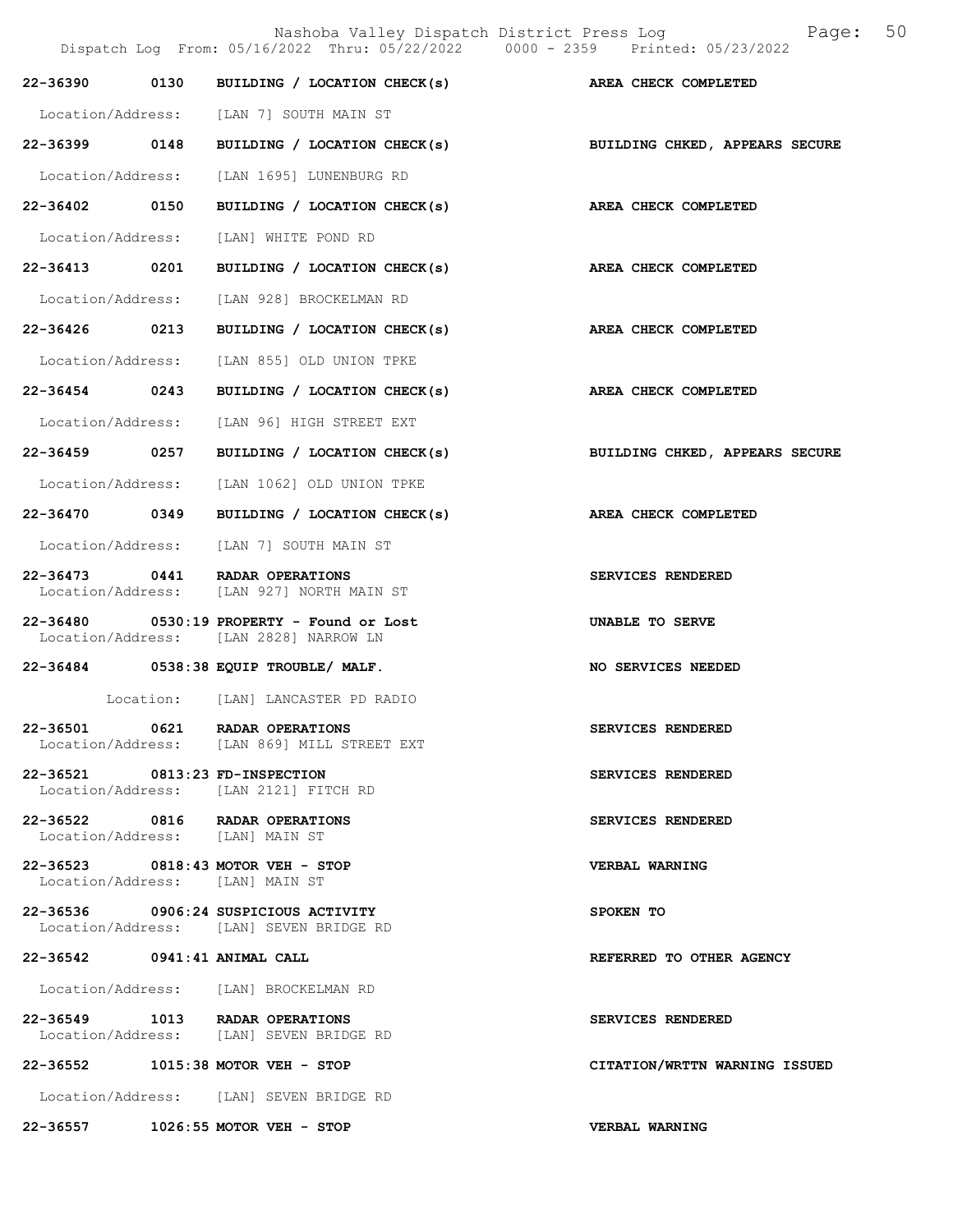|                                |           | Dispatch Log From: 05/16/2022 Thru: 05/22/2022 0000 - 2359 Printed: 05/23/2022        | Nashoba Valley Dispatch District Press Log Mashoba Valley Dispatch District Press Log Mass |
|--------------------------------|-----------|---------------------------------------------------------------------------------------|--------------------------------------------------------------------------------------------|
| 22-36390                       |           | 0130 BUILDING / LOCATION CHECK(s) AREA CHECK COMPLETED                                |                                                                                            |
|                                |           | Location/Address: [LAN 7] SOUTH MAIN ST                                               |                                                                                            |
|                                |           | 22-36399 0148 BUILDING / LOCATION CHECK(s) BUILDING CHKED, APPEARS SECURE             |                                                                                            |
|                                |           | Location/Address: [LAN 1695] LUNENBURG RD                                             |                                                                                            |
| 22-36402 0150                  |           | BUILDING / LOCATION CHECK(s) AREA CHECK COMPLETED                                     |                                                                                            |
|                                |           | Location/Address: [LAN] WHITE POND RD                                                 |                                                                                            |
| 22-36413 0201                  |           | BUILDING / LOCATION CHECK(s)                                                          | AREA CHECK COMPLETED                                                                       |
|                                |           | Location/Address: [LAN 928] BROCKELMAN RD                                             |                                                                                            |
| 22-36426 0213                  |           | BUILDING / LOCATION CHECK(s)                                                          | AREA CHECK COMPLETED                                                                       |
| Location/Address:              |           | [LAN 855] OLD UNION TPKE                                                              |                                                                                            |
| 22-36454 0243                  |           | BUILDING / LOCATION CHECK(s)                                                          | AREA CHECK COMPLETED                                                                       |
|                                |           | Location/Address: [LAN 96] HIGH STREET EXT                                            |                                                                                            |
| 22-36459 0257                  |           | BUILDING / LOCATION CHECK(s)                                                          | BUILDING CHKED, APPEARS SECURE                                                             |
|                                |           | Location/Address: [LAN 1062] OLD UNION TPKE                                           |                                                                                            |
| 22-36470 0349                  |           | BUILDING / LOCATION CHECK(s)                                                          | AREA CHECK COMPLETED                                                                       |
|                                |           | Location/Address: [LAN 7] SOUTH MAIN ST                                               |                                                                                            |
|                                |           | 22-36473 0441 RADAR OPERATIONS<br>Location/Address: [LAN 927] NORTH MAIN ST           | SERVICES RENDERED                                                                          |
|                                |           | $22-36480$ 0530:19 PROPERTY - Found or Lost<br>Location/Address: [LAN 2828] NARROW LN | UNABLE TO SERVE                                                                            |
|                                |           | 22-36484 0538:38 EQUIP TROUBLE/ MALF.                                                 | NO SERVICES NEEDED                                                                         |
|                                | Location: | [LAN] LANCASTER PD RADIO                                                              |                                                                                            |
|                                |           | 22-36501 0621 RADAR OPERATIONS<br>Location/Address: [LAN 869] MILL STREET EXT         | SERVICES RENDERED                                                                          |
| 22-36521 0813:23 FD-INSPECTION |           | Location/Address: [LAN 2121] FITCH RD                                                 | SERVICES RENDERED                                                                          |
|                                |           | 22-36522 0816 RADAR OPERATIONS<br>Location/Address: [LAN] MAIN ST                     | SERVICES RENDERED                                                                          |
|                                |           | 22-36523 0818:43 MOTOR VEH - STOP<br>Location/Address: [LAN] MAIN ST                  | <b>VERBAL WARNING</b>                                                                      |
|                                |           | 22-36536 0906:24 SUSPICIOUS ACTIVITY<br>Location/Address: [LAN] SEVEN BRIDGE RD       | SPOKEN TO                                                                                  |
| 22-36542 0941:41 ANIMAL CALL   |           |                                                                                       | REFERRED TO OTHER AGENCY                                                                   |
|                                |           | Location/Address: [LAN] BROCKELMAN RD                                                 |                                                                                            |
|                                |           | 22-36549 1013 RADAR OPERATIONS<br>Location/Address: [LAN] SEVEN BRIDGE RD             | SERVICES RENDERED                                                                          |
|                                |           | 22-36552 1015:38 MOTOR VEH - STOP                                                     | CITATION/WRTTN WARNING ISSUED                                                              |
|                                |           | Location/Address: [LAN] SEVEN BRIDGE RD                                               |                                                                                            |
|                                |           | 22-36557 1026:55 MOTOR VEH - STOP                                                     | VERBAL WARNING                                                                             |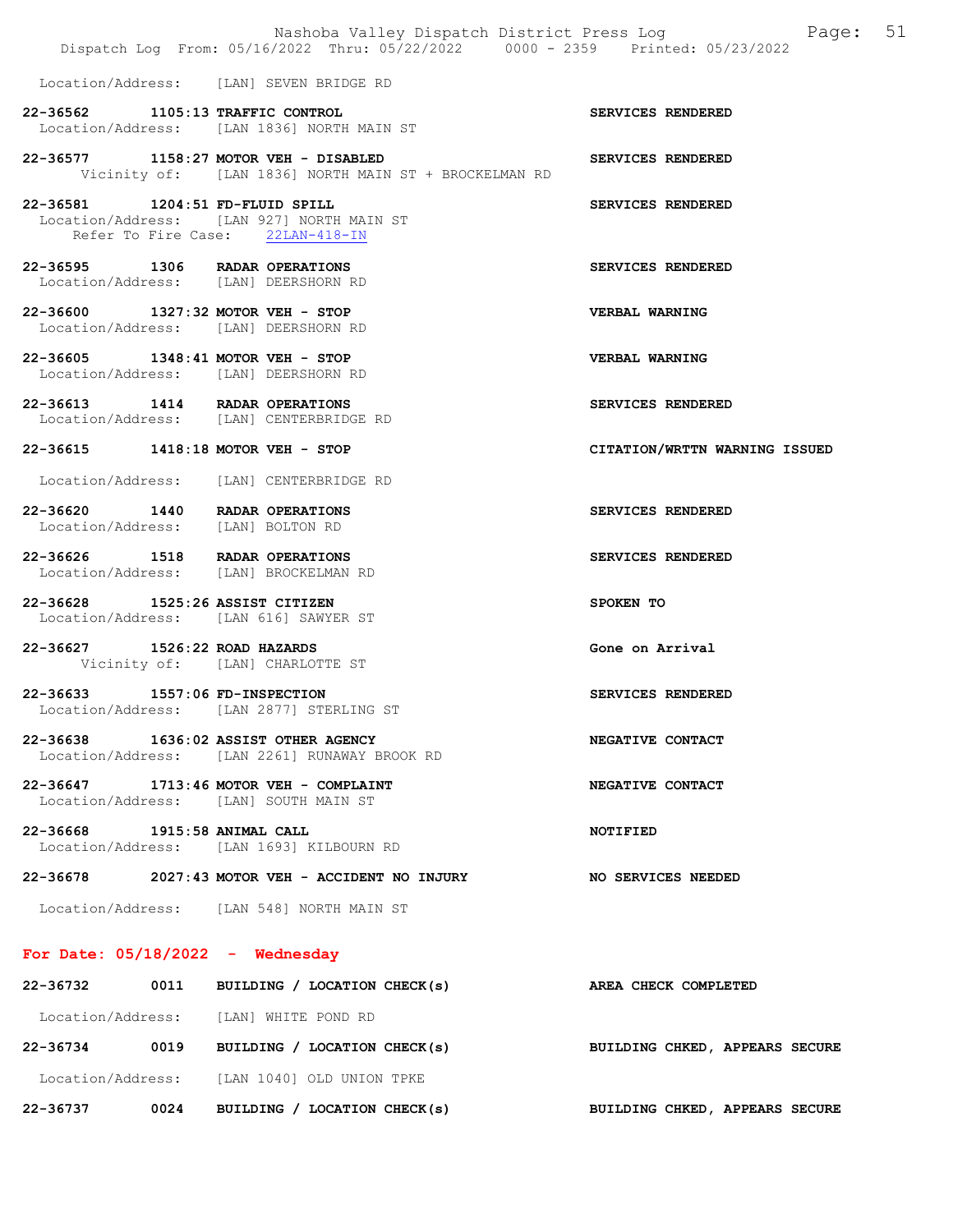|                                    |      | Dispatch Log From: 05/16/2022 Thru: 05/22/2022 0000 - 2359 Printed: 05/23/2022                 | Nashoba Valley Dispatch District Press Log Faqe: 51 |
|------------------------------------|------|------------------------------------------------------------------------------------------------|-----------------------------------------------------|
|                                    |      | Location/Address: [LAN] SEVEN BRIDGE RD                                                        |                                                     |
|                                    |      | 22-36562 1105:13 TRAFFIC CONTROL<br>Location/Address: [LAN 1836] NORTH MAIN ST                 | SERVICES RENDERED                                   |
|                                    |      | 22-36577 1158:27 MOTOR VEH - DISABLED<br>Vicinity of: [LAN 1836] NORTH MAIN ST + BROCKELMAN RD | SERVICES RENDERED                                   |
| 22-36581 1204:51 FD-FLUID SPILL    |      | Location/Address: [LAN 927] NORTH MAIN ST<br>Refer To Fire Case: 22LAN-418-IN                  | SERVICES RENDERED                                   |
|                                    |      | 22-36595 1306 RADAR OPERATIONS<br>Location/Address: [LAN] DEERSHORN RD                         | SERVICES RENDERED                                   |
|                                    |      | 22-36600 1327:32 MOTOR VEH - STOP<br>Location/Address: [LAN] DEERSHORN RD                      | VERBAL WARNING                                      |
|                                    |      | 22-36605 1348:41 MOTOR VEH - STOP<br>Location/Address: [LAN] DEERSHORN RD                      | <b>VERBAL WARNING</b>                               |
|                                    |      | 22-36613 1414 RADAR OPERATIONS<br>Location/Address: [LAN] CENTERBRIDGE RD                      | SERVICES RENDERED                                   |
|                                    |      | 22-36615 1418:18 MOTOR VEH - STOP                                                              | CITATION/WRTTN WARNING ISSUED                       |
|                                    |      | Location/Address: [LAN] CENTERBRIDGE RD                                                        |                                                     |
|                                    |      | 22-36620 1440 RADAR OPERATIONS<br>Location/Address: [LAN] BOLTON RD                            | SERVICES RENDERED                                   |
|                                    |      | 22-36626 1518 RADAR OPERATIONS<br>Location/Address: [LAN] BROCKELMAN RD                        | SERVICES RENDERED                                   |
| 22-36628 1525:26 ASSIST CITIZEN    |      | Location/Address: [LAN 616] SAWYER ST                                                          | SPOKEN TO                                           |
| 22-36627 1526:22 ROAD HAZARDS      |      | Vicinity of: [LAN] CHARLOTTE ST                                                                | Gone on Arrival                                     |
| 22-36633 1557:06 FD-INSPECTION     |      | Location/Address: [LAN 2877] STERLING ST                                                       | SERVICES RENDERED                                   |
|                                    |      | 22-36638 1636:02 ASSIST OTHER AGENCY<br>Location/Address: [LAN 2261] RUNAWAY BROOK RD          | NEGATIVE CONTACT                                    |
|                                    |      | 22-36647 1713:46 MOTOR VEH - COMPLAINT<br>Location/Address: [LAN] SOUTH MAIN ST                | NEGATIVE CONTACT                                    |
| 22-36668 1915:58 ANIMAL CALL       |      | Location/Address: [LAN 1693] KILBOURN RD                                                       | <b>NOTIFIED</b>                                     |
|                                    |      | $22-36678$ 2027:43 MOTOR VEH - ACCIDENT NO INJURY                                              | NO SERVICES NEEDED                                  |
|                                    |      | Location/Address: [LAN 548] NORTH MAIN ST                                                      |                                                     |
| For Date: $05/18/2022 -$ Wednesday |      |                                                                                                |                                                     |
| 22-36732                           |      | 0011 BUILDING / LOCATION CHECK(s)                                                              | AREA CHECK COMPLETED                                |
|                                    |      | Location/Address: [LAN] WHITE POND RD                                                          |                                                     |
| 22-36734                           | 0019 | BUILDING / LOCATION CHECK(s)                                                                   | BUILDING CHKED, APPEARS SECURE                      |

Location/Address: [LAN 1040] OLD UNION TPKE

22-36737 0024 BUILDING / LOCATION CHECK(s) BUILDING CHKED, APPEARS SECURE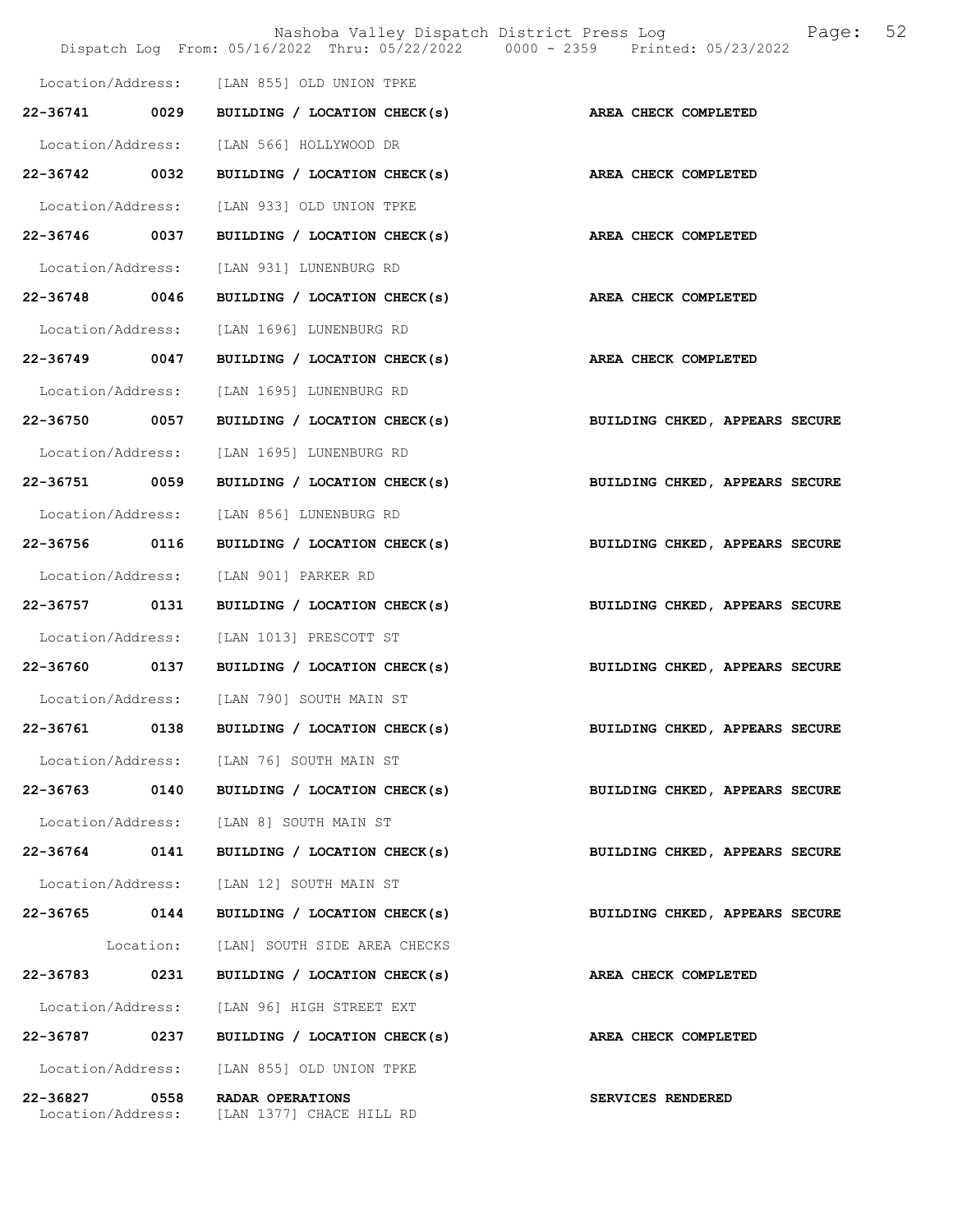|                   |           | Nashoba Valley Dispatch District Press Log<br>Dispatch Log From: 05/16/2022 Thru: 05/22/2022 0000 - 2359 Printed: 05/23/2022 | 52<br>Page:                    |
|-------------------|-----------|------------------------------------------------------------------------------------------------------------------------------|--------------------------------|
|                   |           | Location/Address: [LAN 855] OLD UNION TPKE                                                                                   |                                |
| 22-36741          | 0029      | BUILDING / LOCATION CHECK(s)                                                                                                 | AREA CHECK COMPLETED           |
| Location/Address: |           | [LAN 566] HOLLYWOOD DR                                                                                                       |                                |
| 22-36742 0032     |           | BUILDING / LOCATION CHECK(s)                                                                                                 | AREA CHECK COMPLETED           |
| Location/Address: |           | [LAN 933] OLD UNION TPKE                                                                                                     |                                |
| 22-36746 0037     |           | BUILDING / LOCATION CHECK(s)                                                                                                 | AREA CHECK COMPLETED           |
| Location/Address: |           | [LAN 931] LUNENBURG RD                                                                                                       |                                |
| 22-36748 0046     |           | BUILDING / LOCATION CHECK(s)                                                                                                 | AREA CHECK COMPLETED           |
| Location/Address: |           | [LAN 1696] LUNENBURG RD                                                                                                      |                                |
| 22-36749          | 0047      | BUILDING / LOCATION CHECK(s)                                                                                                 | AREA CHECK COMPLETED           |
| Location/Address: |           | [LAN 1695] LUNENBURG RD                                                                                                      |                                |
| 22-36750 0057     |           | BUILDING / LOCATION CHECK(s)                                                                                                 | BUILDING CHKED, APPEARS SECURE |
| Location/Address: |           | [LAN 1695] LUNENBURG RD                                                                                                      |                                |
| 22-36751 0059     |           | BUILDING / LOCATION CHECK(s)                                                                                                 | BUILDING CHKED, APPEARS SECURE |
| Location/Address: |           | [LAN 856] LUNENBURG RD                                                                                                       |                                |
| 22-36756          | 0116      | BUILDING / LOCATION CHECK(s)                                                                                                 | BUILDING CHKED, APPEARS SECURE |
| Location/Address: |           | [LAN 901] PARKER RD                                                                                                          |                                |
| 22-36757 0131     |           | BUILDING / LOCATION CHECK(s)                                                                                                 | BUILDING CHKED, APPEARS SECURE |
| Location/Address: |           | [LAN 1013] PRESCOTT ST                                                                                                       |                                |
| 22-36760 0137     |           | BUILDING / LOCATION CHECK(s)                                                                                                 | BUILDING CHKED, APPEARS SECURE |
|                   |           | Location/Address: [LAN 790] SOUTH MAIN ST                                                                                    |                                |
| 22-36761          | 0138      | BUILDING / LOCATION CHECK(s)                                                                                                 | BUILDING CHKED, APPEARS SECURE |
|                   |           | Location/Address: [LAN 76] SOUTH MAIN ST                                                                                     |                                |
| 22-36763 0140     |           | BUILDING / LOCATION CHECK(s)                                                                                                 | BUILDING CHKED, APPEARS SECURE |
|                   |           | Location/Address: [LAN 8] SOUTH MAIN ST                                                                                      |                                |
| 22-36764          | 0141      | BUILDING / LOCATION CHECK(s)                                                                                                 | BUILDING CHKED, APPEARS SECURE |
|                   |           | Location/Address: [LAN 12] SOUTH MAIN ST                                                                                     |                                |
| 22-36765 0144     |           | BUILDING / LOCATION CHECK(s)                                                                                                 | BUILDING CHKED, APPEARS SECURE |
|                   | Location: | [LAN] SOUTH SIDE AREA CHECKS                                                                                                 |                                |
| 22-36783 0231     |           | BUILDING / LOCATION CHECK(s)                                                                                                 | AREA CHECK COMPLETED           |
| Location/Address: |           | [LAN 96] HIGH STREET EXT                                                                                                     |                                |
| 22-36787          | 0237      | BUILDING / LOCATION CHECK(s)                                                                                                 | AREA CHECK COMPLETED           |
| Location/Address: |           | [LAN 855] OLD UNION TPKE                                                                                                     |                                |
| 22-36827          | 0558      | RADAR OPERATIONS<br>Location/Address: [LAN 1377] CHACE HILL RD                                                               | SERVICES RENDERED              |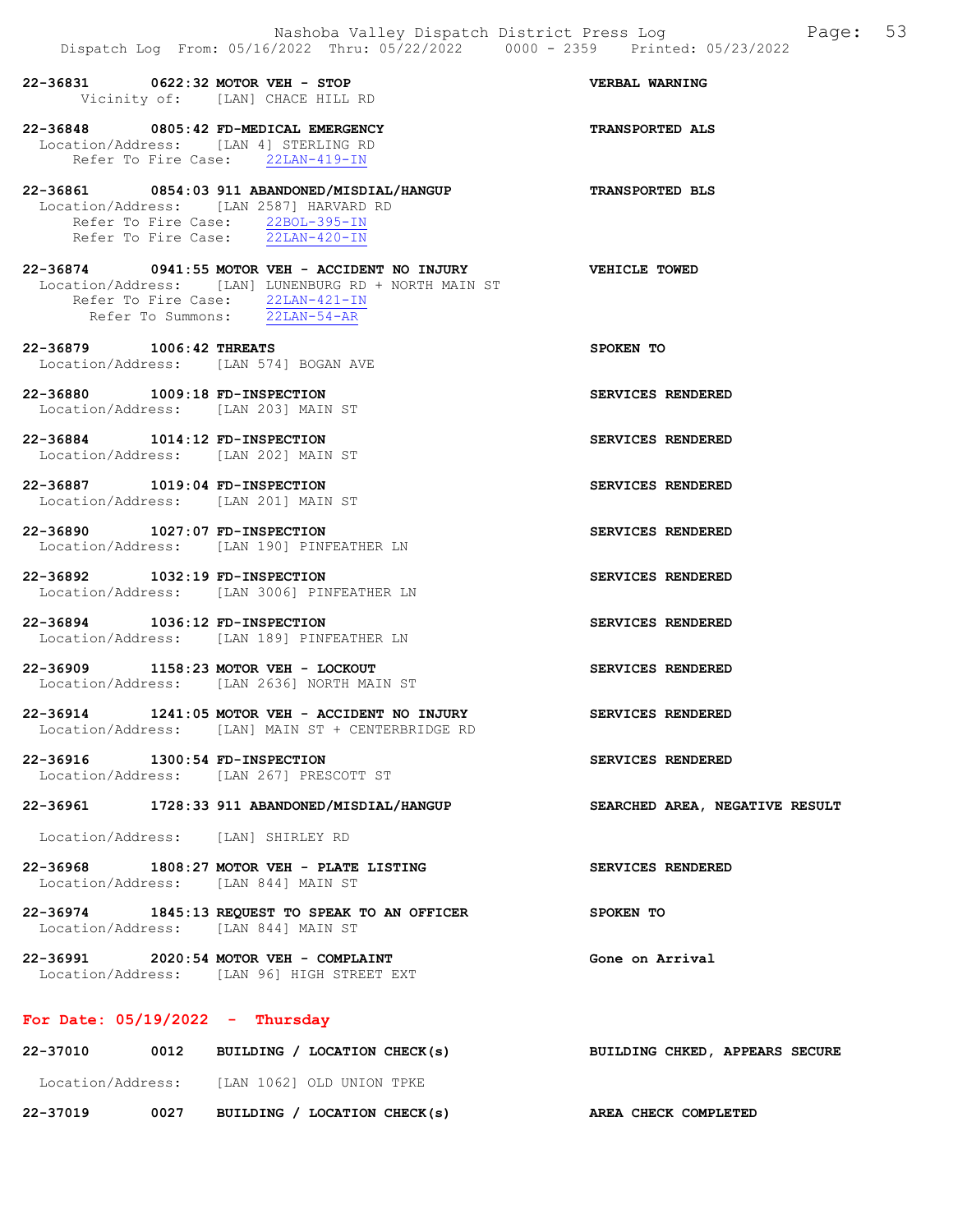|                                    | Nashoba Valley Dispatch District Press Loq<br>Dispatch Log From: 05/16/2022 Thru: 05/22/2022 0000 - 2359 Printed: 05/23/2022                                                               | Page: 53                       |
|------------------------------------|--------------------------------------------------------------------------------------------------------------------------------------------------------------------------------------------|--------------------------------|
|                                    | 22-36831 0622:32 MOTOR VEH - STOP<br>Vicinity of: [LAN] CHACE HILL RD                                                                                                                      | VERBAL WARNING                 |
|                                    | 22-36848 0805:42 FD-MEDICAL EMERGENCY<br>Location/Address: [LAN 4] STERLING RD<br>Refer To Fire Case: 22LAN-419-IN                                                                         | <b>TRANSPORTED ALS</b>         |
|                                    | 22-36861 0854:03 911 ABANDONED/MISDIAL/HANGUP<br>Location/Address: [LAN 2587] HARVARD RD<br>Refer To Fire Case: 22BOL-395-IN<br>Refer To Fire Case: 22LAN-420-IN                           | <b>TRANSPORTED BLS</b>         |
|                                    | 22-36874 0941:55 MOTOR VEH - ACCIDENT NO INJURY VEHICLE TOWED<br>Location/Address: [LAN] LUNENBURG RD + NORTH MAIN ST<br>Refer To Fire Case: 22LAN-421-IN<br>Refer To Summons: 22LAN-54-AR |                                |
| 22-36879 1006:42 THREATS           | Location/Address: [LAN 574] BOGAN AVE                                                                                                                                                      | SPOKEN TO                      |
| 22-36880 1009:18 FD-INSPECTION     | Location/Address: [LAN 203] MAIN ST                                                                                                                                                        | SERVICES RENDERED              |
| 22-36884 1014:12 FD-INSPECTION     | Location/Address: [LAN 202] MAIN ST                                                                                                                                                        | SERVICES RENDERED              |
| 22-36887 1019:04 FD-INSPECTION     | Location/Address: [LAN 201] MAIN ST                                                                                                                                                        | SERVICES RENDERED              |
| 22-36890 1027:07 FD-INSPECTION     | Location/Address: [LAN 190] PINFEATHER LN                                                                                                                                                  | SERVICES RENDERED              |
| 22-36892 1032:19 FD-INSPECTION     | Location/Address: [LAN 3006] PINFEATHER LN                                                                                                                                                 | SERVICES RENDERED              |
| 22-36894 1036:12 FD-INSPECTION     | Location/Address: [LAN 189] PINFEATHER LN                                                                                                                                                  | SERVICES RENDERED              |
|                                    | 22-36909 1158:23 MOTOR VEH - LOCKOUT<br>Location/Address: [LAN 2636] NORTH MAIN ST                                                                                                         | SERVICES RENDERED              |
|                                    | 22-36914 1241:05 MOTOR VEH - ACCIDENT NO INJURY<br>Location/Address: [LAN] MAIN ST + CENTERBRIDGE RD                                                                                       | SERVICES RENDERED              |
| 22-36916 1300:54 FD-INSPECTION     | Location/Address: [LAN 267] PRESCOTT ST                                                                                                                                                    | SERVICES RENDERED              |
|                                    | 22-36961 1728:33 911 ABANDONED/MISDIAL/HANGUP                                                                                                                                              | SEARCHED AREA, NEGATIVE RESULT |
| Location/Address: [LAN] SHIRLEY RD |                                                                                                                                                                                            |                                |
|                                    | $22-36968$ 1808:27 MOTOR VEH - PLATE LISTING<br>Location/Address: [LAN 844] MAIN ST                                                                                                        | SERVICES RENDERED              |
|                                    | 22-36974 1845:13 REQUEST TO SPEAK TO AN OFFICER<br>Location/Address: [LAN 844] MAIN ST                                                                                                     | SPOKEN TO                      |
|                                    | 22-36991 2020:54 MOTOR VEH - COMPLAINT<br>Location/Address: [LAN 96] HIGH STREET EXT                                                                                                       | Gone on Arrival                |
| For Date: $05/19/2022 - Thursday$  |                                                                                                                                                                                            |                                |
| 22-37010                           | 0012 BUILDING / LOCATION CHECK(s)                                                                                                                                                          | BUILDING CHKED, APPEARS SECURE |

Location/Address: [LAN 1062] OLD UNION TPKE

22-37019 0027 BUILDING / LOCATION CHECK(s) AREA CHECK COMPLETED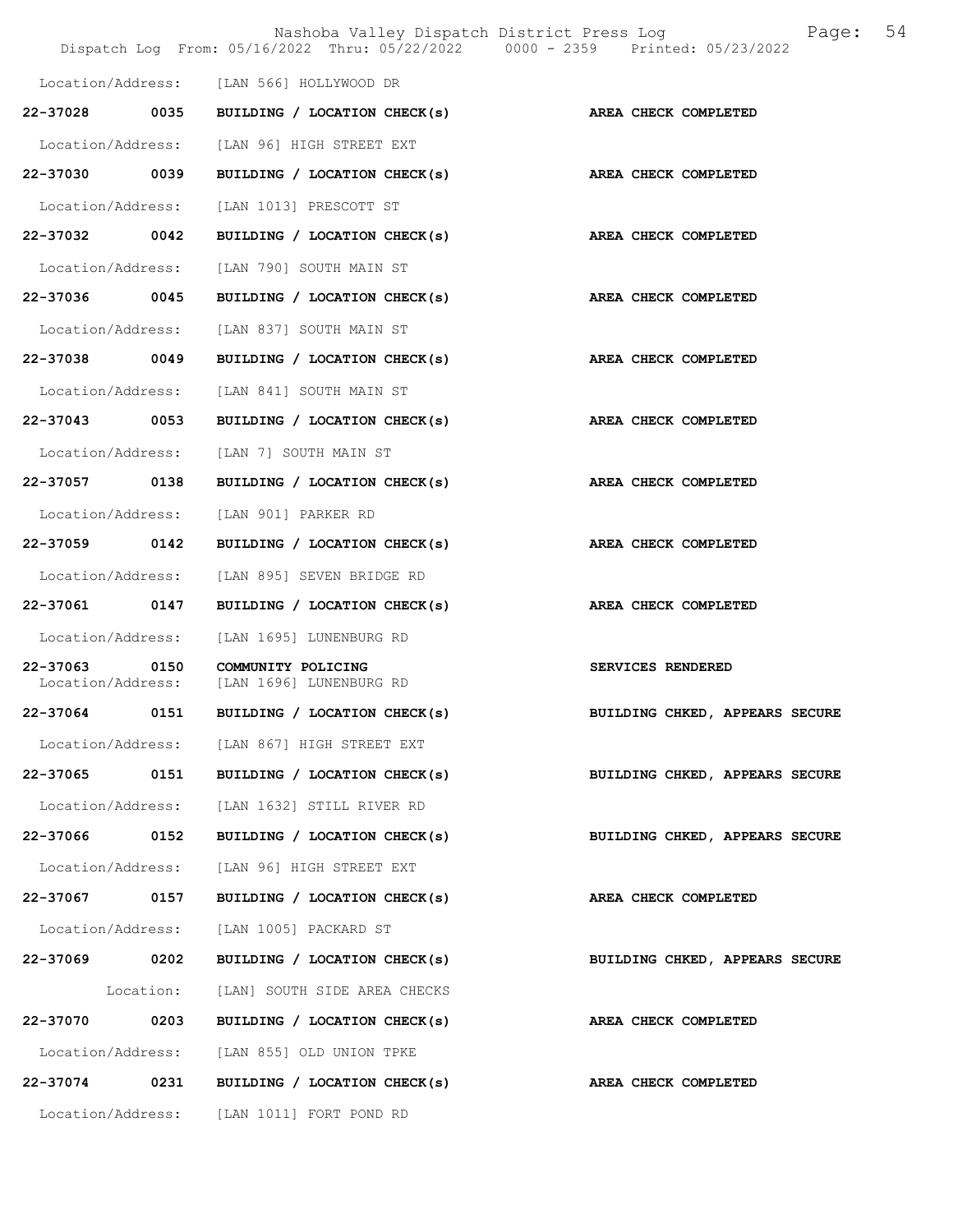|                               |           |                                               | 54<br>Nashoba Valley Dispatch District Press Log<br>Page:<br>Dispatch Log From: 05/16/2022 Thru: 05/22/2022 0000 - 2359 Printed: 05/23/2022 |
|-------------------------------|-----------|-----------------------------------------------|---------------------------------------------------------------------------------------------------------------------------------------------|
|                               |           | Location/Address: [LAN 566] HOLLYWOOD DR      |                                                                                                                                             |
| 22-37028 0035                 |           | BUILDING / LOCATION CHECK(s)                  | AREA CHECK COMPLETED                                                                                                                        |
| Location/Address:             |           | [LAN 96] HIGH STREET EXT                      |                                                                                                                                             |
| 22-37030 0039                 |           | BUILDING / LOCATION CHECK(s)                  | AREA CHECK COMPLETED                                                                                                                        |
| Location/Address:             |           | [LAN 1013] PRESCOTT ST                        |                                                                                                                                             |
| 22-37032 0042                 |           | BUILDING / LOCATION CHECK(s)                  | AREA CHECK COMPLETED                                                                                                                        |
| Location/Address:             |           | [LAN 790] SOUTH MAIN ST                       |                                                                                                                                             |
| 22-37036 0045                 |           | BUILDING / LOCATION CHECK(s)                  | AREA CHECK COMPLETED                                                                                                                        |
| Location/Address:             |           | [LAN 837] SOUTH MAIN ST                       |                                                                                                                                             |
| 22-37038                      | 0049      | BUILDING / LOCATION CHECK(s)                  | AREA CHECK COMPLETED                                                                                                                        |
| Location/Address:             |           | [LAN 841] SOUTH MAIN ST                       |                                                                                                                                             |
| 22-37043 0053                 |           | BUILDING / LOCATION CHECK(s)                  | AREA CHECK COMPLETED                                                                                                                        |
| Location/Address:             |           | [LAN 7] SOUTH MAIN ST                         |                                                                                                                                             |
| 22-37057 0138                 |           | BUILDING / LOCATION CHECK(s)                  | AREA CHECK COMPLETED                                                                                                                        |
| Location/Address:             |           | [LAN 901] PARKER RD                           |                                                                                                                                             |
| 22-37059                      | 0142      | BUILDING / LOCATION CHECK(s)                  | <b>AREA CHECK COMPLETED</b>                                                                                                                 |
| Location/Address:             |           | [LAN 895] SEVEN BRIDGE RD                     |                                                                                                                                             |
| 22-37061 0147                 |           | BUILDING / LOCATION CHECK(s)                  | AREA CHECK COMPLETED                                                                                                                        |
| Location/Address:             |           | [LAN 1695] LUNENBURG RD                       |                                                                                                                                             |
| 22-37063<br>Location/Address: | 0150      | COMMUNITY POLICING<br>[LAN 1696] LUNENBURG RD | SERVICES RENDERED                                                                                                                           |
| 22-37064                      | 0151      | BUILDING / LOCATION CHECK(s)                  | BUILDING CHKED, APPEARS SECURE                                                                                                              |
|                               |           | Location/Address: [LAN 867] HIGH STREET EXT   |                                                                                                                                             |
| 22-37065 0151                 |           | BUILDING / LOCATION CHECK(s)                  | BUILDING CHKED, APPEARS SECURE                                                                                                              |
| Location/Address:             |           | [LAN 1632] STILL RIVER RD                     |                                                                                                                                             |
| 22-37066                      | 0152      | BUILDING / LOCATION CHECK(s)                  | BUILDING CHKED, APPEARS SECURE                                                                                                              |
| Location/Address:             |           | [LAN 96] HIGH STREET EXT                      |                                                                                                                                             |
| 22-37067 0157                 |           | BUILDING / LOCATION CHECK(s)                  | AREA CHECK COMPLETED                                                                                                                        |
| Location/Address:             |           | [LAN 1005] PACKARD ST                         |                                                                                                                                             |
| 22-37069 0202                 |           | BUILDING / LOCATION CHECK(s)                  | BUILDING CHKED, APPEARS SECURE                                                                                                              |
|                               | Location: | [LAN] SOUTH SIDE AREA CHECKS                  |                                                                                                                                             |
| 22-37070                      | 0203      | BUILDING / LOCATION CHECK(s)                  | AREA CHECK COMPLETED                                                                                                                        |
| Location/Address:             |           | [LAN 855] OLD UNION TPKE                      |                                                                                                                                             |
| 22-37074 0231                 |           | BUILDING / LOCATION CHECK(s)                  | AREA CHECK COMPLETED                                                                                                                        |
| Location/Address:             |           | [LAN 1011] FORT POND RD                       |                                                                                                                                             |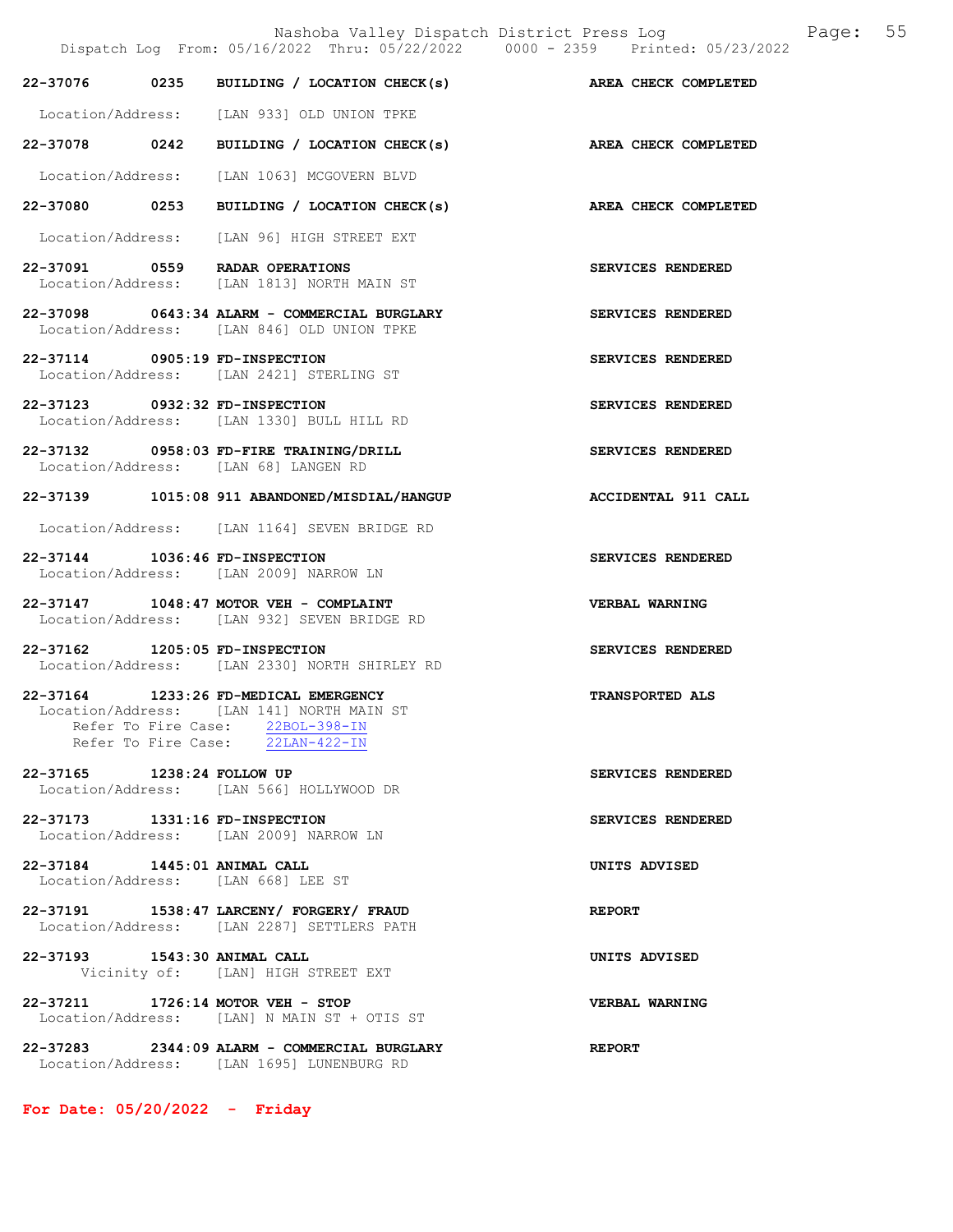Nashoba Valley Dispatch District Press Log Fage: 55 Dispatch Log From: 05/16/2022 Thru: 05/22/2022 0000 - 2359 Printed: 05/23/2022 22-37076 0235 BUILDING / LOCATION CHECK(s) AREA CHECK COMPLETED Location/Address: [LAN 933] OLD UNION TPKE 22-37078 0242 BUILDING / LOCATION CHECK(s) AREA CHECK COMPLETED Location/Address: [LAN 1063] MCGOVERN BLVD 22-37080 0253 BUILDING / LOCATION CHECK(s) AREA CHECK COMPLETED Location/Address: [LAN 96] HIGH STREET EXT 22-37091 0559 RADAR OPERATIONS SERVICES RENDERED Location/Address: [LAN 1813] NORTH MAIN ST 22-37098 0643:34 ALARM - COMMERCIAL BURGLARY SERVICES RENDERED Location/Address: [LAN 846] OLD UNION TPKE 22-37114 0905:19 FD-INSPECTION SERVICES RENDERED Location/Address: [LAN 2421] STERLING ST 22-37123 0932:32 FD-INSPECTION SERVICES RENDERED Location/Address: [LAN 1330] BULL HILL RD 22-37132 0958:03 FD-FIRE TRAINING/DRILL SERVICES RENDERED Location/Address: [LAN 68] LANGEN RD 22-37139 1015:08 911 ABANDONED/MISDIAL/HANGUP ACCIDENTAL 911 CALL Location/Address: [LAN 1164] SEVEN BRIDGE RD 22-37144 1036:46 FD-INSPECTION SERVICES RENDERED Location/Address: [LAN 2009] NARROW LN 22-37147 1048:47 MOTOR VEH - COMPLAINT VERBAL WARNING Location/Address: [LAN 932] SEVEN BRIDGE RD 22-37162 1205:05 FD-INSPECTION SERVICES RENDERED Location/Address: [LAN 2330] NORTH SHIRLEY RD 22-37164 1233:26 FD-MEDICAL EMERGENCY TRANSPORTED ALS Location/Address: [LAN 141] NORTH MAIN ST Refer To Fire Case:  $\frac{22BOL-398-IN}{22LAN-422-IN}$ Refer To Fire Case: 22-37165 1238:24 FOLLOW UP SERVICES RENDERED Location/Address: [LAN 566] HOLLYWOOD DR 22-37173 1331:16 FD-INSPECTION SERVICES RENDERED Location/Address: [LAN 2009] NARROW LN 22-37184 1445:01 ANIMAL CALL UNITS ADVISED Location/Address: [LAN 668] LEE ST 22-37191 1538:47 LARCENY/ FORGERY/ FRAUD REPORT Location/Address: [LAN 2287] SETTLERS PATH 22-37193 1543:30 ANIMAL CALL <br>Vicinity of: [LAN] HIGH STREET EXT **UNITS ADVISED**  Vicinity of: [LAN] HIGH STREET EXT 22-37211 1726:14 MOTOR VEH - STOP VERBAL WARNING Location/Address: [LAN] N MAIN ST + OTIS ST 22-37283 2344:09 ALARM - COMMERCIAL BURGLARY REPORT

For Date: 05/20/2022 - Friday

Location/Address: [LAN 1695] LUNENBURG RD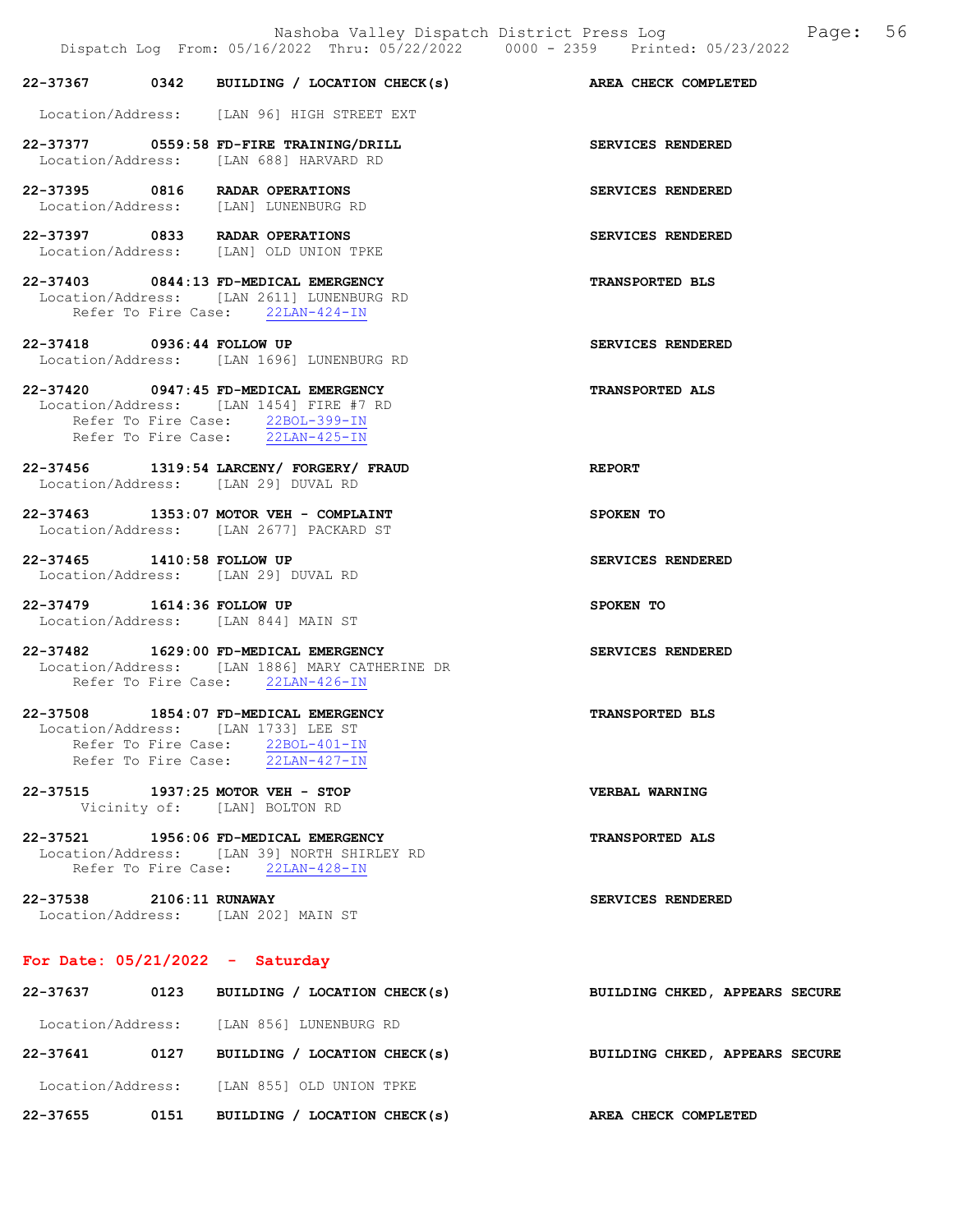|                                                                                                     |                                                                                                                        | Dispatch Log From: 05/16/2022 Thru: 05/22/2022 0000 - 2359 Printed: 05/23/2022 |
|-----------------------------------------------------------------------------------------------------|------------------------------------------------------------------------------------------------------------------------|--------------------------------------------------------------------------------|
|                                                                                                     | 22-37367 0342 BUILDING / LOCATION CHECK(s)                                                                             | AREA CHECK COMPLETED                                                           |
|                                                                                                     | Location/Address: [LAN 96] HIGH STREET EXT                                                                             |                                                                                |
|                                                                                                     | 22-37377 0559:58 FD-FIRE TRAINING/DRILL<br>Location/Address: [LAN 688] HARVARD RD                                      | SERVICES RENDERED                                                              |
| 22-37395 0816 RADAR OPERATIONS                                                                      | Location/Address: [LAN] LUNENBURG RD                                                                                   | SERVICES RENDERED                                                              |
| 22-37397 0833 RADAR OPERATIONS                                                                      | Location/Address: [LAN] OLD UNION TPKE                                                                                 | SERVICES RENDERED                                                              |
|                                                                                                     | 22-37403 0844:13 FD-MEDICAL EMERGENCY<br>Location/Address: [LAN 2611] LUNENBURG RD<br>Refer To Fire Case: 22LAN-424-IN | <b>TRANSPORTED BLS</b>                                                         |
| 22-37418 0936:44 FOLLOW UP                                                                          | Location/Address: [LAN 1696] LUNENBURG RD                                                                              | SERVICES RENDERED                                                              |
| 22-37420 0947:45 FD-MEDICAL EMERGENCY                                                               | Location/Address: [LAN 1454] FIRE #7 RD<br>Refer To Fire Case: 22BOL-399-IN<br>Refer To Fire Case: 22LAN-425-IN        | <b>TRANSPORTED ALS</b>                                                         |
| Location/Address: [LAN 29] DUVAL RD                                                                 | 22-37456 1319:54 LARCENY/ FORGERY/ FRAUD                                                                               | <b>REPORT</b>                                                                  |
|                                                                                                     | 22-37463 1353:07 MOTOR VEH - COMPLAINT<br>Location/Address: [LAN 2677] PACKARD ST                                      | SPOKEN TO                                                                      |
| 22-37465 1410:58 FOLLOW UP<br>Location/Address: [LAN 29] DUVAL RD                                   |                                                                                                                        | SERVICES RENDERED                                                              |
| 22-37479    1614:36 FOLLOW UP<br>Location/Address: [LAN 844] MAIN ST                                |                                                                                                                        | SPOKEN TO                                                                      |
| 22-37482 1629:00 FD-MEDICAL EMERGENCY                                                               | Location/Address: [LAN 1886] MARY CATHERINE DR<br>Refer To Fire Case: 22LAN-426-IN                                     | SERVICES RENDERED                                                              |
| 22-37508 1854:07 FD-MEDICAL EMERGENCY<br>Location/Address: [LAN 1733] LEE ST<br>Refer To Fire Case: | Refer To Fire Case: 22BOL-401-IN<br>22LAN-427-IN                                                                       | <b>TRANSPORTED BLS</b>                                                         |
| 22-37515 1937:25 MOTOR VEH - STOP                                                                   | Vicinity of: [LAN] BOLTON RD                                                                                           | VERBAL WARNING                                                                 |
| 22-37521 1956:06 FD-MEDICAL EMERGENCY                                                               | Location/Address: [LAN 39] NORTH SHIRLEY RD<br>Refer To Fire Case: 22LAN-428-IN                                        | <b>TRANSPORTED ALS</b>                                                         |
| 22-37538 2106:11 RUNAWAY<br>Location/Address: [LAN 202] MAIN ST                                     |                                                                                                                        | SERVICES RENDERED                                                              |
| For Date: $05/21/2022 -$ Saturday                                                                   |                                                                                                                        |                                                                                |
|                                                                                                     | 22-37637 0123 BUILDING / LOCATION CHECK(s)                                                                             | BUILDING CHKED, APPEARS SECURE                                                 |

 Location/Address: [LAN 856] LUNENBURG RD 22-37641 0127 BUILDING / LOCATION CHECK(s) BUILDING CHKED, APPEARS SECURE Location/Address: [LAN 855] OLD UNION TPKE 22-37655 0151 BUILDING / LOCATION CHECK(s) AREA CHECK COMPLETED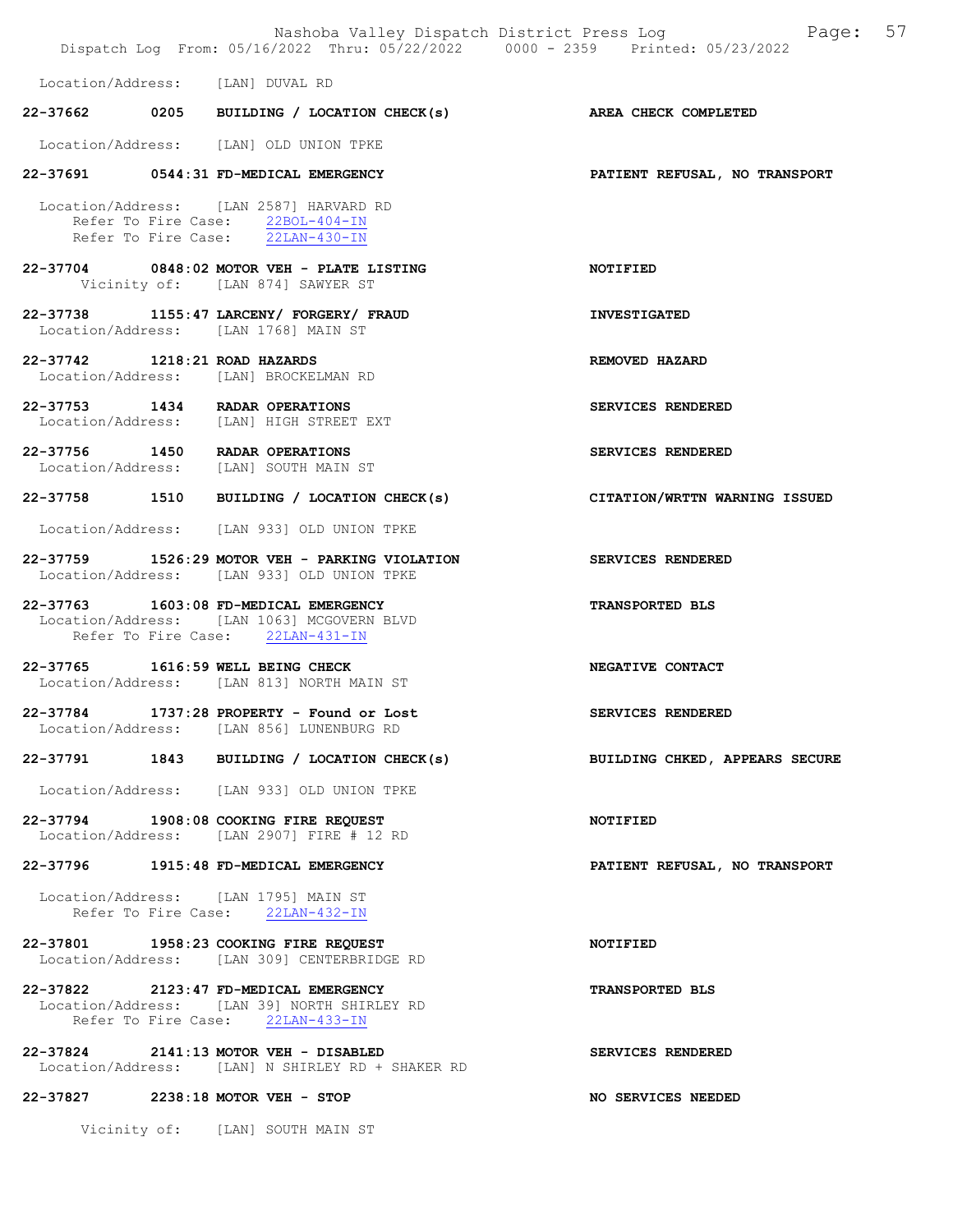|                               | Nashoba Valley Dispatch District Press Log<br>Dispatch Log From: 05/16/2022 Thru: 05/22/2022 0000 - 2359 Printed: 05/23/2022 | Page: 57                       |
|-------------------------------|------------------------------------------------------------------------------------------------------------------------------|--------------------------------|
|                               | Location/Address: [LAN] DUVAL RD                                                                                             |                                |
|                               | 22-37662 0205 BUILDING / LOCATION CHECK(s) AREA CHECK COMPLETED                                                              |                                |
|                               | Location/Address: [LAN] OLD UNION TPKE                                                                                       |                                |
|                               | 22-37691 0544:31 FD-MEDICAL EMERGENCY                                                                                        | PATIENT REFUSAL, NO TRANSPORT  |
|                               | Location/Address: [LAN 2587] HARVARD RD<br>Refer To Fire Case: 22BOL-404-IN<br>Refer To Fire Case: 22LAN-430-IN              |                                |
|                               | 22-37704 0848:02 MOTOR VEH - PLATE LISTING<br>Vicinity of: [LAN 874] SAWYER ST                                               | NOTIFIED                       |
|                               | 22-37738 1155:47 LARCENY/ FORGERY/ FRAUD<br>Location/Address: [LAN 1768] MAIN ST                                             | <b>INVESTIGATED</b>            |
| 22-37742 1218:21 ROAD HAZARDS | Location/Address: [LAN] BROCKELMAN RD                                                                                        | REMOVED HAZARD                 |
|                               | 22-37753 1434 RADAR OPERATIONS<br>Location/Address: [LAN] HIGH STREET EXT                                                    | SERVICES RENDERED              |
|                               | 22-37756 1450 RADAR OPERATIONS<br>Location/Address: [LAN] SOUTH MAIN ST                                                      | SERVICES RENDERED              |
|                               | 22-37758 1510 BUILDING / LOCATION CHECK(s)                                                                                   | CITATION/WRTTN WARNING ISSUED  |
|                               | Location/Address: [LAN 933] OLD UNION TPKE                                                                                   |                                |
|                               | 22-37759 1526:29 MOTOR VEH - PARKING VIOLATION<br>Location/Address: [LAN 933] OLD UNION TPKE                                 | SERVICES RENDERED              |
|                               | 22-37763 1603:08 FD-MEDICAL EMERGENCY<br>Location/Address: [LAN 1063] MCGOVERN BLVD<br>Refer To Fire Case: 22LAN-431-IN      | <b>TRANSPORTED BLS</b>         |
|                               | 22-37765 1616:59 WELL BEING CHECK<br>Location/Address: [LAN 813] NORTH MAIN ST                                               | NEGATIVE CONTACT               |
| 22-37784                      | 1737:28 PROPERTY - Found or Lost<br>Location/Address: [LAN 856] LUNENBURG RD                                                 | SERVICES RENDERED              |
|                               | 22-37791 1843 BUILDING / LOCATION CHECK(s)                                                                                   | BUILDING CHKED, APPEARS SECURE |
|                               | Location/Address: [LAN 933] OLD UNION TPKE                                                                                   |                                |
|                               | 22-37794 1908:08 COOKING FIRE REQUEST<br>Location/Address: [LAN 2907] FIRE # 12 RD                                           | NOTIFIED                       |
|                               | 22-37796 1915:48 FD-MEDICAL EMERGENCY                                                                                        | PATIENT REFUSAL, NO TRANSPORT  |
|                               | Location/Address: [LAN 1795] MAIN ST<br>Refer To Fire Case: 22LAN-432-IN                                                     |                                |
|                               | 22-37801 1958:23 COOKING FIRE REQUEST<br>Location/Address: [LAN 309] CENTERBRIDGE RD                                         | NOTIFIED                       |
|                               | 22-37822 2123:47 FD-MEDICAL EMERGENCY<br>Location/Address: [LAN 39] NORTH SHIRLEY RD<br>Refer To Fire Case: 22LAN-433-IN     | <b>TRANSPORTED BLS</b>         |
|                               | 22-37824 2141:13 MOTOR VEH - DISABLED<br>Location/Address: [LAN] N SHIRLEY RD + SHAKER RD                                    | SERVICES RENDERED              |
| 22-37827                      | $2238:18$ MOTOR VEH - STOP                                                                                                   | NO SERVICES NEEDED             |

Vicinity of: [LAN] SOUTH MAIN ST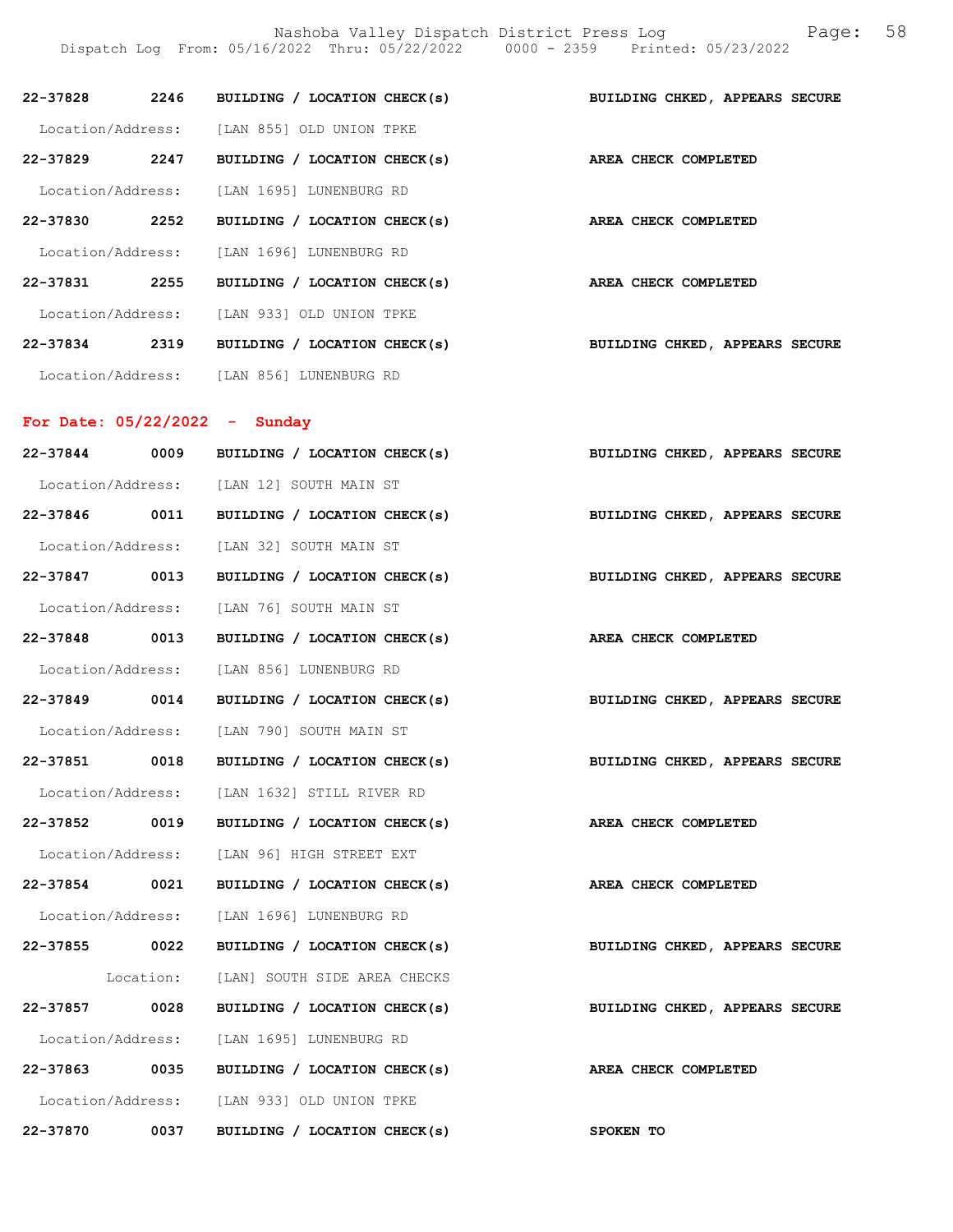Nashoba Valley Dispatch District Press Log Fage: 58 Dispatch Log From: 05/16/2022 Thru: 05/22/2022 0000 - 2359 Printed: 05/23/2022

| 22-37828          | 2246 | BUILDING / LOCATION CHECK(s)              | BUILDING CHKED, APPEARS SECURE |
|-------------------|------|-------------------------------------------|--------------------------------|
| Location/Address: |      | [LAN 855] OLD UNION TPKE                  |                                |
| 22-37829          | 2247 | BUILDING / LOCATION CHECK(s)              | AREA CHECK COMPLETED           |
|                   |      | Location/Address: [LAN 1695] LUNENBURG RD |                                |
| 22-37830          | 2252 | BUILDING / LOCATION CHECK(s)              | AREA CHECK COMPLETED           |
| Location/Address: |      | [LAN 1696] LUNENBURG RD                   |                                |
| 22-37831          | 2255 | BUILDING / LOCATION CHECK(s)              | AREA CHECK COMPLETED           |
| Location/Address: |      | [LAN 933] OLD UNION TPKE                  |                                |
| 22-37834          | 2319 | BUILDING / LOCATION CHECK(s)              | BUILDING CHKED, APPEARS SECURE |
| Location/Address: |      | TLAN 8561 LUNENBURG RD                    |                                |

# For Date: 05/22/2022 - Sunday

| 22-37844      | 0009 | BUILDING / LOCATION CHECK(s)                      | BUILDING CHKED, APPEARS SECURE |
|---------------|------|---------------------------------------------------|--------------------------------|
|               |      | Location/Address: [LAN 12] SOUTH MAIN ST          |                                |
| 22-37846 0011 |      | BUILDING / LOCATION CHECK(s)                      | BUILDING CHKED, APPEARS SECURE |
|               |      | Location/Address: [LAN 32] SOUTH MAIN ST          |                                |
| 22-37847 0013 |      | BUILDING / LOCATION CHECK(s)                      | BUILDING CHKED, APPEARS SECURE |
|               |      | Location/Address: [LAN 76] SOUTH MAIN ST          |                                |
| 22-37848 0013 |      | BUILDING / LOCATION CHECK(s)                      | AREA CHECK COMPLETED           |
|               |      | Location/Address: [LAN 856] LUNENBURG RD          |                                |
| 22-37849 0014 |      | BUILDING / LOCATION CHECK(s)                      | BUILDING CHKED, APPEARS SECURE |
|               |      | Location/Address: [LAN 790] SOUTH MAIN ST         |                                |
| 22-37851 0018 |      | BUILDING / LOCATION CHECK(s)                      | BUILDING CHKED, APPEARS SECURE |
|               |      | Location/Address: [LAN 1632] STILL RIVER RD       |                                |
| 22-37852 0019 |      | BUILDING / LOCATION CHECK(s) AREA CHECK COMPLETED |                                |
|               |      | Location/Address: [LAN 96] HIGH STREET EXT        |                                |
| 22-37854 0021 |      | BUILDING / LOCATION CHECK(s)                      | AREA CHECK COMPLETED           |
|               |      | Location/Address: [LAN 1696] LUNENBURG RD         |                                |
| 22-37855 0022 |      | BUILDING / LOCATION CHECK(s)                      | BUILDING CHKED, APPEARS SECURE |
|               |      | Location: [LAN] SOUTH SIDE AREA CHECKS            |                                |
| 22-37857 0028 |      | BUILDING / LOCATION CHECK(s)                      | BUILDING CHKED, APPEARS SECURE |
|               |      | Location/Address: [LAN 1695] LUNENBURG RD         |                                |
| 22-37863 0035 |      | BUILDING / LOCATION CHECK(s)                      | AREA CHECK COMPLETED           |
|               |      | Location/Address: [LAN 933] OLD UNION TPKE        |                                |
| 22-37870 0037 |      | BUILDING / LOCATION CHECK(s)                      | SPOKEN TO                      |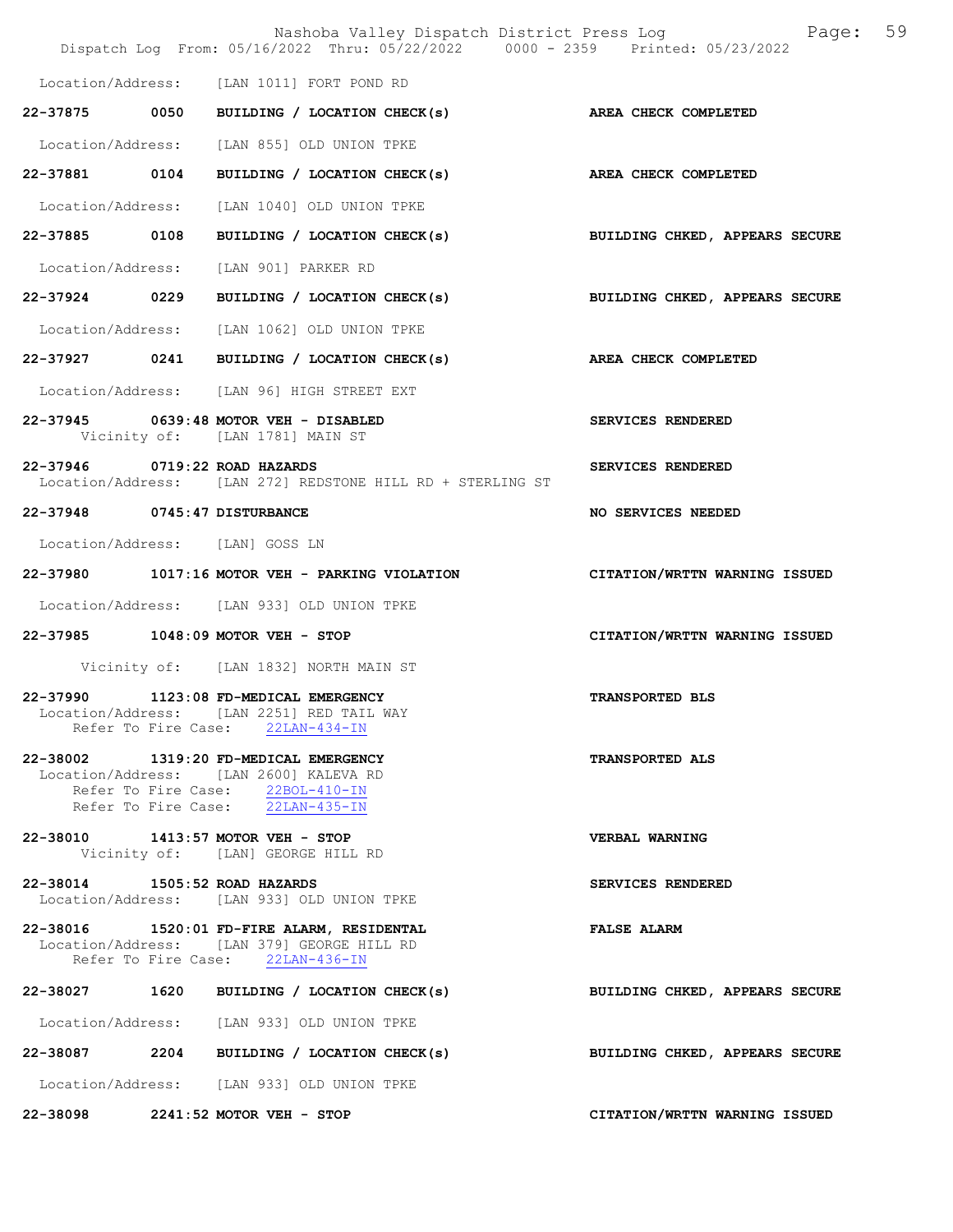|                                 | Nashoba Valley Dispatch District Press Log Nashoba Valley Dispatch District Press Log<br>Dispatch Log From: 05/16/2022 Thru: 05/22/2022 0000 - 2359 Printed: 05/23/2022 | 59                             |
|---------------------------------|-------------------------------------------------------------------------------------------------------------------------------------------------------------------------|--------------------------------|
|                                 | Location/Address: [LAN 1011] FORT POND RD                                                                                                                               |                                |
|                                 | 22-37875 0050 BUILDING / LOCATION CHECK(s)                                                                                                                              | AREA CHECK COMPLETED           |
|                                 | Location/Address: [LAN 855] OLD UNION TPKE                                                                                                                              |                                |
|                                 | 22-37881 0104 BUILDING / LOCATION CHECK(s)                                                                                                                              | AREA CHECK COMPLETED           |
|                                 | Location/Address: [LAN 1040] OLD UNION TPKE                                                                                                                             |                                |
| 22-37885 0108                   | BUILDING / LOCATION CHECK(s) BUILDING CHKED, APPEARS SECURE                                                                                                             |                                |
|                                 | Location/Address: [LAN 901] PARKER RD                                                                                                                                   |                                |
|                                 | 22-37924 0229 BUILDING / LOCATION CHECK(s)                                                                                                                              | BUILDING CHKED, APPEARS SECURE |
|                                 | Location/Address: [LAN 1062] OLD UNION TPKE                                                                                                                             |                                |
|                                 | 22-37927 0241 BUILDING / LOCATION CHECK(s)                                                                                                                              | AREA CHECK COMPLETED           |
|                                 | Location/Address: [LAN 96] HIGH STREET EXT                                                                                                                              |                                |
|                                 | 22-37945 0639:48 MOTOR VEH - DISABLED<br>Vicinity of: [LAN 1781] MAIN ST                                                                                                | SERVICES RENDERED              |
| 22-37946 0719:22 ROAD HAZARDS   | Location/Address: [LAN 272] REDSTONE HILL RD + STERLING ST                                                                                                              | SERVICES RENDERED              |
| 22-37948 0745:47 DISTURBANCE    |                                                                                                                                                                         | NO SERVICES NEEDED             |
| Location/Address: [LAN] GOSS LN |                                                                                                                                                                         |                                |
|                                 | 22-37980 1017:16 MOTOR VEH - PARKING VIOLATION CITATION/WRTTN WARNING ISSUED                                                                                            |                                |
|                                 | Location/Address: [LAN 933] OLD UNION TPKE                                                                                                                              |                                |
|                                 | 22-37985 1048:09 MOTOR VEH - STOP                                                                                                                                       | CITATION/WRTTN WARNING ISSUED  |
|                                 | Vicinity of: [LAN 1832] NORTH MAIN ST                                                                                                                                   |                                |
|                                 | 22-37990 1123:08 FD-MEDICAL EMERGENCY<br>Location/Address: [LAN 2251] RED TAIL WAY<br>Refer To Fire Case: 22LAN-434-IN                                                  | <b>TRANSPORTED BLS</b>         |
|                                 | 22-38002 1319:20 FD-MEDICAL EMERGENCY<br>Location/Address: [LAN 2600] KALEVA RD<br>Refer To Fire Case: 22BOL-410-IN<br>Refer To Fire Case: 22LAN-435-IN                 | <b>TRANSPORTED ALS</b>         |
|                                 | 22-38010 1413:57 MOTOR VEH - STOP<br>Vicinity of: [LAN] GEORGE HILL RD                                                                                                  | VERBAL WARNING                 |
| 22-38014 1505:52 ROAD HAZARDS   | Location/Address: [LAN 933] OLD UNION TPKE                                                                                                                              | SERVICES RENDERED              |
|                                 | 22-38016 1520:01 FD-FIRE ALARM, RESIDENTAL<br>Location/Address: [LAN 379] GEORGE HILL RD<br>Refer To Fire Case: 22LAN-436-IN                                            | <b>FALSE ALARM</b>             |
|                                 | 22-38027 1620 BUILDING / LOCATION CHECK(s)                                                                                                                              | BUILDING CHKED, APPEARS SECURE |
|                                 | Location/Address: [LAN 933] OLD UNION TPKE                                                                                                                              |                                |
|                                 | 22-38087 2204 BUILDING / LOCATION CHECK(s)                                                                                                                              | BUILDING CHKED, APPEARS SECURE |
|                                 | Location/Address: [LAN 933] OLD UNION TPKE                                                                                                                              |                                |
|                                 | 22-38098 2241:52 MOTOR VEH - STOP                                                                                                                                       | CITATION/WRTTN WARNING ISSUED  |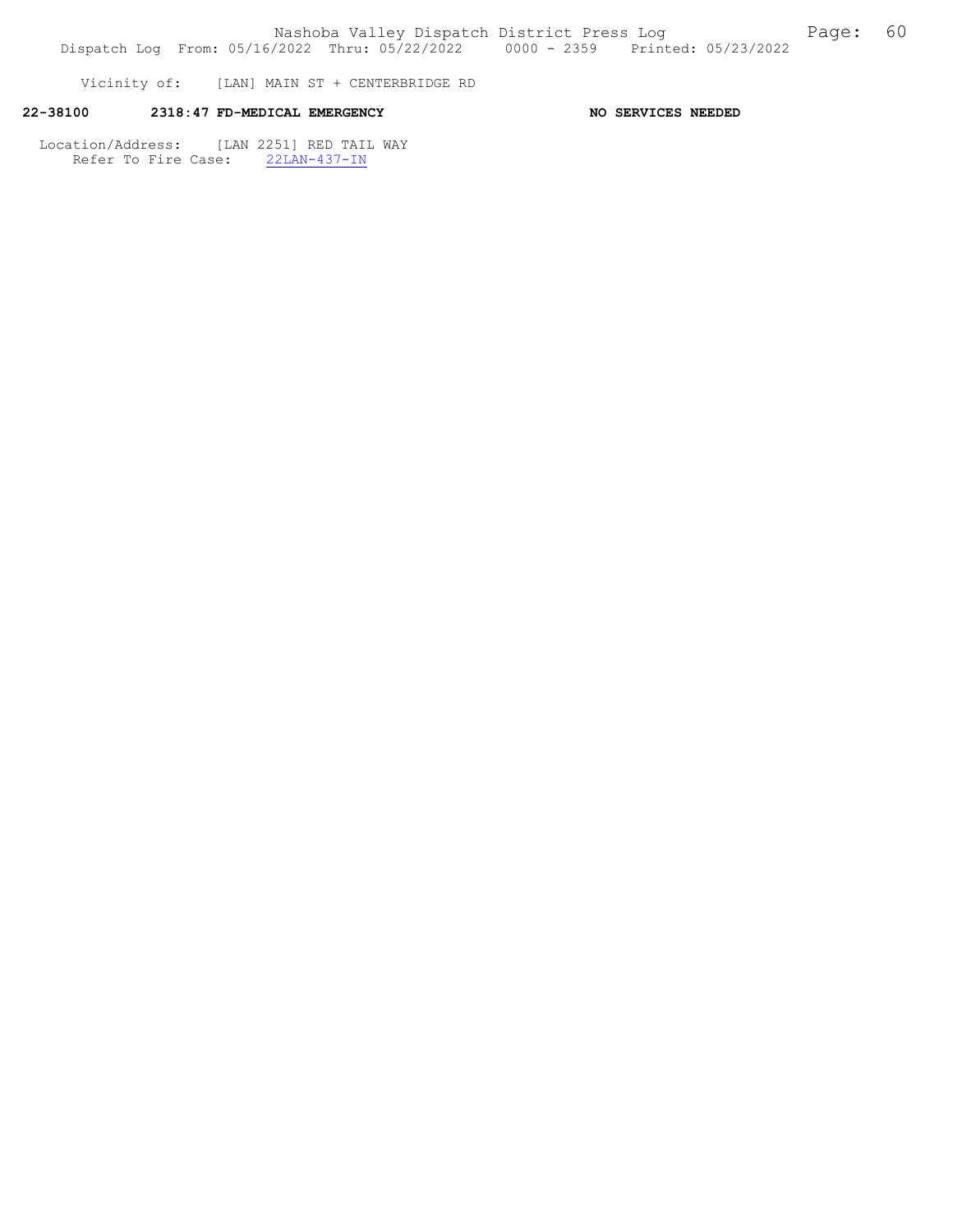Vicinity of: [LAN] MAIN ST + CENTERBRIDGE RD

# 22-38100 2318:47 FD-MEDICAL EMERGENCY NO SERVICES NEEDED

 Location/Address: [LAN 2251] RED TAIL WAY Refer To Fire Case: 22LAN-437-IN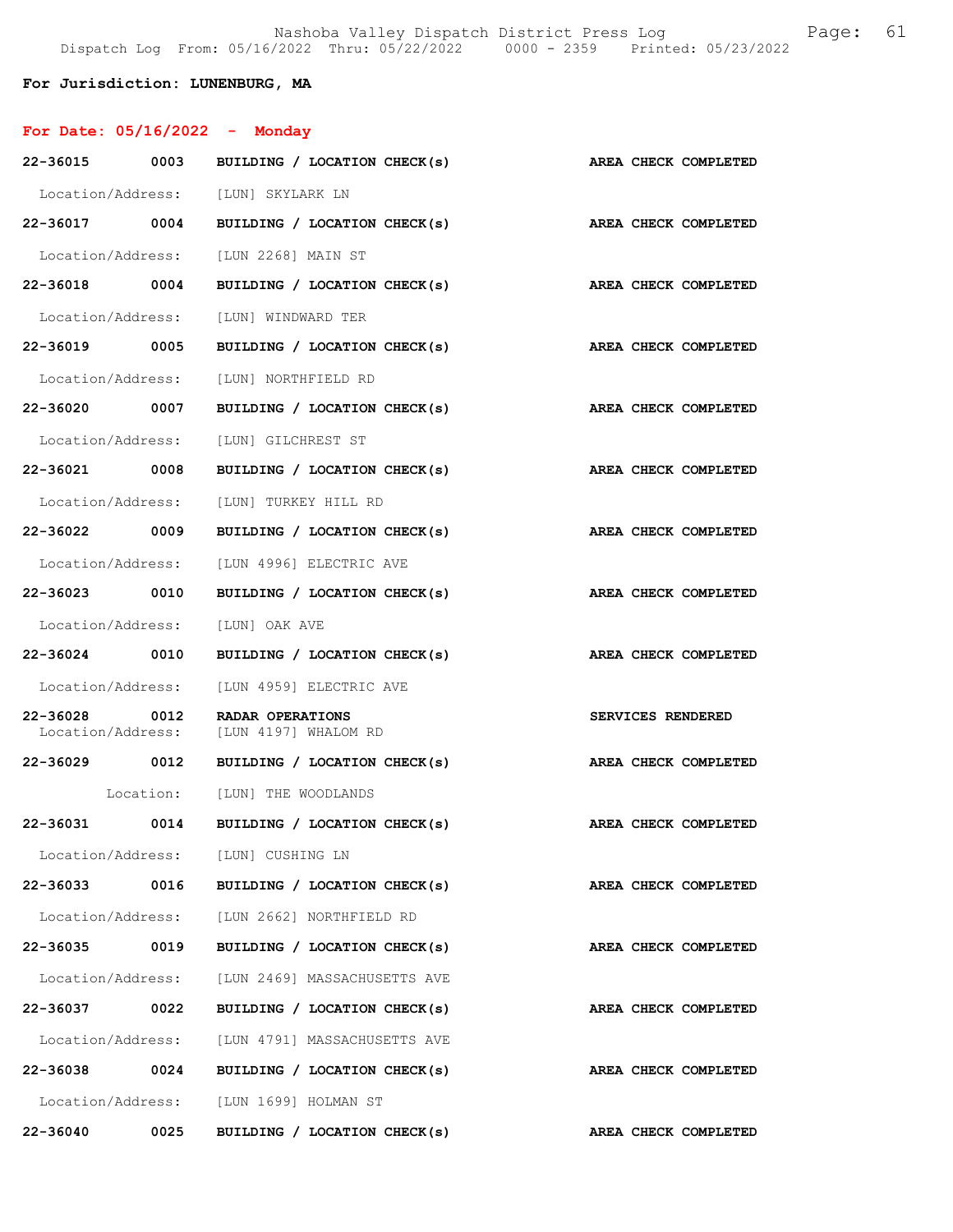# For Jurisdiction: LUNENBURG, MA

| For Date: $05/16/2022 -$ Monday |  |
|---------------------------------|--|
|                                 |  |

| 22-36015 0003     |      | BUILDING / LOCATION CHECK(s)                               | AREA CHECK COMPLETED |
|-------------------|------|------------------------------------------------------------|----------------------|
|                   |      | Location/Address: [LUN] SKYLARK LN                         |                      |
| 22-36017 0004     |      | BUILDING / LOCATION CHECK(s)                               | AREA CHECK COMPLETED |
| Location/Address: |      | [LUN 2268] MAIN ST                                         |                      |
| 22-36018 0004     |      | BUILDING / LOCATION CHECK(s)                               | AREA CHECK COMPLETED |
|                   |      | Location/Address: [LUN] WINDWARD TER                       |                      |
| 22-36019 0005     |      | BUILDING / LOCATION CHECK(s)                               | AREA CHECK COMPLETED |
| Location/Address: |      | [LUN] NORTHFIELD RD                                        |                      |
| 22-36020 0007     |      | BUILDING / LOCATION CHECK(s)                               | AREA CHECK COMPLETED |
| Location/Address: |      | [LUN] GILCHREST ST                                         |                      |
| 22-36021 0008     |      | BUILDING / LOCATION CHECK(s)                               | AREA CHECK COMPLETED |
|                   |      | Location/Address: [LUN] TURKEY HILL RD                     |                      |
| 22-36022 0009     |      | BUILDING / LOCATION CHECK(s)                               | AREA CHECK COMPLETED |
| Location/Address: |      | [LUN 4996] ELECTRIC AVE                                    |                      |
| 22-36023 0010     |      | BUILDING / LOCATION CHECK(s)                               | AREA CHECK COMPLETED |
| Location/Address: |      | [LUN] OAK AVE                                              |                      |
|                   |      |                                                            |                      |
| 22-36024 0010     |      | BUILDING / LOCATION CHECK(s)                               | AREA CHECK COMPLETED |
|                   |      | Location/Address: [LUN 4959] ELECTRIC AVE                  |                      |
| 22-36028 0012     |      | RADAR OPERATIONS<br>Location/Address: [LUN 4197] WHALOM RD | SERVICES RENDERED    |
| 22-36029 0012     |      | BUILDING / LOCATION CHECK(s)                               | AREA CHECK COMPLETED |
|                   |      | Location: [LUN] THE WOODLANDS                              |                      |
| 22-36031 0014     |      | BUILDING / LOCATION CHECK(s)                               | AREA CHECK COMPLETED |
| Location/Address: |      | [LUN] CUSHING LN                                           |                      |
| 22-36033          | 0016 | BUILDING / LOCATION CHECK(s)                               | AREA CHECK COMPLETED |
|                   |      | Location/Address: [LUN 2662] NORTHFIELD RD                 |                      |
| 22-36035          | 0019 | BUILDING / LOCATION CHECK(s)                               | AREA CHECK COMPLETED |
|                   |      | Location/Address: [LUN 2469] MASSACHUSETTS AVE             |                      |
| 22-36037          | 0022 | BUILDING / LOCATION CHECK(s)                               | AREA CHECK COMPLETED |
| Location/Address: |      | [LUN 4791] MASSACHUSETTS AVE                               |                      |
| 22-36038          | 0024 | BUILDING / LOCATION CHECK(s)                               | AREA CHECK COMPLETED |
|                   |      | Location/Address: [LUN 1699] HOLMAN ST                     |                      |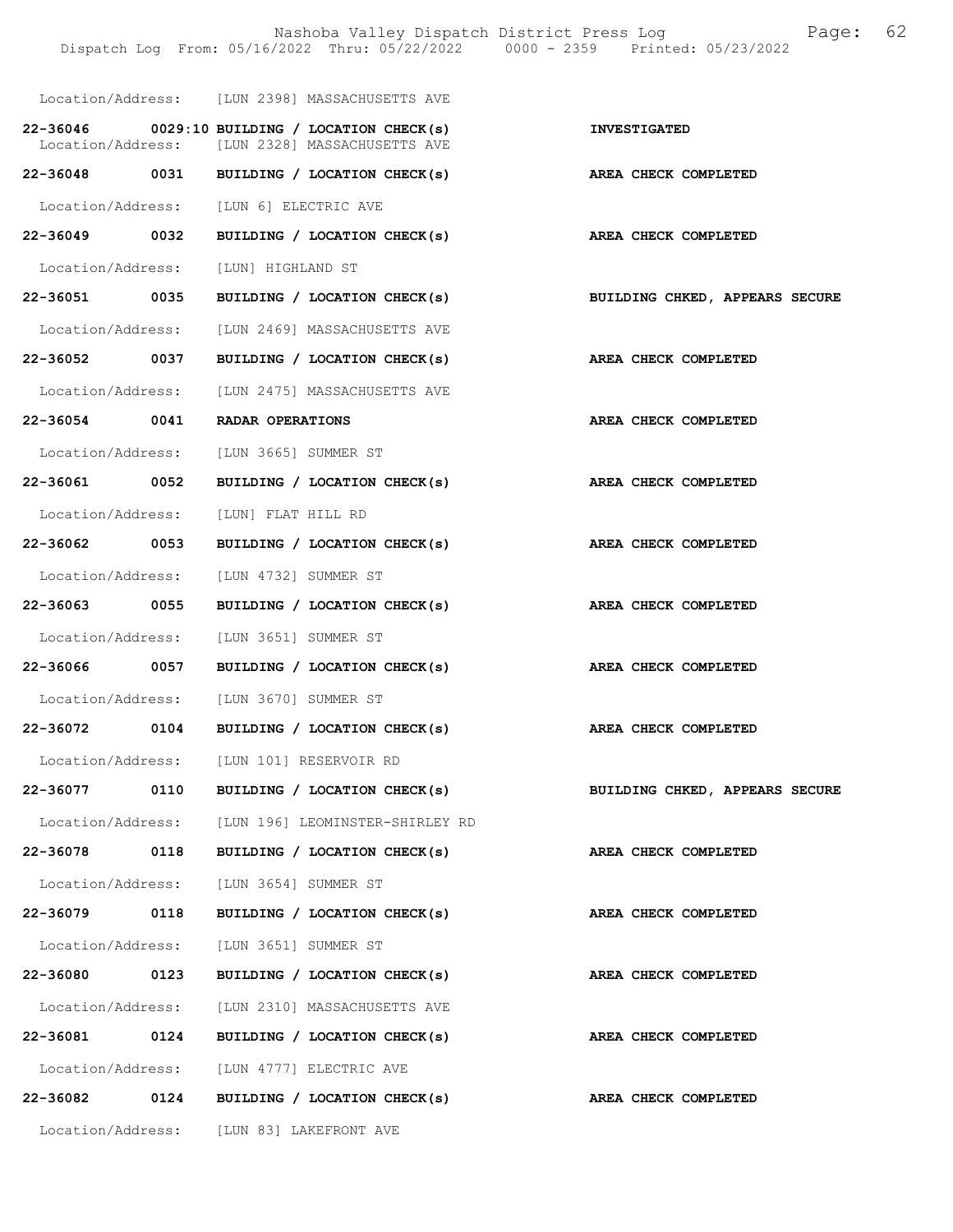Nashoba Valley Dispatch District Press Log Bage: 62<br>  $\frac{1}{2022}$  Thru: 05/22/2022 0000 - 2359 Printed: 05/23/2022 Dispatch Log From: 05/16/2022 Thru: 05/22/2022 0000 - 2359 Location/Address: [LUN 2398] MASSACHUSETTS AVE 22-36046 0029:10 BUILDING / LOCATION CHECK(s) INVESTIGATED<br>
Location/Address: [LUN 2328] MASSACHUSETTS AVE [LUN 2328] MASSACHUSETTS AVE 22-36048 0031 BUILDING / LOCATION CHECK(s) AREA CHECK COMPLETED Location/Address: [LUN 6] ELECTRIC AVE 22-36049 0032 BUILDING / LOCATION CHECK(s) AREA CHECK COMPLETED Location/Address: [LUN] HIGHLAND ST 22-36051 0035 BUILDING / LOCATION CHECK(s) BUILDING CHKED, APPEARS SECURE Location/Address: [LUN 2469] MASSACHUSETTS AVE 22-36052 0037 BUILDING / LOCATION CHECK(s) AREA CHECK COMPLETED Location/Address: [LUN 2475] MASSACHUSETTS AVE 22-36054 0041 RADAR OPERATIONS AREA CHECK COMPLETED Location/Address: [LUN 3665] SUMMER ST 22-36061 0052 BUILDING / LOCATION CHECK(s) AREA CHECK COMPLETED Location/Address: [LUN] FLAT HILL RD 22-36062 0053 BUILDING / LOCATION CHECK(s) AREA CHECK COMPLETED Location/Address: [LUN 4732] SUMMER ST 22-36063 0055 BUILDING / LOCATION CHECK(s) AREA CHECK COMPLETED Location/Address: [LUN 3651] SUMMER ST 22-36066 0057 BUILDING / LOCATION CHECK(s) AREA CHECK COMPLETED Location/Address: [LUN 3670] SUMMER ST 22-36072 0104 BUILDING / LOCATION CHECK(s) AREA CHECK COMPLETED Location/Address: [LUN 101] RESERVOIR RD 22-36077 0110 BUILDING / LOCATION CHECK(s) BUILDING CHKED, APPEARS SECURE Location/Address: [LUN 196] LEOMINSTER-SHIRLEY RD 22-36078 0118 BUILDING / LOCATION CHECK(s) AREA CHECK COMPLETED Location/Address: [LUN 3654] SUMMER ST 22-36079 0118 BUILDING / LOCATION CHECK(s) AREA CHECK COMPLETED Location/Address: [LUN 3651] SUMMER ST 22-36080 0123 BUILDING / LOCATION CHECK(s) AREA CHECK COMPLETED Location/Address: [LUN 2310] MASSACHUSETTS AVE 22-36081 0124 BUILDING / LOCATION CHECK(s) AREA CHECK COMPLETED Location/Address: [LUN 4777] ELECTRIC AVE 22-36082 0124 BUILDING / LOCATION CHECK(s) AREA CHECK COMPLETED Location/Address: [LUN 83] LAKEFRONT AVE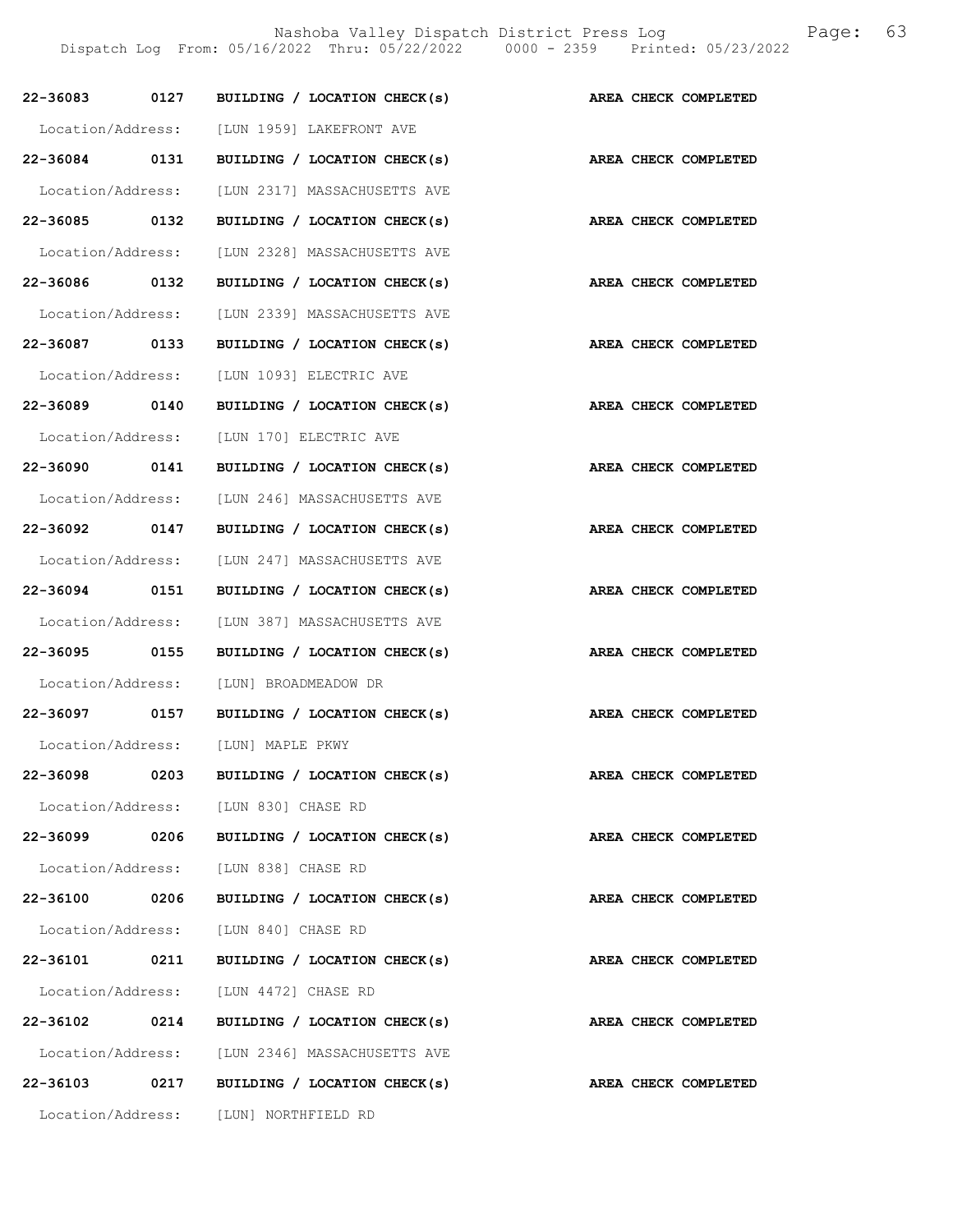|               | 22-36083 0127 BUILDING / LOCATION CHECK(s)                      | AREA CHECK COMPLETED        |
|---------------|-----------------------------------------------------------------|-----------------------------|
|               | Location/Address: [LUN 1959] LAKEFRONT AVE                      |                             |
|               | 22-36084 0131 BUILDING / LOCATION CHECK(s)                      | AREA CHECK COMPLETED        |
|               | Location/Address: [LUN 2317] MASSACHUSETTS AVE                  |                             |
|               | 22-36085 0132 BUILDING / LOCATION CHECK(s)                      | AREA CHECK COMPLETED        |
|               | Location/Address: [LUN 2328] MASSACHUSETTS AVE                  |                             |
| 22-36086 0132 | BUILDING / LOCATION CHECK(s)                                    | <b>AREA CHECK COMPLETED</b> |
|               | Location/Address: [LUN 2339] MASSACHUSETTS AVE                  |                             |
|               | 22-36087 0133 BUILDING / LOCATION CHECK(s)                      | AREA CHECK COMPLETED        |
|               | Location/Address: [LUN 1093] ELECTRIC AVE                       |                             |
|               | 22-36089 0140 BUILDING / LOCATION CHECK(s)                      | AREA CHECK COMPLETED        |
|               | Location/Address: [LUN 170] ELECTRIC AVE                        |                             |
| 22-36090 0141 | BUILDING / LOCATION CHECK(s)                                    | AREA CHECK COMPLETED        |
|               | Location/Address: [LUN 246] MASSACHUSETTS AVE                   |                             |
|               | 22-36092 0147 BUILDING / LOCATION CHECK(s)                      | AREA CHECK COMPLETED        |
|               | Location/Address: [LUN 247] MASSACHUSETTS AVE                   |                             |
|               | 22-36094 0151 BUILDING / LOCATION CHECK(s)                      | AREA CHECK COMPLETED        |
|               | Location/Address: [LUN 387] MASSACHUSETTS AVE                   |                             |
|               | 22-36095 0155 BUILDING / LOCATION CHECK(s)                      | AREA CHECK COMPLETED        |
|               | Location/Address: [LUN] BROADMEADOW DR                          |                             |
|               | 22-36097 0157 BUILDING / LOCATION CHECK(s) AREA CHECK COMPLETED |                             |
|               | Location/Address: [LUN] MAPLE PKWY                              |                             |
|               | 22-36098 0203 BUILDING / LOCATION CHECK(s)                      | AREA CHECK COMPLETED        |
|               | Location/Address: [LUN 830] CHASE RD                            |                             |
|               | 22-36099 0206 BUILDING / LOCATION CHECK(s)                      | AREA CHECK COMPLETED        |
|               | Location/Address: [LUN 838] CHASE RD                            |                             |
|               | 22-36100 0206 BUILDING / LOCATION CHECK(s)                      | AREA CHECK COMPLETED        |
|               | Location/Address: [LUN 840] CHASE RD                            |                             |
|               | 22-36101 0211 BUILDING / LOCATION CHECK(s)                      | AREA CHECK COMPLETED        |
|               | Location/Address: [LUN 4472] CHASE RD                           |                             |
|               | 22-36102 0214 BUILDING / LOCATION CHECK(s)                      | AREA CHECK COMPLETED        |
|               | Location/Address: [LUN 2346] MASSACHUSETTS AVE                  |                             |
|               | 22-36103 0217 BUILDING / LOCATION CHECK(s)                      | AREA CHECK COMPLETED        |
|               | Location/Address: [LUN] NORTHFIELD RD                           |                             |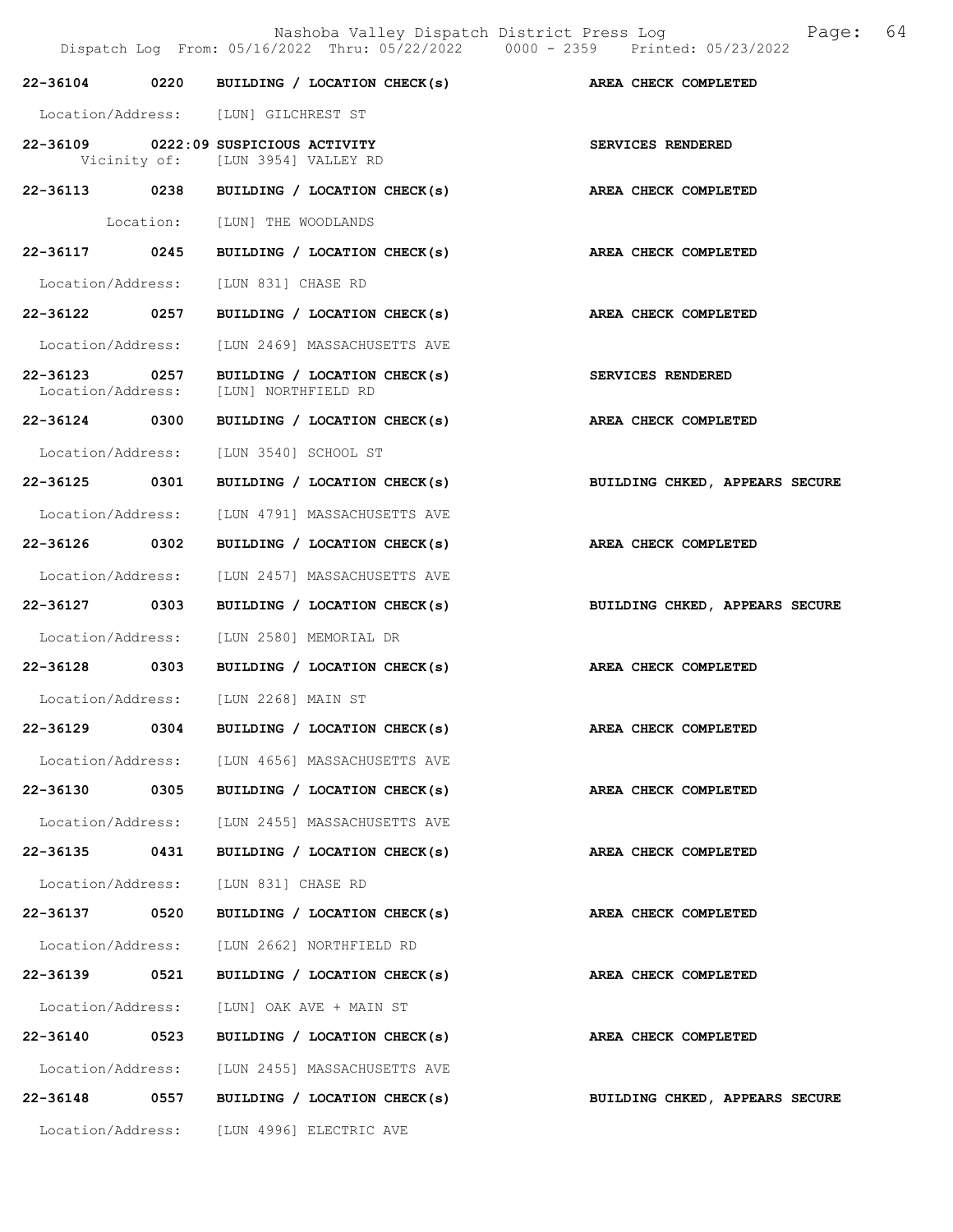Nashoba Valley Dispatch District Press Log Bage: 64<br>  $\frac{1}{2022}$  Thru: 05/22/2022 0000 - 2359 Printed: 05/23/2022 Dispatch Log From:  $05/16/2022$  Thru:  $05/22/2022$  0000 - 2359 22-36104 0220 BUILDING / LOCATION CHECK(s) AREA CHECK COMPLETED Location/Address: [LUN] GILCHREST ST 22-36109 0222:09 SUSPICIOUS ACTIVITY<br>
Vicinity of: [LUN 3954] VALLEY RD [LUN 3954] VALLEY RD 22-36113 0238 BUILDING / LOCATION CHECK(s) AREA CHECK COMPLETED Location: [LUN] THE WOODLANDS 22-36117 0245 BUILDING / LOCATION CHECK(s) AREA CHECK COMPLETED Location/Address: [LUN 831] CHASE RD 22-36122 0257 BUILDING / LOCATION CHECK(s) AREA CHECK COMPLETED Location/Address: [LUN 2469] MASSACHUSETTS AVE 22-36123 0257 BUILDING / LOCATION CHECK(s) SERVICES RENDERED Location/Address: [LUN] NORTHFIELD RD 22-36124 0300 BUILDING / LOCATION CHECK(s) AREA CHECK COMPLETED Location/Address: [LUN 3540] SCHOOL ST 22-36125 0301 BUILDING / LOCATION CHECK(s) BUILDING CHKED, APPEARS SECURE Location/Address: [LUN 4791] MASSACHUSETTS AVE 22-36126 0302 BUILDING / LOCATION CHECK(s) AREA CHECK COMPLETED Location/Address: [LUN 2457] MASSACHUSETTS AVE 22-36127 0303 BUILDING / LOCATION CHECK(s) BUILDING CHKED, APPEARS SECURE Location/Address: [LUN 2580] MEMORIAL DR 22-36128 0303 BUILDING / LOCATION CHECK(s) AREA CHECK COMPLETED Location/Address: [LUN 2268] MAIN ST 22-36129 0304 BUILDING / LOCATION CHECK(s) AREA CHECK COMPLETED Location/Address: [LUN 4656] MASSACHUSETTS AVE 22-36130 0305 BUILDING / LOCATION CHECK(s) AREA CHECK COMPLETED Location/Address: [LUN 2455] MASSACHUSETTS AVE 22-36135 0431 BUILDING / LOCATION CHECK(s) AREA CHECK COMPLETED Location/Address: [LUN 831] CHASE RD 22-36137 0520 BUILDING / LOCATION CHECK(s) AREA CHECK COMPLETED Location/Address: [LUN 2662] NORTHFIELD RD 22-36139 0521 BUILDING / LOCATION CHECK(s) AREA CHECK COMPLETED Location/Address: [LUN] OAK AVE + MAIN ST 22-36140 0523 BUILDING / LOCATION CHECK(s) AREA CHECK COMPLETED Location/Address: [LUN 2455] MASSACHUSETTS AVE 22-36148 0557 BUILDING / LOCATION CHECK(s) BUILDING CHKED, APPEARS SECURE Location/Address: [LUN 4996] ELECTRIC AVE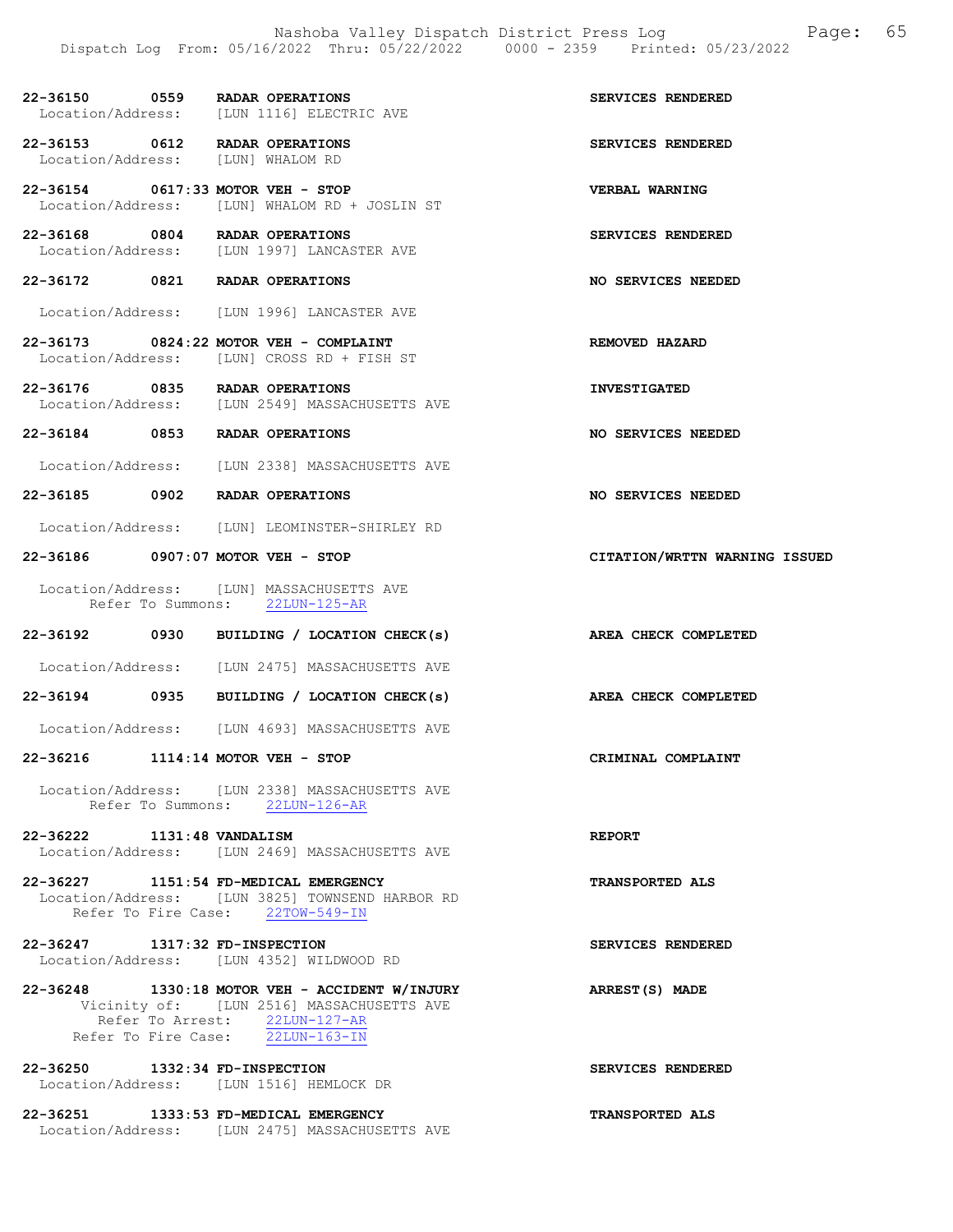| 22-36150          | 0559 | <b>RADAR OPERATIONS</b> |                         |  | SERVICES RENDERED |
|-------------------|------|-------------------------|-------------------------|--|-------------------|
| Location/Address: |      |                         | [LUN 1116] ELECTRIC AVE |  |                   |

22-36153 0612 RADAR OPERATIONS SERVICES RENDERED<br>
Location/Address: [LUN] WHALOM RD Location/Address:

22-36154 0617:33 MOTOR VEH - STOP VERBAL WARNING Location/Address: [LUN] WHALOM RD + JOSLIN ST

Location/Address: [LUN 1997] LANCASTER AVE

Location/Address: [LUN 1996] LANCASTER AVE

Location/Address: [LUN 2549] MASSACHUSETTS AVE

Location/Address: [LUN 2338] MASSACHUSETTS AVE

Location/Address: [LUN] LEOMINSTER-SHIRLEY RD

Location/Address: [LUN 2475] MASSACHUSETTS AVE

Location/Address: [LUN 4693] MASSACHUSETTS AVE

 Location/Address: [LUN 2338] MASSACHUSETTS AVE Refer To Summons: 22LUN-126-AR

Location/Address: [LUN 2469] MASSACHUSETTS AVE

Location/Address: [LUN 3825] TOWNSEND HARBOR RD

Vicinity of: [LUN 2516] MASSACHUSETTS AVE

Location/Address: [LUN] MASSACHUSETTS AVE<br>Refer To Summons: 22LUN-125-AR

Refer To Summons:

Location/Address: [LUN] CROSS RD + FISH ST

22-36168 0804 RADAR OPERATIONS SERVICES RENDERED

22-36172 0821 RADAR OPERATIONS NO SERVICES NEEDED

22-36173 0824:22 MOTOR VEH - COMPLAINT REMOVED HAZARD Location/Address: [LUN] CROSS RD + FISH ST

22-36176 0835 RADAR OPERATIONS INVESTIGATED

22-36184 0853 RADAR OPERATIONS NO SERVICES NEEDED

22-36185 0902 RADAR OPERATIONS NO SERVICES NEEDED

22-36186 0907:07 MOTOR VEH - STOP CITATION/WRTTN WARNING ISSUED

22-36192 0930 BUILDING / LOCATION CHECK(s) AREA CHECK COMPLETED

22-36194 0935 BUILDING / LOCATION CHECK(s) AREA CHECK COMPLETED

22-36216 1114:14 MOTOR VEH - STOP CRIMINAL COMPLAINT

22-36222 1131:48 VANDALISM REPORT

22-36227 1151:54 FD-MEDICAL EMERGENCY TRANSPORTED ALS

22-36247 1317:32 FD-INSPECTION SERVICES RENDERED

22-36248 1330:18 MOTOR VEH - ACCIDENT W/INJURY ARREST(S) MADE

 Refer To Fire Case: 22LUN-163-IN 22-36250 1332:34 FD-INSPECTION SERVICES RENDERED

Refer To Arrest: 22LUN-127-AR

Refer To Fire Case: 22TOW-549-IN

Location/Address: [LUN 4352] WILDWOOD RD

Location/Address: [LUN 1516] HEMLOCK DR

22-36251 1333:53 FD-MEDICAL EMERGENCY TRANSPORTED ALS Location/Address: [LUN 2475] MASSACHUSETTS AVE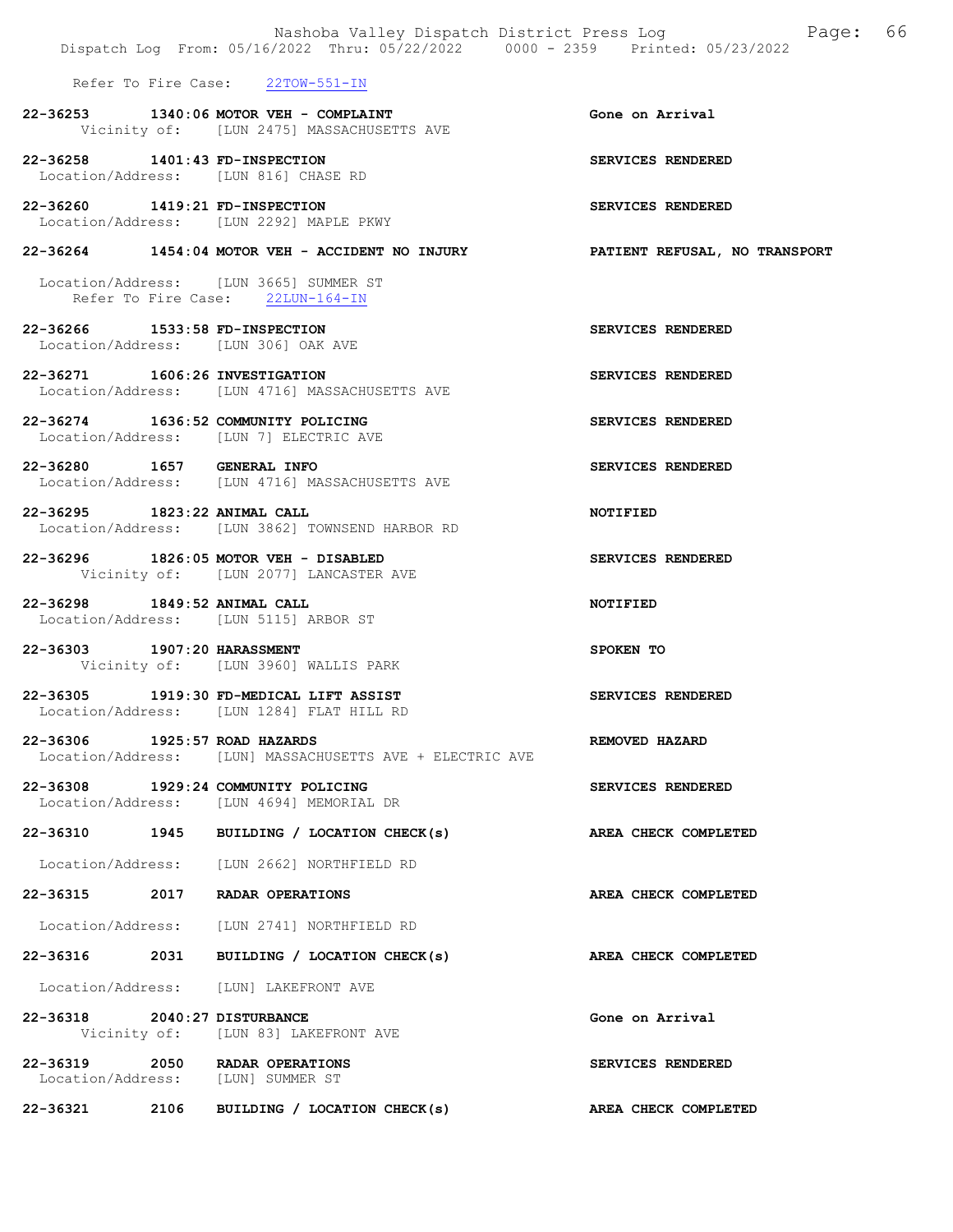|                                | Dispatch Log From: 05/16/2022 Thru: 05/22/2022 0000 - 2359 Printed: 05/23/2022       | Nashoba Valley Dispatch District Press Log Fage: 66 |
|--------------------------------|--------------------------------------------------------------------------------------|-----------------------------------------------------|
|                                | Refer To Fire Case: 22TOW-551-IN                                                     |                                                     |
|                                | 22-36253 1340:06 MOTOR VEH - COMPLAINT<br>Vicinity of: [LUN 2475] MASSACHUSETTS AVE  | Gone on Arrival                                     |
|                                | 22-36258 1401:43 FD-INSPECTION<br>Location/Address: [LUN 816] CHASE RD               | SERVICES RENDERED                                   |
| 22-36260 1419:21 FD-INSPECTION | Location/Address: [LUN 2292] MAPLE PKWY                                              | SERVICES RENDERED                                   |
|                                | $22-36264$ 1454:04 MOTOR VEH - ACCIDENT NO INJURY                                    | <b>PATIENT REFUSAL, NO TRANSPORT</b>                |
|                                | Location/Address: [LUN 3665] SUMMER ST<br>Refer To Fire Case: 22LUN-164-IN           |                                                     |
| 22-36266 1533:58 FD-INSPECTION | Location/Address: [LUN 306] OAK AVE                                                  | SERVICES RENDERED                                   |
| 22-36271 1606:26 INVESTIGATION | Location/Address: [LUN 4716] MASSACHUSETTS AVE                                       | SERVICES RENDERED                                   |
|                                | 22-36274 1636:52 COMMUNITY POLICING<br>Location/Address: [LUN 7] ELECTRIC AVE        | SERVICES RENDERED                                   |
| 22-36280 1657 GENERAL INFO     | Location/Address: [LUN 4716] MASSACHUSETTS AVE                                       | SERVICES RENDERED                                   |
| 22-36295 1823:22 ANIMAL CALL   | Location/Address: [LUN 3862] TOWNSEND HARBOR RD                                      | <b>NOTIFIED</b>                                     |
|                                | 22-36296 1826:05 MOTOR VEH - DISABLED<br>Vicinity of: [LUN 2077] LANCASTER AVE       | SERVICES RENDERED                                   |
| 22-36298 1849:52 ANIMAL CALL   | Location/Address: [LUN 5115] ARBOR ST                                                | <b>NOTIFIED</b>                                     |
| 22-36303 1907:20 HARASSMENT    | Vicinity of: [LUN 3960] WALLIS PARK                                                  | SPOKEN TO                                           |
|                                | 22-36305 1919:30 FD-MEDICAL LIFT ASSIST<br>Location/Address: [LUN 1284] FLAT HILL RD | SERVICES RENDERED                                   |
| 22-36306 1925:57 ROAD HAZARDS  | Location/Address: [LUN] MASSACHUSETTS AVE + ELECTRIC AVE                             | REMOVED HAZARD                                      |
|                                | 22-36308 1929:24 COMMUNITY POLICING<br>Location/Address: [LUN 4694] MEMORIAL DR      | SERVICES RENDERED                                   |
|                                | 22-36310 1945 BUILDING / LOCATION CHECK(s)                                           | AREA CHECK COMPLETED                                |
|                                | Location/Address: [LUN 2662] NORTHFIELD RD                                           |                                                     |
|                                | 22-36315 2017 RADAR OPERATIONS                                                       | AREA CHECK COMPLETED                                |
|                                | Location/Address: [LUN 2741] NORTHFIELD RD                                           |                                                     |
| 22-36316 2031                  | BUILDING / LOCATION CHECK(s)                                                         | AREA CHECK COMPLETED                                |
|                                | Location/Address: [LUN] LAKEFRONT AVE                                                |                                                     |
| 22-36318 2040:27 DISTURBANCE   | Vicinity of: [LUN 83] LAKEFRONT AVE                                                  | Gone on Arrival                                     |
|                                | 22-36319 2050 RADAR OPERATIONS<br>Location/Address: [LUN] SUMMER ST                  | SERVICES RENDERED                                   |
| 22-36321 2106                  | BUILDING / LOCATION CHECK(s)                                                         | AREA CHECK COMPLETED                                |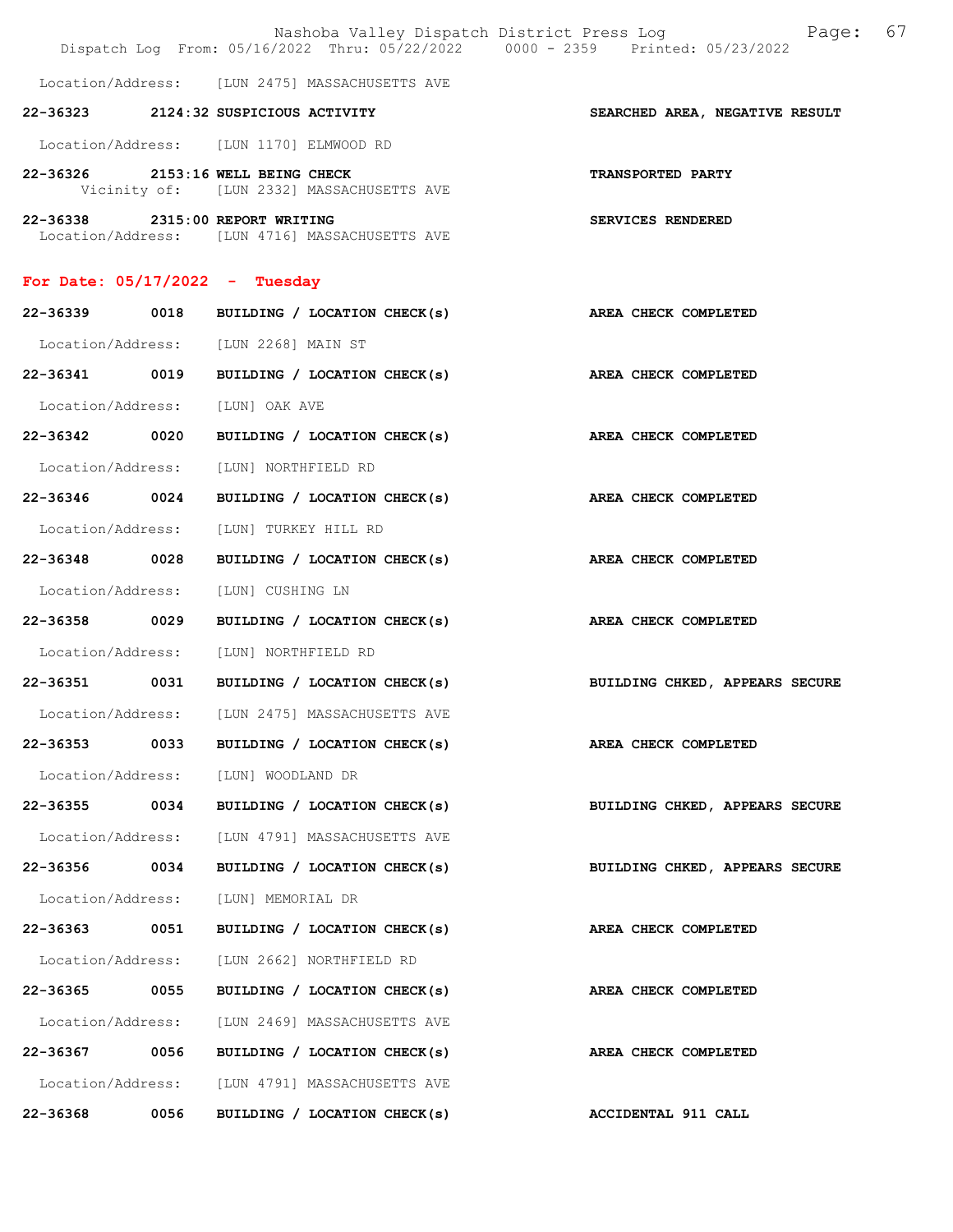|                                  |      |                                                                                   | Nashoba Valley Dispatch District Press Log Fage:<br>Dispatch Log From: 05/16/2022 Thru: 05/22/2022 0000 - 2359 Printed: 05/23/2022 | 67 |
|----------------------------------|------|-----------------------------------------------------------------------------------|------------------------------------------------------------------------------------------------------------------------------------|----|
|                                  |      | Location/Address: [LUN 2475] MASSACHUSETTS AVE                                    |                                                                                                                                    |    |
|                                  |      | 22-36323 2124:32 SUSPICIOUS ACTIVITY                                              | SEARCHED AREA, NEGATIVE RESULT                                                                                                     |    |
|                                  |      | Location/Address: [LUN 1170] ELMWOOD RD                                           |                                                                                                                                    |    |
|                                  |      | 22-36326 2153:16 WELL BEING CHECK<br>Vicinity of: [LUN 2332] MASSACHUSETTS AVE    | <b>TRANSPORTED PARTY</b>                                                                                                           |    |
|                                  |      | 22-36338 2315:00 REPORT WRITING<br>Location/Address: [LUN 4716] MASSACHUSETTS AVE | SERVICES RENDERED                                                                                                                  |    |
| For Date: $05/17/2022 -$ Tuesday |      |                                                                                   |                                                                                                                                    |    |
|                                  |      | 22-36339 0018 BUILDING / LOCATION CHECK(s)                                        | AREA CHECK COMPLETED                                                                                                               |    |
|                                  |      | Location/Address: [LUN 2268] MAIN ST                                              |                                                                                                                                    |    |
| 22-36341 0019                    |      | BUILDING / LOCATION CHECK(s) AREA CHECK COMPLETED                                 |                                                                                                                                    |    |
|                                  |      | Location/Address: [LUN] OAK AVE                                                   |                                                                                                                                    |    |
| 22-36342 0020                    |      | BUILDING / LOCATION CHECK(s)                                                      | AREA CHECK COMPLETED                                                                                                               |    |
| Location/Address:                |      | [LUN] NORTHFIELD RD                                                               |                                                                                                                                    |    |
| 22-36346 0024                    |      | BUILDING / LOCATION CHECK(s) AREA CHECK COMPLETED                                 |                                                                                                                                    |    |
| Location/Address:                |      | [LUN] TURKEY HILL RD                                                              |                                                                                                                                    |    |
| 22-36348 0028                    |      | BUILDING / LOCATION CHECK(s)                                                      | AREA CHECK COMPLETED                                                                                                               |    |
| Location/Address:                |      | [LUN] CUSHING LN                                                                  |                                                                                                                                    |    |
| 22-36358 0029                    |      | BUILDING / LOCATION CHECK(s) AREA CHECK COMPLETED                                 |                                                                                                                                    |    |
| Location/Address:                |      | [LUN] NORTHFIELD RD                                                               |                                                                                                                                    |    |
|                                  |      | 22-36351 0031 BUILDING / LOCATION CHECK(s)                                        | BUILDING CHKED, APPEARS SECURE                                                                                                     |    |
|                                  |      | Location/Address: [LUN 2475] MASSACHUSETTS AVE                                    |                                                                                                                                    |    |
| 22-36353                         | 0033 | BUILDING / LOCATION CHECK(s)                                                      | AREA CHECK COMPLETED                                                                                                               |    |
| Location/Address:                |      | [LUN] WOODLAND DR                                                                 |                                                                                                                                    |    |
| 22-36355 0034                    |      | BUILDING / LOCATION CHECK(s)                                                      | BUILDING CHKED, APPEARS SECURE                                                                                                     |    |
|                                  |      | Location/Address: [LUN 4791] MASSACHUSETTS AVE                                    |                                                                                                                                    |    |
| 22-36356                         | 0034 | BUILDING / LOCATION CHECK(s)                                                      | BUILDING CHKED, APPEARS SECURE                                                                                                     |    |
| Location/Address:                |      | [LUN] MEMORIAL DR                                                                 |                                                                                                                                    |    |
| 22-36363 0051                    |      | BUILDING / LOCATION CHECK(s)                                                      | AREA CHECK COMPLETED                                                                                                               |    |
| Location/Address:                |      | [LUN 2662] NORTHFIELD RD                                                          |                                                                                                                                    |    |
| 22-36365 0055                    |      | BUILDING / LOCATION CHECK(s)                                                      | AREA CHECK COMPLETED                                                                                                               |    |
| Location/Address:                |      | [LUN 2469] MASSACHUSETTS AVE                                                      |                                                                                                                                    |    |
| 22-36367                         | 0056 | BUILDING / LOCATION CHECK(s)                                                      | AREA CHECK COMPLETED                                                                                                               |    |
| Location/Address:                |      | [LUN 4791] MASSACHUSETTS AVE                                                      |                                                                                                                                    |    |
| 22-36368                         | 0056 | BUILDING / LOCATION CHECK(s)                                                      | ACCIDENTAL 911 CALL                                                                                                                |    |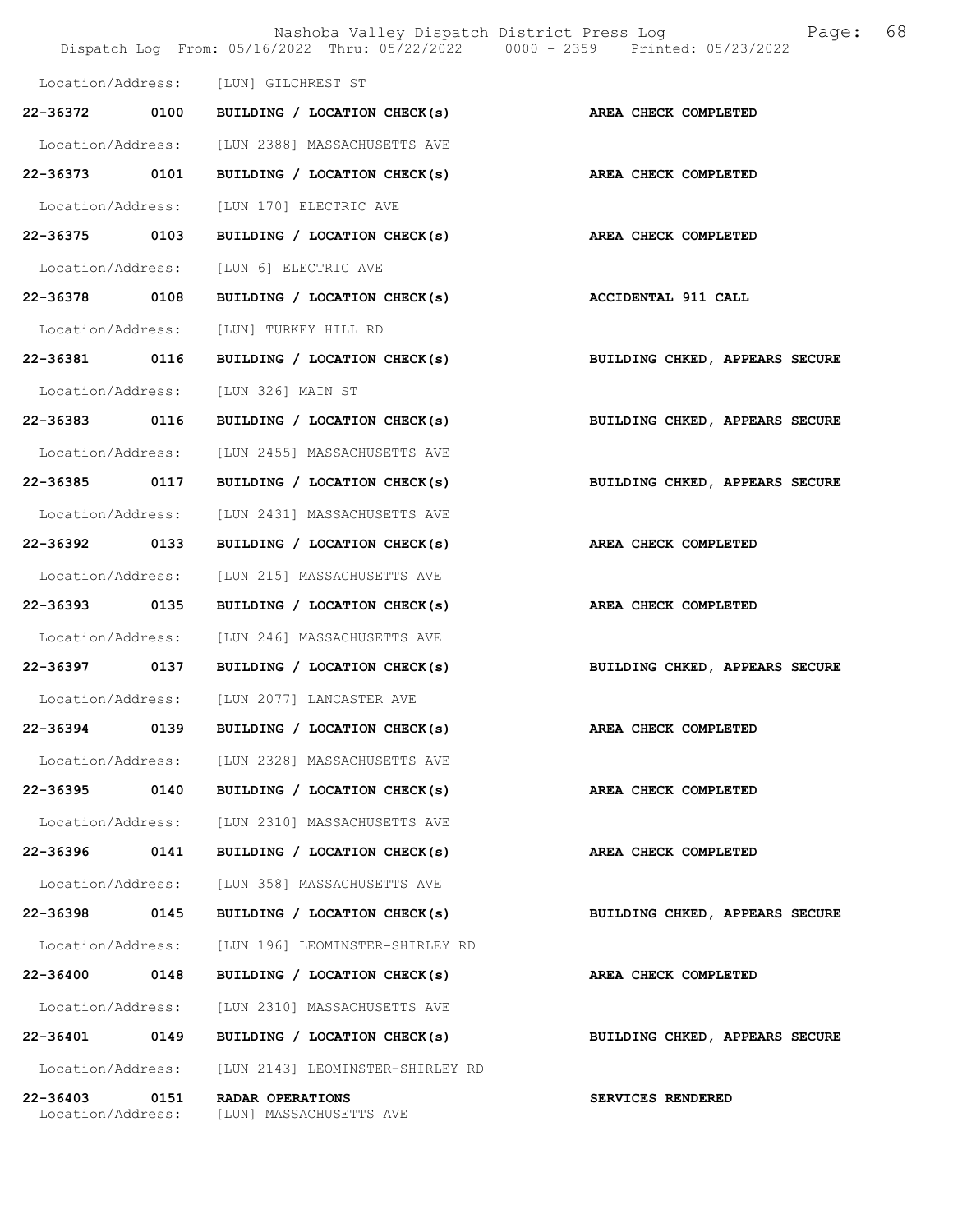|                               |      | Nashoba Valley Dispatch District Press Log<br>Dispatch Log From: 05/16/2022 Thru: 05/22/2022 0000 - 2359 Printed: 05/23/2022 | 68<br>Page:                    |
|-------------------------------|------|------------------------------------------------------------------------------------------------------------------------------|--------------------------------|
| Location/Address:             |      | [LUN] GILCHREST ST                                                                                                           |                                |
| 22-36372 0100                 |      | BUILDING / LOCATION CHECK(s)                                                                                                 | AREA CHECK COMPLETED           |
| Location/Address:             |      | [LUN 2388] MASSACHUSETTS AVE                                                                                                 |                                |
| 22-36373                      | 0101 | BUILDING / LOCATION CHECK(s)                                                                                                 | AREA CHECK COMPLETED           |
| Location/Address:             |      | [LUN 170] ELECTRIC AVE                                                                                                       |                                |
| 22-36375 0103                 |      | BUILDING / LOCATION CHECK(s)                                                                                                 | AREA CHECK COMPLETED           |
| Location/Address:             |      | [LUN 6] ELECTRIC AVE                                                                                                         |                                |
| 22-36378 0108                 |      | BUILDING / LOCATION CHECK(s)                                                                                                 | <b>ACCIDENTAL 911 CALL</b>     |
| Location/Address:             |      | [LUN] TURKEY HILL RD                                                                                                         |                                |
| 22-36381                      | 0116 | BUILDING / LOCATION CHECK(s)                                                                                                 | BUILDING CHKED, APPEARS SECURE |
| Location/Address:             |      | [LUN 326] MAIN ST                                                                                                            |                                |
| 22-36383 0116                 |      | BUILDING / LOCATION CHECK(s)                                                                                                 | BUILDING CHKED, APPEARS SECURE |
| Location/Address:             |      | [LUN 2455] MASSACHUSETTS AVE                                                                                                 |                                |
| 22-36385 0117                 |      | BUILDING / LOCATION CHECK(s)                                                                                                 | BUILDING CHKED, APPEARS SECURE |
| Location/Address:             |      | [LUN 2431] MASSACHUSETTS AVE                                                                                                 |                                |
| 22-36392                      | 0133 | BUILDING / LOCATION CHECK(s)                                                                                                 | AREA CHECK COMPLETED           |
| Location/Address:             |      | [LUN 215] MASSACHUSETTS AVE                                                                                                  |                                |
| 22-36393                      | 0135 | BUILDING / LOCATION CHECK(s)                                                                                                 | AREA CHECK COMPLETED           |
| Location/Address:             |      | [LUN 246] MASSACHUSETTS AVE                                                                                                  |                                |
| 22-36397 0137                 |      | BUILDING / LOCATION CHECK(s)                                                                                                 | BUILDING CHKED, APPEARS SECURE |
|                               |      | Location/Address: [LUN 2077] LANCASTER AVE                                                                                   |                                |
| 22-36394                      | 0139 | BUILDING / LOCATION CHECK(s)                                                                                                 | AREA CHECK COMPLETED           |
| Location/Address:             |      | [LUN 2328] MASSACHUSETTS AVE                                                                                                 |                                |
| 22-36395                      | 0140 | BUILDING / LOCATION CHECK(s)                                                                                                 | AREA CHECK COMPLETED           |
| Location/Address:             |      | [LUN 2310] MASSACHUSETTS AVE                                                                                                 |                                |
| 22-36396                      | 0141 | BUILDING / LOCATION CHECK(s)                                                                                                 | AREA CHECK COMPLETED           |
| Location/Address:             |      | [LUN 358] MASSACHUSETTS AVE                                                                                                  |                                |
| 22-36398                      | 0145 | BUILDING / LOCATION CHECK(s)                                                                                                 | BUILDING CHKED, APPEARS SECURE |
| Location/Address:             |      | [LUN 196] LEOMINSTER-SHIRLEY RD                                                                                              |                                |
| 22-36400                      | 0148 | BUILDING / LOCATION CHECK(s)                                                                                                 | AREA CHECK COMPLETED           |
| Location/Address:             |      | [LUN 2310] MASSACHUSETTS AVE                                                                                                 |                                |
| 22-36401                      | 0149 | BUILDING / LOCATION CHECK(s)                                                                                                 | BUILDING CHKED, APPEARS SECURE |
| Location/Address:             |      | [LUN 2143] LEOMINSTER-SHIRLEY RD                                                                                             |                                |
| 22-36403<br>Location/Address: | 0151 | RADAR OPERATIONS<br>[LUN] MASSACHUSETTS AVE                                                                                  | SERVICES RENDERED              |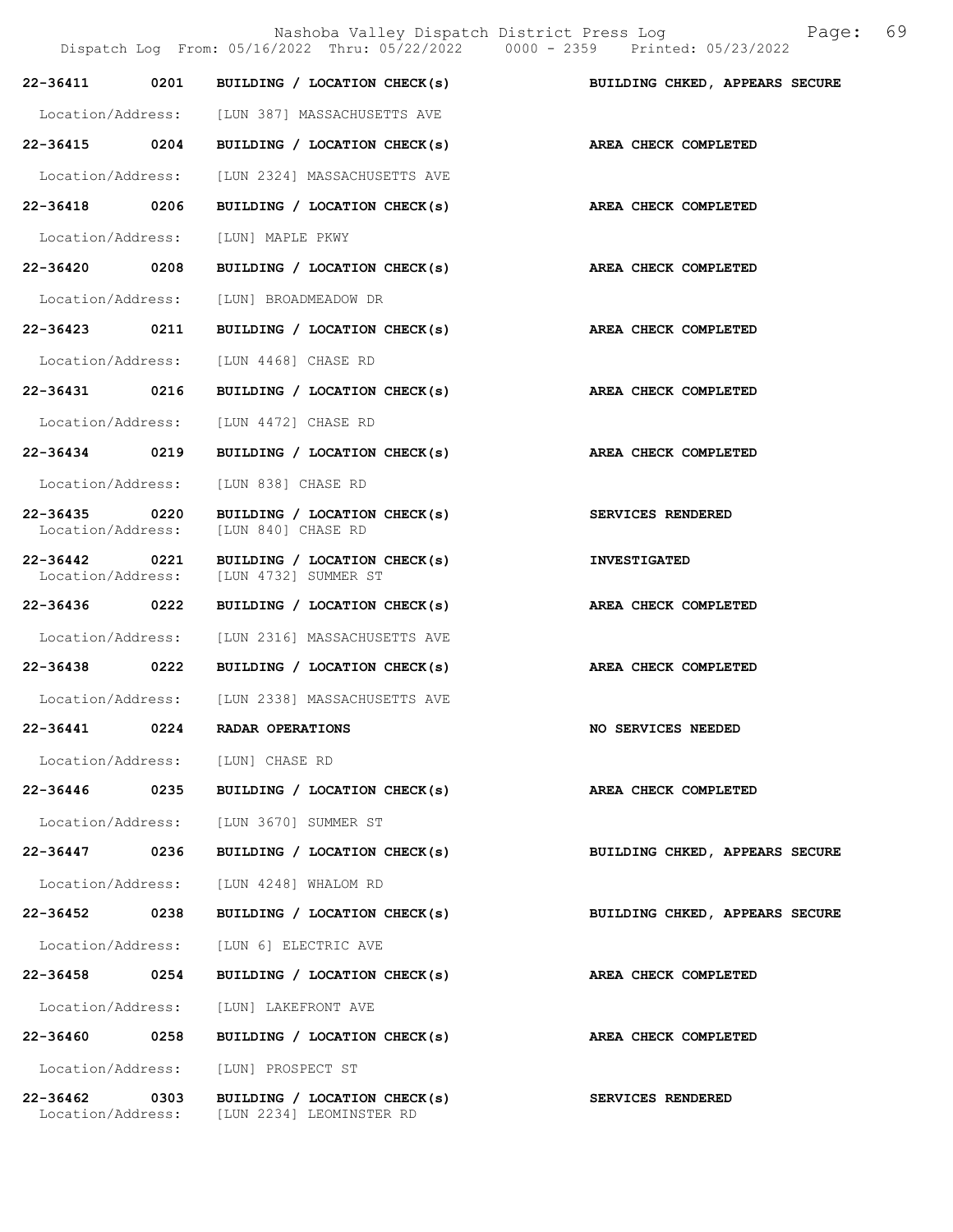|                                   |      | Nashoba Valley Dispatch District Press Log<br>Dispatch Log From: 05/16/2022 Thru: 05/22/2022 0000 - 2359 Printed: 05/23/2022 | 69<br>Page:                    |
|-----------------------------------|------|------------------------------------------------------------------------------------------------------------------------------|--------------------------------|
| 22-36411                          | 0201 | BUILDING / LOCATION CHECK(s)                                                                                                 | BUILDING CHKED, APPEARS SECURE |
|                                   |      | Location/Address: [LUN 387] MASSACHUSETTS AVE                                                                                |                                |
| 22-36415 0204                     |      | BUILDING / LOCATION CHECK(s)                                                                                                 | AREA CHECK COMPLETED           |
| Location/Address:                 |      | [LUN 2324] MASSACHUSETTS AVE                                                                                                 |                                |
| 22-36418 0206                     |      | BUILDING / LOCATION CHECK(s)                                                                                                 | AREA CHECK COMPLETED           |
| Location/Address:                 |      | [LUN] MAPLE PKWY                                                                                                             |                                |
| 22-36420                          | 0208 | BUILDING / LOCATION CHECK(s)                                                                                                 | AREA CHECK COMPLETED           |
| Location/Address:                 |      | [LUN] BROADMEADOW DR                                                                                                         |                                |
| 22-36423 0211                     |      | BUILDING / LOCATION CHECK(s)                                                                                                 | AREA CHECK COMPLETED           |
| Location/Address:                 |      | [LUN 4468] CHASE RD                                                                                                          |                                |
| 22-36431 0216                     |      | BUILDING / LOCATION CHECK(s)                                                                                                 | AREA CHECK COMPLETED           |
| Location/Address:                 |      | [LUN 4472] CHASE RD                                                                                                          |                                |
| 22-36434                          | 0219 | BUILDING / LOCATION CHECK(s)                                                                                                 | AREA CHECK COMPLETED           |
| Location/Address:                 |      | [LUN 838] CHASE RD                                                                                                           |                                |
| $22 - 36435$<br>Location/Address: | 0220 | BUILDING / LOCATION CHECK(s)<br>[LUN 840] CHASE RD                                                                           | SERVICES RENDERED              |
| $22 - 36442$<br>Location/Address: | 0221 | BUILDING / LOCATION CHECK(s)<br>[LUN 4732] SUMMER ST                                                                         | <b>INVESTIGATED</b>            |
| 22-36436                          | 0222 | BUILDING / LOCATION CHECK(s)                                                                                                 | AREA CHECK COMPLETED           |
| Location/Address:                 |      | [LUN 2316] MASSACHUSETTS AVE                                                                                                 |                                |
| 22-36438 0222                     |      | BUILDING / LOCATION CHECK(s)                                                                                                 | AREA CHECK COMPLETED           |
|                                   |      | Location/Address: [LUN 2338] MASSACHUSETTS AVE                                                                               |                                |
| 22-36441                          | 0224 | RADAR OPERATIONS                                                                                                             | NO SERVICES NEEDED             |
|                                   |      | Location/Address: [LUN] CHASE RD                                                                                             |                                |
| 22-36446 0235                     |      | BUILDING / LOCATION CHECK(s)                                                                                                 | AREA CHECK COMPLETED           |
| Location/Address:                 |      | [LUN 3670] SUMMER ST                                                                                                         |                                |
| 22-36447                          | 0236 | BUILDING / LOCATION CHECK(s)                                                                                                 | BUILDING CHKED, APPEARS SECURE |
| Location/Address:                 |      | [LUN 4248] WHALOM RD                                                                                                         |                                |
| 22-36452                          | 0238 | BUILDING / LOCATION CHECK(s)                                                                                                 | BUILDING CHKED, APPEARS SECURE |
| Location/Address:                 |      | [LUN 6] ELECTRIC AVE                                                                                                         |                                |
| 22-36458 0254                     |      | BUILDING / LOCATION CHECK(s)                                                                                                 | AREA CHECK COMPLETED           |
| Location/Address:                 |      | [LUN] LAKEFRONT AVE                                                                                                          |                                |
| 22-36460 0258                     |      | BUILDING / LOCATION CHECK(s)                                                                                                 | AREA CHECK COMPLETED           |
| Location/Address:                 |      | [LUN] PROSPECT ST                                                                                                            |                                |
| 22-36462                          | 0303 | BUILDING / LOCATION CHECK(s)<br>Location/Address: [LUN 2234] LEOMINSTER RD                                                   | <b>SERVICES RENDERED</b>       |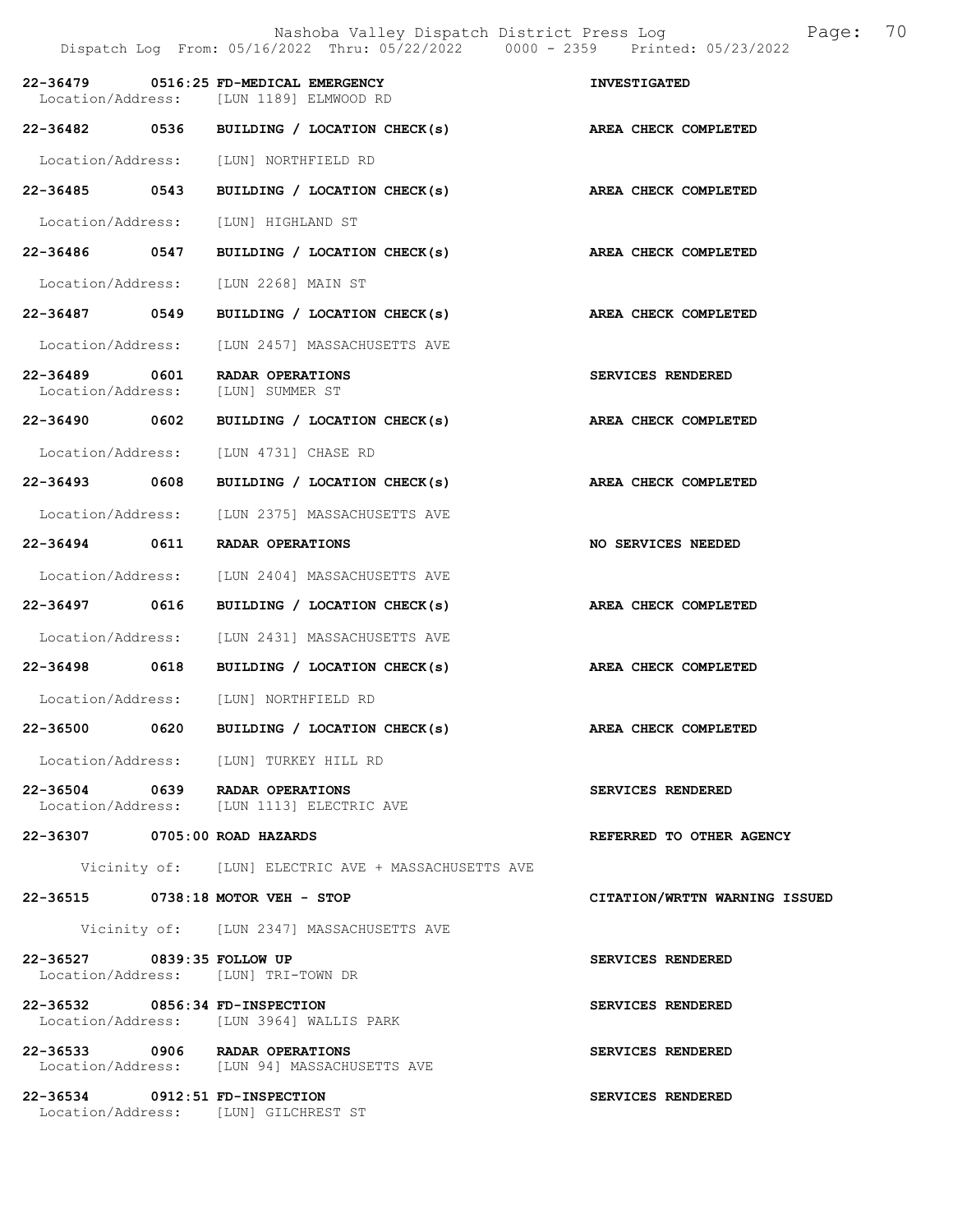|                                    |      | Nashoba Valley Dispatch District Press Log<br>Dispatch Log From: 05/16/2022 Thru: 05/22/2022 0000 - 2359 Printed: 05/23/2022 | 70<br>Page:                   |
|------------------------------------|------|------------------------------------------------------------------------------------------------------------------------------|-------------------------------|
| 22-36479                           |      | 0516:25 FD-MEDICAL EMERGENCY<br>Location/Address: [LUN 1189] ELMWOOD RD                                                      | <b>INVESTIGATED</b>           |
|                                    |      | 22-36482 0536 BUILDING / LOCATION CHECK(s)                                                                                   | AREA CHECK COMPLETED          |
| Location/Address:                  |      | [LUN] NORTHFIELD RD                                                                                                          |                               |
| 22-36485 0543                      |      | BUILDING / LOCATION CHECK(s)                                                                                                 | AREA CHECK COMPLETED          |
| Location/Address:                  |      | [LUN] HIGHLAND ST                                                                                                            |                               |
| 22-36486 0547                      |      | BUILDING / LOCATION CHECK(s) AREA CHECK COMPLETED                                                                            |                               |
| Location/Address:                  |      | [LUN 2268] MAIN ST                                                                                                           |                               |
| 22-36487 0549                      |      | BUILDING / LOCATION CHECK(s)                                                                                                 | AREA CHECK COMPLETED          |
| Location/Address:                  |      | [LUN 2457] MASSACHUSETTS AVE                                                                                                 |                               |
| 22-36489 0601<br>Location/Address: |      | RADAR OPERATIONS<br>[LUN] SUMMER ST                                                                                          | SERVICES RENDERED             |
| 22-36490 0602                      |      | BUILDING / LOCATION CHECK(s)                                                                                                 | AREA CHECK COMPLETED          |
| Location/Address:                  |      | [LUN 4731] CHASE RD                                                                                                          |                               |
| 22-36493 0608                      |      | BUILDING / LOCATION CHECK(s)                                                                                                 | AREA CHECK COMPLETED          |
| Location/Address:                  |      | [LUN 2375] MASSACHUSETTS AVE                                                                                                 |                               |
| 22-36494                           | 0611 | RADAR OPERATIONS                                                                                                             | NO SERVICES NEEDED            |
| Location/Address:                  |      | [LUN 2404] MASSACHUSETTS AVE                                                                                                 |                               |
| 22-36497 0616                      |      | BUILDING / LOCATION CHECK(s)                                                                                                 | AREA CHECK COMPLETED          |
| Location/Address:                  |      | [LUN 2431] MASSACHUSETTS AVE                                                                                                 |                               |
| 22-36498 0618                      |      | BUILDING / LOCATION CHECK(s)                                                                                                 | AREA CHECK COMPLETED          |
|                                    |      | Location/Address: [LUN] NORTHFIELD RD                                                                                        |                               |
| 22-36500                           | 0620 | BUILDING / LOCATION CHECK(s)                                                                                                 | AREA CHECK COMPLETED          |
|                                    |      | Location/Address: [LUN] TURKEY HILL RD                                                                                       |                               |
|                                    |      | 22-36504 0639 RADAR OPERATIONS<br>Location/Address: [LUN 1113] ELECTRIC AVE                                                  | SERVICES RENDERED             |
| 22-36307 0705:00 ROAD HAZARDS      |      |                                                                                                                              | REFERRED TO OTHER AGENCY      |
|                                    |      | Vicinity of: [LUN] ELECTRIC AVE + MASSACHUSETTS AVE                                                                          |                               |
|                                    |      | 22-36515 0738:18 MOTOR VEH - STOP                                                                                            | CITATION/WRTTN WARNING ISSUED |
|                                    |      | Vicinity of: [LUN 2347] MASSACHUSETTS AVE                                                                                    |                               |
| 22-36527 0839:35 FOLLOW UP         |      | Location/Address: [LUN] TRI-TOWN DR                                                                                          | SERVICES RENDERED             |
| 22-36532 0856:34 FD-INSPECTION     |      | Location/Address: [LUN 3964] WALLIS PARK                                                                                     | SERVICES RENDERED             |
|                                    |      | 22-36533 0906 RADAR OPERATIONS<br>Location/Address: [LUN 94] MASSACHUSETTS AVE                                               | SERVICES RENDERED             |
| 22-36534 0912:51 FD-INSPECTION     |      | Location/Address: [LUN] GILCHREST ST                                                                                         | SERVICES RENDERED             |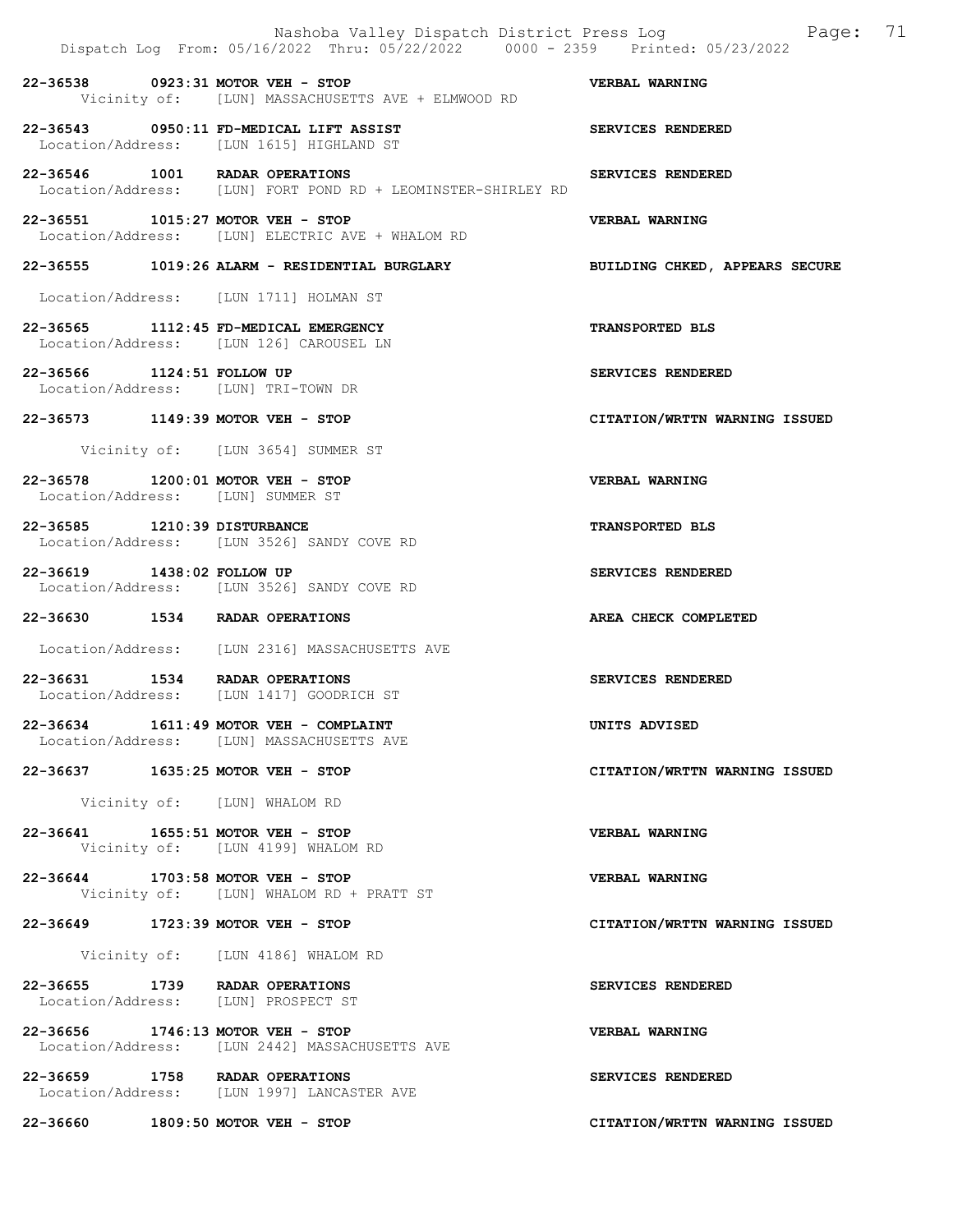|                                                                        | Nashoba Valley Dispatch District Press Log<br>Dispatch Log From: 05/16/2022 Thru: 05/22/2022 0000 - 2359 Printed: 05/23/2022 | 71<br>Page:                    |
|------------------------------------------------------------------------|------------------------------------------------------------------------------------------------------------------------------|--------------------------------|
| 22-36538 0923:31 MOTOR VEH - STOP                                      | Vicinity of: [LUN] MASSACHUSETTS AVE + ELMWOOD RD                                                                            | VERBAL WARNING                 |
|                                                                        | 22-36543 0950:11 FD-MEDICAL LIFT ASSIST<br>Location/Address: [LUN 1615] HIGHLAND ST                                          | SERVICES RENDERED              |
| 22-36546 1001 RADAR OPERATIONS                                         | Location/Address: [LUN] FORT POND RD + LEOMINSTER-SHIRLEY RD                                                                 | SERVICES RENDERED              |
| 22-36551 1015:27 MOTOR VEH - STOP                                      | Location/Address: [LUN] ELECTRIC AVE + WHALOM RD                                                                             | VERBAL WARNING                 |
|                                                                        | 22-36555 1019:26 ALARM - RESIDENTIAL BURGLARY                                                                                | BUILDING CHKED, APPEARS SECURE |
|                                                                        | Location/Address: [LUN 1711] HOLMAN ST                                                                                       |                                |
| 22-36565 1112:45 FD-MEDICAL EMERGENCY                                  | Location/Address: [LUN 126] CAROUSEL LN                                                                                      | <b>TRANSPORTED BLS</b>         |
| 22-36566 1124:51 FOLLOW UP<br>Location/Address: [LUN] TRI-TOWN DR      |                                                                                                                              | SERVICES RENDERED              |
| 22-36573 1149:39 MOTOR VEH - STOP                                      |                                                                                                                              | CITATION/WRTTN WARNING ISSUED  |
|                                                                        | Vicinity of: [LUN 3654] SUMMER ST                                                                                            |                                |
| 22-36578 1200:01 MOTOR VEH - STOP<br>Location/Address: [LUN] SUMMER ST |                                                                                                                              | VERBAL WARNING                 |
| 22-36585 1210:39 DISTURBANCE                                           | Location/Address: [LUN 3526] SANDY COVE RD                                                                                   | <b>TRANSPORTED BLS</b>         |
| 22-36619 1438:02 FOLLOW UP                                             | Location/Address: [LUN 3526] SANDY COVE RD                                                                                   | SERVICES RENDERED              |
| 22-36630 1534 RADAR OPERATIONS                                         |                                                                                                                              | AREA CHECK COMPLETED           |
|                                                                        | Location/Address: [LUN 2316] MASSACHUSETTS AVE                                                                               |                                |
| 22-36631 1534 RADAR OPERATIONS                                         | Location/Address: [LUN 1417] GOODRICH ST                                                                                     | SERVICES RENDERED              |
|                                                                        | 22-36634 1611:49 MOTOR VEH - COMPLAINT<br>Location/Address: [LUN] MASSACHUSETTS AVE                                          | UNITS ADVISED                  |
| 22-36637 1635:25 MOTOR VEH - STOP                                      |                                                                                                                              | CITATION/WRTTN WARNING ISSUED  |
|                                                                        | Vicinity of: [LUN] WHALOM RD                                                                                                 |                                |
| 22-36641 1655:51 MOTOR VEH - STOP                                      | Vicinity of: [LUN 4199] WHALOM RD                                                                                            | VERBAL WARNING                 |
| 22-36644 1703:58 MOTOR VEH - STOP                                      | Vicinity of: [LUN] WHALOM RD + PRATT ST                                                                                      | VERBAL WARNING                 |
| 22-36649 1723:39 MOTOR VEH - STOP                                      |                                                                                                                              | CITATION/WRTTN WARNING ISSUED  |
|                                                                        | Vicinity of: [LUN 4186] WHALOM RD                                                                                            |                                |
| 22-36655 1739 RADAR OPERATIONS<br>Location/Address: [LUN] PROSPECT ST  |                                                                                                                              | SERVICES RENDERED              |
| 22-36656 1746:13 MOTOR VEH - STOP                                      | Location/Address: [LUN 2442] MASSACHUSETTS AVE                                                                               | <b>VERBAL WARNING</b>          |
| 22-36659 1758 RADAR OPERATIONS                                         | Location/Address: [LUN 1997] LANCASTER AVE                                                                                   | SERVICES RENDERED              |
| 22-36660 1809:50 MOTOR VEH - STOP                                      |                                                                                                                              | CITATION/WRTTN WARNING ISSUED  |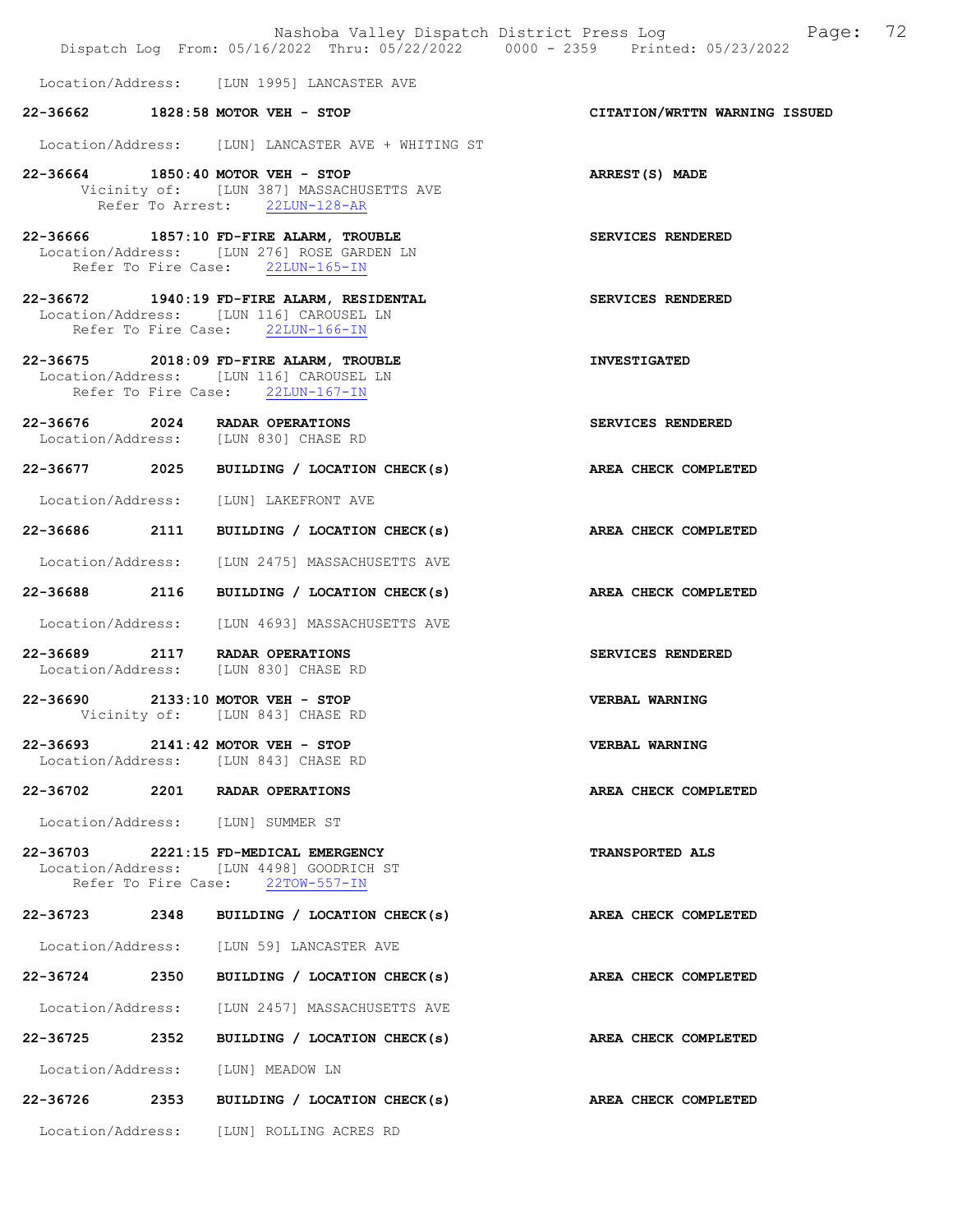|               |                                                                                                                             | Nashoba Valley Dispatch District Press Log Fage: 72<br>Dispatch Log From: 05/16/2022 Thru: 05/22/2022 0000 - 2359 Printed: 05/23/2022 |  |
|---------------|-----------------------------------------------------------------------------------------------------------------------------|---------------------------------------------------------------------------------------------------------------------------------------|--|
|               |                                                                                                                             |                                                                                                                                       |  |
|               | Location/Address: [LUN 1995] LANCASTER AVE                                                                                  |                                                                                                                                       |  |
|               | 22-36662 1828:58 MOTOR VEH - STOP                                                                                           | CITATION/WRTTN WARNING ISSUED                                                                                                         |  |
|               | Location/Address: [LUN] LANCASTER AVE + WHITING ST                                                                          |                                                                                                                                       |  |
|               | 22-36664 1850:40 MOTOR VEH - STOP<br>Vicinity of: [LUN 387] MASSACHUSETTS AVE<br>Refer To Arrest: 22LUN-128-AR              | ARREST(S) MADE                                                                                                                        |  |
|               | $22-36666$ 1857:10 FD-FIRE ALARM, TROUBLE<br>Location/Address: [LUN 276] ROSE GARDEN LN<br>Refer To Fire Case: 22LUN-165-IN | SERVICES RENDERED                                                                                                                     |  |
|               | 22-36672 1940:19 FD-FIRE ALARM, RESIDENTAL<br>Location/Address: [LUN 116] CAROUSEL LN<br>Refer To Fire Case: 22LUN-166-IN   | SERVICES RENDERED                                                                                                                     |  |
|               | 22-36675 2018:09 FD-FIRE ALARM, TROUBLE<br>Location/Address: [LUN 116] CAROUSEL LN<br>Refer To Fire Case: 22LUN-167-IN      | <b>INVESTIGATED</b>                                                                                                                   |  |
|               | 22-36676 2024 RADAR OPERATIONS<br>Location/Address: [LUN 830] CHASE RD                                                      | SERVICES RENDERED                                                                                                                     |  |
|               | 22-36677 2025 BUILDING / LOCATION CHECK(s)                                                                                  | AREA CHECK COMPLETED                                                                                                                  |  |
|               | Location/Address: [LUN] LAKEFRONT AVE                                                                                       |                                                                                                                                       |  |
|               | 22-36686 2111 BUILDING / LOCATION CHECK(s)                                                                                  | AREA CHECK COMPLETED                                                                                                                  |  |
|               | Location/Address: [LUN 2475] MASSACHUSETTS AVE                                                                              |                                                                                                                                       |  |
| 22-36688 2116 | BUILDING / LOCATION CHECK(s)                                                                                                | AREA CHECK COMPLETED                                                                                                                  |  |
|               | Location/Address: [LUN 4693] MASSACHUSETTS AVE                                                                              |                                                                                                                                       |  |
|               | 22-36689 2117 RADAR OPERATIONS<br>Location/Address: [LUN 830] CHASE RD                                                      | SERVICES RENDERED                                                                                                                     |  |
|               | 22-36690 2133:10 MOTOR VEH - STOP<br>Vicinity of: [LUN 843] CHASE RD                                                        | <b>VERBAL WARNING</b>                                                                                                                 |  |
|               | 22-36693 2141:42 MOTOR VEH - STOP<br>Location/Address: [LUN 843] CHASE RD                                                   | <b>VERBAL WARNING</b>                                                                                                                 |  |
|               | 22-36702 2201 RADAR OPERATIONS                                                                                              | AREA CHECK COMPLETED                                                                                                                  |  |
|               | Location/Address: [LUN] SUMMER ST                                                                                           |                                                                                                                                       |  |
|               | 22-36703 2221:15 FD-MEDICAL EMERGENCY<br>Location/Address: [LUN 4498] GOODRICH ST<br>Refer To Fire Case: 22TOW-557-IN       | <b>TRANSPORTED ALS</b>                                                                                                                |  |
|               | 22-36723 2348 BUILDING / LOCATION CHECK(s)                                                                                  | AREA CHECK COMPLETED                                                                                                                  |  |
|               | Location/Address: [LUN 59] LANCASTER AVE                                                                                    |                                                                                                                                       |  |
| 22-36724 2350 | BUILDING / LOCATION CHECK(s)                                                                                                | AREA CHECK COMPLETED                                                                                                                  |  |
|               | Location/Address: [LUN 2457] MASSACHUSETTS AVE                                                                              |                                                                                                                                       |  |
| 22-36725 2352 | BUILDING / LOCATION CHECK(s)                                                                                                | AREA CHECK COMPLETED                                                                                                                  |  |
|               | Location/Address: [LUN] MEADOW LN                                                                                           |                                                                                                                                       |  |
|               | 22-36726 2353 BUILDING / LOCATION CHECK(s)                                                                                  | AREA CHECK COMPLETED                                                                                                                  |  |
|               | Location/Address: [LUN] ROLLING ACRES RD                                                                                    |                                                                                                                                       |  |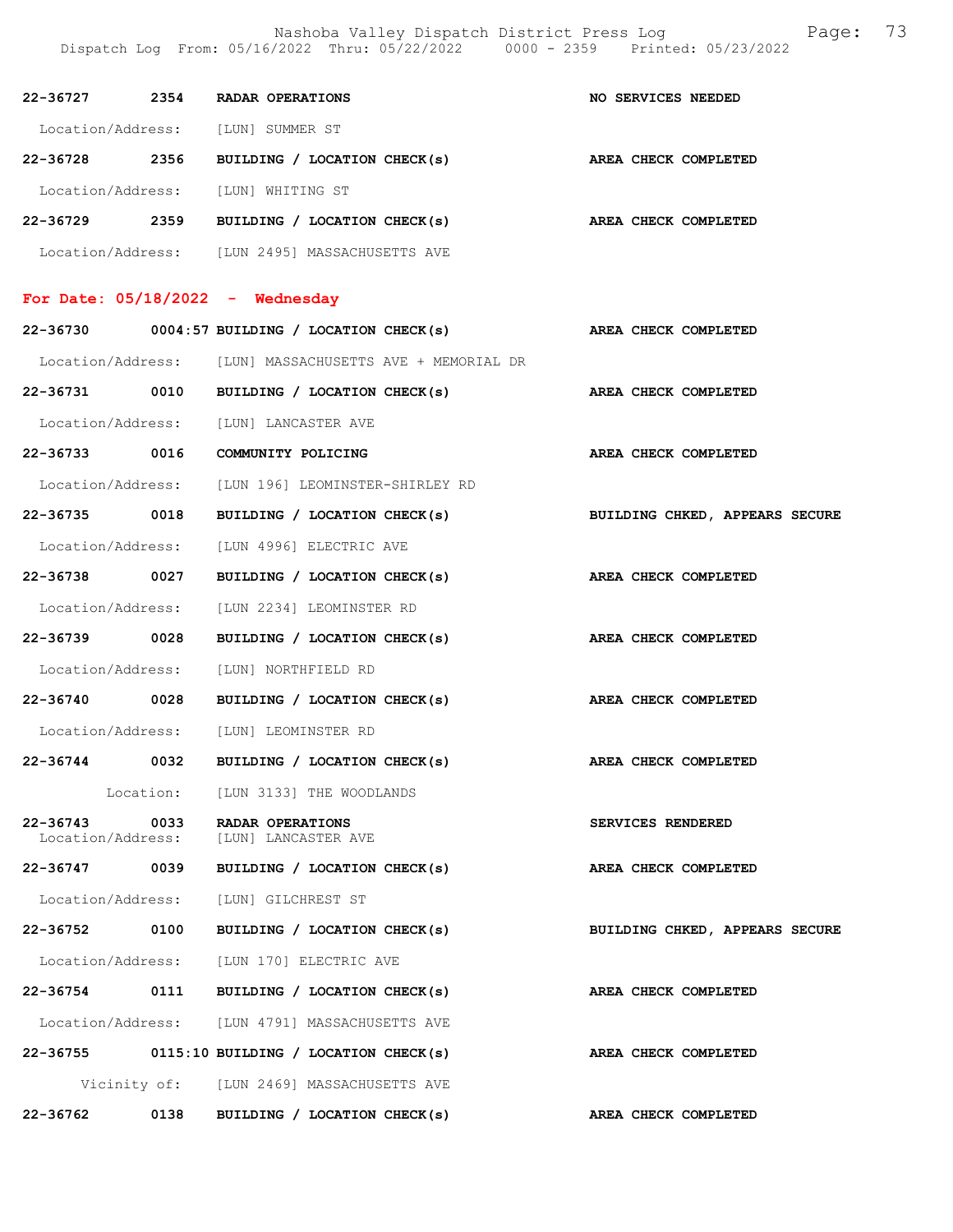Nashoba Valley Dispatch District Press Log Fage: 73 Dispatch Log From: 05/16/2022 Thru: 05/22/2022 0000 - 2359 Printed: 05/23/2022

|               |      | 22-36727 2354 RADAR OPERATIONS                                     | NO SERVICES NEEDED             |
|---------------|------|--------------------------------------------------------------------|--------------------------------|
|               |      | Location/Address: [LUN] SUMMER ST                                  |                                |
|               |      | 22-36728 2356 BUILDING / LOCATION CHECK(s) AREA CHECK COMPLETED    |                                |
|               |      | Location/Address: [LUN] WHITING ST                                 |                                |
|               |      | 22-36729 2359 BUILDING / LOCATION CHECK(s) AREA CHECK COMPLETED    |                                |
|               |      | Location/Address: [LUN 2495] MASSACHUSETTS AVE                     |                                |
|               |      | For Date: $05/18/2022 -$ Wednesday                                 |                                |
|               |      | 22-36730 0004:57 BUILDING / LOCATION CHECK(s) AREA CHECK COMPLETED |                                |
|               |      | Location/Address: [LUN] MASSACHUSETTS AVE + MEMORIAL DR            |                                |
|               |      | 22-36731 0010 BUILDING / LOCATION CHECK(s) AREA CHECK COMPLETED    |                                |
|               |      | Location/Address: [LUN] LANCASTER AVE                              |                                |
|               |      | 22-36733 0016 COMMUNITY POLICING                                   | AREA CHECK COMPLETED           |
|               |      | Location/Address: [LUN 196] LEOMINSTER-SHIRLEY RD                  |                                |
|               |      | 22-36735 0018 BUILDING / LOCATION CHECK(s)                         | BUILDING CHKED, APPEARS SECURE |
|               |      | Location/Address: [LUN 4996] ELECTRIC AVE                          |                                |
| 22-36738 0027 |      | BUILDING / LOCATION CHECK(s) AREA CHECK COMPLETED                  |                                |
|               |      | Location/Address: [LUN 2234] LEOMINSTER RD                         |                                |
| 22-36739 0028 |      | BUILDING / LOCATION CHECK(s)                                       | AREA CHECK COMPLETED           |
|               |      | Location/Address: [LUN] NORTHFIELD RD                              |                                |
|               |      | 22-36740 0028 BUILDING / LOCATION CHECK(s) AREA CHECK COMPLETED    |                                |
|               |      | Location/Address: [LUN] LEOMINSTER RD                              |                                |
|               |      | 22-36744 0032 BUILDING / LOCATION CHECK(s)                         | AREA CHECK COMPLETED           |
|               |      | Location: [LUN 3133] THE WOODLANDS                                 |                                |
| $22 - 36743$  | 0033 | RADAR OPERATIONS<br>Location/Address: [LUN] LANCASTER AVE          | SERVICES RENDERED              |
| 22-36747 0039 |      | BUILDING / LOCATION CHECK(s)                                       | AREA CHECK COMPLETED           |
|               |      | Location/Address: [LUN] GILCHREST ST                               |                                |
|               |      | 22-36752 0100 BUILDING / LOCATION CHECK(s)                         | BUILDING CHKED, APPEARS SECURE |
|               |      | Location/Address: [LUN 170] ELECTRIC AVE                           |                                |
|               |      | 22-36754 0111 BUILDING / LOCATION CHECK(s)                         | AREA CHECK COMPLETED           |
|               |      | Location/Address: [LUN 4791] MASSACHUSETTS AVE                     |                                |
|               |      | $22-36755$ 0115:10 BUILDING / LOCATION CHECK(s)                    | AREA CHECK COMPLETED           |
|               |      | Vicinity of: [LUN 2469] MASSACHUSETTS AVE                          |                                |
|               |      | 22-36762 0138 BUILDING / LOCATION CHECK(s)                         | <b>AREA CHECK COMPLETED</b>    |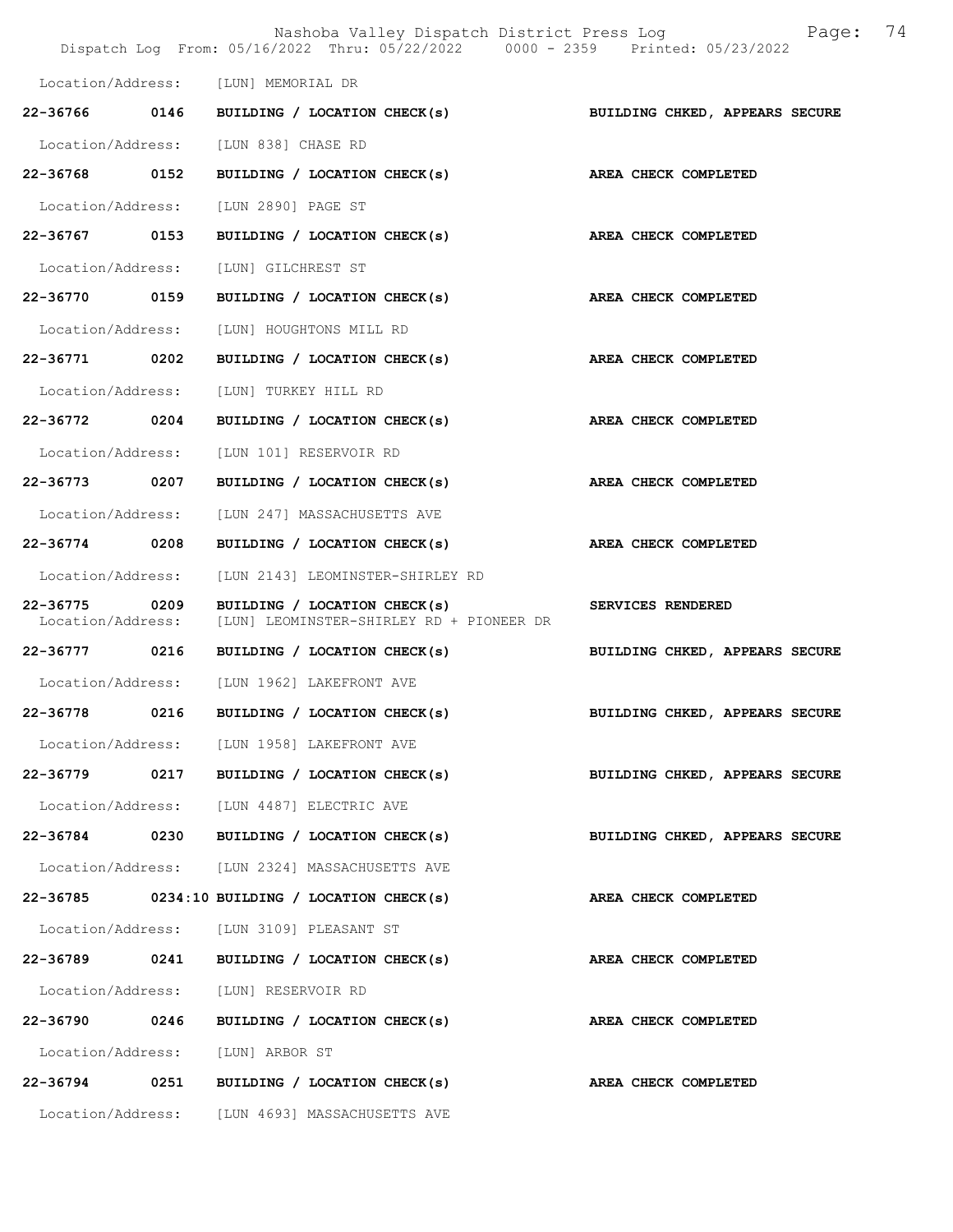|                                    |      | Nashoba Valley Dispatch District Press Log<br>Dispatch Log From: 05/16/2022 Thru: 05/22/2022 0000 - 2359 Printed: 05/23/2022 | 74<br>Page:                    |
|------------------------------------|------|------------------------------------------------------------------------------------------------------------------------------|--------------------------------|
|                                    |      | Location/Address: [LUN] MEMORIAL DR                                                                                          |                                |
|                                    |      | 22-36766 0146 BUILDING / LOCATION CHECK(s)                                                                                   | BUILDING CHKED, APPEARS SECURE |
|                                    |      | Location/Address: [LUN 838] CHASE RD                                                                                         |                                |
| 22-36768 0152                      |      | BUILDING / LOCATION CHECK(s)                                                                                                 | AREA CHECK COMPLETED           |
|                                    |      | Location/Address: [LUN 2890] PAGE ST                                                                                         |                                |
| 22-36767 0153                      |      | BUILDING / LOCATION CHECK(s)                                                                                                 | AREA CHECK COMPLETED           |
| Location/Address:                  |      | [LUN] GILCHREST ST                                                                                                           |                                |
| 22-36770 0159                      |      | BUILDING / LOCATION CHECK(s)                                                                                                 | AREA CHECK COMPLETED           |
| Location/Address:                  |      | [LUN] HOUGHTONS MILL RD                                                                                                      |                                |
| 22-36771                           | 0202 | BUILDING / LOCATION CHECK(s)                                                                                                 | AREA CHECK COMPLETED           |
| Location/Address:                  |      | [LUN] TURKEY HILL RD                                                                                                         |                                |
| 22-36772 0204                      |      | BUILDING / LOCATION CHECK(s)                                                                                                 | AREA CHECK COMPLETED           |
| Location/Address:                  |      | [LUN 101] RESERVOIR RD                                                                                                       |                                |
| 22-36773 0207                      |      | BUILDING / LOCATION CHECK(s)                                                                                                 | AREA CHECK COMPLETED           |
| Location/Address:                  |      | [LUN 247] MASSACHUSETTS AVE                                                                                                  |                                |
| 22-36774                           | 0208 | BUILDING / LOCATION CHECK(s)                                                                                                 | AREA CHECK COMPLETED           |
| Location/Address:                  |      | [LUN 2143] LEOMINSTER-SHIRLEY RD                                                                                             |                                |
| 22-36775 0209<br>Location/Address: |      | BUILDING / LOCATION CHECK(s)<br>[LUN] LEOMINSTER-SHIRLEY RD + PIONEER DR                                                     | SERVICES RENDERED              |
| 22-36777 0216                      |      | BUILDING / LOCATION CHECK(s)                                                                                                 | BUILDING CHKED, APPEARS SECURE |
| Location/Address:                  |      | [LUN 1962] LAKEFRONT AVE                                                                                                     |                                |
| 22-36778                           | 0216 | BUILDING / LOCATION CHECK(s)                                                                                                 | BUILDING CHKED, APPEARS SECURE |
|                                    |      | Location/Address: [LUN 1958] LAKEFRONT AVE                                                                                   |                                |
|                                    |      | 22-36779 0217 BUILDING / LOCATION CHECK(s)                                                                                   | BUILDING CHKED, APPEARS SECURE |
|                                    |      | Location/Address: [LUN 4487] ELECTRIC AVE                                                                                    |                                |
| 22-36784 0230                      |      | BUILDING / LOCATION CHECK(s)                                                                                                 | BUILDING CHKED, APPEARS SECURE |
|                                    |      | Location/Address: [LUN 2324] MASSACHUSETTS AVE                                                                               |                                |
|                                    |      | $22-36785$ 0234:10 BUILDING / LOCATION CHECK(s)                                                                              | AREA CHECK COMPLETED           |
|                                    |      | Location/Address: [LUN 3109] PLEASANT ST                                                                                     |                                |
|                                    |      | 22-36789 0241 BUILDING / LOCATION CHECK(s)                                                                                   | AREA CHECK COMPLETED           |
|                                    |      | Location/Address: [LUN] RESERVOIR RD                                                                                         |                                |
| 22-36790                           | 0246 | BUILDING / LOCATION CHECK(s)                                                                                                 | AREA CHECK COMPLETED           |
|                                    |      | Location/Address: [LUN] ARBOR ST                                                                                             |                                |
|                                    |      | 22-36794 0251 BUILDING / LOCATION CHECK(s)                                                                                   | AREA CHECK COMPLETED           |
|                                    |      | Location/Address: [LUN 4693] MASSACHUSETTS AVE                                                                               |                                |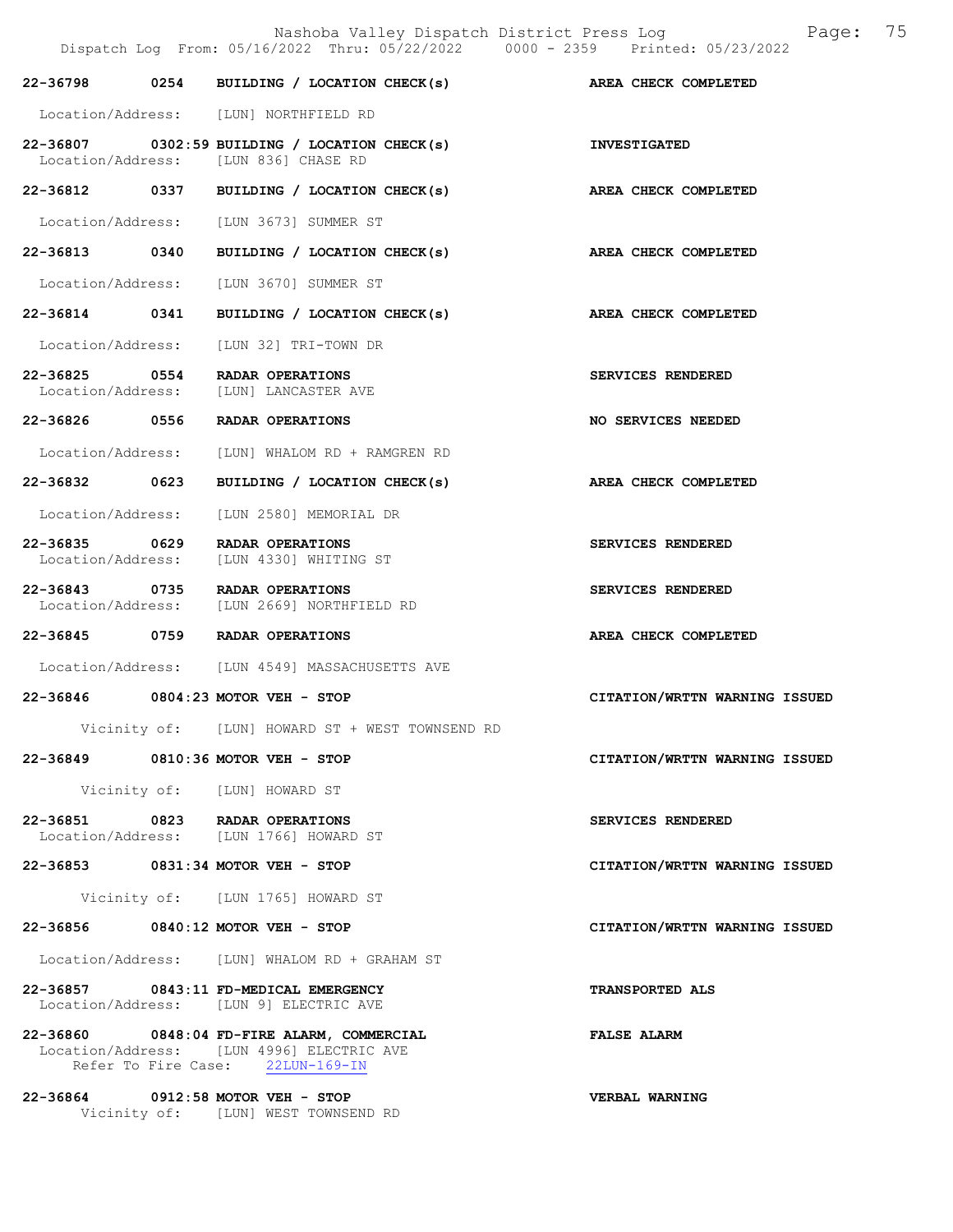|                                    | Nashoba Valley Dispatch District Press Log<br>Dispatch Log From: 05/16/2022 Thru: 05/22/2022 0000 - 2359 Printed: 05/23/2022 | 75<br>Page:                   |
|------------------------------------|------------------------------------------------------------------------------------------------------------------------------|-------------------------------|
|                                    | 22-36798 0254 BUILDING / LOCATION CHECK(s) AREA CHECK COMPLETED                                                              |                               |
|                                    | Location/Address: [LUN] NORTHFIELD RD                                                                                        |                               |
|                                    | $22-36807$ 0302:59 BUILDING / LOCATION CHECK(s)<br>Location/Address: [LUN 836] CHASE RD                                      | <b>INVESTIGATED</b>           |
|                                    | 22-36812 0337 BUILDING / LOCATION CHECK(s)                                                                                   | AREA CHECK COMPLETED          |
|                                    | Location/Address: [LUN 3673] SUMMER ST                                                                                       |                               |
| 22-36813 0340                      | BUILDING / LOCATION CHECK(s)                                                                                                 | AREA CHECK COMPLETED          |
|                                    | Location/Address: [LUN 3670] SUMMER ST                                                                                       |                               |
|                                    | 22-36814 0341 BUILDING / LOCATION CHECK(s)                                                                                   | AREA CHECK COMPLETED          |
| Location/Address:                  | [LUN 32] TRI-TOWN DR                                                                                                         |                               |
| 22-36825 0554                      | RADAR OPERATIONS<br>Location/Address: [LUN] LANCASTER AVE                                                                    | SERVICES RENDERED             |
| 22-36826 0556                      | RADAR OPERATIONS                                                                                                             | NO SERVICES NEEDED            |
| Location/Address:                  | [LUN] WHALOM RD + RAMGREN RD                                                                                                 |                               |
| 22-36832 0623                      | BUILDING / LOCATION CHECK(s)                                                                                                 | AREA CHECK COMPLETED          |
| Location/Address:                  | [LUN 2580] MEMORIAL DR                                                                                                       |                               |
| 22-36835 0629<br>Location/Address: | RADAR OPERATIONS<br>[LUN 4330] WHITING ST                                                                                    | SERVICES RENDERED             |
| 22-36843 0735<br>Location/Address: | RADAR OPERATIONS<br>[LUN 2669] NORTHFIELD RD                                                                                 | SERVICES RENDERED             |
|                                    | 22-36845 0759 RADAR OPERATIONS                                                                                               | AREA CHECK COMPLETED          |
|                                    | Location/Address: [LUN 4549] MASSACHUSETTS AVE                                                                               |                               |
|                                    | 22-36846 0804:23 MOTOR VEH - STOP                                                                                            | CITATION/WRTTN WARNING ISSUED |
|                                    | Vicinity of: [LUN] HOWARD ST + WEST TOWNSEND RD                                                                              |                               |
|                                    | 22-36849 0810:36 MOTOR VEH - STOP                                                                                            | CITATION/WRTTN WARNING ISSUED |
|                                    | Vicinity of: [LUN] HOWARD ST                                                                                                 |                               |
|                                    | 22-36851 0823 RADAR OPERATIONS<br>Location/Address: [LUN 1766] HOWARD ST                                                     | SERVICES RENDERED             |
|                                    | 22-36853 0831:34 MOTOR VEH - STOP                                                                                            | CITATION/WRTTN WARNING ISSUED |
|                                    | Vicinity of: [LUN 1765] HOWARD ST                                                                                            |                               |
|                                    | 22-36856 0840:12 MOTOR VEH - STOP                                                                                            | CITATION/WRTTN WARNING ISSUED |
|                                    | Location/Address: [LUN] WHALOM RD + GRAHAM ST                                                                                |                               |
|                                    | 22-36857 0843:11 FD-MEDICAL EMERGENCY<br>Location/Address: [LUN 9] ELECTRIC AVE                                              | <b>TRANSPORTED ALS</b>        |
|                                    | 22-36860 0848:04 FD-FIRE ALARM, COMMERCIAL<br>Location/Address: [LUN 4996] ELECTRIC AVE<br>Refer To Fire Case: 22LUN-169-IN  | <b>FALSE ALARM</b>            |
|                                    | 22-36864 0912:58 MOTOR VEH - STOP<br>Vicinity of: [LUN] WEST TOWNSEND RD                                                     | VERBAL WARNING                |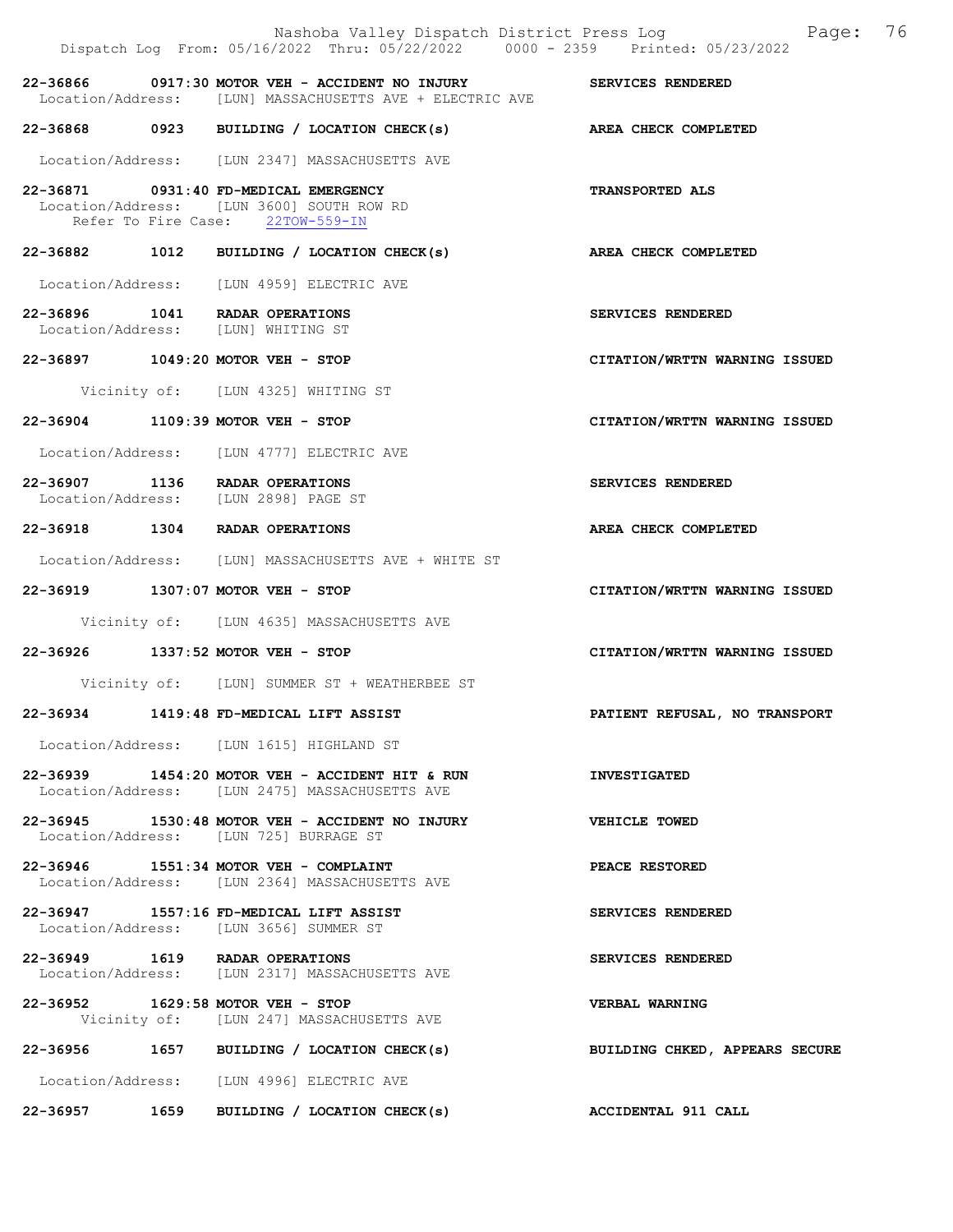|  | Dispatch Log From: 05/16/2022 Thru: 05/22/2022 0000 - 2359 Printed: 05/23/2022                                         | Nashoba Valley Dispatch District Press Log Faqe: 76 |
|--|------------------------------------------------------------------------------------------------------------------------|-----------------------------------------------------|
|  | 22-36866 0917:30 MOTOR VEH - ACCIDENT NO INJURY<br>Location/Address: [LUN] MASSACHUSETTS AVE + ELECTRIC AVE            | SERVICES RENDERED                                   |
|  | $22-36868$ 0923 BUILDING / LOCATION CHECK(s)                                                                           | AREA CHECK COMPLETED                                |
|  | Location/Address: [LUN 2347] MASSACHUSETTS AVE                                                                         |                                                     |
|  | 22-36871 0931:40 FD-MEDICAL EMERGENCY<br>Location/Address: [LUN 3600] SOUTH ROW RD<br>Refer To Fire Case: 22TOW-559-IN | <b>TRANSPORTED ALS</b>                              |
|  | 22-36882 1012 BUILDING / LOCATION CHECK(s)                                                                             | AREA CHECK COMPLETED                                |
|  | Location/Address: [LUN 4959] ELECTRIC AVE                                                                              |                                                     |
|  | 22-36896 1041 RADAR OPERATIONS<br>Location/Address: [LUN] WHITING ST                                                   | SERVICES RENDERED                                   |
|  | 22-36897 1049:20 MOTOR VEH - STOP                                                                                      | CITATION/WRTTN WARNING ISSUED                       |
|  | Vicinity of: [LUN 4325] WHITING ST                                                                                     |                                                     |
|  | 22-36904 1109:39 MOTOR VEH - STOP                                                                                      | CITATION/WRTTN WARNING ISSUED                       |
|  | Location/Address: [LUN 4777] ELECTRIC AVE                                                                              |                                                     |
|  | 22-36907 1136 RADAR OPERATIONS<br>Location/Address: [LUN 2898] PAGE ST                                                 | SERVICES RENDERED                                   |
|  | 22-36918 1304 RADAR OPERATIONS                                                                                         | AREA CHECK COMPLETED                                |
|  | Location/Address: [LUN] MASSACHUSETTS AVE + WHITE ST                                                                   |                                                     |
|  | 22-36919 1307:07 MOTOR VEH - STOP                                                                                      | CITATION/WRTTN WARNING ISSUED                       |
|  | Vicinity of: [LUN 4635] MASSACHUSETTS AVE                                                                              |                                                     |
|  | 22-36926 1337:52 MOTOR VEH - STOP                                                                                      | CITATION/WRTTN WARNING ISSUED                       |
|  | Vicinity of: [LUN] SUMMER ST + WEATHERBEE ST                                                                           |                                                     |
|  | 22-36934 1419:48 FD-MEDICAL LIFT ASSIST                                                                                | PATIENT REFUSAL, NO TRANSPORT                       |
|  | Location/Address: [LUN 1615] HIGHLAND ST                                                                               |                                                     |
|  | 22-36939 1454:20 MOTOR VEH - ACCIDENT HIT & RUN<br>Location/Address: [LUN 2475] MASSACHUSETTS AVE                      | <b>INVESTIGATED</b>                                 |
|  | $22-36945$ 1530:48 MOTOR VEH - ACCIDENT NO INJURY<br>Location/Address: [LUN 725] BURRAGE ST                            | <b>VEHICLE TOWED</b>                                |
|  | 22-36946 1551:34 MOTOR VEH - COMPLAINT<br>Location/Address: [LUN 2364] MASSACHUSETTS AVE                               | PEACE RESTORED                                      |
|  | 22-36947 1557:16 FD-MEDICAL LIFT ASSIST<br>Location/Address: [LUN 3656] SUMMER ST                                      | SERVICES RENDERED                                   |
|  | 22-36949 1619 RADAR OPERATIONS<br>Location/Address: [LUN 2317] MASSACHUSETTS AVE                                       | SERVICES RENDERED                                   |
|  | 22-36952 1629:58 MOTOR VEH - STOP<br>Vicinity of: [LUN 247] MASSACHUSETTS AVE                                          | VERBAL WARNING                                      |
|  | 22-36956 1657 BUILDING / LOCATION CHECK(s)                                                                             | BUILDING CHKED, APPEARS SECURE                      |
|  | Location/Address: [LUN 4996] ELECTRIC AVE                                                                              |                                                     |

22-36957 1659 BUILDING / LOCATION CHECK(s) ACCIDENTAL 911 CALL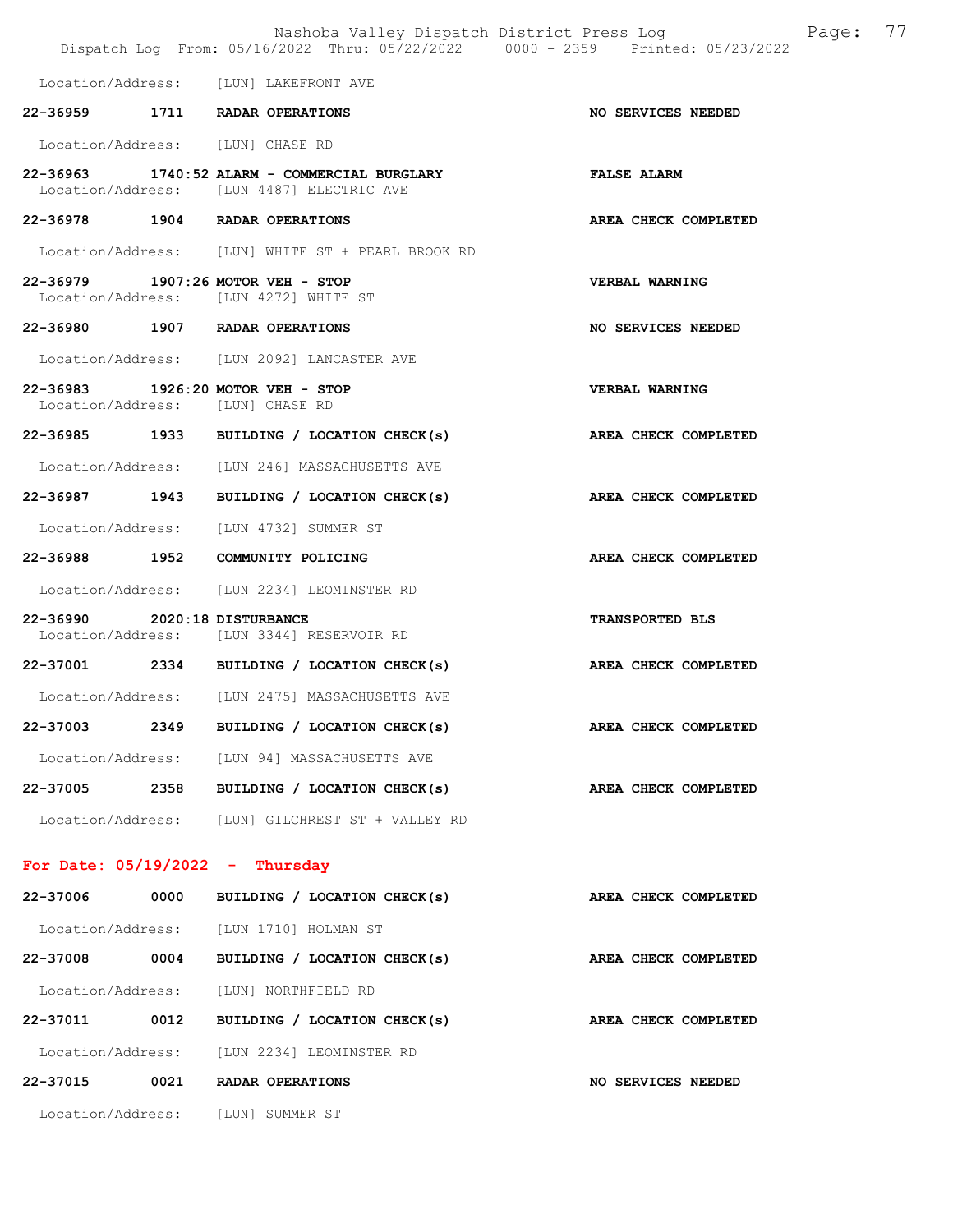|                                   |      | Nashoba Valley Dispatch District Press Log Nashoba Valley Dispatch District Press Log<br>Dispatch Log From: 05/16/2022 Thru: 05/22/2022 0000 - 2359 Printed: 05/23/2022 |                             | 77 |
|-----------------------------------|------|-------------------------------------------------------------------------------------------------------------------------------------------------------------------------|-----------------------------|----|
|                                   |      | Location/Address: [LUN] LAKEFRONT AVE                                                                                                                                   |                             |    |
|                                   |      | 22-36959 1711 RADAR OPERATIONS                                                                                                                                          | NO SERVICES NEEDED          |    |
|                                   |      | Location/Address: [LUN] CHASE RD                                                                                                                                        |                             |    |
|                                   |      | 22-36963 1740:52 ALARM - COMMERCIAL BURGLARY<br>Location/Address: [LUN 4487] ELECTRIC AVE                                                                               | <b>FALSE ALARM</b>          |    |
|                                   |      | 22-36978 1904 RADAR OPERATIONS                                                                                                                                          | AREA CHECK COMPLETED        |    |
|                                   |      | Location/Address: [LUN] WHITE ST + PEARL BROOK RD                                                                                                                       |                             |    |
|                                   |      | 22-36979 1907:26 MOTOR VEH - STOP<br>Location/Address: [LUN 4272] WHITE ST                                                                                              | <b>VERBAL WARNING</b>       |    |
|                                   |      | 22-36980 1907 RADAR OPERATIONS                                                                                                                                          | NO SERVICES NEEDED          |    |
|                                   |      | Location/Address: [LUN 2092] LANCASTER AVE                                                                                                                              |                             |    |
|                                   |      | 22-36983 1926:20 MOTOR VEH - STOP<br>Location/Address: [LUN] CHASE RD                                                                                                   | VERBAL WARNING              |    |
|                                   |      | 22-36985 1933 BUILDING / LOCATION CHECK(s)                                                                                                                              | AREA CHECK COMPLETED        |    |
|                                   |      | Location/Address: [LUN 246] MASSACHUSETTS AVE                                                                                                                           |                             |    |
|                                   |      | 22-36987 1943 BUILDING / LOCATION CHECK(s)                                                                                                                              | AREA CHECK COMPLETED        |    |
|                                   |      | Location/Address: [LUN 4732] SUMMER ST                                                                                                                                  |                             |    |
|                                   |      | 22-36988 1952 COMMUNITY POLICING                                                                                                                                        | AREA CHECK COMPLETED        |    |
|                                   |      | Location/Address: [LUN 2234] LEOMINSTER RD                                                                                                                              |                             |    |
| 22-36990 2020:18 DISTURBANCE      |      | Location/Address: [LUN 3344] RESERVOIR RD                                                                                                                               | TRANSPORTED BLS             |    |
|                                   |      | 22-37001 2334 BUILDING / LOCATION CHECK(s)                                                                                                                              | AREA CHECK COMPLETED        |    |
|                                   |      | Location/Address: [LUN 2475] MASSACHUSETTS AVE                                                                                                                          |                             |    |
| 22-37003                          | 2349 | BUILDING / LOCATION CHECK(s)                                                                                                                                            | AREA CHECK COMPLETED        |    |
|                                   |      | Location/Address: [LUN 94] MASSACHUSETTS AVE                                                                                                                            |                             |    |
|                                   |      | 22-37005 2358 BUILDING / LOCATION CHECK(s)                                                                                                                              | <b>AREA CHECK COMPLETED</b> |    |
|                                   |      | Location/Address: [LUN] GILCHREST ST + VALLEY RD                                                                                                                        |                             |    |
| For Date: $05/19/2022 - Thursday$ |      |                                                                                                                                                                         |                             |    |
| 22-37006 0000                     |      | BUILDING / LOCATION CHECK(s)                                                                                                                                            | AREA CHECK COMPLETED        |    |
|                                   |      | Location/Address: [LUN 1710] HOLMAN ST                                                                                                                                  |                             |    |
| 22-37008                          | 0004 | BUILDING / LOCATION CHECK(s)                                                                                                                                            | AREA CHECK COMPLETED        |    |
|                                   |      | Location/Address: [LUN] NORTHFIELD RD                                                                                                                                   |                             |    |
| 22-37011                          |      | 0012 BUILDING / LOCATION CHECK(s)                                                                                                                                       | AREA CHECK COMPLETED        |    |
|                                   |      | Location/Address: [LUN 2234] LEOMINSTER RD                                                                                                                              |                             |    |
|                                   |      | 22-37015 0021 RADAR OPERATIONS                                                                                                                                          | NO SERVICES NEEDED          |    |
|                                   |      | Location/Address: [LUN] SUMMER ST                                                                                                                                       |                             |    |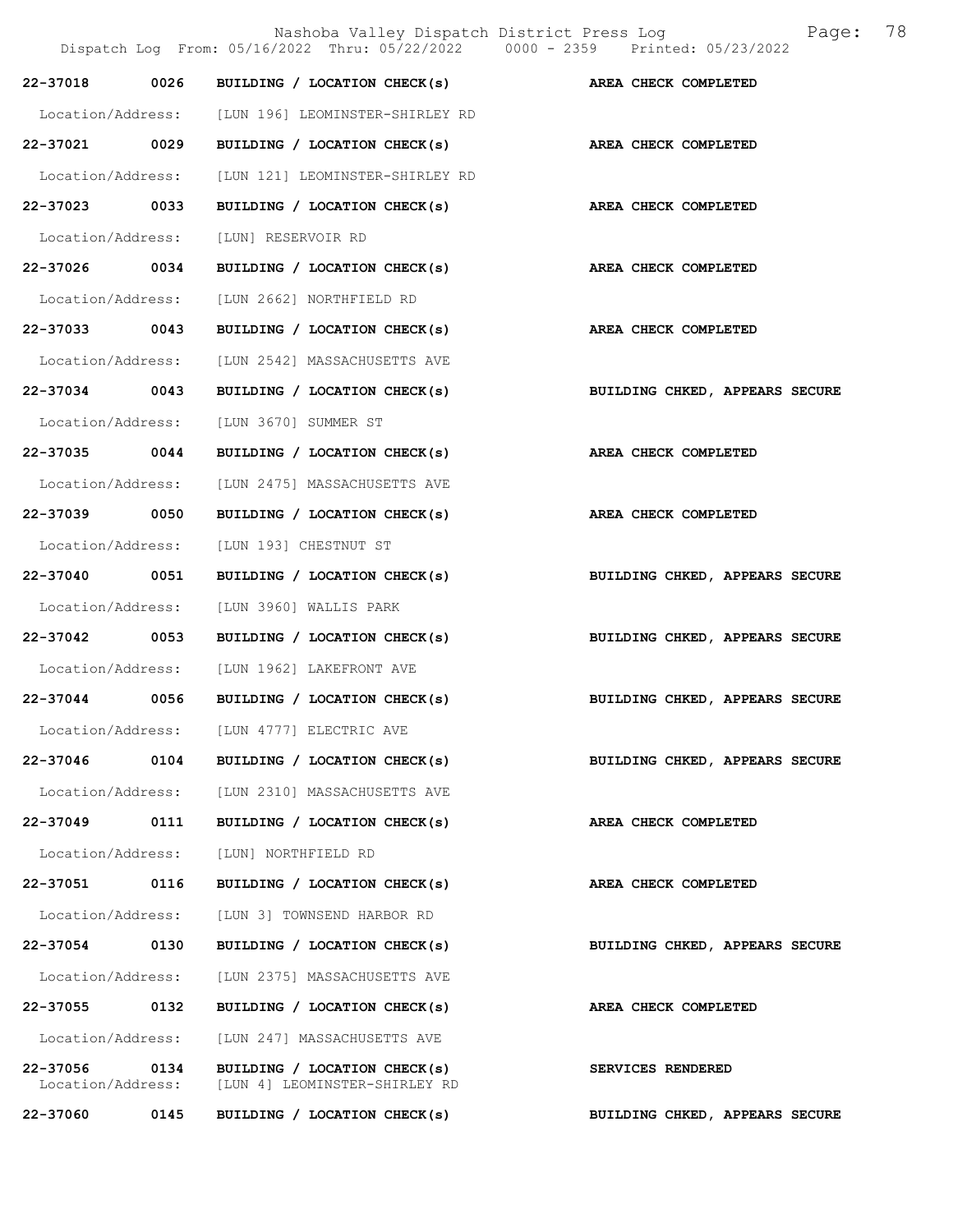|                               |      |                                                               | 78<br>Nashoba Valley Dispatch District Press Log<br>Page:<br>Dispatch Log From: 05/16/2022 Thru: 05/22/2022 0000 - 2359 Printed: 05/23/2022 |
|-------------------------------|------|---------------------------------------------------------------|---------------------------------------------------------------------------------------------------------------------------------------------|
| 22-37018                      | 0026 | BUILDING / LOCATION CHECK(s)                                  | AREA CHECK COMPLETED                                                                                                                        |
| Location/Address:             |      | [LUN 196] LEOMINSTER-SHIRLEY RD                               |                                                                                                                                             |
| 22-37021 0029                 |      | BUILDING / LOCATION CHECK(s)                                  | AREA CHECK COMPLETED                                                                                                                        |
| Location/Address:             |      | [LUN 121] LEOMINSTER-SHIRLEY RD                               |                                                                                                                                             |
| 22-37023 0033                 |      | BUILDING / LOCATION CHECK(s)                                  | AREA CHECK COMPLETED                                                                                                                        |
| Location/Address:             |      | [LUN] RESERVOIR RD                                            |                                                                                                                                             |
| 22-37026                      | 0034 | BUILDING / LOCATION CHECK(s)                                  | AREA CHECK COMPLETED                                                                                                                        |
| Location/Address:             |      | [LUN 2662] NORTHFIELD RD                                      |                                                                                                                                             |
| 22-37033 0043                 |      | BUILDING / LOCATION CHECK(s)                                  | AREA CHECK COMPLETED                                                                                                                        |
| Location/Address:             |      | [LUN 2542] MASSACHUSETTS AVE                                  |                                                                                                                                             |
| 22-37034 0043                 |      | BUILDING / LOCATION CHECK(s)                                  | BUILDING CHKED, APPEARS SECURE                                                                                                              |
| Location/Address:             |      | [LUN 3670] SUMMER ST                                          |                                                                                                                                             |
| 22-37035                      | 0044 | BUILDING / LOCATION CHECK(s)                                  | AREA CHECK COMPLETED                                                                                                                        |
| Location/Address:             |      | [LUN 2475] MASSACHUSETTS AVE                                  |                                                                                                                                             |
| 22-37039                      | 0050 | BUILDING / LOCATION CHECK(s)                                  | AREA CHECK COMPLETED                                                                                                                        |
| Location/Address:             |      | [LUN 193] CHESTNUT ST                                         |                                                                                                                                             |
| 22-37040 0051                 |      | BUILDING / LOCATION CHECK(s)                                  | BUILDING CHKED, APPEARS SECURE                                                                                                              |
| Location/Address:             |      | [LUN 3960] WALLIS PARK                                        |                                                                                                                                             |
| 22-37042                      | 0053 | BUILDING / LOCATION CHECK(s)                                  | BUILDING CHKED, APPEARS SECURE                                                                                                              |
| Location/Address:             |      | [LUN 1962] LAKEFRONT AVE                                      |                                                                                                                                             |
| $22 - 37044$                  | 0056 | BUILDING / LOCATION CHECK(s)                                  | BUILDING CHKED, APPEARS SECURE                                                                                                              |
| Location/Address:             |      | [LUN 4777] ELECTRIC AVE                                       |                                                                                                                                             |
| 22-37046                      | 0104 | BUILDING / LOCATION CHECK(s)                                  | BUILDING CHKED, APPEARS SECURE                                                                                                              |
| Location/Address:             |      | [LUN 2310] MASSACHUSETTS AVE                                  |                                                                                                                                             |
| 22-37049                      | 0111 | BUILDING / LOCATION CHECK(s)                                  | AREA CHECK COMPLETED                                                                                                                        |
| Location/Address:             |      | [LUN] NORTHFIELD RD                                           |                                                                                                                                             |
| 22-37051                      | 0116 | BUILDING / LOCATION CHECK(s)                                  | AREA CHECK COMPLETED                                                                                                                        |
| Location/Address:             |      | [LUN 3] TOWNSEND HARBOR RD                                    |                                                                                                                                             |
| 22-37054                      | 0130 | BUILDING / LOCATION CHECK(s)                                  | BUILDING CHKED, APPEARS SECURE                                                                                                              |
| Location/Address:             |      | [LUN 2375] MASSACHUSETTS AVE                                  |                                                                                                                                             |
| 22-37055                      | 0132 | BUILDING / LOCATION CHECK(s)                                  | AREA CHECK COMPLETED                                                                                                                        |
| Location/Address:             |      | [LUN 247] MASSACHUSETTS AVE                                   |                                                                                                                                             |
| 22-37056<br>Location/Address: | 0134 | BUILDING / LOCATION CHECK(s)<br>[LUN 4] LEOMINSTER-SHIRLEY RD | SERVICES RENDERED                                                                                                                           |
| 22-37060                      | 0145 | BUILDING / LOCATION CHECK(s)                                  | BUILDING CHKED, APPEARS SECURE                                                                                                              |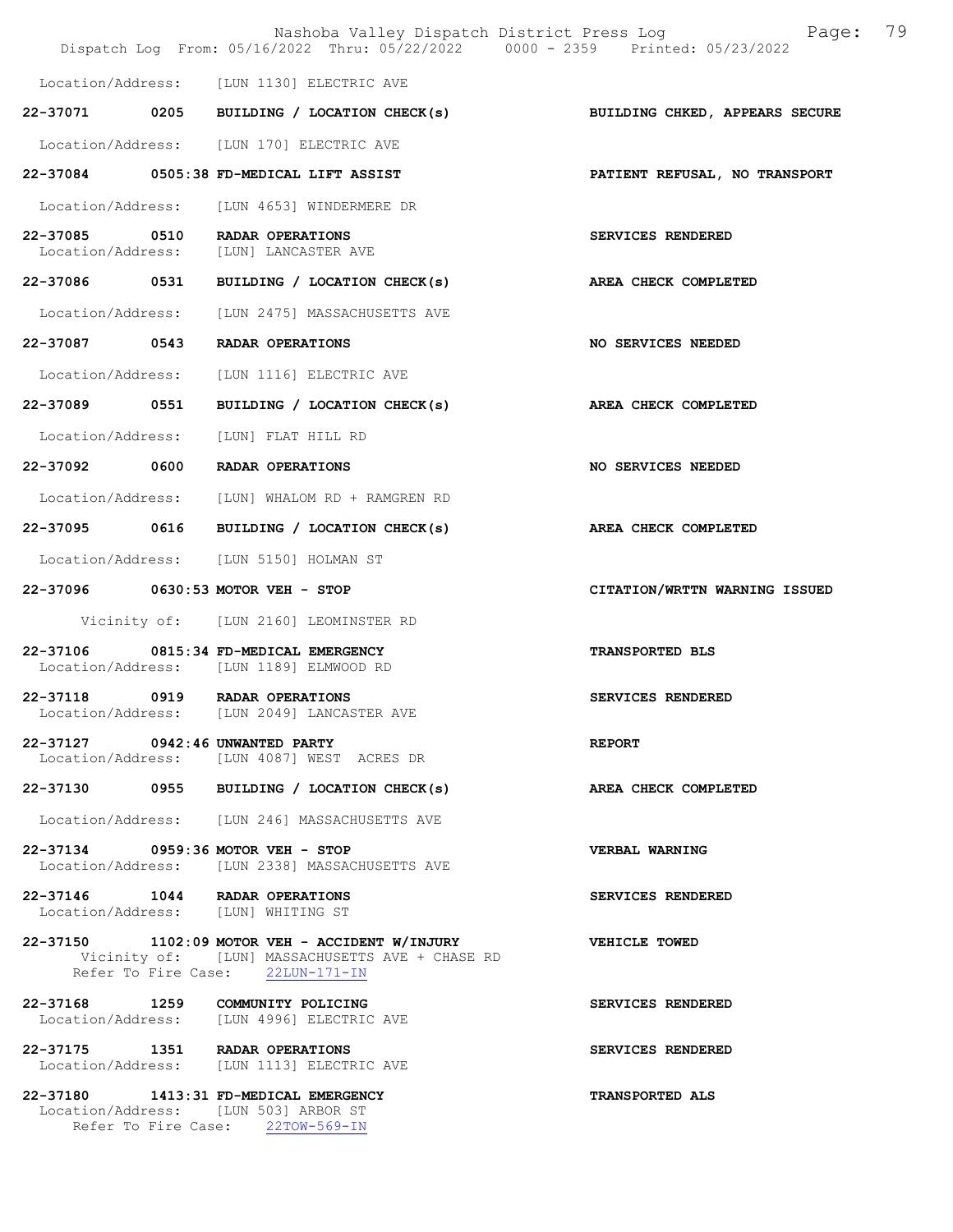|                                 | Nashoba Valley Dispatch District Press Log<br>Dispatch Log From: 05/16/2022 Thru: 05/22/2022 0000 - 2359 Printed: 05/23/2022          | 79<br>Page:                    |
|---------------------------------|---------------------------------------------------------------------------------------------------------------------------------------|--------------------------------|
|                                 | Location/Address: [LUN 1130] ELECTRIC AVE                                                                                             |                                |
|                                 | 22-37071 0205 BUILDING / LOCATION CHECK(s)                                                                                            | BUILDING CHKED, APPEARS SECURE |
|                                 | Location/Address: [LUN 170] ELECTRIC AVE                                                                                              |                                |
|                                 | 22-37084 0505:38 FD-MEDICAL LIFT ASSIST                                                                                               | PATIENT REFUSAL, NO TRANSPORT  |
|                                 | Location/Address: [LUN 4653] WINDERMERE DR                                                                                            |                                |
| Location/Address:               | 22-37085 0510 RADAR OPERATIONS<br>[LUN] LANCASTER AVE                                                                                 | SERVICES RENDERED              |
| 22-37086 0531                   | BUILDING / LOCATION CHECK(s)                                                                                                          | AREA CHECK COMPLETED           |
|                                 | Location/Address: [LUN 2475] MASSACHUSETTS AVE                                                                                        |                                |
| 22-37087 0543                   | RADAR OPERATIONS                                                                                                                      | NO SERVICES NEEDED             |
|                                 | Location/Address: [LUN 1116] ELECTRIC AVE                                                                                             |                                |
| 22-37089 0551                   | BUILDING / LOCATION CHECK(s)                                                                                                          | AREA CHECK COMPLETED           |
| Location/Address:               | [LUN] FLAT HILL RD                                                                                                                    |                                |
|                                 | 22-37092 0600 RADAR OPERATIONS                                                                                                        | NO SERVICES NEEDED             |
| Location/Address:               | [LUN] WHALOM RD + RAMGREN RD                                                                                                          |                                |
| 22-37095 0616                   | BUILDING / LOCATION CHECK(s)                                                                                                          | AREA CHECK COMPLETED           |
|                                 | Location/Address: [LUN 5150] HOLMAN ST                                                                                                |                                |
|                                 | 22-37096 0630:53 MOTOR VEH - STOP                                                                                                     | CITATION/WRTTN WARNING ISSUED  |
|                                 | Vicinity of: [LUN 2160] LEOMINSTER RD                                                                                                 |                                |
| 22-37106                        | 0815:34 FD-MEDICAL EMERGENCY<br>Location/Address: [LUN 1189] ELMWOOD RD                                                               | <b>TRANSPORTED BLS</b>         |
|                                 | 22-37118 0919 RADAR OPERATIONS<br>Location/Address: [LUN 2049] LANCASTER AVE                                                          | SERVICES RENDERED              |
| 22-37127 0942:46 UNWANTED PARTY | Location/Address: [LUN 4087] WEST ACRES DR                                                                                            | <b>REPORT</b>                  |
|                                 | 22-37130 0955 BUILDING / LOCATION CHECK(s)                                                                                            | AREA CHECK COMPLETED           |
|                                 | Location/Address: [LUN 246] MASSACHUSETTS AVE                                                                                         |                                |
|                                 | 22-37134 0959:36 MOTOR VEH - STOP<br>Location/Address: [LUN 2338] MASSACHUSETTS AVE                                                   | VERBAL WARNING                 |
|                                 | 22-37146 1044 RADAR OPERATIONS<br>Location/Address: [LUN] WHITING ST                                                                  | SERVICES RENDERED              |
|                                 | 22-37150 1102:09 MOTOR VEH - ACCIDENT W/INJURY<br>Vicinity of: [LUN] MASSACHUSETTS AVE + CHASE RD<br>Refer To Fire Case: 22LUN-171-IN | VEHICLE TOWED                  |
|                                 | 22-37168 1259 COMMUNITY POLICING<br>Location/Address: [LUN 4996] ELECTRIC AVE                                                         | SERVICES RENDERED              |
|                                 | 22-37175 1351 RADAR OPERATIONS<br>Location/Address: [LUN 1113] ELECTRIC AVE                                                           | SERVICES RENDERED              |
|                                 | 22-37180 1413:31 FD-MEDICAL EMERGENCY<br>Location/Address: [LUN 503] ARBOR ST<br>Refer To Fire Case: 22TOW-569-IN                     | <b>TRANSPORTED ALS</b>         |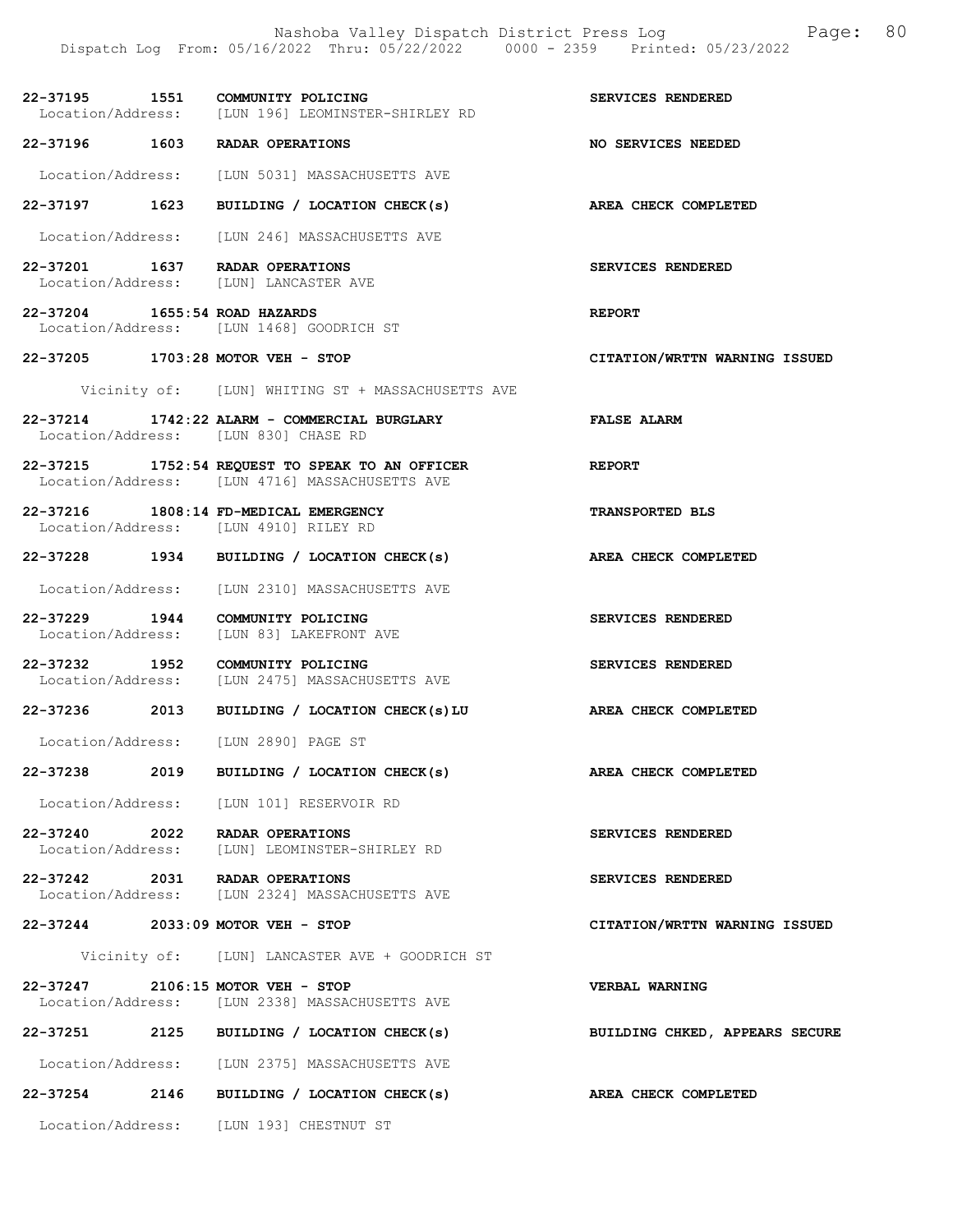|                                   |      | Dispatch Log From: 05/16/2022 Thru: 05/22/2022 0000 - 2359 Printed: 05/23/2022                    |                                |
|-----------------------------------|------|---------------------------------------------------------------------------------------------------|--------------------------------|
|                                   |      | 22-37195 1551 COMMUNITY POLICING<br>Location/Address: [LUN 196] LEOMINSTER-SHIRLEY RD             | SERVICES RENDERED              |
| 22-37196 1603 RADAR OPERATIONS    |      |                                                                                                   | NO SERVICES NEEDED             |
|                                   |      | Location/Address: [LUN 5031] MASSACHUSETTS AVE                                                    |                                |
|                                   |      | 22-37197 1623 BUILDING / LOCATION CHECK(s)                                                        | AREA CHECK COMPLETED           |
|                                   |      | Location/Address: [LUN 246] MASSACHUSETTS AVE                                                     |                                |
|                                   |      | 22-37201 1637 RADAR OPERATIONS<br>Location/Address: [LUN] LANCASTER AVE                           | SERVICES RENDERED              |
| 22-37204 1655:54 ROAD HAZARDS     |      | Location/Address: [LUN 1468] GOODRICH ST                                                          | <b>REPORT</b>                  |
| 22-37205 1703:28 MOTOR VEH - STOP |      |                                                                                                   | CITATION/WRTTN WARNING ISSUED  |
|                                   |      | Vicinity of: [LUN] WHITING ST + MASSACHUSETTS AVE                                                 |                                |
|                                   |      | 22-37214 1742:22 ALARM - COMMERCIAL BURGLARY<br>Location/Address: [LUN 830] CHASE RD              | <b>FALSE ALARM</b>             |
|                                   |      | 22-37215 1752:54 REQUEST TO SPEAK TO AN OFFICER<br>Location/Address: [LUN 4716] MASSACHUSETTS AVE | <b>REPORT</b>                  |
|                                   |      | 22-37216 1808:14 FD-MEDICAL EMERGENCY<br>Location/Address: [LUN 4910] RILEY RD                    | <b>TRANSPORTED BLS</b>         |
|                                   |      | 22-37228 1934 BUILDING / LOCATION CHECK(s)                                                        | AREA CHECK COMPLETED           |
|                                   |      | Location/Address: [LUN 2310] MASSACHUSETTS AVE                                                    |                                |
|                                   |      | 22-37229 1944 COMMUNITY POLICING<br>Location/Address: [LUN 83] LAKEFRONT AVE                      | SERVICES RENDERED              |
| 22-37232 1952                     |      | COMMUNITY POLICING<br>Location/Address: [LUN 2475] MASSACHUSETTS AVE                              | SERVICES RENDERED              |
|                                   |      | $22-37236$ 2013 BUILDING / LOCATION CHECK(s)LU                                                    | AREA CHECK COMPLETED           |
| Location/Address:                 |      | [LUN 2890] PAGE ST                                                                                |                                |
| 22-37238                          | 2019 | BUILDING / LOCATION CHECK(s)                                                                      | AREA CHECK COMPLETED           |
|                                   |      | Location/Address: [LUN 101] RESERVOIR RD                                                          |                                |
| 22-37240 2022                     |      | RADAR OPERATIONS<br>Location/Address: [LUN] LEOMINSTER-SHIRLEY RD                                 | SERVICES RENDERED              |
| 22-37242 2031 RADAR OPERATIONS    |      | Location/Address: [LUN 2324] MASSACHUSETTS AVE                                                    | SERVICES RENDERED              |
| 22-37244 2033:09 MOTOR VEH - STOP |      |                                                                                                   | CITATION/WRTTN WARNING ISSUED  |
|                                   |      | Vicinity of: [LUN] LANCASTER AVE + GOODRICH ST                                                    |                                |
| $22 - 37247$                      |      | $2106:15$ MOTOR VEH - STOP<br>Location/Address: [LUN 2338] MASSACHUSETTS AVE                      | <b>VERBAL WARNING</b>          |
|                                   |      | 22-37251 2125 BUILDING / LOCATION CHECK(s)                                                        | BUILDING CHKED, APPEARS SECURE |
|                                   |      | Location/Address: [LUN 2375] MASSACHUSETTS AVE                                                    |                                |
| 22-37254                          | 2146 | BUILDING / LOCATION CHECK(s)                                                                      | AREA CHECK COMPLETED           |
|                                   |      | Location/Address: [LUN 193] CHESTNUT ST                                                           |                                |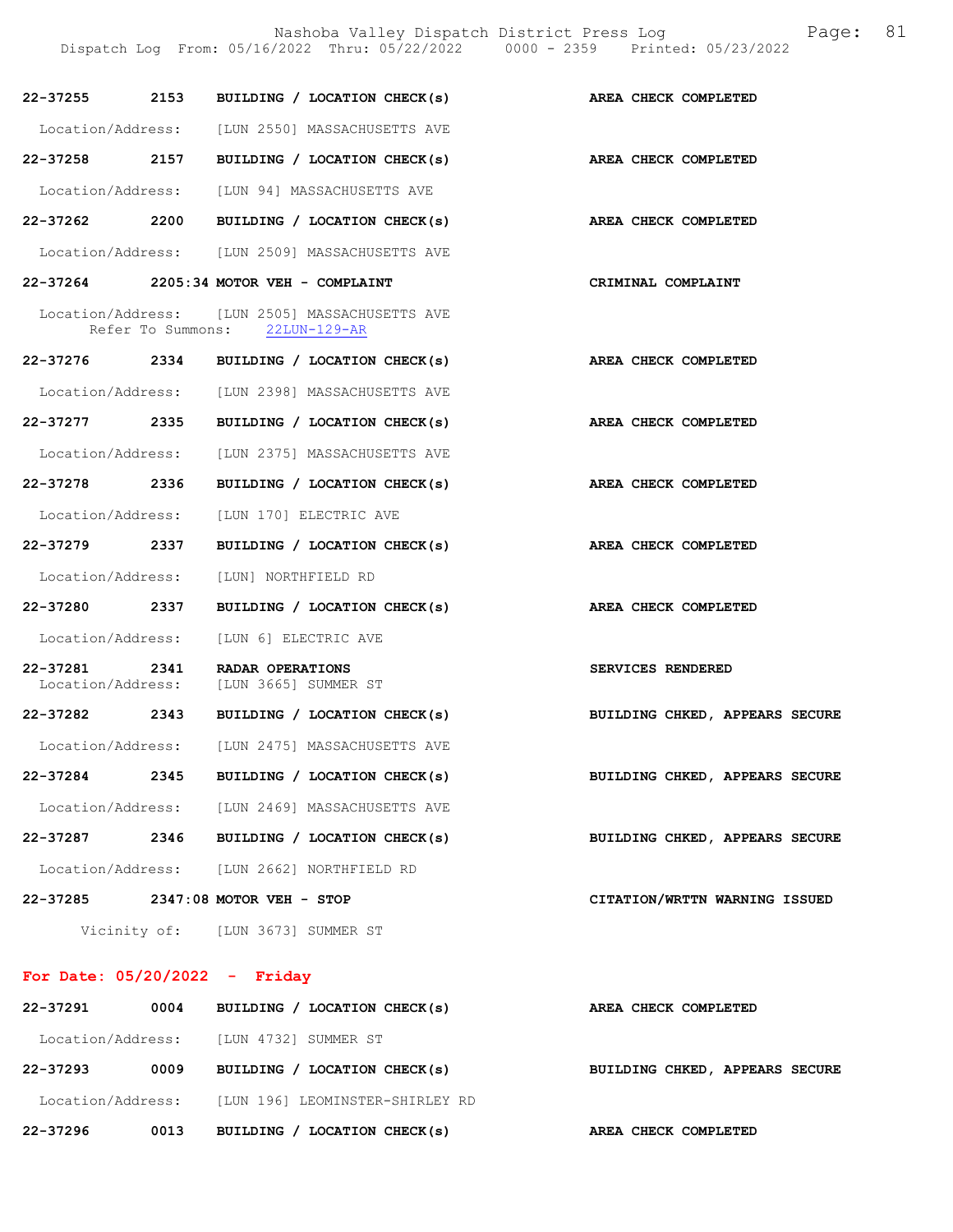|                   |              | Dispatch Log From: 05/16/2022 Thru: 05/22/2022 0000 - 2359 Printed: 05/23/2022   |                      |                                |
|-------------------|--------------|----------------------------------------------------------------------------------|----------------------|--------------------------------|
|                   |              | 22-37255 2153 BUILDING / LOCATION CHECK(s)                                       |                      | AREA CHECK COMPLETED           |
|                   |              | Location/Address: [LUN 2550] MASSACHUSETTS AVE                                   |                      |                                |
|                   |              | 22-37258 2157 BUILDING / LOCATION CHECK(s)                                       |                      | AREA CHECK COMPLETED           |
|                   |              | Location/Address: [LUN 94] MASSACHUSETTS AVE                                     |                      |                                |
|                   |              | 22-37262 2200 BUILDING / LOCATION CHECK(s) AREA CHECK COMPLETED                  |                      |                                |
|                   |              | Location/Address: [LUN 2509] MASSACHUSETTS AVE                                   |                      |                                |
|                   |              | 22-37264 2205:34 MOTOR VEH - COMPLAINT                                           |                      | CRIMINAL COMPLAINT             |
|                   |              | Location/Address: [LUN 2505] MASSACHUSETTS AVE<br>Refer To Summons: 22LUN-129-AR |                      |                                |
|                   |              | 22-37276 2334 BUILDING / LOCATION CHECK(s)                                       |                      | AREA CHECK COMPLETED           |
|                   |              | Location/Address: [LUN 2398] MASSACHUSETTS AVE                                   |                      |                                |
|                   |              | 22-37277 2335 BUILDING / LOCATION CHECK(s)                                       | AREA CHECK COMPLETED |                                |
|                   |              | Location/Address: [LUN 2375] MASSACHUSETTS AVE                                   |                      |                                |
| 22-37278 2336     |              | BUILDING / LOCATION CHECK(s) AREA CHECK COMPLETED                                |                      |                                |
|                   |              | Location/Address: [LUN 170] ELECTRIC AVE                                         |                      |                                |
| 22–37279 2337     |              | BUILDING / LOCATION CHECK(s) AREA CHECK COMPLETED                                |                      |                                |
| Location/Address: |              | [LUN] NORTHFIELD RD                                                              |                      |                                |
|                   |              | 22-37280 2337 BUILDING / LOCATION CHECK(s) AREA CHECK COMPLETED                  |                      |                                |
|                   |              | Location/Address: [LUN 6] ELECTRIC AVE                                           |                      |                                |
|                   |              | 22-37281 2341 RADAR OPERATIONS<br>Location/Address: [LUN 3665] SUMMER ST         |                      | SERVICES RENDERED              |
|                   |              | 22-37282 2343 BUILDING / LOCATION CHECK(s)                                       |                      | BUILDING CHKED, APPEARS SECURE |
| Location/Address: |              | [LUN 2475] MASSACHUSETTS AVE                                                     |                      |                                |
| 22-37284          | 2345         | BUILDING / LOCATION CHECK(s)                                                     |                      | BUILDING CHKED, APPEARS SECURE |
| Location/Address: |              | [LUN 2469] MASSACHUSETTS AVE                                                     |                      |                                |
| 22-37287          | 2346         | BUILDING / LOCATION CHECK(s)                                                     |                      | BUILDING CHKED, APPEARS SECURE |
|                   |              | Location/Address: [LUN 2662] NORTHFIELD RD                                       |                      |                                |
|                   |              | 22-37285 2347:08 MOTOR VEH - STOP                                                |                      | CITATION/WRTTN WARNING ISSUED  |
|                   | Vicinity of: | [LUN 3673] SUMMER ST                                                             |                      |                                |

# For Date: 05/20/2022 - Friday

| 22-37296          | 0013 | BUILDING / LOCATION CHECK(s)    | AREA CHECK COMPLETED           |
|-------------------|------|---------------------------------|--------------------------------|
| Location/Address: |      | [LUN 196] LEOMINSTER-SHIRLEY RD |                                |
| 22-37293          | 0009 | BUILDING / LOCATION CHECK(s)    | BUILDING CHKED, APPEARS SECURE |
| Location/Address: |      | [LUN 4732] SUMMER ST            |                                |
| 22-37291          | 0004 | BUILDING / LOCATION CHECK(s)    | AREA CHECK COMPLETED           |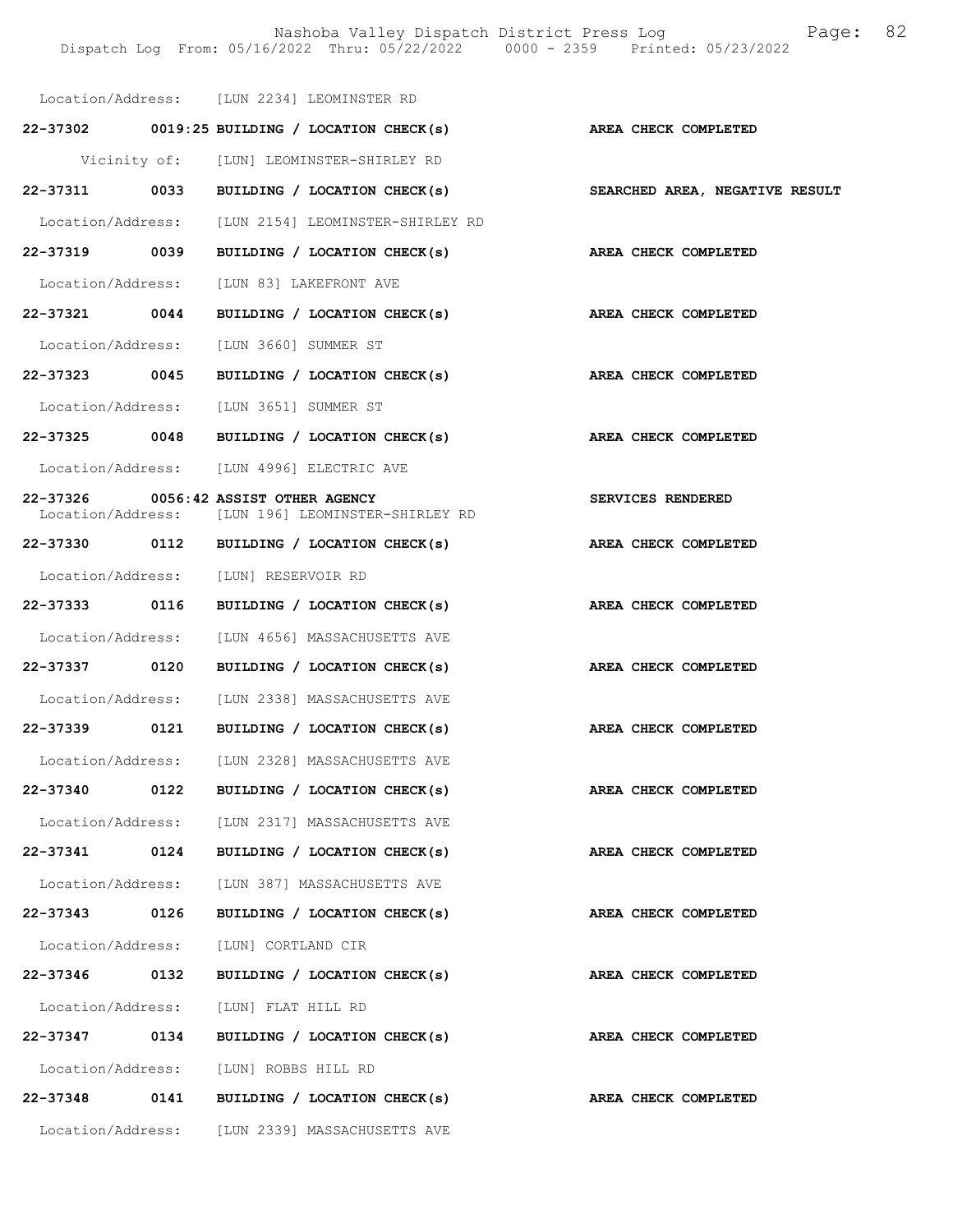|               |      | Location/Address: [LUN 2234] LEOMINSTER RD                                                |                                |
|---------------|------|-------------------------------------------------------------------------------------------|--------------------------------|
|               |      | $22-37302$ 0019:25 BUILDING / LOCATION CHECK(s)                                           | AREA CHECK COMPLETED           |
|               |      | Vicinity of: [LUN] LEOMINSTER-SHIRLEY RD                                                  |                                |
|               |      | $22-37311$ 0033 BUILDING / LOCATION CHECK(s)                                              | SEARCHED AREA, NEGATIVE RESULT |
|               |      | Location/Address: [LUN 2154] LEOMINSTER-SHIRLEY RD                                        |                                |
|               |      | 22-37319 0039 BUILDING / LOCATION CHECK(s)                                                | AREA CHECK COMPLETED           |
|               |      | Location/Address: [LUN 83] LAKEFRONT AVE                                                  |                                |
|               |      | 22-37321 0044 BUILDING / LOCATION CHECK(s)                                                | AREA CHECK COMPLETED           |
|               |      | Location/Address: [LUN 3660] SUMMER ST                                                    |                                |
|               |      | 22-37323 0045 BUILDING / LOCATION CHECK(s) AREA CHECK COMPLETED                           |                                |
|               |      | Location/Address: [LUN 3651] SUMMER ST                                                    |                                |
|               |      | 22-37325 0048 BUILDING / LOCATION CHECK(s)                                                | AREA CHECK COMPLETED           |
|               |      | Location/Address: [LUN 4996] ELECTRIC AVE                                                 |                                |
|               |      | 22-37326 0056:42 ASSIST OTHER AGENCY<br>Location/Address: [LUN 196] LEOMINSTER-SHIRLEY RD | SERVICES RENDERED              |
|               |      | 22-37330 0112 BUILDING / LOCATION CHECK(s)                                                | AREA CHECK COMPLETED           |
|               |      | Location/Address: [LUN] RESERVOIR RD                                                      |                                |
| 22-37333 0116 |      | BUILDING / LOCATION CHECK(s)                                                              | AREA CHECK COMPLETED           |
|               |      | Location/Address: [LUN 4656] MASSACHUSETTS AVE                                            |                                |
| 22-37337 0120 |      | BUILDING / LOCATION CHECK(s)                                                              | AREA CHECK COMPLETED           |
|               |      | Location/Address: [LUN 2338] MASSACHUSETTS AVE                                            |                                |
|               |      | 22-37339 0121 BUILDING / LOCATION CHECK(s)                                                | AREA CHECK COMPLETED           |
|               |      | Location/Address: [LUN 2328] MASSACHUSETTS AVE                                            |                                |
| 22-37340      | 0122 | BUILDING / LOCATION CHECK(s)                                                              | AREA CHECK COMPLETED           |
|               |      | Location/Address: [LUN 2317] MASSACHUSETTS AVE                                            |                                |
|               |      | 22-37341 0124 BUILDING / LOCATION CHECK(s)                                                | AREA CHECK COMPLETED           |
|               |      | Location/Address: [LUN 387] MASSACHUSETTS AVE                                             |                                |
| 22-37343 0126 |      | BUILDING / LOCATION CHECK(s)                                                              | AREA CHECK COMPLETED           |
|               |      | Location/Address: [LUN] CORTLAND CIR                                                      |                                |
| 22-37346 0132 |      | BUILDING / LOCATION CHECK(s)                                                              | AREA CHECK COMPLETED           |
|               |      | Location/Address: [LUN] FLAT HILL RD                                                      |                                |
|               |      | 22-37347 0134 BUILDING / LOCATION CHECK(s)                                                | AREA CHECK COMPLETED           |
|               |      | Location/Address: [LUN] ROBBS HILL RD                                                     |                                |
|               |      | 22-37348 0141 BUILDING / LOCATION CHECK(s)                                                | AREA CHECK COMPLETED           |
|               |      | Location/Address: [LUN 2339] MASSACHUSETTS AVE                                            |                                |
|               |      |                                                                                           |                                |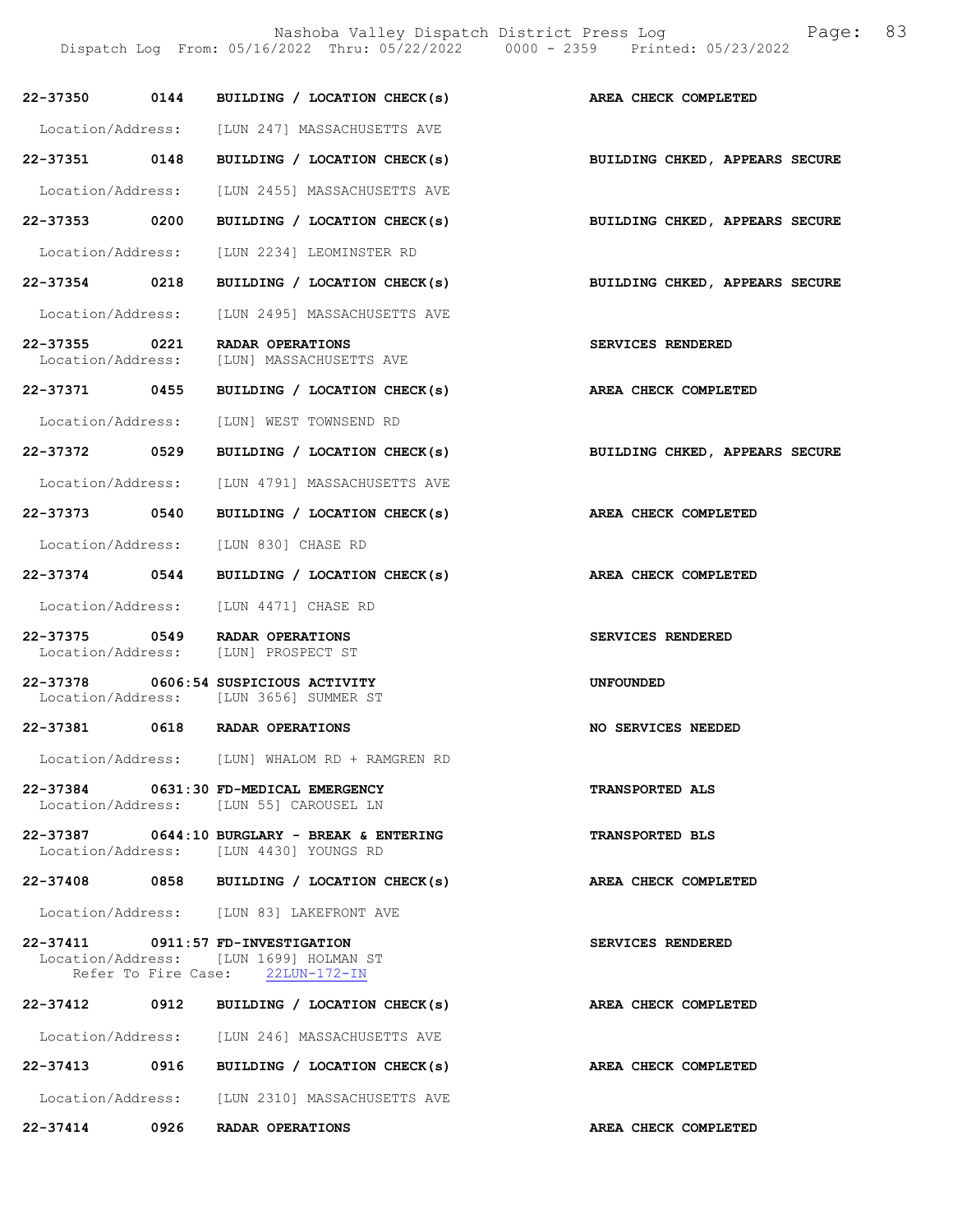Nashoba Valley Dispatch District Press Log Fage: 83

Dispatch Log From: 05/16/2022 Thru: 05/22/2022 0000 - 2359 Printed: 05/23/2022

|               | 22-37350 0144 BUILDING / LOCATION CHECK(s) AREA CHECK COMPLETED                                                 |                                |
|---------------|-----------------------------------------------------------------------------------------------------------------|--------------------------------|
|               | Location/Address: [LUN 247] MASSACHUSETTS AVE                                                                   |                                |
| 22-37351 0148 | BUILDING / LOCATION CHECK(s)                                                                                    | BUILDING CHKED, APPEARS SECURE |
|               | Location/Address: [LUN 2455] MASSACHUSETTS AVE                                                                  |                                |
| 22-37353 0200 | BUILDING / LOCATION CHECK(s)                                                                                    | BUILDING CHKED, APPEARS SECURE |
|               | Location/Address: [LUN 2234] LEOMINSTER RD                                                                      |                                |
|               | 22-37354 0218 BUILDING / LOCATION CHECK(s) BUILDING CHKED, APPEARS SECURE                                       |                                |
|               | Location/Address: [LUN 2495] MASSACHUSETTS AVE                                                                  |                                |
|               | 22-37355 0221 RADAR OPERATIONS<br>Location/Address: [LUN] MASSACHUSETTS AVE                                     | SERVICES RENDERED              |
| 22-37371 0455 | BUILDING / LOCATION CHECK(s)                                                                                    | AREA CHECK COMPLETED           |
|               | Location/Address: [LUN] WEST TOWNSEND RD                                                                        |                                |
| 22-37372 0529 | BUILDING / LOCATION CHECK(s) BUILDING CHKED, APPEARS SECURE                                                     |                                |
|               | Location/Address: [LUN 4791] MASSACHUSETTS AVE                                                                  |                                |
| 22-37373 0540 | BUILDING / LOCATION CHECK(s)                                                                                    | AREA CHECK COMPLETED           |
|               | Location/Address: [LUN 830] CHASE RD                                                                            |                                |
| 22-37374 0544 | BUILDING / LOCATION CHECK(s)                                                                                    | <b>AREA CHECK COMPLETED</b>    |
|               | Location/Address: [LUN 4471] CHASE RD                                                                           |                                |
|               |                                                                                                                 |                                |
|               | 22-37375 0549 RADAR OPERATIONS<br>Location/Address: [LUN] PROSPECT ST                                           | SERVICES RENDERED              |
|               | 22-37378 0606:54 SUSPICIOUS ACTIVITY<br>Location/Address: [LUN 3656] SUMMER ST                                  | <b>UNFOUNDED</b>               |
|               | 22-37381 0618 RADAR OPERATIONS                                                                                  | NO SERVICES NEEDED             |
|               | Location/Address: [LUN] WHALOM RD + RAMGREN RD                                                                  |                                |
|               | 22-37384 0631:30 FD-MEDICAL EMERGENCY<br>Location/Address: [LUN 55] CAROUSEL LN                                 | <b>TRANSPORTED ALS</b>         |
|               | $22-37387$ 0644:10 BURGLARY - BREAK & ENTERING<br>Location/Address: [LUN 4430] YOUNGS RD                        | TRANSPORTED BLS                |
|               | 22-37408 0858 BUILDING / LOCATION CHECK(s)                                                                      | AREA CHECK COMPLETED           |
|               | Location/Address: [LUN 83] LAKEFRONT AVE                                                                        |                                |
|               | 22-37411 0911:57 FD-INVESTIGATION<br>Location/Address: [LUN 1699] HOLMAN ST<br>Refer To Fire Case: 22LUN-172-IN | SERVICES RENDERED              |
|               | 22-37412 0912 BUILDING / LOCATION CHECK(s)                                                                      | AREA CHECK COMPLETED           |
|               | Location/Address: [LUN 246] MASSACHUSETTS AVE                                                                   |                                |
|               | 22-37413 0916 BUILDING / LOCATION CHECK(s)                                                                      | AREA CHECK COMPLETED           |
|               | Location/Address: [LUN 2310] MASSACHUSETTS AVE                                                                  |                                |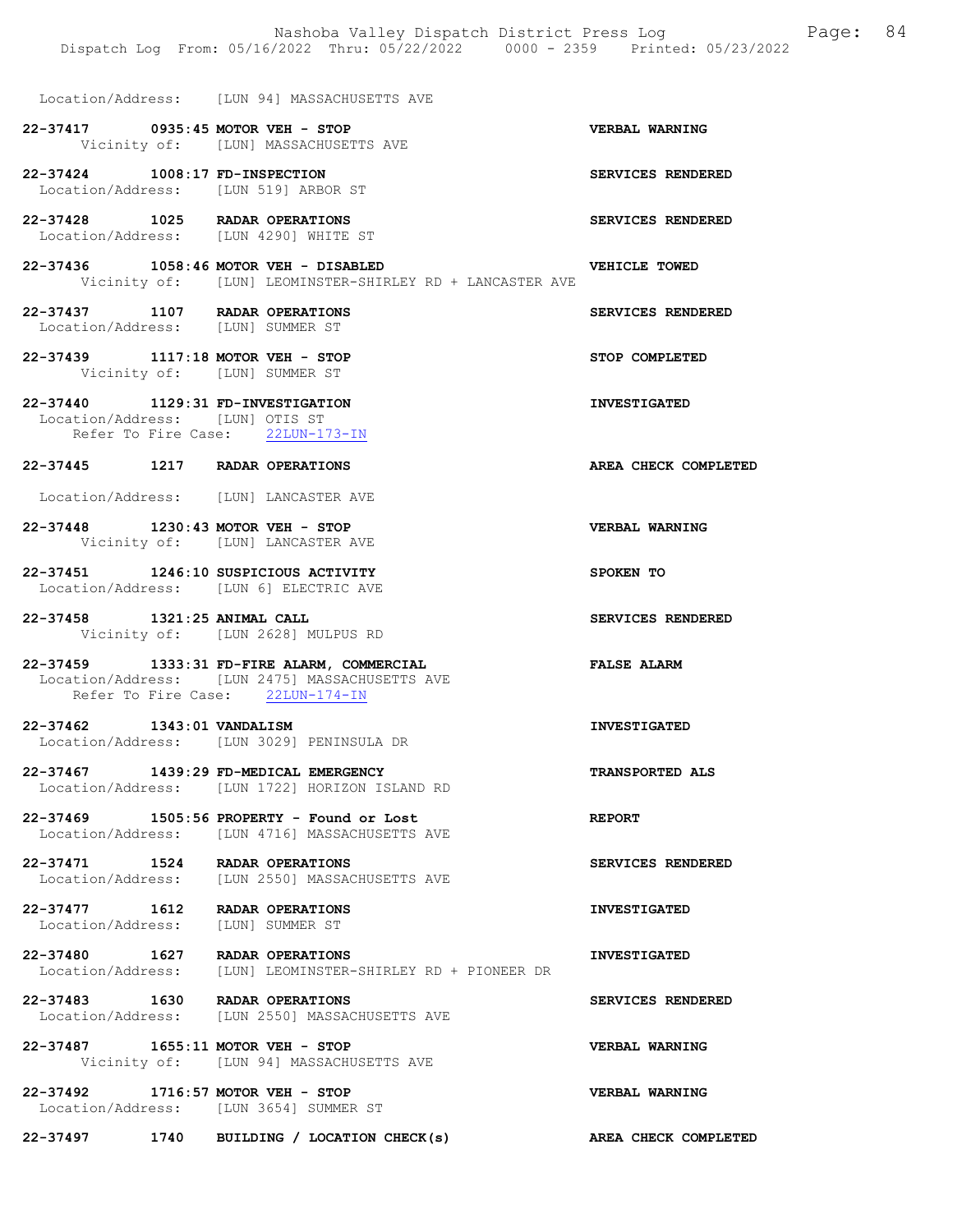|                                 | Nashoba Valley Dispatch District Press Log Nashoba Valley<br>Dispatch Log From: 05/16/2022 Thru: 05/22/2022 0000 - 2359 Printed: 05/23/2022 |                       | 84 |
|---------------------------------|---------------------------------------------------------------------------------------------------------------------------------------------|-----------------------|----|
|                                 | Location/Address: [LUN 94] MASSACHUSETTS AVE                                                                                                |                       |    |
|                                 | 22-37417 0935:45 MOTOR VEH - STOP<br>Vicinity of: [LUN] MASSACHUSETTS AVE                                                                   | <b>VERBAL WARNING</b> |    |
| 22-37424 1008:17 FD-INSPECTION  | Location/Address: [LUN 519] ARBOR ST                                                                                                        | SERVICES RENDERED     |    |
|                                 | 22-37428 1025 RADAR OPERATIONS<br>Location/Address: [LUN 4290] WHITE ST                                                                     | SERVICES RENDERED     |    |
|                                 | 22-37436 1058:46 MOTOR VEH - DISABLED<br>Vicinity of: [LUN] LEOMINSTER-SHIRLEY RD + LANCASTER AVE                                           | VEHICLE TOWED         |    |
|                                 | 22-37437 1107 RADAR OPERATIONS<br>Location/Address: [LUN] SUMMER ST                                                                         | SERVICES RENDERED     |    |
|                                 | 22-37439 1117:18 MOTOR VEH - STOP<br>Vicinity of: [LUN] SUMMER ST                                                                           | STOP COMPLETED        |    |
| Location/Address: [LUN] OTIS ST | 22-37440 1129:31 FD-INVESTIGATION<br>Refer To Fire Case: 22LUN-173-IN                                                                       | <b>INVESTIGATED</b>   |    |
|                                 | 22-37445 1217 RADAR OPERATIONS                                                                                                              | AREA CHECK COMPLETED  |    |
|                                 | Location/Address: [LUN] LANCASTER AVE                                                                                                       |                       |    |
|                                 | 22-37448 1230:43 MOTOR VEH - STOP<br>Vicinity of: [LUN] LANCASTER AVE                                                                       | <b>VERBAL WARNING</b> |    |
|                                 | 22-37451 1246:10 SUSPICIOUS ACTIVITY<br>Location/Address: [LUN 6] ELECTRIC AVE                                                              | SPOKEN TO             |    |
| 22-37458 1321:25 ANIMAL CALL    | Vicinity of: [LUN 2628] MULPUS RD                                                                                                           | SERVICES RENDERED     |    |
|                                 | 22-37459 1333:31 FD-FIRE ALARM, COMMERCIAL<br>Location/Address: [LUN 2475] MASSACHUSETTS AVE<br>Refer To Fire Case: 22LUN-174-IN            | <b>FALSE ALARM</b>    |    |
| 22-37462 1343:01 VANDALISM      | Location/Address: [LUN 3029] PENINSULA DR                                                                                                   | <b>INVESTIGATED</b>   |    |
|                                 | 22-37467 1439:29 FD-MEDICAL EMERGENCY<br>Location/Address: [LUN 1722] HORIZON ISLAND RD                                                     | TRANSPORTED ALS       |    |
|                                 | 22-37469 1505:56 PROPERTY - Found or Lost<br>Location/Address: [LUN 4716] MASSACHUSETTS AVE                                                 | <b>REPORT</b>         |    |
|                                 | 22-37471 1524 RADAR OPERATIONS<br>Location/Address: [LUN 2550] MASSACHUSETTS AVE                                                            | SERVICES RENDERED     |    |
|                                 | 22-37477 1612 RADAR OPERATIONS<br>Location/Address: [LUN] SUMMER ST                                                                         | <b>INVESTIGATED</b>   |    |
|                                 | 22-37480 1627 RADAR OPERATIONS<br>Location/Address: [LUN] LEOMINSTER-SHIRLEY RD + PIONEER DR                                                | <b>INVESTIGATED</b>   |    |
|                                 | 22-37483 1630 RADAR OPERATIONS<br>Location/Address: [LUN 2550] MASSACHUSETTS AVE                                                            | SERVICES RENDERED     |    |
|                                 | 22-37487 1655:11 MOTOR VEH - STOP<br>Vicinity of: [LUN 94] MASSACHUSETTS AVE                                                                | VERBAL WARNING        |    |
|                                 | 22-37492 1716:57 MOTOR VEH - STOP<br>Location/Address: [LUN 3654] SUMMER ST                                                                 | VERBAL WARNING        |    |
|                                 | 22-37497 1740 BUILDING / LOCATION CHECK(s)                                                                                                  | AREA CHECK COMPLETED  |    |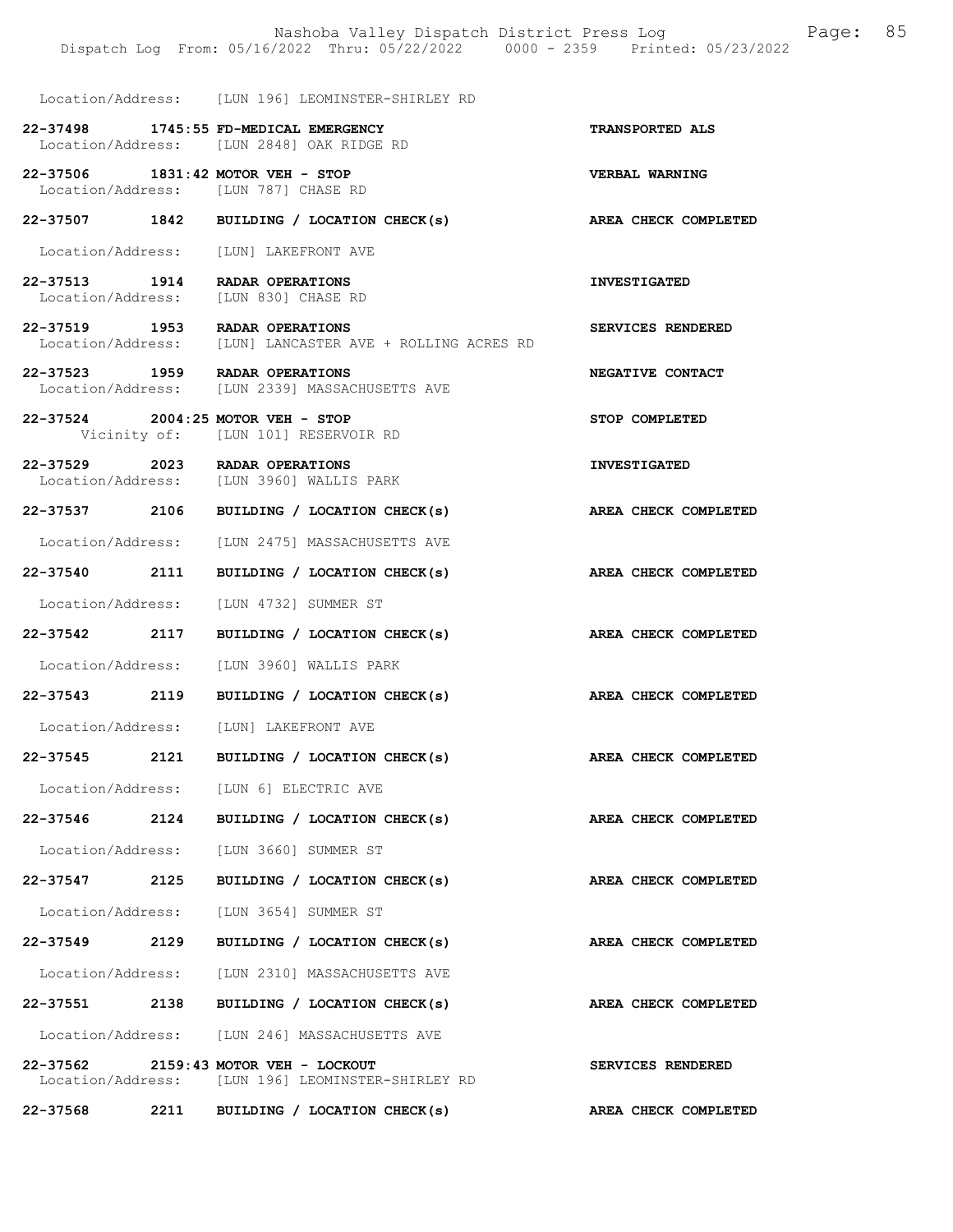|                                   | Dispatch Log From: 05/16/2022 Thru: 05/22/2022 0000 - 2359 Printed: 05/23/2022     |                             |
|-----------------------------------|------------------------------------------------------------------------------------|-----------------------------|
|                                   | Location/Address: [LUN 196] LEOMINSTER-SHIRLEY RD                                  |                             |
|                                   | 22-37498 1745:55 FD-MEDICAL EMERGENCY<br>Location/Address: [LUN 2848] OAK RIDGE RD | TRANSPORTED ALS             |
| 22-37506 1831:42 MOTOR VEH - STOP | Location/Address: [LUN 787] CHASE RD                                               | <b>VERBAL WARNING</b>       |
|                                   | 22-37507 1842 BUILDING / LOCATION CHECK(s)                                         | AREA CHECK COMPLETED        |
|                                   | Location/Address: [LUN] LAKEFRONT AVE                                              |                             |
| 22-37513 1914 RADAR OPERATIONS    | Location/Address: [LUN 830] CHASE RD                                               | <b>INVESTIGATED</b>         |
| 22-37519 1953 RADAR OPERATIONS    | Location/Address: [LUN] LANCASTER AVE + ROLLING ACRES RD                           | SERVICES RENDERED           |
| 22-37523 1959 RADAR OPERATIONS    | Location/Address: [LUN 2339] MASSACHUSETTS AVE                                     | NEGATIVE CONTACT            |
| 22-37524 2004:25 MOTOR VEH - STOP | Vicinity of: [LUN 101] RESERVOIR RD                                                | STOP COMPLETED              |
| 22-37529 2023 RADAR OPERATIONS    | Location/Address: [LUN 3960] WALLIS PARK                                           | <b>INVESTIGATED</b>         |
| 22-37537 2106                     | BUILDING / LOCATION CHECK(s)                                                       | AREA CHECK COMPLETED        |
| Location/Address:                 | [LUN 2475] MASSACHUSETTS AVE                                                       |                             |
| 22-37540 2111                     | BUILDING / LOCATION CHECK(s)                                                       | AREA CHECK COMPLETED        |
| Location/Address:                 | [LUN 4732] SUMMER ST                                                               |                             |
| 22-37542 2117                     | BUILDING / LOCATION CHECK(s)                                                       | AREA CHECK COMPLETED        |
| Location/Address:                 | [LUN 3960] WALLIS PARK                                                             |                             |
| $22 - 37543$<br>2119              | BUILDING / LOCATION CHECK(s)                                                       | <b>AREA CHECK COMPLETED</b> |
|                                   | Location/Address: [LUN] LAKEFRONT AVE                                              |                             |
| 2121<br>22-37545                  | BUILDING / LOCATION CHECK(s)                                                       | AREA CHECK COMPLETED        |
|                                   | Location/Address: [LUN 6] ELECTRIC AVE                                             |                             |
| 22-37546<br>2124                  | BUILDING / LOCATION CHECK(s)                                                       | AREA CHECK COMPLETED        |
|                                   | Location/Address: [LUN 3660] SUMMER ST                                             |                             |
| 2125<br>22-37547                  | BUILDING / LOCATION CHECK(s)                                                       | AREA CHECK COMPLETED        |
| Location/Address:                 | [LUN 3654] SUMMER ST                                                               |                             |
| 22-37549 2129                     | BUILDING / LOCATION CHECK(s)                                                       | AREA CHECK COMPLETED        |
|                                   | Location/Address: [LUN 2310] MASSACHUSETTS AVE                                     |                             |
| 22-37551                          | 2138 BUILDING / LOCATION CHECK(s)                                                  | AREA CHECK COMPLETED        |
|                                   | Location/Address: [LUN 246] MASSACHUSETTS AVE                                      |                             |
| 22-37562                          | 2159:43 MOTOR VEH - LOCKOUT<br>Location/Address: [LUN 196] LEOMINSTER-SHIRLEY RD   | SERVICES RENDERED           |
|                                   | 22-37568 2211 BUILDING / LOCATION CHECK(s)                                         | AREA CHECK COMPLETED        |

Nashoba Valley Dispatch District Press Log Fage: 85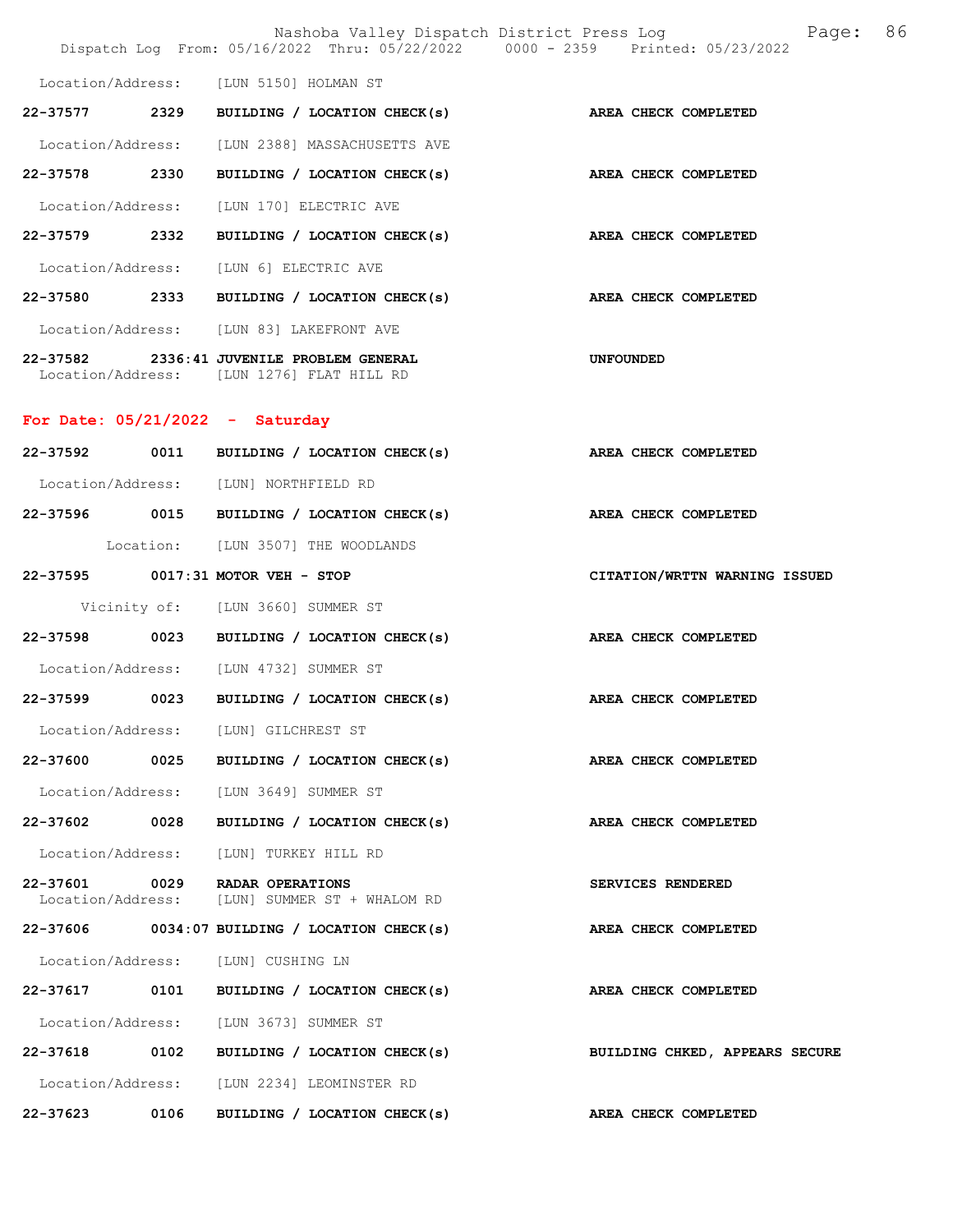|                   |      |                                                                                        | Nashoba Valley Dispatch District Press Log Nashoba Valley Dispatch District Press Log<br>Dispatch Log From: 05/16/2022 Thru: 05/22/2022 0000 - 2359 Printed: 05/23/2022 | 86 |
|-------------------|------|----------------------------------------------------------------------------------------|-------------------------------------------------------------------------------------------------------------------------------------------------------------------------|----|
|                   |      | Location/Address: [LUN 5150] HOLMAN ST                                                 |                                                                                                                                                                         |    |
|                   |      | 22-37577 2329 BUILDING / LOCATION CHECK(s)                                             | AREA CHECK COMPLETED                                                                                                                                                    |    |
|                   |      | Location/Address: [LUN 2388] MASSACHUSETTS AVE                                         |                                                                                                                                                                         |    |
| 22-37578 2330     |      | BUILDING / LOCATION CHECK(s) AREA CHECK COMPLETED                                      |                                                                                                                                                                         |    |
|                   |      | Location/Address: [LUN 170] ELECTRIC AVE                                               |                                                                                                                                                                         |    |
| 22-37579 2332     |      | BUILDING / LOCATION CHECK(s) AREA CHECK COMPLETED                                      |                                                                                                                                                                         |    |
|                   |      | Location/Address: [LUN 6] ELECTRIC AVE                                                 |                                                                                                                                                                         |    |
|                   |      | 22-37580 2333 BUILDING / LOCATION CHECK(s) AREA CHECK COMPLETED                        |                                                                                                                                                                         |    |
|                   |      | Location/Address: [LUN 83] LAKEFRONT AVE                                               |                                                                                                                                                                         |    |
|                   |      | 22-37582 2336:41 JUVENILE PROBLEM GENERAL<br>Location/Address: [LUN 1276] FLAT HILL RD | UNFOUNDED                                                                                                                                                               |    |
|                   |      | For Date: $05/21/2022 -$ Saturday                                                      |                                                                                                                                                                         |    |
|                   |      | 22-37592 0011 BUILDING / LOCATION CHECK(s)                                             | AREA CHECK COMPLETED                                                                                                                                                    |    |
|                   |      | Location/Address: [LUN] NORTHFIELD RD                                                  |                                                                                                                                                                         |    |
|                   |      | 22-37596 0015 BUILDING / LOCATION CHECK(s) AREA CHECK COMPLETED                        |                                                                                                                                                                         |    |
|                   |      | Location: [LUN 3507] THE WOODLANDS                                                     |                                                                                                                                                                         |    |
|                   |      | 22-37595 0017:31 MOTOR VEH - STOP                                                      | CITATION/WRTTN WARNING ISSUED                                                                                                                                           |    |
|                   |      | Vicinity of: [LUN 3660] SUMMER ST                                                      |                                                                                                                                                                         |    |
|                   |      | 22-37598 0023 BUILDING / LOCATION CHECK(s)                                             | AREA CHECK COMPLETED                                                                                                                                                    |    |
|                   |      | Location/Address: [LUN 4732] SUMMER ST                                                 |                                                                                                                                                                         |    |
|                   |      | 22-37599 0023 BUILDING / LOCATION CHECK(s) AREA CHECK COMPLETED                        |                                                                                                                                                                         |    |
|                   |      | Location/Address: [LUN] GILCHREST ST                                                   |                                                                                                                                                                         |    |
| 22-37600          | 0025 | BUILDING / LOCATION CHECK(s)                                                           | AREA CHECK COMPLETED                                                                                                                                                    |    |
|                   |      | Location/Address: [LUN 3649] SUMMER ST                                                 |                                                                                                                                                                         |    |
| 22-37602 0028     |      | BUILDING / LOCATION CHECK(s)                                                           | AREA CHECK COMPLETED                                                                                                                                                    |    |
| Location/Address: |      | [LUN] TURKEY HILL RD                                                                   |                                                                                                                                                                         |    |
| 22-37601 0029     |      | RADAR OPERATIONS<br>Location/Address: [LUN] SUMMER ST + WHALOM RD                      | SERVICES RENDERED                                                                                                                                                       |    |
|                   |      | $22-37606$ 0034:07 BUILDING / LOCATION CHECK(s)                                        | AREA CHECK COMPLETED                                                                                                                                                    |    |
|                   |      | Location/Address: [LUN] CUSHING LN                                                     |                                                                                                                                                                         |    |
| 22-37617 0101     |      | BUILDING / LOCATION CHECK(s)                                                           | AREA CHECK COMPLETED                                                                                                                                                    |    |
|                   |      | Location/Address: [LUN 3673] SUMMER ST                                                 |                                                                                                                                                                         |    |
|                   |      | 22-37618 0102 BUILDING / LOCATION CHECK(s)                                             | BUILDING CHKED, APPEARS SECURE                                                                                                                                          |    |
|                   |      | Location/Address: [LUN 2234] LEOMINSTER RD                                             |                                                                                                                                                                         |    |
| 22-37623          | 0106 | BUILDING / LOCATION CHECK(s)                                                           | AREA CHECK COMPLETED                                                                                                                                                    |    |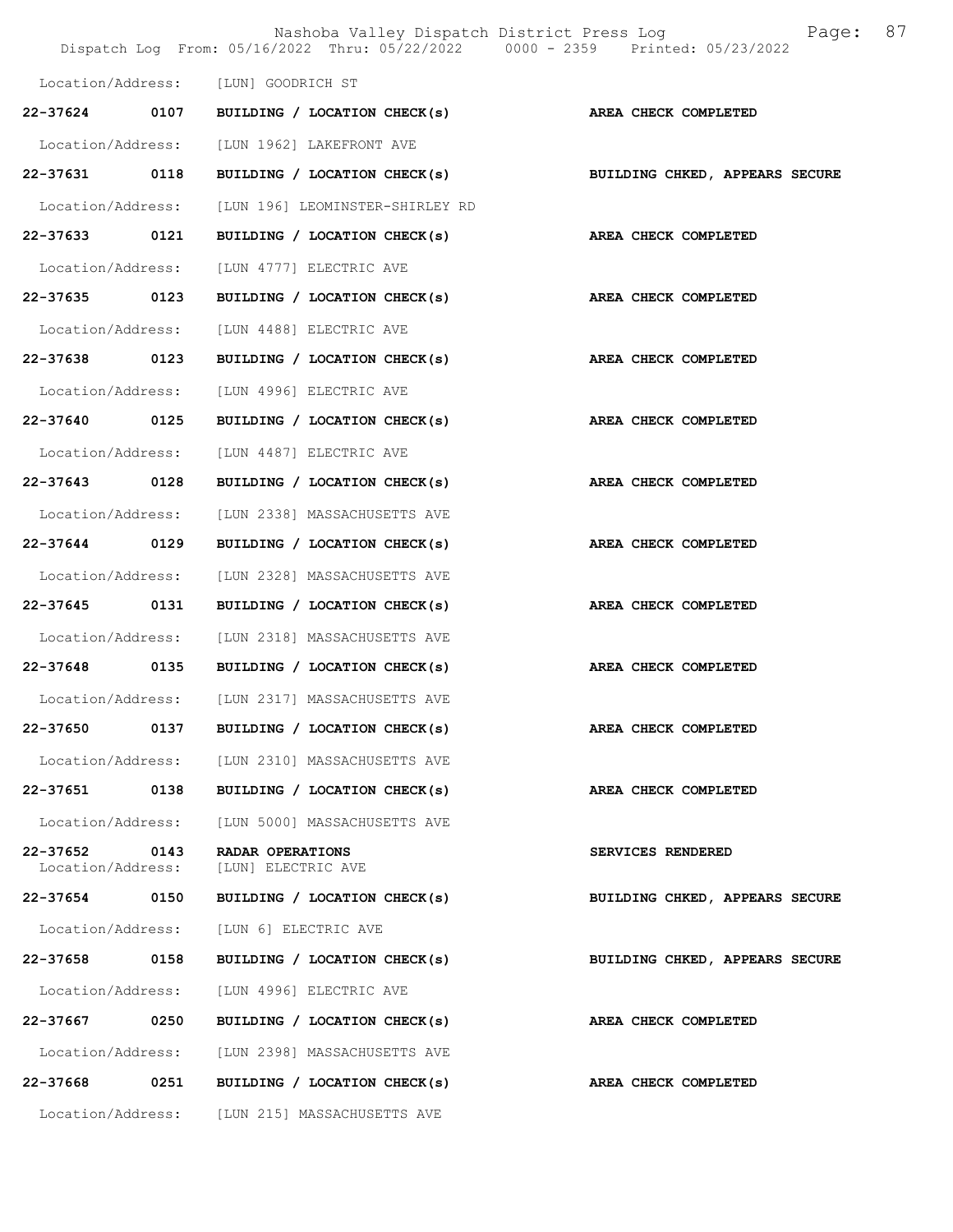|                               |      | Dispatch Log From: 05/16/2022 Thru: 05/22/2022 0000 - 2359 Printed: 05/23/2022 | Nashoba Valley Dispatch District Press Log<br>Page: | 87 |
|-------------------------------|------|--------------------------------------------------------------------------------|-----------------------------------------------------|----|
|                               |      | Location/Address: [LUN] GOODRICH ST                                            |                                                     |    |
| 22-37624                      | 0107 | BUILDING / LOCATION CHECK(s)                                                   | AREA CHECK COMPLETED                                |    |
| Location/Address:             |      | [LUN 1962] LAKEFRONT AVE                                                       |                                                     |    |
| 22-37631                      | 0118 | BUILDING / LOCATION CHECK(s)                                                   | BUILDING CHKED, APPEARS SECURE                      |    |
| Location/Address:             |      | [LUN 196] LEOMINSTER-SHIRLEY RD                                                |                                                     |    |
| 22-37633 0121                 |      | BUILDING / LOCATION CHECK(s)                                                   | AREA CHECK COMPLETED                                |    |
| Location/Address:             |      | [LUN 4777] ELECTRIC AVE                                                        |                                                     |    |
| 22-37635 0123                 |      | BUILDING / LOCATION CHECK(s)                                                   | AREA CHECK COMPLETED                                |    |
| Location/Address:             |      | [LUN 4488] ELECTRIC AVE                                                        |                                                     |    |
| 22-37638                      | 0123 | BUILDING / LOCATION CHECK(s)                                                   | AREA CHECK COMPLETED                                |    |
| Location/Address:             |      | [LUN 4996] ELECTRIC AVE                                                        |                                                     |    |
| 22-37640 0125                 |      | BUILDING / LOCATION CHECK(s)                                                   | AREA CHECK COMPLETED                                |    |
| Location/Address:             |      | [LUN 4487] ELECTRIC AVE                                                        |                                                     |    |
| 22-37643                      | 0128 | BUILDING / LOCATION CHECK(s)                                                   | AREA CHECK COMPLETED                                |    |
| Location/Address:             |      | [LUN 2338] MASSACHUSETTS AVE                                                   |                                                     |    |
| $22 - 37644$                  | 0129 | BUILDING / LOCATION CHECK(s)                                                   | AREA CHECK COMPLETED                                |    |
| Location/Address:             |      | [LUN 2328] MASSACHUSETTS AVE                                                   |                                                     |    |
| 22-37645 0131                 |      | BUILDING / LOCATION CHECK(s)                                                   | AREA CHECK COMPLETED                                |    |
| Location/Address:             |      | [LUN 2318] MASSACHUSETTS AVE                                                   |                                                     |    |
| 22-37648 0135                 |      | BUILDING / LOCATION CHECK(s)                                                   | AREA CHECK COMPLETED                                |    |
|                               |      | Location/Address: [LUN 2317] MASSACHUSETTS AVE                                 |                                                     |    |
| 22-37650                      | 0137 | BUILDING / LOCATION CHECK(s)                                                   | AREA CHECK COMPLETED                                |    |
|                               |      | Location/Address: [LUN 2310] MASSACHUSETTS AVE                                 |                                                     |    |
| 22-37651 0138                 |      | BUILDING / LOCATION CHECK(s)                                                   | AREA CHECK COMPLETED                                |    |
| Location/Address:             |      | [LUN 5000] MASSACHUSETTS AVE                                                   |                                                     |    |
| 22-37652<br>Location/Address: | 0143 | RADAR OPERATIONS<br>[LUN] ELECTRIC AVE                                         | SERVICES RENDERED                                   |    |
| 22-37654 0150                 |      | BUILDING / LOCATION CHECK(s)                                                   | BUILDING CHKED, APPEARS SECURE                      |    |
| Location/Address:             |      | [LUN 6] ELECTRIC AVE                                                           |                                                     |    |
| 22-37658                      | 0158 | BUILDING / LOCATION CHECK(s)                                                   | BUILDING CHKED, APPEARS SECURE                      |    |
| Location/Address:             |      | [LUN 4996] ELECTRIC AVE                                                        |                                                     |    |
| 22-37667                      | 0250 | BUILDING / LOCATION CHECK(s)                                                   | AREA CHECK COMPLETED                                |    |
|                               |      | Location/Address: [LUN 2398] MASSACHUSETTS AVE                                 |                                                     |    |
|                               |      | 22-37668 0251 BUILDING / LOCATION CHECK(s)                                     | AREA CHECK COMPLETED                                |    |
|                               |      | Location/Address: [LUN 215] MASSACHUSETTS AVE                                  |                                                     |    |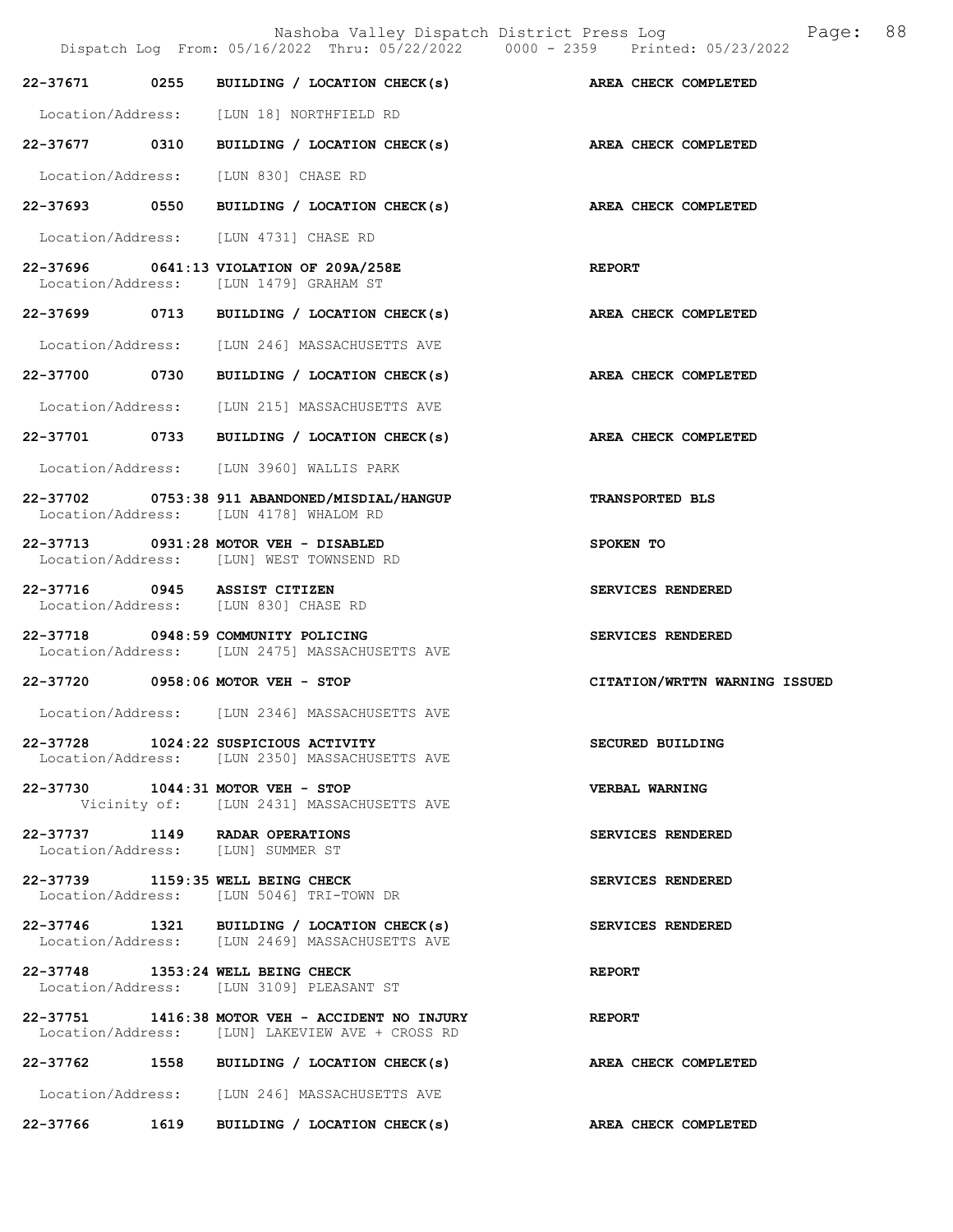|  | Dispatch Log From: 05/16/2022 Thru: 05/22/2022 0000 - 2359 Printed: 05/23/2022                     | 88<br>Nashoba Valley Dispatch District Press Log<br>Paqe: |
|--|----------------------------------------------------------------------------------------------------|-----------------------------------------------------------|
|  | 22-37671 0255 BUILDING / LOCATION CHECK(s) AREA CHECK COMPLETED                                    |                                                           |
|  | Location/Address: [LUN 18] NORTHFIELD RD                                                           |                                                           |
|  | 22-37677 0310 BUILDING / LOCATION CHECK(s) AREA CHECK COMPLETED                                    |                                                           |
|  | Location/Address: [LUN 830] CHASE RD                                                               |                                                           |
|  | 22-37693 0550 BUILDING / LOCATION CHECK(s) AREA CHECK COMPLETED                                    |                                                           |
|  | Location/Address: [LUN 4731] CHASE RD                                                              |                                                           |
|  | 22-37696 0641:13 VIOLATION OF 209A/258E<br>Location/Address: [LUN 1479] GRAHAM ST                  | <b>REPORT</b>                                             |
|  | 22-37699 0713 BUILDING / LOCATION CHECK(s)                                                         | AREA CHECK COMPLETED                                      |
|  | Location/Address: [LUN 246] MASSACHUSETTS AVE                                                      |                                                           |
|  | 22-37700 0730 BUILDING / LOCATION CHECK(s)                                                         | AREA CHECK COMPLETED                                      |
|  | Location/Address: [LUN 215] MASSACHUSETTS AVE                                                      |                                                           |
|  | 22-37701 0733 BUILDING / LOCATION CHECK(s)                                                         | AREA CHECK COMPLETED                                      |
|  | Location/Address: [LUN 3960] WALLIS PARK                                                           |                                                           |
|  | 22-37702 0753:38 911 ABANDONED/MISDIAL/HANGUP<br>Location/Address: [LUN 4178] WHALOM RD            | <b>TRANSPORTED BLS</b>                                    |
|  | 22-37713 0931:28 MOTOR VEH - DISABLED<br>Location/Address: [LUN] WEST TOWNSEND RD                  | SPOKEN TO                                                 |
|  | 22-37716 0945 ASSIST CITIZEN<br>Location/Address: [LUN 830] CHASE RD                               | SERVICES RENDERED                                         |
|  | 22-37718 0948:59 COMMUNITY POLICING<br>Location/Address: [LUN 2475] MASSACHUSETTS AVE              | SERVICES RENDERED                                         |
|  | 22-37720 0958:06 MOTOR VEH - STOP                                                                  | CITATION/WRTTN WARNING ISSUED                             |
|  | Location/Address: [LUN 2346] MASSACHUSETTS AVE                                                     |                                                           |
|  | 22-37728 1024:22 SUSPICIOUS ACTIVITY<br>Location/Address: [LUN 2350] MASSACHUSETTS AVE             | <b>SECURED BUILDING</b>                                   |
|  | 22-37730 1044:31 MOTOR VEH - STOP<br>Vicinity of: [LUN 2431] MASSACHUSETTS AVE                     | VERBAL WARNING                                            |
|  | 22-37737 1149 RADAR OPERATIONS<br>Location/Address: [LUN] SUMMER ST                                | SERVICES RENDERED                                         |
|  | 22-37739 1159:35 WELL BEING CHECK<br>Location/Address: [LUN 5046] TRI-TOWN DR                      | SERVICES RENDERED                                         |
|  | 22-37746 1321 BUILDING / LOCATION CHECK(s)<br>Location/Address: [LUN 2469] MASSACHUSETTS AVE       | SERVICES RENDERED                                         |
|  | 22-37748 1353:24 WELL BEING CHECK<br>Location/Address: [LUN 3109] PLEASANT ST                      | <b>REPORT</b>                                             |
|  | 22-37751 1416:38 MOTOR VEH - ACCIDENT NO INJURY<br>Location/Address: [LUN] LAKEVIEW AVE + CROSS RD | <b>REPORT</b>                                             |
|  | 22-37762 1558 BUILDING / LOCATION CHECK(s)                                                         | AREA CHECK COMPLETED                                      |
|  | Location/Address: [LUN 246] MASSACHUSETTS AVE                                                      |                                                           |

22-37766 1619 BUILDING / LOCATION CHECK(s) AREA CHECK COMPLETED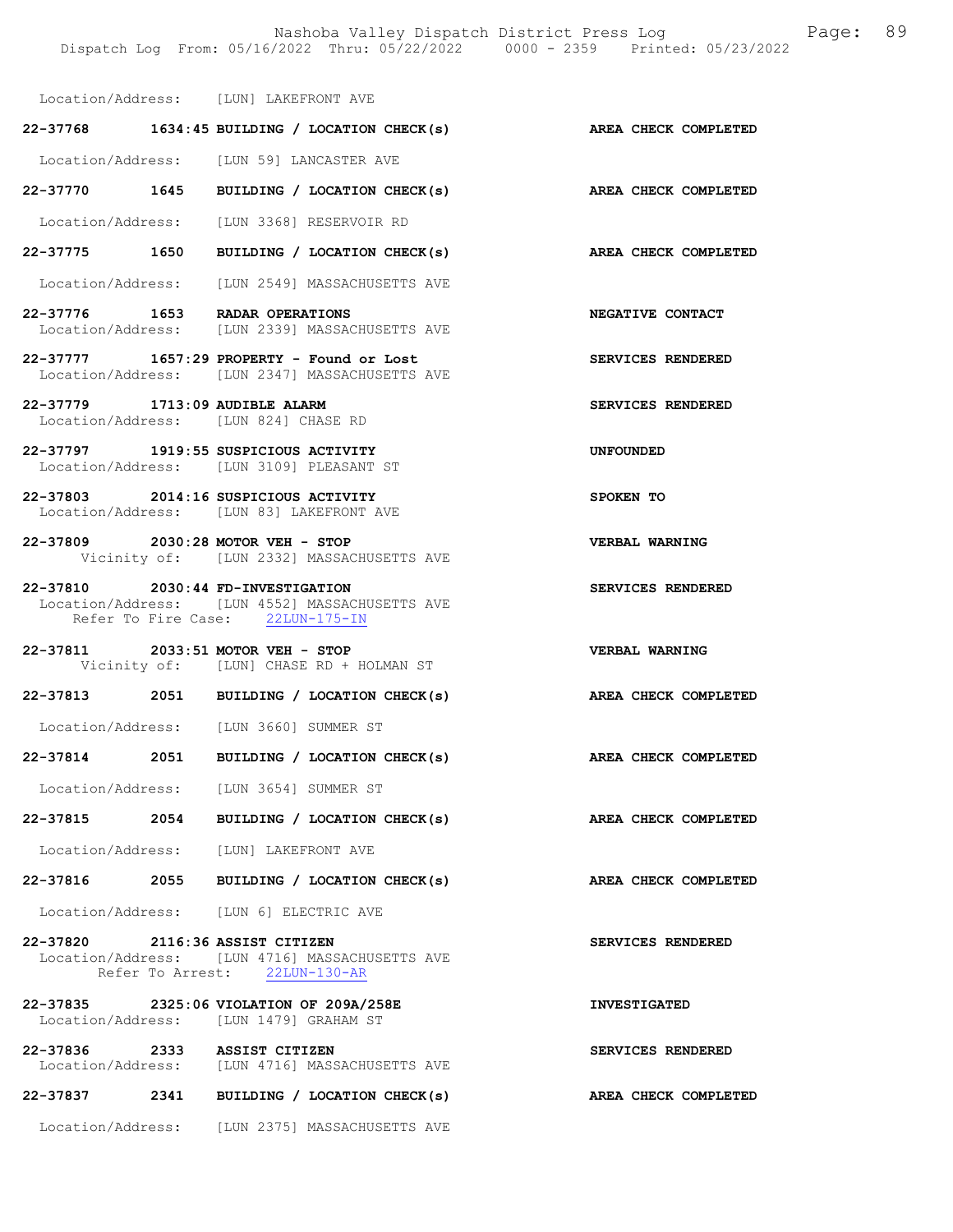Location/Address: [LUN] LAKEFRONT AVE

|                                 | $22-37768$ 1634:45 BUILDING / LOCATION CHECK(s)                                                                         | AREA CHECK COMPLETED  |
|---------------------------------|-------------------------------------------------------------------------------------------------------------------------|-----------------------|
|                                 | Location/Address: [LUN 59] LANCASTER AVE                                                                                |                       |
|                                 | 22-37770 1645 BUILDING / LOCATION CHECK(s)                                                                              | AREA CHECK COMPLETED  |
|                                 | Location/Address: [LUN 3368] RESERVOIR RD                                                                               |                       |
|                                 | 22-37775 1650 BUILDING / LOCATION CHECK(s)                                                                              | AREA CHECK COMPLETED  |
|                                 | Location/Address: [LUN 2549] MASSACHUSETTS AVE                                                                          |                       |
|                                 | 22-37776 1653 RADAR OPERATIONS<br>Location/Address: [LUN 2339] MASSACHUSETTS AVE                                        | NEGATIVE CONTACT      |
|                                 | 22-37777 1657:29 PROPERTY - Found or Lost<br>Location/Address: [LUN 2347] MASSACHUSETTS AVE                             | SERVICES RENDERED     |
| 22-37779 1713:09 AUDIBLE ALARM  | Location/Address: [LUN 824] CHASE RD                                                                                    | SERVICES RENDERED     |
|                                 | 22-37797 1919:55 SUSPICIOUS ACTIVITY<br>Location/Address: [LUN 3109] PLEASANT ST                                        | <b>UNFOUNDED</b>      |
|                                 | 22-37803 2014:16 SUSPICIOUS ACTIVITY<br>Location/Address: [LUN 83] LAKEFRONT AVE                                        | SPOKEN TO             |
|                                 | 22-37809 2030:28 MOTOR VEH - STOP<br>Vicinity of: [LUN 2332] MASSACHUSETTS AVE                                          | <b>VERBAL WARNING</b> |
|                                 | 22-37810 2030:44 FD-INVESTIGATION<br>Location/Address: [LUN 4552] MASSACHUSETTS AVE<br>Refer To Fire Case: 22LUN-175-IN | SERVICES RENDERED     |
|                                 |                                                                                                                         |                       |
|                                 | 22-37811 2033:51 MOTOR VEH - STOP<br>Vicinity of: [LUN] CHASE RD + HOLMAN ST                                            | <b>VERBAL WARNING</b> |
|                                 | 22-37813 2051 BUILDING / LOCATION CHECK(s)                                                                              | AREA CHECK COMPLETED  |
|                                 | Location/Address: [LUN 3660] SUMMER ST                                                                                  |                       |
|                                 | 22-37814 2051 BUILDING / LOCATION CHECK(s)                                                                              | AREA CHECK COMPLETED  |
|                                 | Location/Address: [LUN 3654] SUMMER ST                                                                                  |                       |
| 22-37815<br>2054                | BUILDING / LOCATION CHECK(s)                                                                                            | AREA CHECK COMPLETED  |
|                                 | Location/Address: [LUN] LAKEFRONT AVE                                                                                   |                       |
|                                 | 22-37816 2055 BUILDING / LOCATION CHECK(s)                                                                              | AREA CHECK COMPLETED  |
|                                 | Location/Address: [LUN 6] ELECTRIC AVE                                                                                  |                       |
| 22-37820 2116:36 ASSIST CITIZEN | Location/Address: [LUN 4716] MASSACHUSETTS AVE<br>Refer To Arrest: 22LUN-130-AR                                         | SERVICES RENDERED     |
|                                 | 22-37835 2325:06 VIOLATION OF 209A/258E<br>Location/Address: [LUN 1479] GRAHAM ST                                       | <b>INVESTIGATED</b>   |
| 22-37836 2333 ASSIST CITIZEN    | Location/Address: [LUN 4716] MASSACHUSETTS AVE                                                                          | SERVICES RENDERED     |
| 22-37837 2341                   | BUILDING / LOCATION CHECK(s)                                                                                            | AREA CHECK COMPLETED  |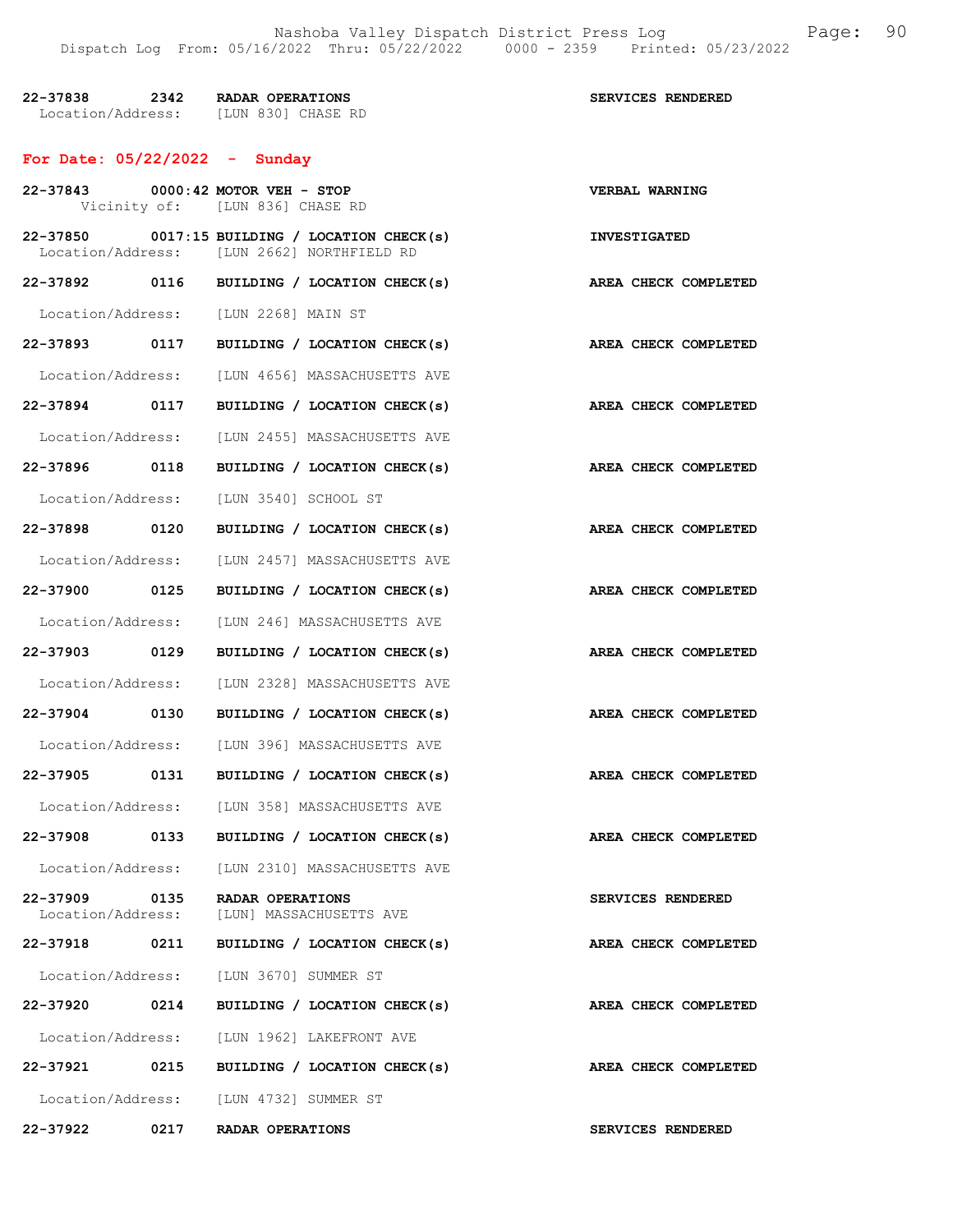| 22-37838          | 2342 | RADAR OPERATIONS   | SERVICES RENDERED |
|-------------------|------|--------------------|-------------------|
| Location/Address: |      | TLUN 8301 CHASE RD |                   |

# For Date: 05/22/2022 - Sunday

|                               | 22-37843 0000:42 MOTOR VEH - STOP<br>Vicinity of: [LUN 836] CHASE RD                        | VERBAL WARNING              |
|-------------------------------|---------------------------------------------------------------------------------------------|-----------------------------|
|                               | 22-37850 0017:15 BUILDING / LOCATION CHECK(s)<br>Location/Address: [LUN 2662] NORTHFIELD RD | <b>INVESTIGATED</b>         |
|                               | 22-37892 0116 BUILDING / LOCATION CHECK(s)                                                  | AREA CHECK COMPLETED        |
|                               | Location/Address: [LUN 2268] MAIN ST                                                        |                             |
|                               | 22-37893 0117 BUILDING / LOCATION CHECK(s)                                                  | AREA CHECK COMPLETED        |
|                               | Location/Address: [LUN 4656] MASSACHUSETTS AVE                                              |                             |
| 22-37894 0117                 | BUILDING / LOCATION CHECK(s)                                                                | AREA CHECK COMPLETED        |
|                               | Location/Address: [LUN 2455] MASSACHUSETTS AVE                                              |                             |
| 22-37896 0118                 | BUILDING / LOCATION CHECK(s)                                                                | <b>AREA CHECK COMPLETED</b> |
|                               | Location/Address: [LUN 3540] SCHOOL ST                                                      |                             |
|                               | 22-37898 0120 BUILDING / LOCATION CHECK(s)                                                  | AREA CHECK COMPLETED        |
|                               | Location/Address: [LUN 2457] MASSACHUSETTS AVE                                              |                             |
| 22-37900 0125                 | BUILDING / LOCATION CHECK(s)                                                                | AREA CHECK COMPLETED        |
|                               | Location/Address: [LUN 246] MASSACHUSETTS AVE                                               |                             |
|                               | 22-37903 0129 BUILDING / LOCATION CHECK(s)                                                  | AREA CHECK COMPLETED        |
|                               | Location/Address: [LUN 2328] MASSACHUSETTS AVE                                              |                             |
| 22-37904 0130                 | BUILDING / LOCATION CHECK(s)                                                                | AREA CHECK COMPLETED        |
|                               | Location/Address: [LUN 396] MASSACHUSETTS AVE                                               |                             |
| 22-37905 0131                 | BUILDING / LOCATION CHECK(s)                                                                | AREA CHECK COMPLETED        |
|                               | Location/Address: [LUN 358] MASSACHUSETTS AVE                                               |                             |
|                               | 22-37908 0133 BUILDING / LOCATION CHECK(s)                                                  | AREA CHECK COMPLETED        |
| Location/Address:             | [LUN 2310] MASSACHUSETTS AVE                                                                |                             |
| 22-37909<br>Location/Address: | 0135 RADAR OPERATIONS<br>[LUN] MASSACHUSETTS AVE                                            | SERVICES RENDERED           |
|                               | 22-37918 0211 BUILDING / LOCATION CHECK(s)                                                  | AREA CHECK COMPLETED        |
|                               | Location/Address: [LUN 3670] SUMMER ST                                                      |                             |
| 22-37920 0214                 | BUILDING / LOCATION CHECK(s)                                                                | AREA CHECK COMPLETED        |
|                               | Location/Address: [LUN 1962] LAKEFRONT AVE                                                  |                             |
| 22-37921 0215                 | BUILDING / LOCATION CHECK(s)                                                                | AREA CHECK COMPLETED        |
|                               | Location/Address: [LUN 4732] SUMMER ST                                                      |                             |
|                               | 22-37922 0217 RADAR OPERATIONS                                                              | SERVICES RENDERED           |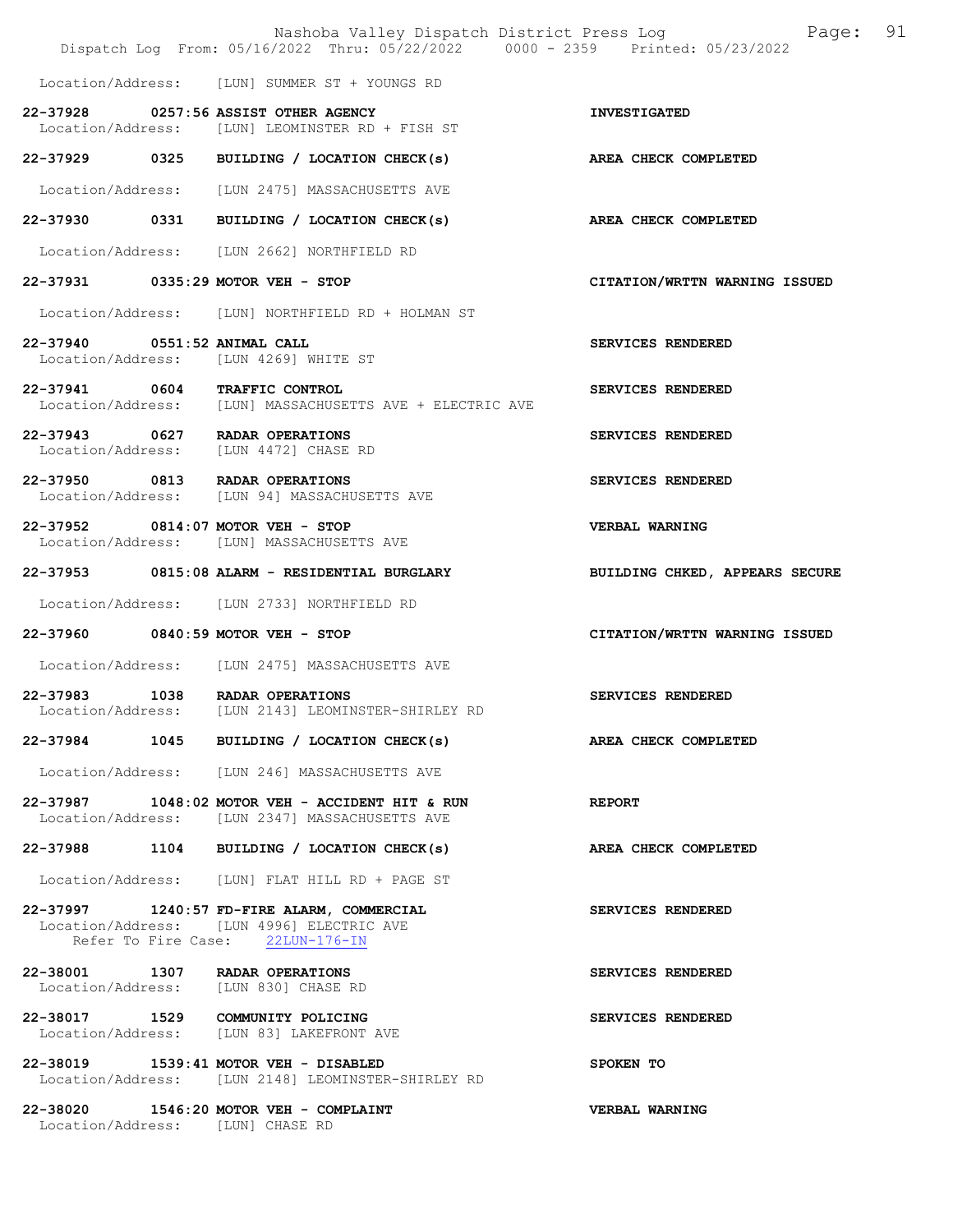|                                                                            | Nashoba Valley Dispatch District Press Log<br>Dispatch Log From: 05/16/2022 Thru: 05/22/2022 0000 - 2359 Printed: 05/23/2022 | Page: 91                       |
|----------------------------------------------------------------------------|------------------------------------------------------------------------------------------------------------------------------|--------------------------------|
|                                                                            | Location/Address: [LUN] SUMMER ST + YOUNGS RD                                                                                |                                |
| 22-37928 0257:56 ASSIST OTHER AGENCY                                       | Location/Address: [LUN] LEOMINSTER RD + FISH ST                                                                              | <b>INVESTIGATED</b>            |
|                                                                            | 22-37929 0325 BUILDING / LOCATION CHECK(s)                                                                                   | <b>AREA CHECK COMPLETED</b>    |
|                                                                            | Location/Address: [LUN 2475] MASSACHUSETTS AVE                                                                               |                                |
|                                                                            | 22-37930 0331 BUILDING / LOCATION CHECK(s)                                                                                   | AREA CHECK COMPLETED           |
|                                                                            | Location/Address: [LUN 2662] NORTHFIELD RD                                                                                   |                                |
| 22-37931 0335:29 MOTOR VEH - STOP                                          |                                                                                                                              | CITATION/WRTTN WARNING ISSUED  |
|                                                                            | Location/Address: [LUN] NORTHFIELD RD + HOLMAN ST                                                                            |                                |
| 22-37940 0551:52 ANIMAL CALL<br>Location/Address: [LUN 4269] WHITE ST      |                                                                                                                              | SERVICES RENDERED              |
| 22-37941 0604 TRAFFIC CONTROL                                              | Location/Address: [LUN] MASSACHUSETTS AVE + ELECTRIC AVE                                                                     | SERVICES RENDERED              |
| 22-37943 0627 RADAR OPERATIONS<br>Location/Address: [LUN 4472] CHASE RD    |                                                                                                                              | SERVICES RENDERED              |
| 22-37950 0813 RADAR OPERATIONS                                             | Location/Address: [LUN 94] MASSACHUSETTS AVE                                                                                 | SERVICES RENDERED              |
| 22-37952 0814:07 MOTOR VEH - STOP                                          | Location/Address: [LUN] MASSACHUSETTS AVE                                                                                    | VERBAL WARNING                 |
|                                                                            | 22-37953 0815:08 ALARM - RESIDENTIAL BURGLARY                                                                                | BUILDING CHKED, APPEARS SECURE |
|                                                                            | Location/Address: [LUN 2733] NORTHFIELD RD                                                                                   |                                |
| 22-37960 0840:59 MOTOR VEH - STOP                                          |                                                                                                                              | CITATION/WRTTN WARNING ISSUED  |
|                                                                            | Location/Address: [LUN 2475] MASSACHUSETTS AVE                                                                               |                                |
|                                                                            | 22-37983 1038 RADAR OPERATIONS<br>Location/Address: [LUN 2143] LEOMINSTER-SHIRLEY RD                                         | SERVICES RENDERED              |
|                                                                            | 22-37984 1045 BUILDING / LOCATION CHECK(s)                                                                                   | AREA CHECK COMPLETED           |
|                                                                            | Location/Address: [LUN 246] MASSACHUSETTS AVE                                                                                |                                |
|                                                                            | 22-37987 1048:02 MOTOR VEH - ACCIDENT HIT & RUN<br>Location/Address: [LUN 2347] MASSACHUSETTS AVE                            | <b>REPORT</b>                  |
|                                                                            | 22-37988 1104 BUILDING / LOCATION CHECK(s)                                                                                   | AREA CHECK COMPLETED           |
|                                                                            | Location/Address: [LUN] FLAT HILL RD + PAGE ST                                                                               |                                |
|                                                                            | 22-37997 1240:57 FD-FIRE ALARM, COMMERCIAL<br>Location/Address: [LUN 4996] ELECTRIC AVE<br>Refer To Fire Case: 22LUN-176-IN  | SERVICES RENDERED              |
| 22-38001 1307 RADAR OPERATIONS<br>Location/Address: [LUN 830] CHASE RD     |                                                                                                                              | SERVICES RENDERED              |
| 22-38017 1529 COMMUNITY POLICING                                           | Location/Address: [LUN 83] LAKEFRONT AVE                                                                                     | SERVICES RENDERED              |
| 22-38019 1539:41 MOTOR VEH - DISABLED                                      | Location/Address: [LUN 2148] LEOMINSTER-SHIRLEY RD                                                                           | SPOKEN TO                      |
| 22-38020 1546:20 MOTOR VEH - COMPLAINT<br>Location/Address: [LUN] CHASE RD |                                                                                                                              | VERBAL WARNING                 |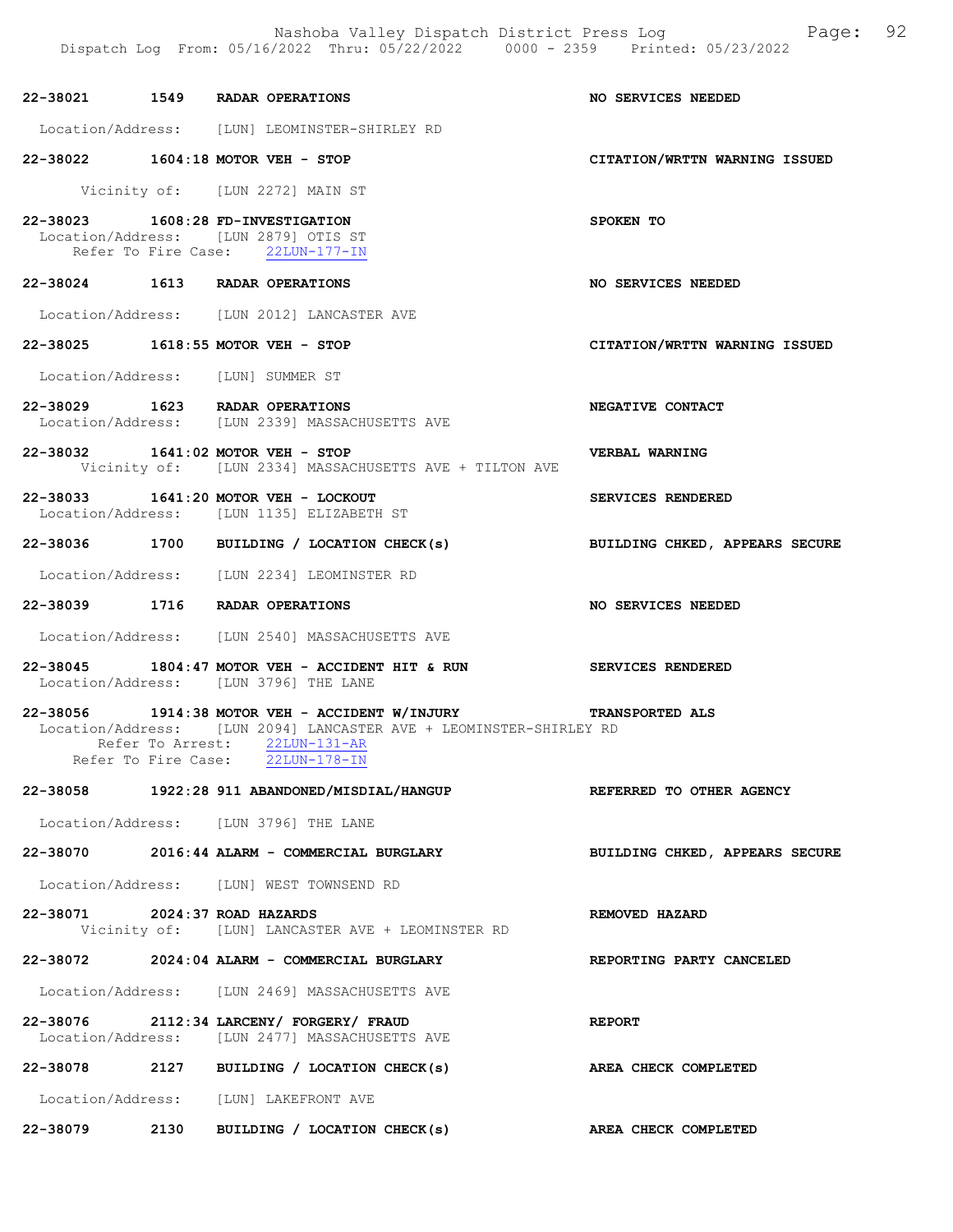Nashoba Valley Dispatch District Press Log Fage: 92 Dispatch Log From: 05/16/2022 Thru: 05/22/2022 0000 - 2359 Printed: 05/23/2022

|                               | 22-38021 1549 RADAR OPERATIONS                                                                                                                                                                                 | NO SERVICES NEEDED             |
|-------------------------------|----------------------------------------------------------------------------------------------------------------------------------------------------------------------------------------------------------------|--------------------------------|
|                               | Location/Address: [LUN] LEOMINSTER-SHIRLEY RD                                                                                                                                                                  |                                |
|                               | 22-38022 1604:18 MOTOR VEH - STOP                                                                                                                                                                              | CITATION/WRTTN WARNING ISSUED  |
|                               | Vicinity of: [LUN 2272] MAIN ST                                                                                                                                                                                |                                |
|                               | 22-38023 1608:28 FD-INVESTIGATION<br>Location/Address: [LUN 2879] OTIS ST<br>Refer To Fire Case: 22LUN-177-IN                                                                                                  | SPOKEN TO                      |
|                               | 22-38024 1613 RADAR OPERATIONS                                                                                                                                                                                 | NO SERVICES NEEDED             |
|                               | Location/Address: [LUN 2012] LANCASTER AVE                                                                                                                                                                     |                                |
|                               | 22-38025 1618:55 MOTOR VEH - STOP                                                                                                                                                                              | CITATION/WRTTN WARNING ISSUED  |
|                               | Location/Address: [LUN] SUMMER ST                                                                                                                                                                              |                                |
|                               | 22-38029 1623 RADAR OPERATIONS<br>Location/Address: [LUN 2339] MASSACHUSETTS AVE                                                                                                                               | NEGATIVE CONTACT               |
|                               | 22-38032 1641:02 MOTOR VEH - STOP<br>Vicinity of: [LUN 2334] MASSACHUSETTS AVE + TILTON AVE                                                                                                                    | VERBAL WARNING                 |
|                               | 22-38033 1641:20 MOTOR VEH - LOCKOUT<br>Location/Address: [LUN 1135] ELIZABETH ST                                                                                                                              | SERVICES RENDERED              |
|                               | 22-38036 1700 BUILDING / LOCATION CHECK(s) BUILDING CHKED, APPEARS SECURE                                                                                                                                      |                                |
|                               | Location/Address: [LUN 2234] LEOMINSTER RD                                                                                                                                                                     |                                |
|                               |                                                                                                                                                                                                                |                                |
|                               |                                                                                                                                                                                                                |                                |
|                               | 22-38039 1716 RADAR OPERATIONS                                                                                                                                                                                 | NO SERVICES NEEDED             |
|                               | Location/Address: [LUN 2540] MASSACHUSETTS AVE<br>22-38045 1804:47 MOTOR VEH - ACCIDENT HIT & RUN SERVICES RENDERED                                                                                            |                                |
|                               | Location/Address: [LUN 3796] THE LANE<br>22-38056 1914:38 MOTOR VEH - ACCIDENT W/INJURY TRANSPORTED ALS<br>Location/Address: [LUN 2094] LANCASTER AVE + LEOMINSTER-SHIRLEY RD<br>Refer To Arrest: 22LUN-131-AR |                                |
|                               | Refer To Fire Case: 22LUN-178-IN                                                                                                                                                                               |                                |
|                               | 22-38058 1922:28 911 ABANDONED/MISDIAL/HANGUP                                                                                                                                                                  | REFERRED TO OTHER AGENCY       |
|                               | Location/Address: [LUN 3796] THE LANE                                                                                                                                                                          |                                |
|                               | 22-38070 2016:44 ALARM - COMMERCIAL BURGLARY                                                                                                                                                                   | BUILDING CHKED, APPEARS SECURE |
|                               | Location/Address: [LUN] WEST TOWNSEND RD                                                                                                                                                                       |                                |
| 22-38071 2024:37 ROAD HAZARDS | Vicinity of: [LUN] LANCASTER AVE + LEOMINSTER RD                                                                                                                                                               | REMOVED HAZARD                 |
|                               | 22-38072 2024:04 ALARM - COMMERCIAL BURGLARY                                                                                                                                                                   | REPORTING PARTY CANCELED       |
|                               | Location/Address: [LUN 2469] MASSACHUSETTS AVE                                                                                                                                                                 |                                |
|                               | 22-38076 2112:34 LARCENY/ FORGERY/ FRAUD<br>Location/Address: [LUN 2477] MASSACHUSETTS AVE                                                                                                                     | <b>REPORT</b>                  |
|                               | 22-38078 2127 BUILDING / LOCATION CHECK(s)                                                                                                                                                                     | AREA CHECK COMPLETED           |
|                               | Location/Address: [LUN] LAKEFRONT AVE                                                                                                                                                                          |                                |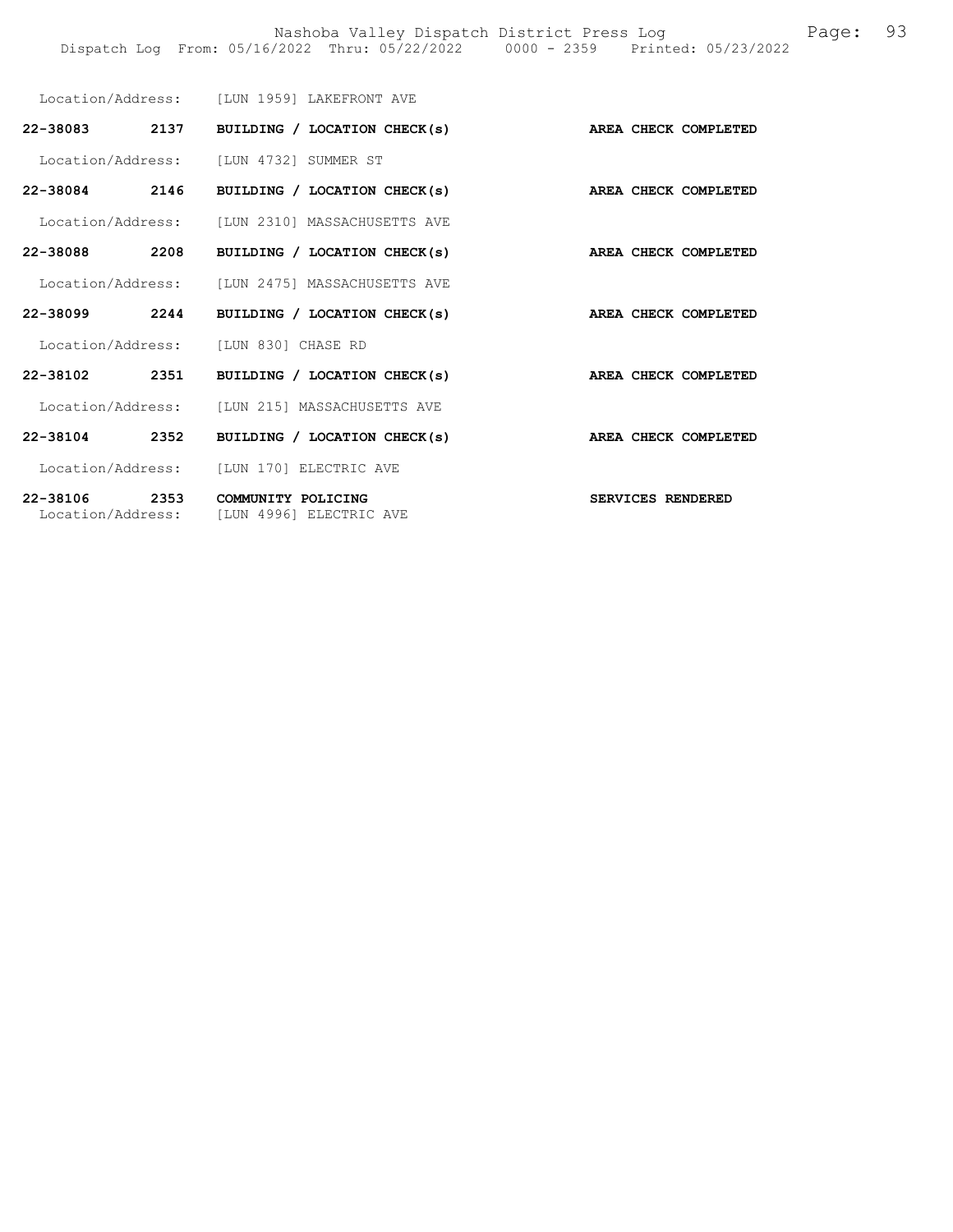|                                    | Location/Address: [LUN 1959] LAKEFRONT AVE        |                      |
|------------------------------------|---------------------------------------------------|----------------------|
| 22-38083 2137                      | BUILDING / LOCATION CHECK(s) AREA CHECK COMPLETED |                      |
|                                    | Location/Address: [LUN 4732] SUMMER ST            |                      |
| 22-38084 2146                      | BUILDING / LOCATION CHECK(s)                      | AREA CHECK COMPLETED |
|                                    | Location/Address: [LUN 2310] MASSACHUSETTS AVE    |                      |
| 2208<br>22-38088                   | BUILDING / LOCATION CHECK(s)                      | AREA CHECK COMPLETED |
|                                    | Location/Address: [LUN 2475] MASSACHUSETTS AVE    |                      |
| 22-38099 2244                      | BUILDING / LOCATION CHECK(s)                      | AREA CHECK COMPLETED |
| Location/Address:                  | ILUN 8301 CHASE RD                                |                      |
| 22-38102 2351                      | BUILDING / LOCATION CHECK(s)                      | AREA CHECK COMPLETED |
|                                    | Location/Address: [LUN 215] MASSACHUSETTS AVE     |                      |
| 22-38104<br>2352                   | BUILDING / LOCATION CHECK(s)                      | AREA CHECK COMPLETED |
|                                    | Location/Address: [LUN 170] ELECTRIC AVE          |                      |
| 22-38106 2353<br>Location/Address: | COMMUNITY POLICING<br>[LUN 4996] ELECTRIC AVE     | SERVICES RENDERED    |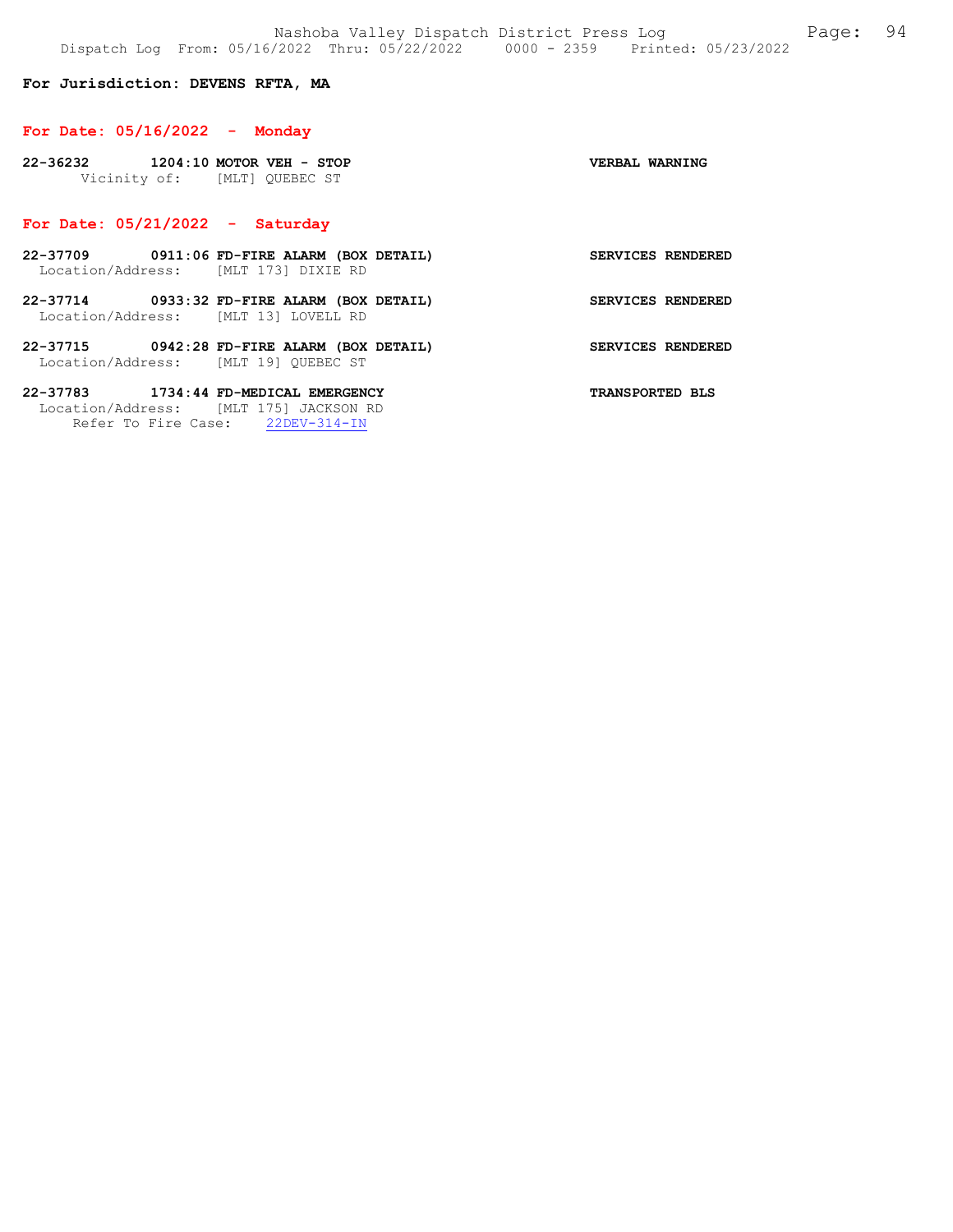### For Jurisdiction: DEVENS RFTA, MA

#### For Date: 05/16/2022 - Monday

| 22-36232                     | $1204:10$ MOTOR VEH - STOP |  | VERBAL WARNING |  |
|------------------------------|----------------------------|--|----------------|--|
| Vicinity of: [MLT] QUEBEC ST |                            |  |                |  |

### For Date: 05/21/2022 - Saturday

- 22-37709 0911:06 FD-FIRE ALARM (BOX DETAIL) SERVICES RENDERED Location/Address: [MLT 173] DIXIE RD
- 22-37714 0933:32 FD-FIRE ALARM (BOX DETAIL) SERVICES RENDERED Location/Address: [MLT 13] LOVELL RD
- 22-37715 0942:28 FD-FIRE ALARM (BOX DETAIL) SERVICES RENDERED Location/Address: [MLT 19] QUEBEC ST

22-37783 1734:44 FD-MEDICAL EMERGENCY TRANSPORTED BLS Location/Address: [MLT 175] JACKSON RD Refer To Fire Case: 22DEV-314-IN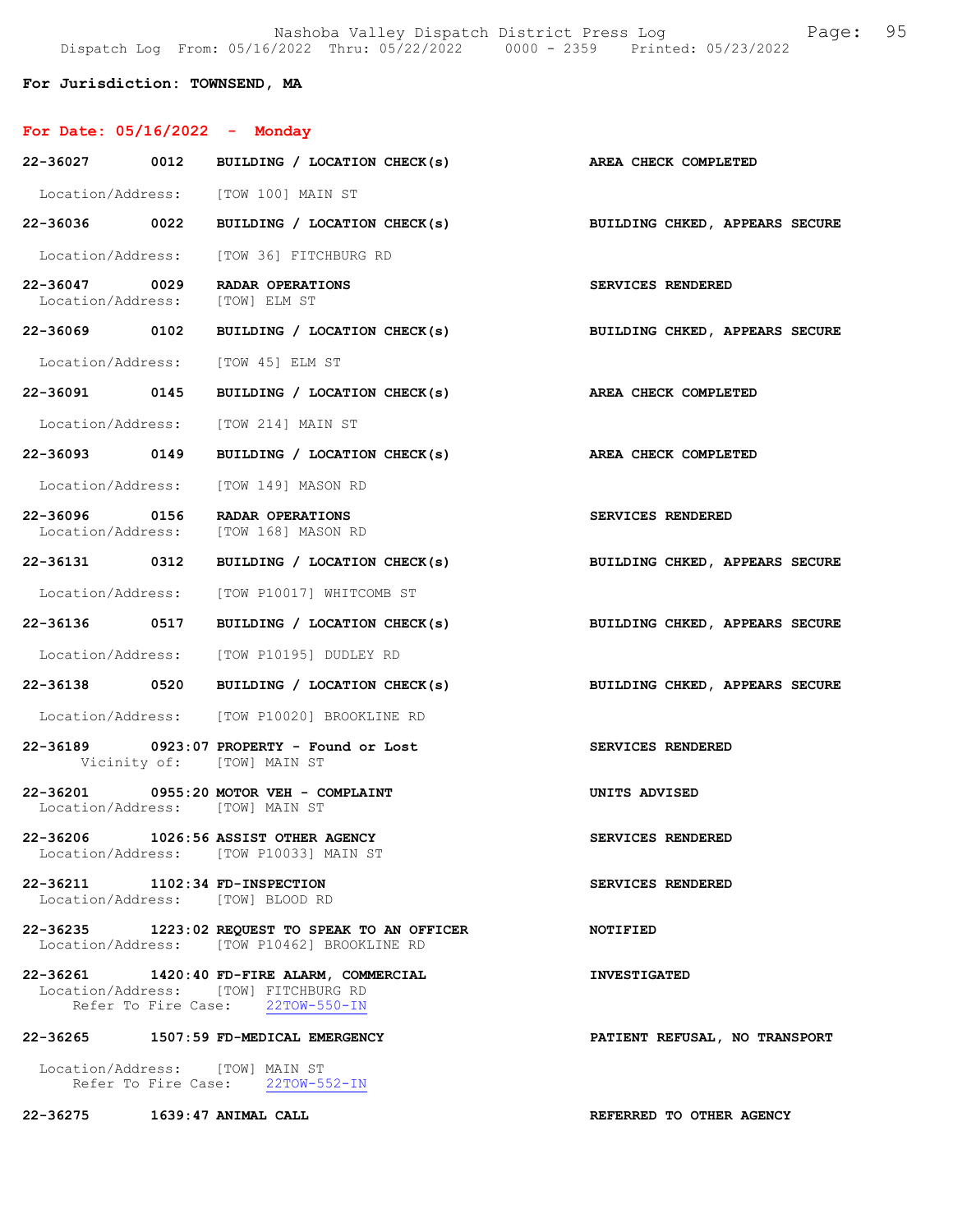Nashoba Valley Dispatch District Press Log Fage: 95 Dispatch Log From: 05/16/2022 Thru: 05/22/2022 0000 - 2359 Printed: 05/23/2022

## For Jurisdiction: TOWNSEND, MA

# For Date: 05/16/2022 - Monday

| 22-36027 0012                                   | BUILDING / LOCATION CHECK(s)                                                                                           | AREA CHECK COMPLETED           |
|-------------------------------------------------|------------------------------------------------------------------------------------------------------------------------|--------------------------------|
|                                                 | Location/Address: [TOW 100] MAIN ST                                                                                    |                                |
| 22-36036 0022                                   | BUILDING / LOCATION CHECK(s) BUILDING CHKED, APPEARS SECURE                                                            |                                |
|                                                 | Location/Address: [TOW 36] FITCHBURG RD                                                                                |                                |
| 22-36047 0029<br>Location/Address: [TOW] ELM ST | RADAR OPERATIONS                                                                                                       | SERVICES RENDERED              |
| 22-36069 0102                                   | BUILDING / LOCATION CHECK(s)                                                                                           | BUILDING CHKED, APPEARS SECURE |
|                                                 | Location/Address: [TOW 45] ELM ST                                                                                      |                                |
| 22-36091 0145                                   | BUILDING / LOCATION CHECK(s) AREA CHECK COMPLETED                                                                      |                                |
|                                                 | Location/Address: [TOW 214] MAIN ST                                                                                    |                                |
| 22-36093 0149                                   | BUILDING / LOCATION CHECK(s) AREA CHECK COMPLETED                                                                      |                                |
|                                                 | Location/Address: [TOW 149] MASON RD                                                                                   |                                |
|                                                 | 22-36096 0156 RADAR OPERATIONS<br>Location/Address: [TOW 168] MASON RD                                                 | SERVICES RENDERED              |
| 22-36131 0312                                   | BUILDING / LOCATION CHECK(s) BUILDING CHKED, APPEARS SECURE                                                            |                                |
|                                                 | Location/Address: [TOW P10017] WHITCOMB ST                                                                             |                                |
|                                                 | 22-36136 0517 BUILDING / LOCATION CHECK(s) BUILDING CHKED, APPEARS SECURE                                              |                                |
|                                                 | Location/Address: [TOW P10195] DUDLEY RD                                                                               |                                |
|                                                 | 22-36138 0520 BUILDING / LOCATION CHECK(s)                                                                             | BUILDING CHKED, APPEARS SECURE |
|                                                 | Location/Address: [TOW P10020] BROOKLINE RD                                                                            |                                |
|                                                 | 22-36189 0923:07 PROPERTY - Found or Lost<br>Vicinity of: [TOW] MAIN ST                                                | SERVICES RENDERED              |
| Location/Address: [TOW] MAIN ST                 | 22-36201 0955:20 MOTOR VEH - COMPLAINT                                                                                 | UNITS ADVISED                  |
|                                                 | 22-36206 1026:56 ASSIST OTHER AGENCY<br>Location/Address: [TOW P10033] MAIN ST                                         | SERVICES RENDERED              |
| 22-36211 1102:34 FD-INSPECTION                  | Location/Address: [TOW] BLOOD RD                                                                                       | SERVICES RENDERED              |
|                                                 | 22-36235 1223:02 REQUEST TO SPEAK TO AN OFFICER<br>Location/Address: [TOW P10462] BROOKLINE RD                         | NOTIFIED                       |
|                                                 | 22-36261 1420:40 FD-FIRE ALARM, COMMERCIAL<br>Location/Address: [TOW] FITCHBURG RD<br>Refer To Fire Case: 22TOW-550-IN | <b>INVESTIGATED</b>            |
| 22-36265                                        | 1507:59 FD-MEDICAL EMERGENCY                                                                                           | PATIENT REFUSAL, NO TRANSPORT  |
|                                                 | Location/Address: [TOW] MAIN ST<br>Refer To Fire Case: 22TOW-552-IN                                                    |                                |
| 22-36275 1639:47 ANIMAL CALL                    |                                                                                                                        | REFERRED TO OTHER AGENCY       |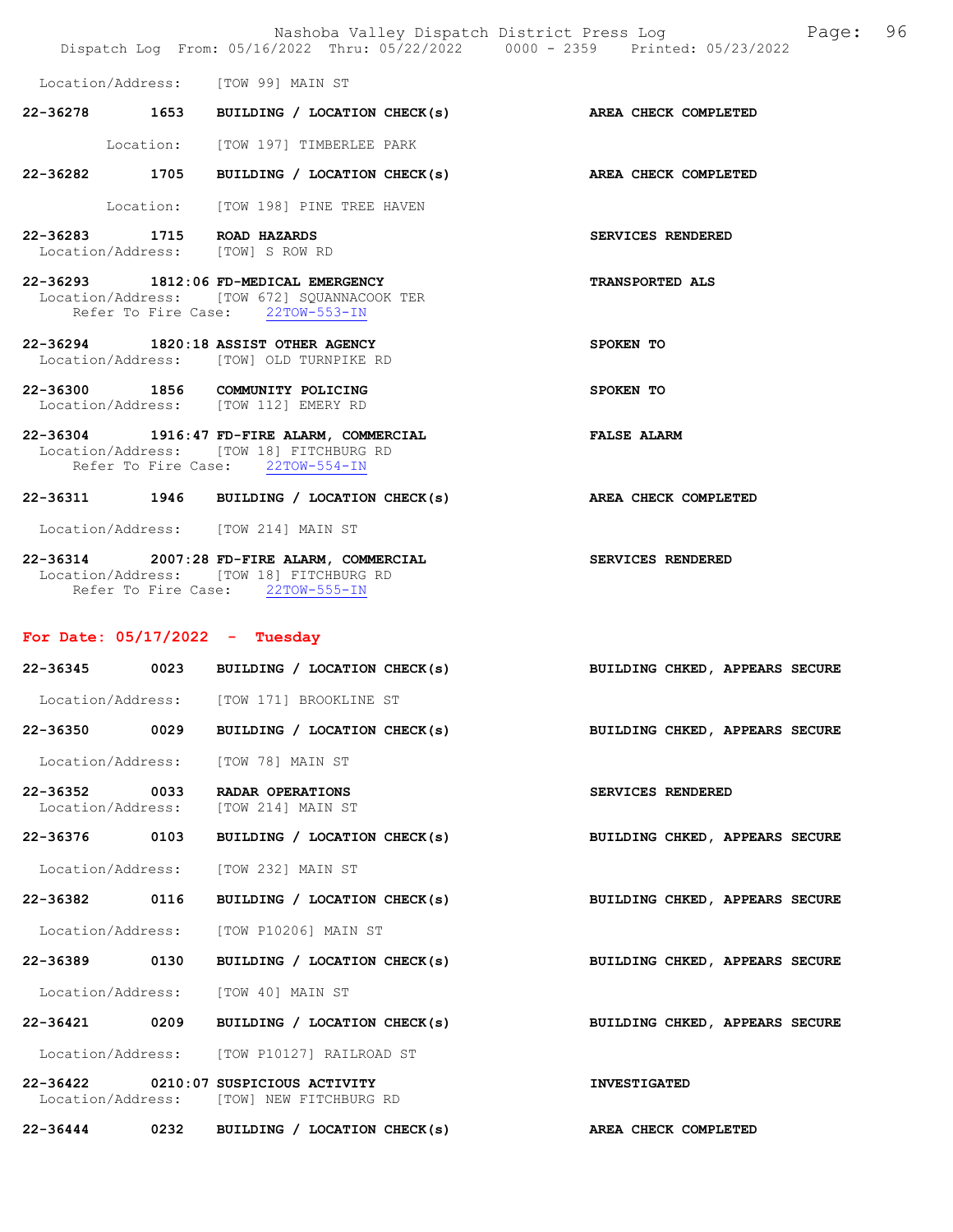|                                  |      | Nashoba Valley Dispatch District Press Log<br>Dispatch Log From: 05/16/2022 Thru: 05/22/2022 0000 - 2359 Printed: 05/23/2022 | 96<br>Page:                    |
|----------------------------------|------|------------------------------------------------------------------------------------------------------------------------------|--------------------------------|
|                                  |      | Location/Address: [TOW 99] MAIN ST                                                                                           |                                |
|                                  |      | 22-36278 1653 BUILDING / LOCATION CHECK(s)                                                                                   | AREA CHECK COMPLETED           |
|                                  |      | Location: [TOW 197] TIMBERLEE PARK                                                                                           |                                |
|                                  |      | 22-36282 1705 BUILDING / LOCATION CHECK(s)                                                                                   | AREA CHECK COMPLETED           |
|                                  |      | Location: [TOW 198] PINE TREE HAVEN                                                                                          |                                |
| 22-36283 1715 ROAD HAZARDS       |      | Location/Address: [TOW] S ROW RD                                                                                             | SERVICES RENDERED              |
|                                  |      | 22-36293 1812:06 FD-MEDICAL EMERGENCY<br>Location/Address: [TOW 672] SQUANNACOOK TER<br>Refer To Fire Case: 22TOW-553-IN     | <b>TRANSPORTED ALS</b>         |
|                                  |      | 22-36294 1820:18 ASSIST OTHER AGENCY<br>Location/Address: [TOW] OLD TURNPIKE RD                                              | SPOKEN TO                      |
|                                  |      | 22-36300 1856 COMMUNITY POLICING<br>Location/Address: [TOW 112] EMERY RD                                                     | SPOKEN TO                      |
|                                  |      | 22-36304 1916:47 FD-FIRE ALARM, COMMERCIAL<br>Location/Address: [TOW 18] FITCHBURG RD<br>Refer To Fire Case: 22TOW-554-IN    | <b>FALSE ALARM</b>             |
|                                  |      | 22-36311 1946 BUILDING / LOCATION CHECK(s)                                                                                   | AREA CHECK COMPLETED           |
|                                  |      | Location/Address: [TOW 214] MAIN ST                                                                                          |                                |
|                                  |      | 22-36314 2007:28 FD-FIRE ALARM, COMMERCIAL<br>Location/Address: [TOW 18] FITCHBURG RD<br>Refer To Fire Case: 22TOW-555-IN    | SERVICES RENDERED              |
| For Date: $05/17/2022 - Tuesday$ |      |                                                                                                                              |                                |
|                                  |      | 22-36345 0023 BUILDING / LOCATION CHECK(s)                                                                                   | BUILDING CHKED, APPEARS SECURE |
|                                  |      | Location/Address: [TOW 171] BROOKLINE ST                                                                                     |                                |
| 22-36350                         | 0029 | BUILDING / LOCATION CHECK(s)                                                                                                 | BUILDING CHKED, APPEARS SECURE |
| Location/Address:                |      | [TOW 78] MAIN ST                                                                                                             |                                |
| 22-36352<br>Location/Address:    | 0033 | RADAR OPERATIONS<br>[TOW 214] MAIN ST                                                                                        | SERVICES RENDERED              |
| 22-36376                         | 0103 | BUILDING / LOCATION CHECK(s)                                                                                                 | BUILDING CHKED, APPEARS SECURE |
| Location/Address:                |      | [TOW 232] MAIN ST                                                                                                            |                                |
| 22-36382 0116                    |      | BUILDING / LOCATION CHECK(s)                                                                                                 | BUILDING CHKED, APPEARS SECURE |
| Location/Address:                |      | [TOW P10206] MAIN ST                                                                                                         |                                |
| 22-36389                         | 0130 | BUILDING / LOCATION CHECK(s)                                                                                                 | BUILDING CHKED, APPEARS SECURE |
| Location/Address:                |      | [TOW 40] MAIN ST                                                                                                             |                                |
| 22-36421                         | 0209 | BUILDING / LOCATION CHECK(s)                                                                                                 | BUILDING CHKED, APPEARS SECURE |
|                                  |      | Location/Address: [TOW P10127] RAILROAD ST                                                                                   |                                |
| 22-36422                         |      | 0210:07 SUSPICIOUS ACTIVITY<br>Location/Address: [TOW] NEW FITCHBURG RD                                                      | <b>INVESTIGATED</b>            |
| 22-36444                         | 0232 | BUILDING / LOCATION CHECK(s)                                                                                                 | AREA CHECK COMPLETED           |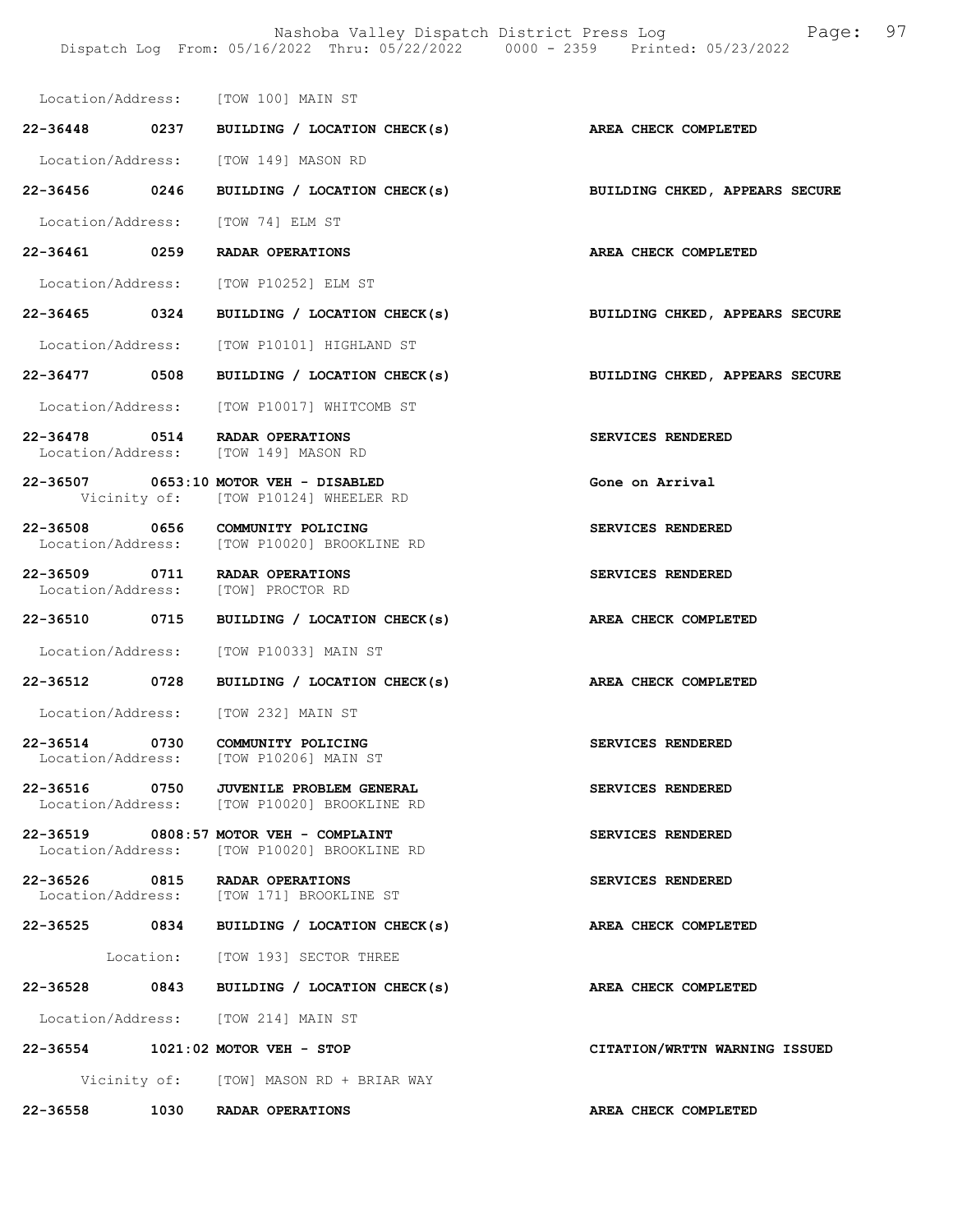Nashoba Valley Dispatch District Press Log Fage: 97 Dispatch Log From: 05/16/2022 Thru: 05/22/2022 0000 - 2359 Printed: 05/23/2022

|                   |      | Location/Address: [TOW 100] MAIN ST                                                   |                                |
|-------------------|------|---------------------------------------------------------------------------------------|--------------------------------|
| 22-36448 0237     |      | BUILDING / LOCATION CHECK(s) AREA CHECK COMPLETED                                     |                                |
| Location/Address: |      | [TOW 149] MASON RD                                                                    |                                |
| 22-36456 0246     |      | BUILDING / LOCATION CHECK(s)                                                          | BUILDING CHKED, APPEARS SECURE |
| Location/Address: |      | [TOW 74] ELM ST                                                                       |                                |
| 22-36461 0259     |      | RADAR OPERATIONS                                                                      | AREA CHECK COMPLETED           |
|                   |      | Location/Address: [TOW P10252] ELM ST                                                 |                                |
| 22-36465 0324     |      | BUILDING / LOCATION CHECK(s)                                                          | BUILDING CHKED, APPEARS SECURE |
| Location/Address: |      | [TOW P10101] HIGHLAND ST                                                              |                                |
| $22 - 36477$      | 0508 | BUILDING / LOCATION CHECK(s)                                                          | BUILDING CHKED, APPEARS SECURE |
| Location/Address: |      | [TOW P10017] WHITCOMB ST                                                              |                                |
| 22-36478 0514     |      | RADAR OPERATIONS<br>Location/Address: [TOW 149] MASON RD                              | SERVICES RENDERED              |
|                   |      | 22-36507 0653:10 MOTOR VEH - DISABLED<br>Vicinity of: [TOW P10124] WHEELER RD         | Gone on Arrival                |
| 22-36508 0656     |      | COMMUNITY POLICING<br>Location/Address: [TOW P10020] BROOKLINE RD                     | SERVICES RENDERED              |
| 22-36509 0711     |      | RADAR OPERATIONS<br>Location/Address: [TOW] PROCTOR RD                                | SERVICES RENDERED              |
| 22-36510 0715     |      | BUILDING / LOCATION CHECK(s)                                                          | AREA CHECK COMPLETED           |
| Location/Address: |      | [TOW P10033] MAIN ST                                                                  |                                |
| 22-36512          | 0728 | BUILDING / LOCATION CHECK(s)                                                          | AREA CHECK COMPLETED           |
|                   |      | Location/Address: [TOW 232] MAIN ST                                                   |                                |
| 22-36514<br>0730  |      | COMMUNITY POLICING<br>Location/Address: [TOW P10206] MAIN ST                          | SERVICES RENDERED              |
| 22-36516          | 0750 | <b>JUVENILE PROBLEM GENERAL</b><br>Location/Address: [TOW P10020] BROOKLINE RD        | SERVICES RENDERED              |
|                   |      | 22-36519 0808:57 MOTOR VEH - COMPLAINT<br>Location/Address: [TOW P10020] BROOKLINE RD | SERVICES RENDERED              |
|                   |      | 22-36526 0815 RADAR OPERATIONS<br>Location/Address: [TOW 171] BROOKLINE ST            | SERVICES RENDERED              |
|                   |      | 22-36525 0834 BUILDING / LOCATION CHECK(s)                                            | AREA CHECK COMPLETED           |
|                   |      | Location: [TOW 193] SECTOR THREE                                                      |                                |
| 22-36528          |      | 0843 BUILDING / LOCATION CHECK(s)                                                     | AREA CHECK COMPLETED           |
|                   |      | Location/Address: [TOW 214] MAIN ST                                                   |                                |
|                   |      | 22-36554 1021:02 MOTOR VEH - STOP                                                     | CITATION/WRTTN WARNING ISSUED  |
|                   |      | Vicinity of: [TOW] MASON RD + BRIAR WAY                                               |                                |
| 22-36558          |      | 1030 RADAR OPERATIONS                                                                 | AREA CHECK COMPLETED           |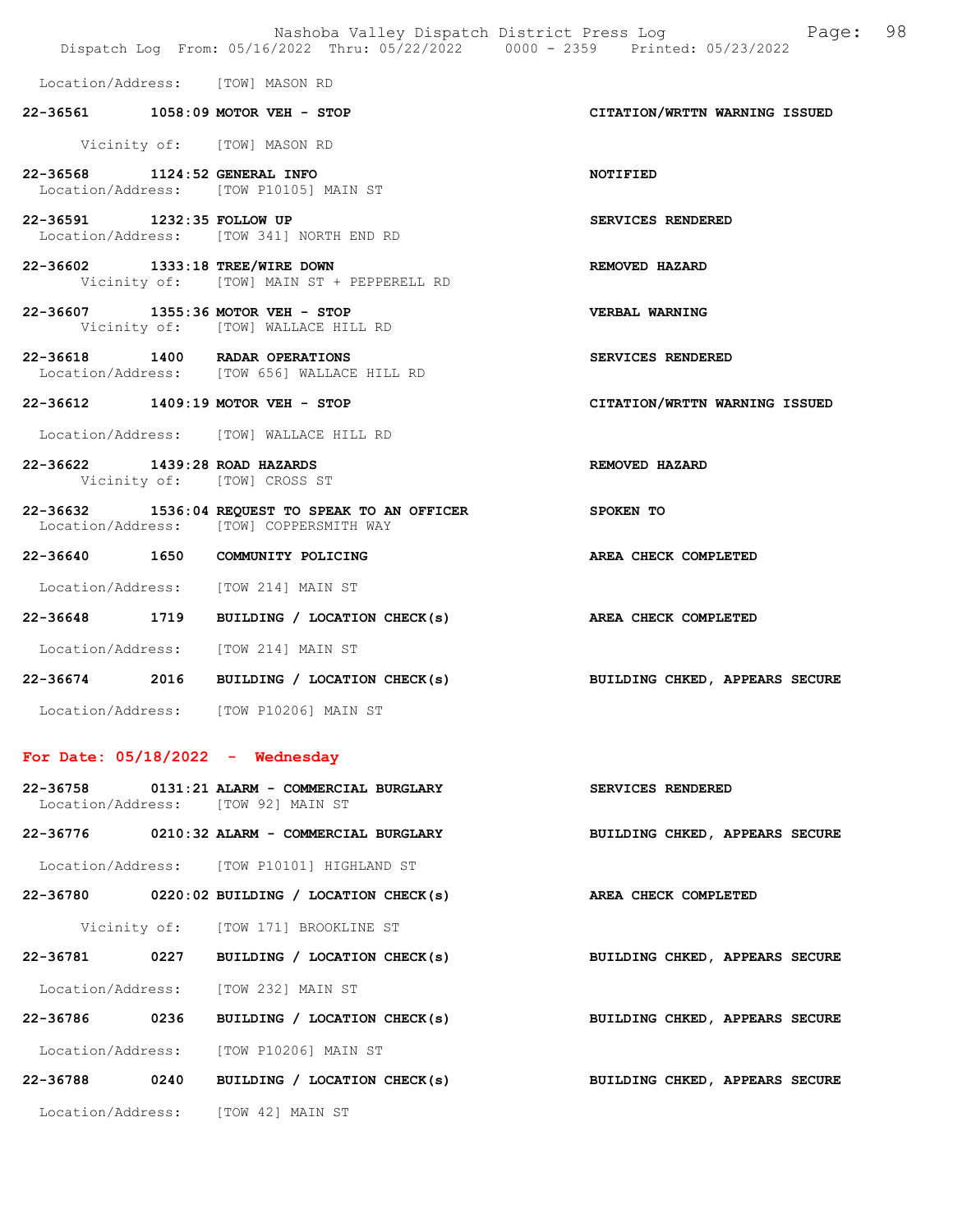|                                 |                                                                                            | Nashoba Valley Dispatch District Press Log Mashoba Valley Dispatch District Press Log<br>Dispatch Log From: 05/16/2022 Thru: 05/22/2022 0000 - 2359 Printed: 05/23/2022 |  |
|---------------------------------|--------------------------------------------------------------------------------------------|-------------------------------------------------------------------------------------------------------------------------------------------------------------------------|--|
|                                 | Location/Address: [TOW] MASON RD                                                           |                                                                                                                                                                         |  |
|                                 | 22-36561 1058:09 MOTOR VEH - STOP                                                          | CITATION/WRTTN WARNING ISSUED                                                                                                                                           |  |
|                                 | Vicinity of: [TOW] MASON RD                                                                |                                                                                                                                                                         |  |
| 22-36568 1124:52 GENERAL INFO   | Location/Address: [TOW P10105] MAIN ST                                                     | <b>NOTIFIED</b>                                                                                                                                                         |  |
| 22-36591 1232:35 FOLLOW UP      | Location/Address: [TOW 341] NORTH END RD                                                   | SERVICES RENDERED                                                                                                                                                       |  |
| 22-36602 1333:18 TREE/WIRE DOWN | Vicinity of: [TOW] MAIN ST + PEPPERELL RD                                                  | REMOVED HAZARD                                                                                                                                                          |  |
|                                 | 22-36607 1355:36 MOTOR VEH - STOP<br>Vicinity of: [TOW] WALLACE HILL RD                    | <b>VERBAL WARNING</b>                                                                                                                                                   |  |
|                                 | 22-36618 1400 RADAR OPERATIONS<br>Location/Address: [TOW 656] WALLACE HILL RD              | SERVICES RENDERED                                                                                                                                                       |  |
|                                 | 22-36612 1409:19 MOTOR VEH - STOP                                                          | CITATION/WRTTN WARNING ISSUED                                                                                                                                           |  |
|                                 | Location/Address: [TOW] WALLACE HILL RD                                                    |                                                                                                                                                                         |  |
| 22-36622 1439:28 ROAD HAZARDS   | Vicinity of: [TOW] CROSS ST                                                                | REMOVED HAZARD                                                                                                                                                          |  |
|                                 | 22-36632 1536:04 REQUEST TO SPEAK TO AN OFFICER<br>Location/Address: [TOW] COPPERSMITH WAY | SPOKEN TO                                                                                                                                                               |  |
|                                 | 22-36640 1650 COMMUNITY POLICING                                                           | AREA CHECK COMPLETED                                                                                                                                                    |  |
|                                 | Location/Address: [TOW 214] MAIN ST                                                        |                                                                                                                                                                         |  |
|                                 | 22-36648 1719 BUILDING / LOCATION CHECK(s)                                                 | AREA CHECK COMPLETED                                                                                                                                                    |  |
|                                 | Location/Address: [TOW 214] MAIN ST                                                        |                                                                                                                                                                         |  |
|                                 | 22-36674 2016 BUILDING / LOCATION CHECK(s)                                                 | BUILDING CHKED, APPEARS SECURE                                                                                                                                          |  |
|                                 | Location/Address: [TOW P10206] MAIN ST                                                     |                                                                                                                                                                         |  |
|                                 | For Date: $05/18/2022 -$ Wednesday                                                         |                                                                                                                                                                         |  |
|                                 | $22-36758$ 0131:21 ALARM - COMMERCIAL BURGLARY<br>Location/Address: [TOW 92] MAIN ST       | SERVICES RENDERED                                                                                                                                                       |  |
|                                 | 22-36776 0210:32 ALARM - COMMERCIAL BURGLARY                                               | BUILDING CHKED, APPEARS SECURE                                                                                                                                          |  |
|                                 | Location/Address: [TOW P10101] HIGHLAND ST                                                 |                                                                                                                                                                         |  |
|                                 | 22-36780 0220:02 BUILDING / LOCATION CHECK(s)                                              | AREA CHECK COMPLETED                                                                                                                                                    |  |
|                                 | Vicinity of: [TOW 171] BROOKLINE ST                                                        |                                                                                                                                                                         |  |
| 22-36781                        | 0227 BUILDING / LOCATION CHECK(s)                                                          | BUILDING CHKED, APPEARS SECURE                                                                                                                                          |  |
|                                 | Location/Address: [TOW 232] MAIN ST                                                        |                                                                                                                                                                         |  |

22-36786 0236 BUILDING / LOCATION CHECK(s) BUILDING CHKED, APPEARS SECURE

22-36788 0240 BUILDING / LOCATION CHECK(s) BUILDING CHKED, APPEARS SECURE

Location/Address: [TOW 42] MAIN ST

Location/Address: [TOW P10206] MAIN ST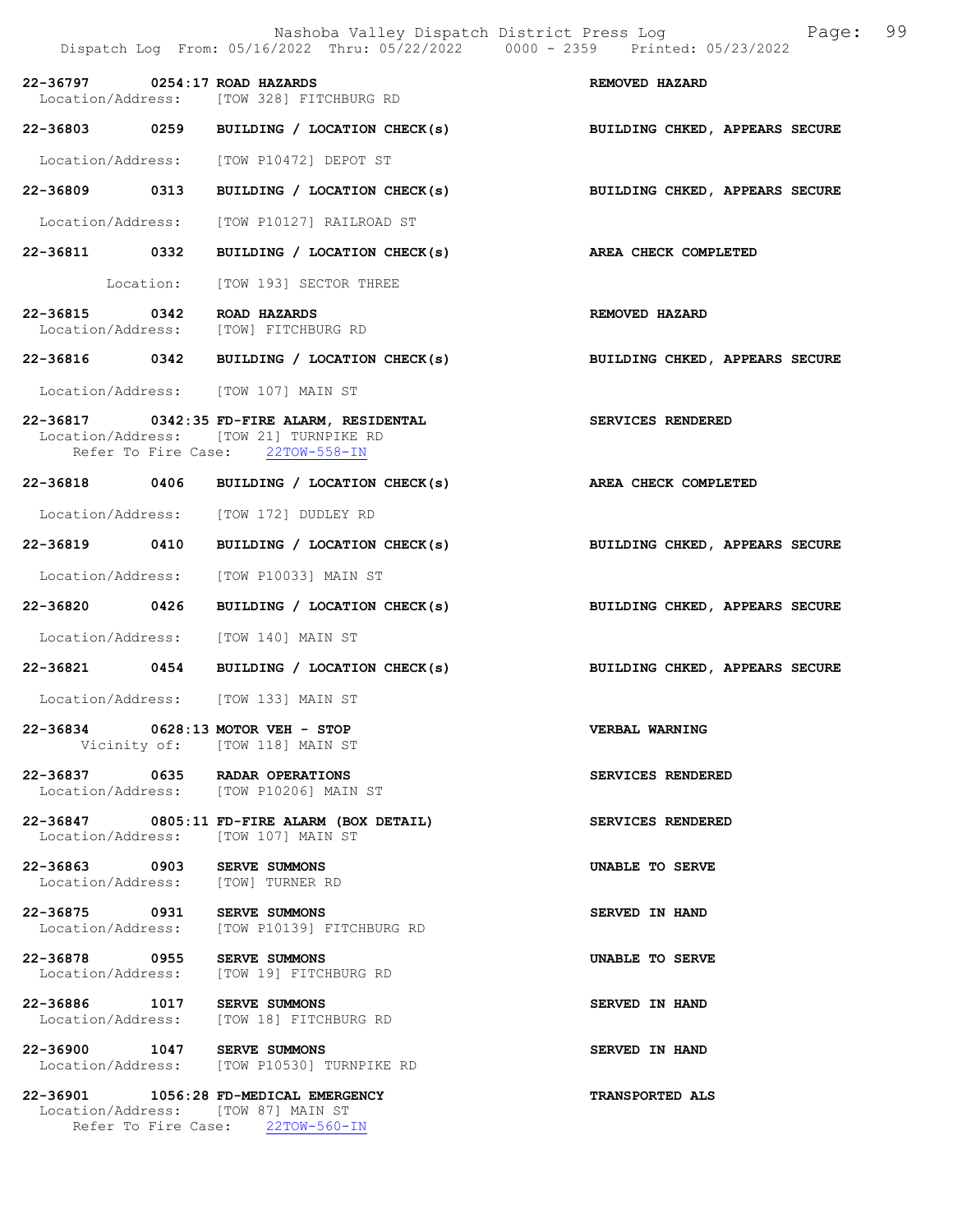|  |                                                                                                                                                  | Nashoba Valley Dispatch District Press Log<br>Page: 99<br>Dispatch Log From: 05/16/2022 Thru: 05/22/2022 0000 - 2359 Printed: 05/23/2022 |
|--|--------------------------------------------------------------------------------------------------------------------------------------------------|------------------------------------------------------------------------------------------------------------------------------------------|
|  | 22-36797 0254:17 ROAD HAZARDS<br>Location/Address: [TOW 328] FITCHBURG RD                                                                        | REMOVED HAZARD                                                                                                                           |
|  |                                                                                                                                                  | 22-36803 0259 BUILDING / LOCATION CHECK(s) BUILDING CHKED, APPEARS SECURE                                                                |
|  | Location/Address: [TOW P10472] DEPOT ST                                                                                                          |                                                                                                                                          |
|  |                                                                                                                                                  | 22-36809 0313 BUILDING / LOCATION CHECK(s) BUILDING CHKED, APPEARS SECURE                                                                |
|  | Location/Address: [TOW P10127] RAILROAD ST                                                                                                       |                                                                                                                                          |
|  | 22-36811 0332 BUILDING / LOCATION CHECK(s)                                                                                                       | AREA CHECK COMPLETED                                                                                                                     |
|  | Location: [TOW 193] SECTOR THREE                                                                                                                 |                                                                                                                                          |
|  | 22-36815 0342 ROAD HAZARDS<br>Location/Address: [TOW] FITCHBURG RD                                                                               | REMOVED HAZARD                                                                                                                           |
|  | 22-36816 0342 BUILDING / LOCATION CHECK(s)                                                                                                       | BUILDING CHKED, APPEARS SECURE                                                                                                           |
|  | Location/Address: [TOW 107] MAIN ST                                                                                                              |                                                                                                                                          |
|  | 22-36817 0342:35 FD-FIRE ALARM, RESIDENTAL CHARE SERVICES RENDERED<br>Location/Address: [TOW 21] TURNPIKE RD<br>Refer To Fire Case: 22TOW-558-IN |                                                                                                                                          |
|  | 22-36818 0406 BUILDING / LOCATION CHECK(s)                                                                                                       | AREA CHECK COMPLETED                                                                                                                     |
|  | Location/Address: [TOW 172] DUDLEY RD                                                                                                            |                                                                                                                                          |
|  |                                                                                                                                                  | 22-36819 0410 BUILDING / LOCATION CHECK(s) BUILDING CHKED, APPEARS SECURE                                                                |
|  | Location/Address: [TOW P10033] MAIN ST                                                                                                           |                                                                                                                                          |
|  |                                                                                                                                                  | 22-36820 0426 BUILDING / LOCATION CHECK(s) BUILDING CHKED, APPEARS SECURE                                                                |
|  | Location/Address: [TOW 140] MAIN ST                                                                                                              |                                                                                                                                          |
|  |                                                                                                                                                  | 22-36821 0454 BUILDING / LOCATION CHECK(s) BUILDING CHKED, APPEARS SECURE                                                                |
|  | Location/Address: [TOW 133] MAIN ST                                                                                                              |                                                                                                                                          |
|  | 22-36834 0628:13 MOTOR VEH - STOP<br>Vicinity of: [TOW 118] MAIN ST                                                                              | VERBAL WARNING                                                                                                                           |
|  | 22-36837 0635 RADAR OPERATIONS<br>Location/Address: [TOW P10206] MAIN ST                                                                         | SERVICES RENDERED                                                                                                                        |
|  | 22-36847 0805:11 FD-FIRE ALARM (BOX DETAIL)<br>Location/Address: [TOW 107] MAIN ST                                                               | SERVICES RENDERED                                                                                                                        |
|  | 22-36863 0903 SERVE SUMMONS<br>Location/Address: [TOW] TURNER RD                                                                                 | UNABLE TO SERVE                                                                                                                          |
|  | 22-36875 0931 SERVE SUMMONS<br>Location/Address: [TOW P10139] FITCHBURG RD                                                                       | SERVED IN HAND                                                                                                                           |
|  | 22-36878 0955 SERVE SUMMONS<br>Location/Address: [TOW 19] FITCHBURG RD                                                                           | UNABLE TO SERVE                                                                                                                          |
|  | 22-36886 1017 SERVE SUMMONS<br>Location/Address: [TOW 18] FITCHBURG RD                                                                           | SERVED IN HAND                                                                                                                           |
|  | 22-36900 1047 SERVE SUMMONS<br>Location/Address: [TOW P10530] TURNPIKE RD                                                                        | SERVED IN HAND                                                                                                                           |
|  | 22-36901 1056:28 FD-MEDICAL EMERGENCY<br>Location/Address: [TOW 87] MAIN ST<br>Refer To Fire Case: 22TOW-560-IN                                  | TRANSPORTED ALS                                                                                                                          |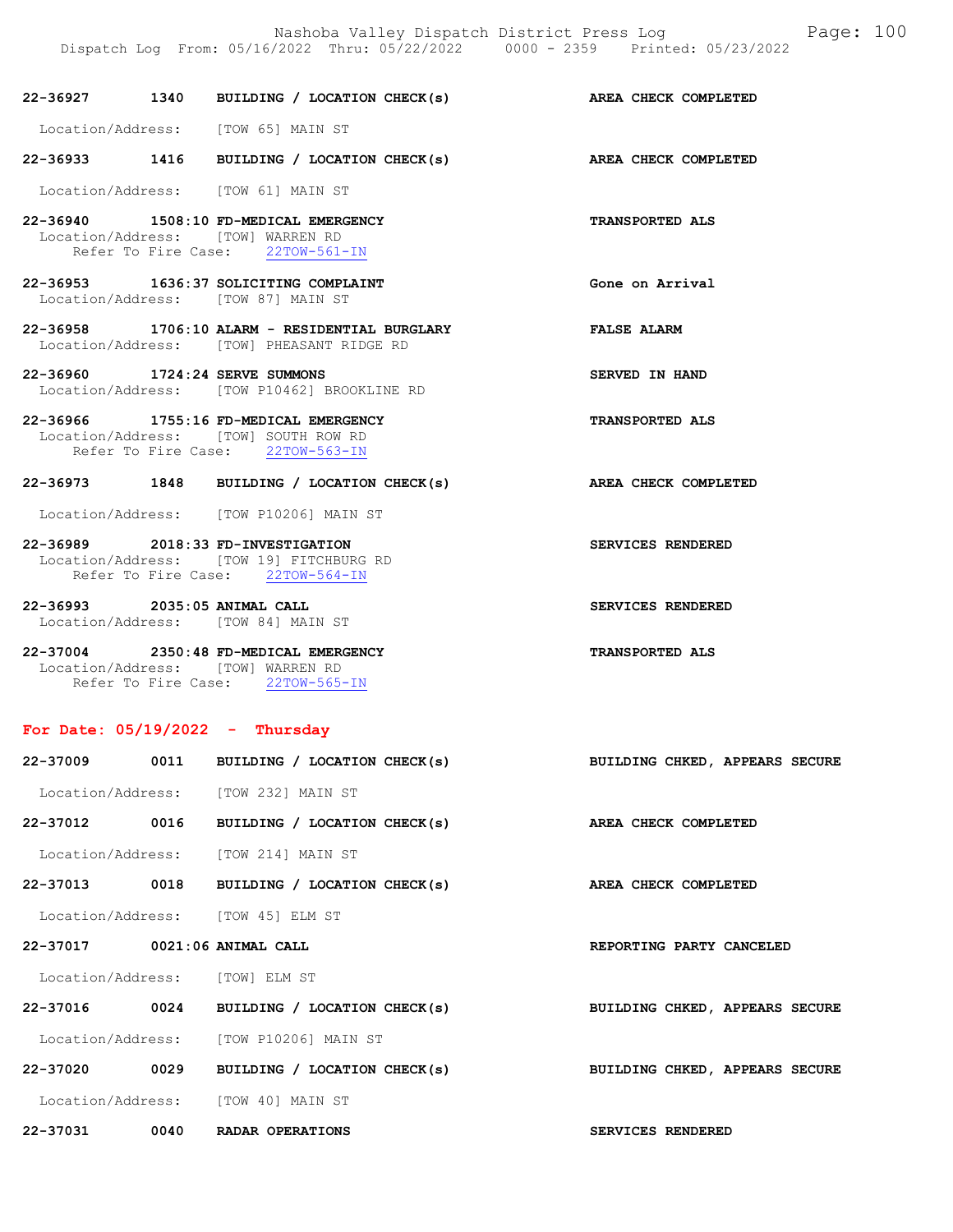22-36933 1416 BUILDING / LOCATION CHECK(s) AREA CHECK COMPLETED Location/Address: [TOW 61] MAIN ST 22-36940 1508:10 FD-MEDICAL EMERGENCY TRANSPORTED ALS Location/Address: [TOW] WARREN RD Refer To Fire Case: 22TOW-561-IN 22-36953 1636:37 SOLICITING COMPLAINT Gone on Arrival Location/Address: [TOW 87] MAIN ST 22-36958 1706:10 ALARM - RESIDENTIAL BURGLARY FALSE ALARM Location/Address: [TOW] PHEASANT RIDGE RD 22-36960 1724:24 SERVE SUMMONS SERVED IN HAND Location/Address: [TOW P10462] BROOKLINE RD 22-36966 1755:16 FD-MEDICAL EMERGENCY TRANSPORTED ALS Location/Address: [TOW] SOUTH ROW RD Refer To Fire Case: 22TOW-563-IN 22-36973 1848 BUILDING / LOCATION CHECK(s) AREA CHECK COMPLETED Location/Address: [TOW P10206] MAIN ST 22-36989 2018:33 FD-INVESTIGATION SERVICES RENDERED Location/Address: [TOW 19] FITCHBURG RD Refer To Fire Case: 22TOW-564-IN

22-36927 1340 BUILDING / LOCATION CHECK(s) AREA CHECK COMPLETED

22-36993 2035:05 ANIMAL CALL SERVICES RENDERED Location/Address: [TOW 84] MAIN ST

22-37004 2350:48 FD-MEDICAL EMERGENCY TRANSPORTED ALS Location/Address: [TOW] WARREN RD Refer To Fire Case: 22TOW-565-IN

Location/Address: [TOW 65] MAIN ST

### For Date:  $05/19/2022 -$  Thursday

|                              | 22-37009 0011 BUILDING / LOCATION CHECK(s) | BUILDING CHKED, APPEARS SECURE |
|------------------------------|--------------------------------------------|--------------------------------|
|                              | Location/Address: [TOW 232] MAIN ST        |                                |
|                              | 22-37012 0016 BUILDING / LOCATION CHECK(s) | AREA CHECK COMPLETED           |
|                              | Location/Address: [TOW 214] MAIN ST        |                                |
|                              | 22-37013 0018 BUILDING / LOCATION CHECK(s) | AREA CHECK COMPLETED           |
|                              | Location/Address: [TOW 45] ELM ST          |                                |
| 22-37017 0021:06 ANIMAL CALL |                                            | REPORTING PARTY CANCELED       |
|                              | Location/Address: [TOW] ELM ST             |                                |
|                              | 22-37016 0024 BUILDING / LOCATION CHECK(s) | BUILDING CHKED, APPEARS SECURE |
|                              | Location/Address: [TOW P10206] MAIN ST     |                                |
|                              | 22-37020 0029 BUILDING / LOCATION CHECK(s) | BUILDING CHKED, APPEARS SECURE |
|                              | Location/Address: [TOW 40] MAIN ST         |                                |
| 22-37031 0040                | RADAR OPERATIONS                           | SERVICES RENDERED              |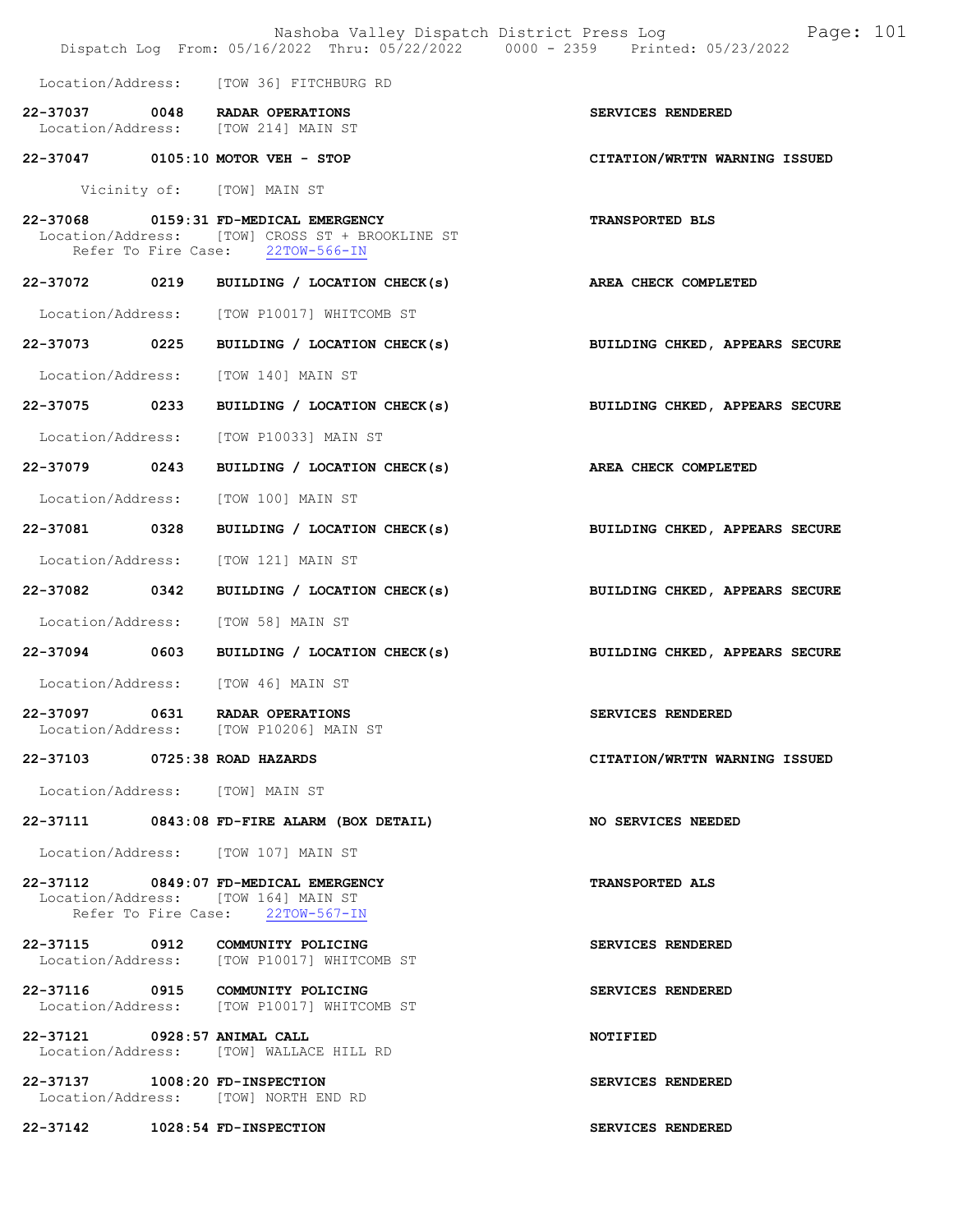|                                 | Dispatch Log From: 05/16/2022 Thru: 05/22/2022 0000 - 2359 Printed: 05/23/2022                                               | Nashoba Valley Dispatch District Press Log Fage: 101 |
|---------------------------------|------------------------------------------------------------------------------------------------------------------------------|------------------------------------------------------|
|                                 | Location/Address: [TOW 36] FITCHBURG RD                                                                                      |                                                      |
|                                 | 22-37037 0048 RADAR OPERATIONS<br>Location/Address: [TOW 214] MAIN ST                                                        | SERVICES RENDERED                                    |
|                                 | 22-37047 0105:10 MOTOR VEH - STOP                                                                                            | CITATION/WRTTN WARNING ISSUED                        |
|                                 | Vicinity of: [TOW] MAIN ST                                                                                                   |                                                      |
|                                 | 22-37068 0159:31 FD-MEDICAL EMERGENCY<br>Location/Address: [TOW] CROSS ST + BROOKLINE ST<br>Refer To Fire Case: 22TOW-566-IN | TRANSPORTED BLS                                      |
|                                 | 22-37072 0219 BUILDING / LOCATION CHECK(s)                                                                                   | <b>AREA CHECK COMPLETED</b>                          |
|                                 | Location/Address: [TOW P10017] WHITCOMB ST                                                                                   |                                                      |
|                                 | 22-37073 0225 BUILDING / LOCATION CHECK(s)                                                                                   | BUILDING CHKED, APPEARS SECURE                       |
|                                 | Location/Address: [TOW 140] MAIN ST                                                                                          |                                                      |
| 22-37075 0233                   | BUILDING / LOCATION CHECK(s)                                                                                                 | BUILDING CHKED, APPEARS SECURE                       |
|                                 | Location/Address: [TOW P10033] MAIN ST                                                                                       |                                                      |
| 22-37079 0243                   | BUILDING / LOCATION CHECK(s)                                                                                                 | AREA CHECK COMPLETED                                 |
|                                 | Location/Address: [TOW 100] MAIN ST                                                                                          |                                                      |
| 22-37081 0328                   | BUILDING / LOCATION CHECK(s)                                                                                                 | BUILDING CHKED, APPEARS SECURE                       |
| Location/Address:               | [TOW 121] MAIN ST                                                                                                            |                                                      |
| 22-37082 0342                   | BUILDING / LOCATION CHECK(s)                                                                                                 | BUILDING CHKED, APPEARS SECURE                       |
|                                 | Location/Address: [TOW 58] MAIN ST                                                                                           |                                                      |
|                                 | 22-37094 0603 BUILDING / LOCATION CHECK(s)                                                                                   | BUILDING CHKED, APPEARS SECURE                       |
|                                 | Location/Address: [TOW 46] MAIN ST                                                                                           |                                                      |
|                                 | 22-37097 0631 RADAR OPERATIONS<br>Location/Address: [TOW P10206] MAIN ST                                                     | SERVICES RENDERED                                    |
| 22-37103 0725:38 ROAD HAZARDS   |                                                                                                                              | CITATION/WRTTN WARNING ISSUED                        |
| Location/Address: [TOW] MAIN ST |                                                                                                                              |                                                      |
|                                 | 22-37111 0843:08 FD-FIRE ALARM (BOX DETAIL)                                                                                  | NO SERVICES NEEDED                                   |
|                                 | Location/Address: [TOW 107] MAIN ST                                                                                          |                                                      |
|                                 | 22-37112 0849:07 FD-MEDICAL EMERGENCY<br>Location/Address: [TOW 164] MAIN ST<br>Refer To Fire Case: 22TOW-567-IN             | <b>TRANSPORTED ALS</b>                               |
|                                 | 22-37115 0912 COMMUNITY POLICING<br>Location/Address: [TOW P10017] WHITCOMB ST                                               | SERVICES RENDERED                                    |
|                                 | 22-37116 0915 COMMUNITY POLICING<br>Location/Address: [TOW P10017] WHITCOMB ST                                               | SERVICES RENDERED                                    |
| 22-37121 0928:57 ANIMAL CALL    | Location/Address: [TOW] WALLACE HILL RD                                                                                      | NOTIFIED                                             |
| 22-37137 1008:20 FD-INSPECTION  | Location/Address: [TOW] NORTH END RD                                                                                         | SERVICES RENDERED                                    |
| 22-37142 1028:54 FD-INSPECTION  |                                                                                                                              | SERVICES RENDERED                                    |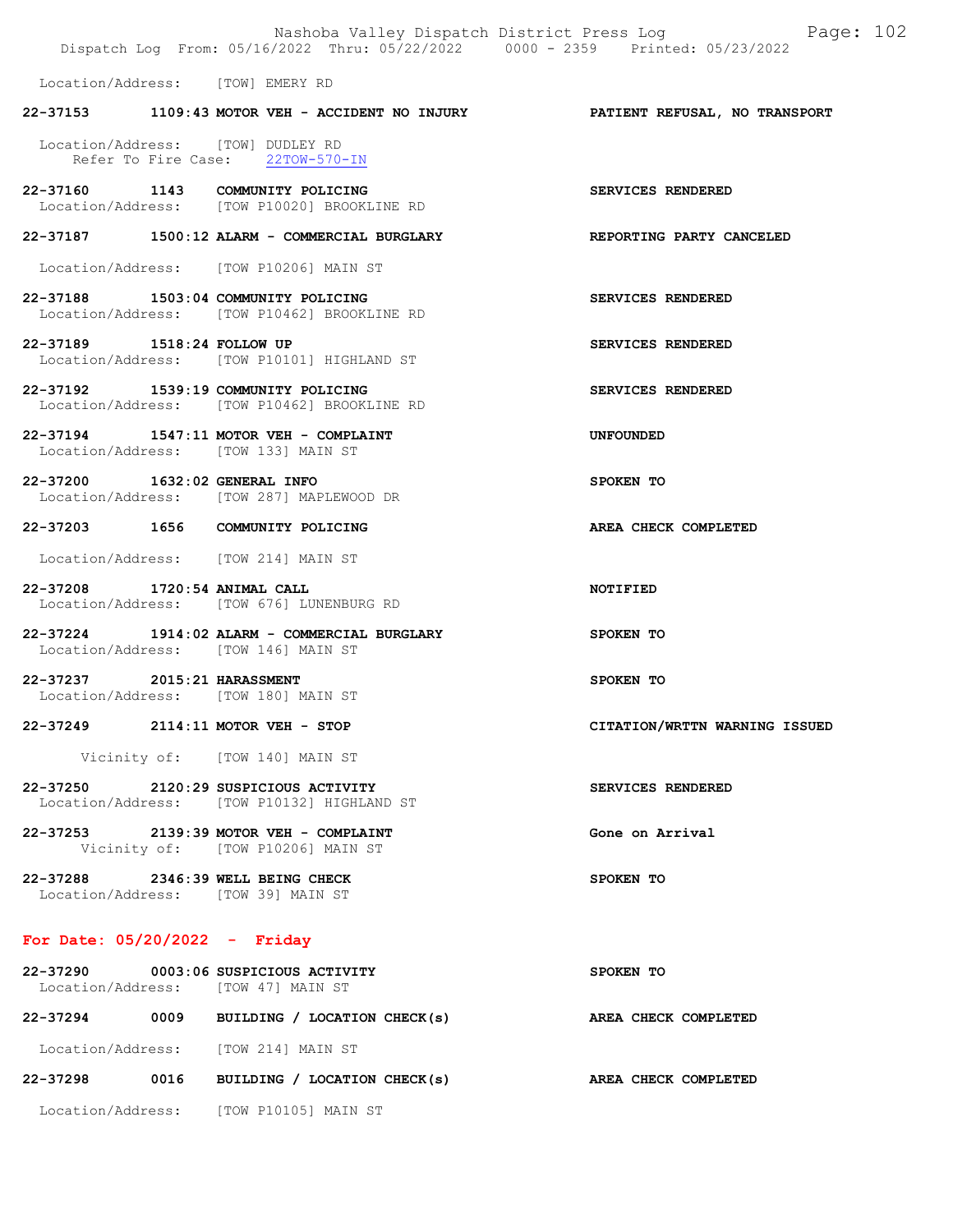|                                  | Dispatch Log From: 05/16/2022 Thru: 05/22/2022 0000 - 2359 Printed: 05/23/2022      | Nashoba Valley Dispatch District Press Log Fage: 102                          |  |
|----------------------------------|-------------------------------------------------------------------------------------|-------------------------------------------------------------------------------|--|
| Location/Address: [TOW] EMERY RD |                                                                                     |                                                                               |  |
|                                  |                                                                                     | 22-37153 1109:43 MOTOR VEH - ACCIDENT NO INJURY PATIENT REFUSAL, NO TRANSPORT |  |
|                                  | Location/Address: [TOW] DUDLEY RD<br>Refer To Fire Case: 22TOW-570-IN               |                                                                               |  |
|                                  | 22-37160 1143 COMMUNITY POLICING<br>Location/Address: [TOW P10020] BROOKLINE RD     | SERVICES RENDERED                                                             |  |
|                                  | 22-37187 1500:12 ALARM - COMMERCIAL BURGLARY                                        | <b>REPORTING PARTY CANCELED</b>                                               |  |
|                                  | Location/Address: [TOW P10206] MAIN ST                                              |                                                                               |  |
|                                  | 22-37188 1503:04 COMMUNITY POLICING<br>Location/Address: [TOW P10462] BROOKLINE RD  | SERVICES RENDERED                                                             |  |
| 22-37189 1518:24 FOLLOW UP       | Location/Address: [TOW P10101] HIGHLAND ST                                          | SERVICES RENDERED                                                             |  |
|                                  | 22-37192 1539:19 COMMUNITY POLICING<br>Location/Address: [TOW P10462] BROOKLINE RD  | SERVICES RENDERED                                                             |  |
|                                  | 22-37194 1547:11 MOTOR VEH - COMPLAINT<br>Location/Address: [TOW 133] MAIN ST       | <b>UNFOUNDED</b>                                                              |  |
|                                  | 22-37200 1632:02 GENERAL INFO<br>Location/Address: [TOW 287] MAPLEWOOD DR           | SPOKEN TO                                                                     |  |
|                                  | 22-37203 1656 COMMUNITY POLICING                                                    | AREA CHECK COMPLETED                                                          |  |
|                                  | Location/Address: [TOW 214] MAIN ST                                                 |                                                                               |  |
| 22-37208 1720:54 ANIMAL CALL     | Location/Address: [TOW 676] LUNENBURG RD                                            | <b>NOTIFIED</b>                                                               |  |
|                                  | 22-37224 1914:02 ALARM - COMMERCIAL BURGLARY<br>Location/Address: [TOW 146] MAIN ST | SPOKEN TO                                                                     |  |
| 22-37237 2015:21 HARASSMENT      | Location/Address: [TOW 180] MAIN ST                                                 | SPOKEN TO                                                                     |  |
|                                  | 22-37249 2114:11 MOTOR VEH - STOP                                                   | CITATION/WRTTN WARNING ISSUED                                                 |  |
|                                  | Vicinity of: [TOW 140] MAIN ST                                                      |                                                                               |  |
|                                  | 22-37250 2120:29 SUSPICIOUS ACTIVITY<br>Location/Address: [TOW P10132] HIGHLAND ST  | SERVICES RENDERED                                                             |  |
|                                  | 22-37253 2139:39 MOTOR VEH - COMPLAINT<br>Vicinity of: [TOW P10206] MAIN ST         | Gone on Arrival                                                               |  |
|                                  | 22-37288 2346:39 WELL BEING CHECK<br>Location/Address: [TOW 39] MAIN ST             | SPOKEN TO                                                                     |  |
| For Date: $05/20/2022 -$ Friday  |                                                                                     |                                                                               |  |
|                                  | 22-37290 0003:06 SUSPICIOUS ACTIVITY<br>Location/Address: [TOW 47] MAIN ST          | SPOKEN TO                                                                     |  |
|                                  | 22-37294 0009 BUILDING / LOCATION CHECK(s)                                          | AREA CHECK COMPLETED                                                          |  |
|                                  | Location/Address: [TOW 214] MAIN ST                                                 |                                                                               |  |
|                                  | 22-37298 0016 BUILDING / LOCATION CHECK(s)                                          | AREA CHECK COMPLETED                                                          |  |

Location/Address: [TOW P10105] MAIN ST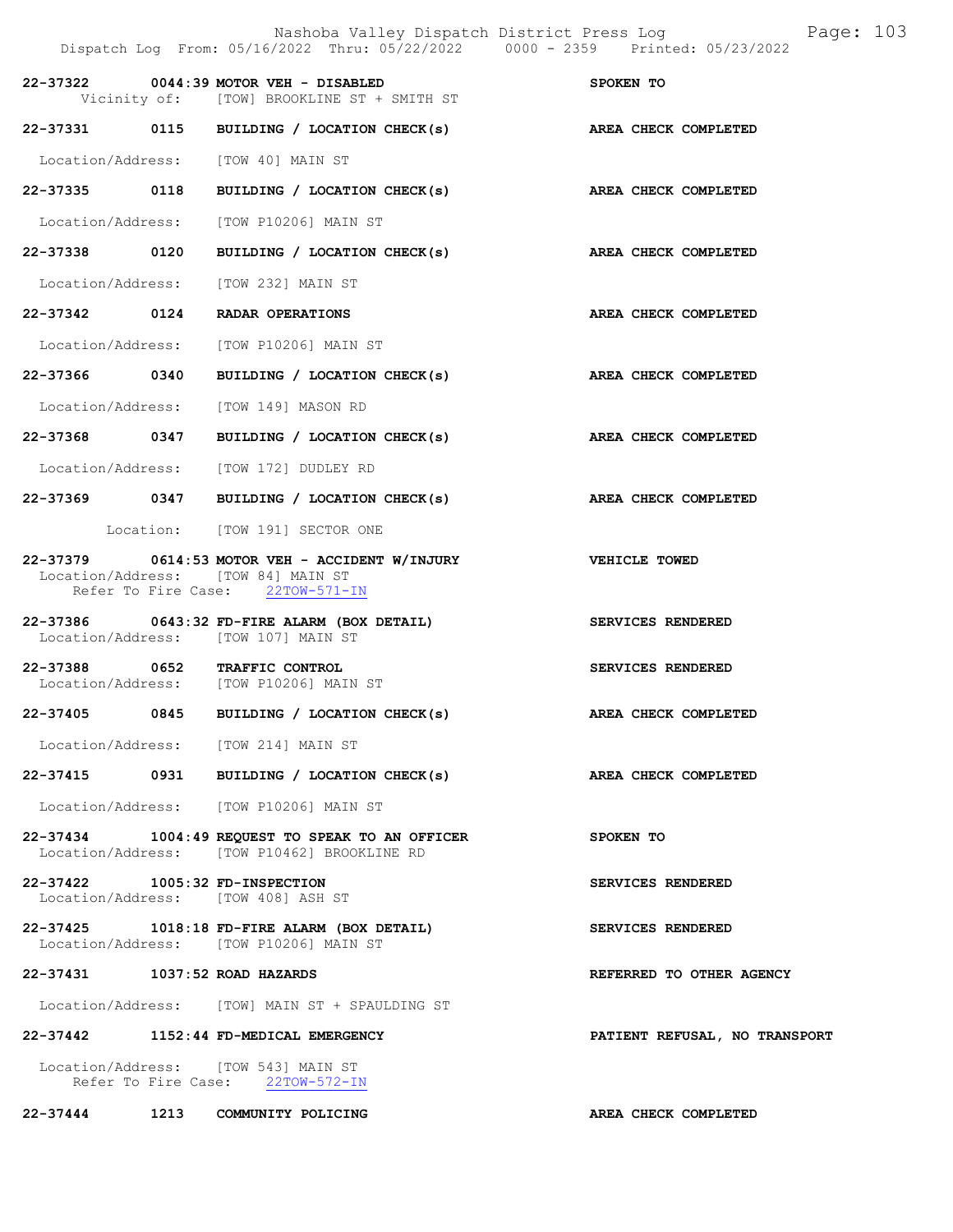|                                | Nashoba Valley Dispatch District Press Log<br>Dispatch Log From: 05/16/2022 Thru: 05/22/2022 0000 - 2359 Printed: 05/23/2022 | Page: 103                     |
|--------------------------------|------------------------------------------------------------------------------------------------------------------------------|-------------------------------|
|                                | 22-37322 0044:39 MOTOR VEH - DISABLED<br>Vicinity of: [TOW] BROOKLINE ST + SMITH ST                                          | SPOKEN TO                     |
|                                | 22-37331 0115 BUILDING / LOCATION CHECK(s)                                                                                   | AREA CHECK COMPLETED          |
|                                | Location/Address: [TOW 40] MAIN ST                                                                                           |                               |
|                                | 22-37335 0118 BUILDING / LOCATION CHECK(s) AREA CHECK COMPLETED                                                              |                               |
|                                | Location/Address: [TOW P10206] MAIN ST                                                                                       |                               |
| 22-37338 0120                  | BUILDING / LOCATION CHECK(s) AREA CHECK COMPLETED                                                                            |                               |
|                                | Location/Address: [TOW 232] MAIN ST                                                                                          |                               |
|                                | 22-37342 0124 RADAR OPERATIONS                                                                                               | AREA CHECK COMPLETED          |
|                                | Location/Address: [TOW P10206] MAIN ST                                                                                       |                               |
| 22-37366 0340                  | BUILDING / LOCATION CHECK(s)                                                                                                 | AREA CHECK COMPLETED          |
|                                | Location/Address: [TOW 149] MASON RD                                                                                         |                               |
| 22-37368 0347                  | BUILDING / LOCATION CHECK(s)                                                                                                 | AREA CHECK COMPLETED          |
|                                | Location/Address: [TOW 172] DUDLEY RD                                                                                        |                               |
|                                | 22-37369 0347 BUILDING / LOCATION CHECK(s) AREA CHECK COMPLETED                                                              |                               |
|                                | Location: [TOW 191] SECTOR ONE                                                                                               |                               |
| 22-37379                       | 0614:53 MOTOR VEH - ACCIDENT W/INJURY<br>Location/Address: [TOW 84] MAIN ST<br>Refer To Fire Case: 22TOW-571-IN              | VEHICLE TOWED                 |
|                                | 22-37386 0643:32 FD-FIRE ALARM (BOX DETAIL)<br>Location/Address: [TOW 107] MAIN ST                                           | SERVICES RENDERED             |
|                                | 22-37388 0652 TRAFFIC CONTROL<br>Location/Address: [TOW P10206] MAIN ST                                                      | SERVICES RENDERED             |
| 22-37405 0845                  | BUILDING / LOCATION CHECK(s)                                                                                                 | AREA CHECK COMPLETED          |
|                                | Location/Address: [TOW 214] MAIN ST                                                                                          |                               |
|                                | 22-37415 0931 BUILDING / LOCATION CHECK(s)                                                                                   | AREA CHECK COMPLETED          |
|                                | Location/Address: [TOW P10206] MAIN ST                                                                                       |                               |
|                                | $22-37434$ 1004:49 REQUEST TO SPEAK TO AN OFFICER<br>Location/Address: [TOW P10462] BROOKLINE RD                             | SPOKEN TO                     |
| 22-37422 1005:32 FD-INSPECTION | Location/Address: [TOW 408] ASH ST                                                                                           | SERVICES RENDERED             |
|                                | 22-37425 1018:18 FD-FIRE ALARM (BOX DETAIL)<br>Location/Address: [TOW P10206] MAIN ST                                        | SERVICES RENDERED             |
| 22-37431 1037:52 ROAD HAZARDS  |                                                                                                                              | REFERRED TO OTHER AGENCY      |
|                                | Location/Address: [TOW] MAIN ST + SPAULDING ST                                                                               |                               |
|                                | 22-37442 1152:44 FD-MEDICAL EMERGENCY                                                                                        | PATIENT REFUSAL, NO TRANSPORT |
|                                | Location/Address: [TOW 543] MAIN ST<br>Refer To Fire Case: 22TOW-572-IN                                                      |                               |
|                                | 22-37444 1213 COMMUNITY POLICING                                                                                             | AREA CHECK COMPLETED          |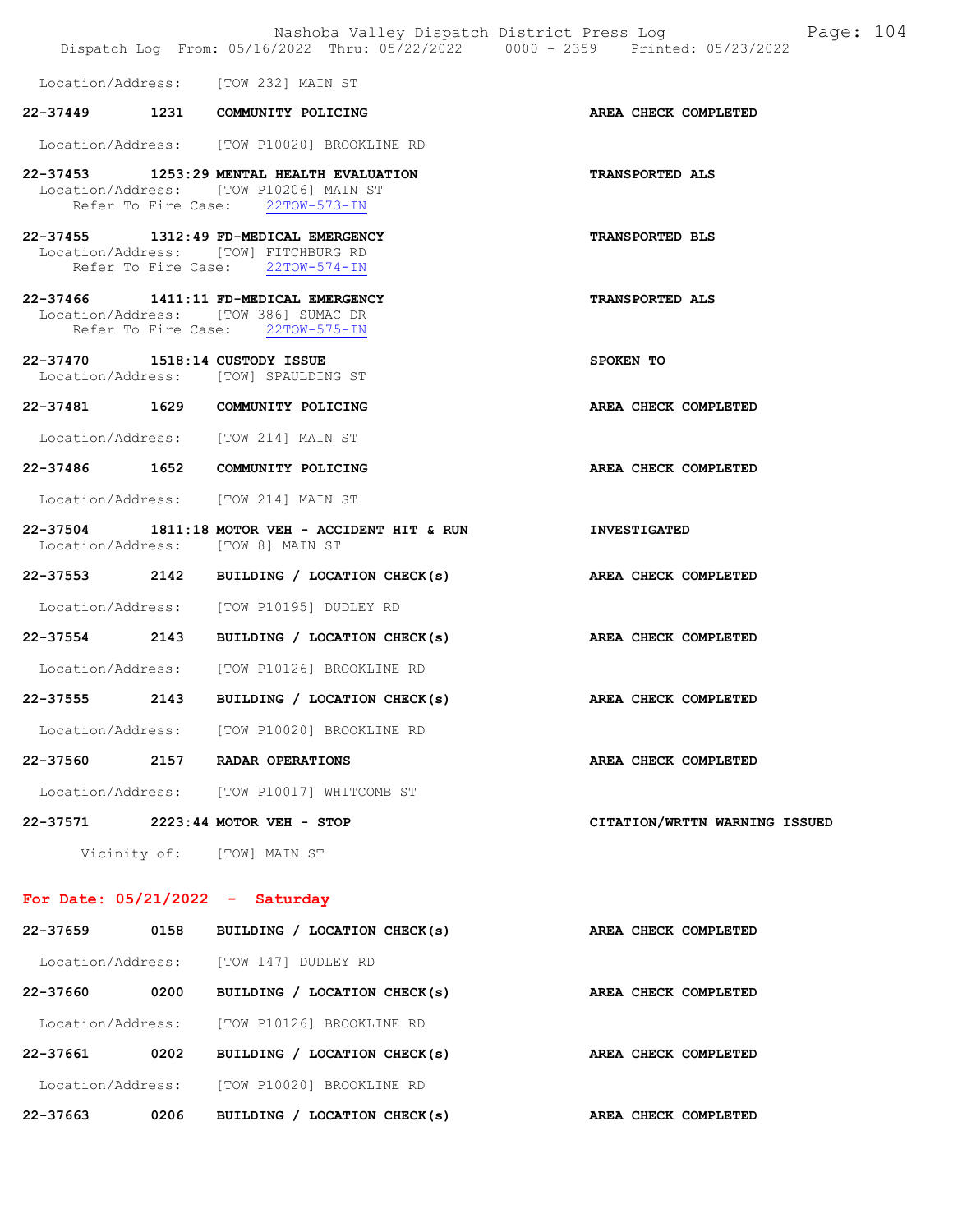|                                   |      | Nashoba Valley Dispatch District Press Log<br>Dispatch Log From: 05/16/2022 Thru: 05/22/2022 0000 - 2359 Printed: 05/23/2022 | Page: 104                     |
|-----------------------------------|------|------------------------------------------------------------------------------------------------------------------------------|-------------------------------|
|                                   |      | Location/Address: [TOW 232] MAIN ST                                                                                          |                               |
|                                   |      | 22-37449 1231 COMMUNITY POLICING                                                                                             | AREA CHECK COMPLETED          |
|                                   |      | Location/Address: [TOW P10020] BROOKLINE RD                                                                                  |                               |
|                                   |      | 22-37453 1253:29 MENTAL HEALTH EVALUATION<br>Location/Address: [TOW P10206] MAIN ST<br>Refer To Fire Case: 22TOW-573-IN      | <b>TRANSPORTED ALS</b>        |
|                                   |      | 22-37455 1312:49 FD-MEDICAL EMERGENCY<br>Location/Address: [TOW] FITCHBURG RD<br>Refer To Fire Case: 22TOW-574-IN            | <b>TRANSPORTED BLS</b>        |
|                                   |      | 22-37466 1411:11 FD-MEDICAL EMERGENCY<br>Location/Address: [TOW 386] SUMAC DR<br>Refer To Fire Case: 22TOW-575-IN            | <b>TRANSPORTED ALS</b>        |
| 22-37470 1518:14 CUSTODY ISSUE    |      | Location/Address: [TOW] SPAULDING ST                                                                                         | SPOKEN TO                     |
|                                   |      | 22-37481 1629 COMMUNITY POLICING                                                                                             | AREA CHECK COMPLETED          |
|                                   |      | Location/Address: [TOW 214] MAIN ST                                                                                          |                               |
|                                   |      | 22-37486 1652 COMMUNITY POLICING                                                                                             | AREA CHECK COMPLETED          |
|                                   |      | Location/Address: [TOW 214] MAIN ST                                                                                          |                               |
|                                   |      | $22-37504$ 1811:18 MOTOR VEH - ACCIDENT HIT & RUN<br>Location/Address: [TOW 8] MAIN ST                                       | <b>INVESTIGATED</b>           |
|                                   |      | 22-37553 2142 BUILDING / LOCATION CHECK(s)                                                                                   | AREA CHECK COMPLETED          |
|                                   |      | Location/Address: [TOW P10195] DUDLEY RD                                                                                     |                               |
|                                   |      | 22-37554 2143 BUILDING / LOCATION CHECK(s) AREA CHECK COMPLETED                                                              |                               |
|                                   |      | Location/Address: [TOW P10126] BROOKLINE RD                                                                                  |                               |
| 22-37555                          |      | 2143 BUILDING / LOCATION CHECK(s) AREA CHECK COMPLETED                                                                       |                               |
|                                   |      | Location/Address: [TOW P10020] BROOKLINE RD                                                                                  |                               |
| 22-37560                          |      | 2157 RADAR OPERATIONS                                                                                                        | AREA CHECK COMPLETED          |
|                                   |      | Location/Address: [TOW P10017] WHITCOMB ST                                                                                   |                               |
|                                   |      | 22-37571 2223:44 MOTOR VEH - STOP                                                                                            | CITATION/WRTTN WARNING ISSUED |
|                                   |      | Vicinity of: [TOW] MAIN ST                                                                                                   |                               |
| For Date: $05/21/2022 -$ Saturday |      |                                                                                                                              |                               |
| 22-37659                          | 0158 | BUILDING / LOCATION CHECK(s)                                                                                                 | AREA CHECK COMPLETED          |
|                                   |      | Location/Address: [TOW 147] DUDLEY RD                                                                                        |                               |
| 22-37660 0200                     |      | BUILDING / LOCATION CHECK(s)                                                                                                 | AREA CHECK COMPLETED          |
|                                   |      | Location/Address: [TOW P10126] BROOKLINE RD                                                                                  |                               |
| 22-37661 0202                     |      | BUILDING / LOCATION CHECK(s)                                                                                                 | AREA CHECK COMPLETED          |
|                                   |      | Location/Address: [TOW P10020] BROOKLINE RD                                                                                  |                               |

22-37663 0206 BUILDING / LOCATION CHECK(s) AREA CHECK COMPLETED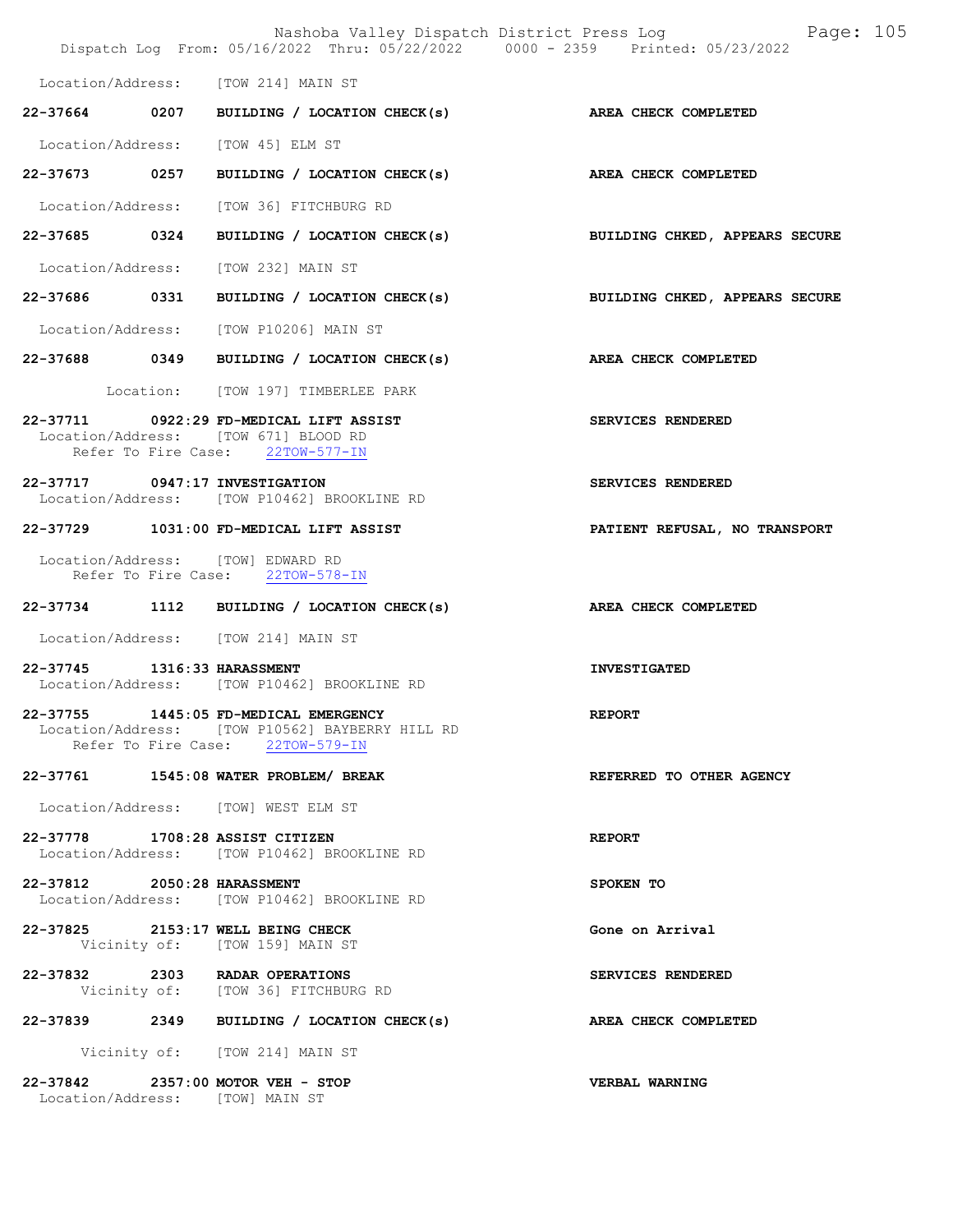Nashoba Valley Dispatch District Press Log Page: 105 Dispatch Log From: 05/16/2022 Thru: 05/22/2022 0000 - 2359 Printed: 05/23/2022 Location/Address: [TOW 214] MAIN ST 22-37664 0207 BUILDING / LOCATION CHECK(s) AREA CHECK COMPLETED Location/Address: [TOW 45] ELM ST 22-37673 0257 BUILDING / LOCATION CHECK(s) AREA CHECK COMPLETED Location/Address: [TOW 36] FITCHBURG RD 22-37685 0324 BUILDING / LOCATION CHECK(s) BUILDING CHKED, APPEARS SECURE Location/Address: [TOW 232] MAIN ST 22-37686 0331 BUILDING / LOCATION CHECK(s) BUILDING CHKED, APPEARS SECURE Location/Address: [TOW P10206] MAIN ST 22-37688 0349 BUILDING / LOCATION CHECK(s) AREA CHECK COMPLETED Location: [TOW 197] TIMBERLEE PARK 22-37711 0922:29 FD-MEDICAL LIFT ASSIST SERVICES RENDERED Location/Address: [TOW 671] BLOOD RD Refer To Fire Case: 22TOW-577-IN 22-37717 0947:17 INVESTIGATION SERVICES RENDERED Location/Address: [TOW P10462] BROOKLINE RD 22-37729 1031:00 FD-MEDICAL LIFT ASSIST PATIENT REFUSAL, NO TRANSPORT Location/Address: [TOW] EDWARD RD Refer To Fire Case: 22TOW-578-IN 22-37734 1112 BUILDING / LOCATION CHECK(s) AREA CHECK COMPLETED Location/Address: [TOW 214] MAIN ST 22-37745 1316:33 HARASSMENT INVESTIGATED Location/Address: [TOW P10462] BROOKLINE RD 22-37755 1445:05 FD-MEDICAL EMERGENCY REPORT Location/Address: [TOW P10562] BAYBERRY HILL RD Refer To Fire Case: 22TOW-579-IN 22-37761 1545:08 WATER PROBLEM/ BREAK REFERRED TO OTHER AGENCY Location/Address: [TOW] WEST ELM ST 22-37778 1708:28 ASSIST CITIZEN REPORT Location/Address: [TOW P10462] BROOKLINE RD 22-37812 2050:28 HARASSMENT SPOKEN TO Location/Address: [TOW P10462] BROOKLINE RD 22-37825 2153:17 WELL BEING CHECK Gone on Arrival Vicinity of: [TOW 159] MAIN ST 22-37832 2303 RADAR OPERATIONS<br>
Vicinity of: [TOW 36] FITCHBURG RD [TOW 36] FITCHBURG RD 22-37839 2349 BUILDING / LOCATION CHECK(s) AREA CHECK COMPLETED Vicinity of: [TOW 214] MAIN ST 22-37842 2357:00 MOTOR VEH - STOP VERBAL WARNING Location/Address: [TOW] MAIN ST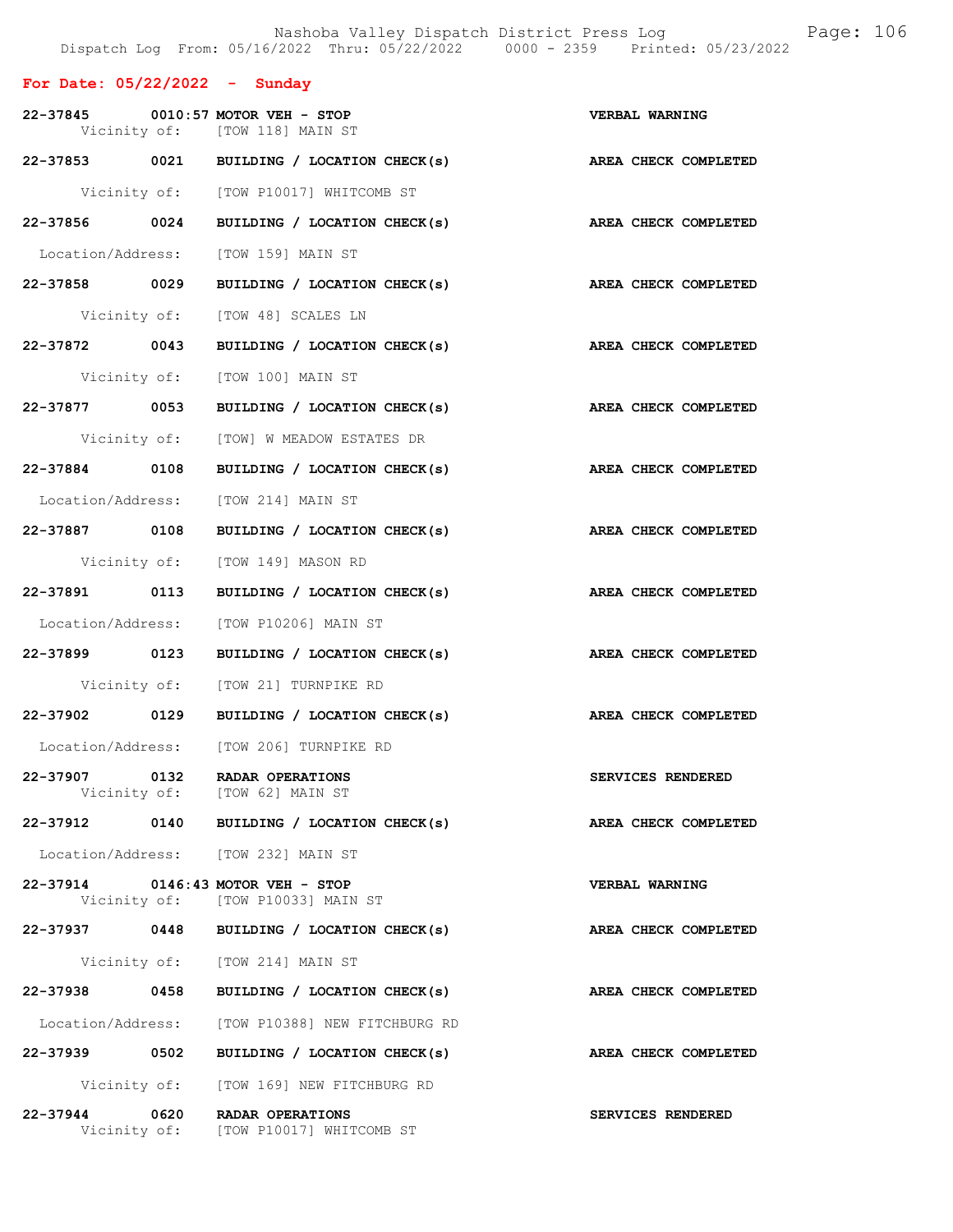## For Date: 05/22/2022 - Sunday

|               |      | 22-37845 0010:57 MOTOR VEH - STOP<br>Vicinity of: [TOW 118] MAIN ST    | <b>VERBAL WARNING</b> |
|---------------|------|------------------------------------------------------------------------|-----------------------|
|               |      | 22-37853 0021 BUILDING / LOCATION CHECK(s)                             | AREA CHECK COMPLETED  |
|               |      | Vicinity of: [TOW P10017] WHITCOMB ST                                  |                       |
|               |      | 22-37856 0024 BUILDING / LOCATION CHECK(s)                             | AREA CHECK COMPLETED  |
|               |      | Location/Address: [TOW 159] MAIN ST                                    |                       |
| 22-37858 0029 |      | BUILDING / LOCATION CHECK(s)                                           | AREA CHECK COMPLETED  |
|               |      | Vicinity of: [TOW 48] SCALES LN                                        |                       |
| 22-37872 0043 |      | BUILDING / LOCATION CHECK(s)                                           | AREA CHECK COMPLETED  |
|               |      | Vicinity of: [TOW 100] MAIN ST                                         |                       |
|               |      | 22-37877 0053 BUILDING / LOCATION CHECK(s)                             | AREA CHECK COMPLETED  |
|               |      | Vicinity of: [TOW] W MEADOW ESTATES DR                                 |                       |
| 22-37884 0108 |      | BUILDING / LOCATION CHECK(s)                                           | AREA CHECK COMPLETED  |
|               |      | Location/Address: [TOW 214] MAIN ST                                    |                       |
| 22-37887 0108 |      | BUILDING / LOCATION CHECK(s)                                           | AREA CHECK COMPLETED  |
|               |      | Vicinity of: [TOW 149] MASON RD                                        |                       |
| 22-37891 0113 |      | BUILDING / LOCATION CHECK(s)                                           | AREA CHECK COMPLETED  |
|               |      | Location/Address: [TOW P10206] MAIN ST                                 |                       |
| 22-37899 0123 |      | BUILDING / LOCATION CHECK(s)                                           | AREA CHECK COMPLETED  |
|               |      | Vicinity of: [TOW 21] TURNPIKE RD                                      |                       |
|               |      | 22-37902 0129 BUILDING / LOCATION CHECK(s)                             | AREA CHECK COMPLETED  |
|               |      | Location/Address: [TOW 206] TURNPIKE RD                                |                       |
| 22-37907 0132 |      | RADAR OPERATIONS<br>Vicinity of: [TOW 62] MAIN ST                      | SERVICES RENDERED     |
| 22-37912      |      | 0140 BUILDING / LOCATION CHECK(s)                                      | AREA CHECK COMPLETED  |
|               |      | Location/Address: [TOW 232] MAIN ST                                    |                       |
|               |      | 22-37914 0146:43 MOTOR VEH - STOP<br>Vicinity of: [TOW P10033] MAIN ST | <b>VERBAL WARNING</b> |
|               |      | 22-37937 0448 BUILDING / LOCATION CHECK(s)                             | AREA CHECK COMPLETED  |
|               |      | Vicinity of: [TOW 214] MAIN ST                                         |                       |
| 22-37938 0458 |      | BUILDING / LOCATION CHECK(s)                                           | AREA CHECK COMPLETED  |
|               |      | Location/Address: [TOW P10388] NEW FITCHBURG RD                        |                       |
| 22-37939 0502 |      | BUILDING / LOCATION CHECK(s)                                           | AREA CHECK COMPLETED  |
|               |      | Vicinity of: [TOW 169] NEW FITCHBURG RD                                |                       |
| 22-37944      | 0620 | RADAR OPERATIONS<br>Vicinity of: [TOW P10017] WHITCOMB ST              | SERVICES RENDERED     |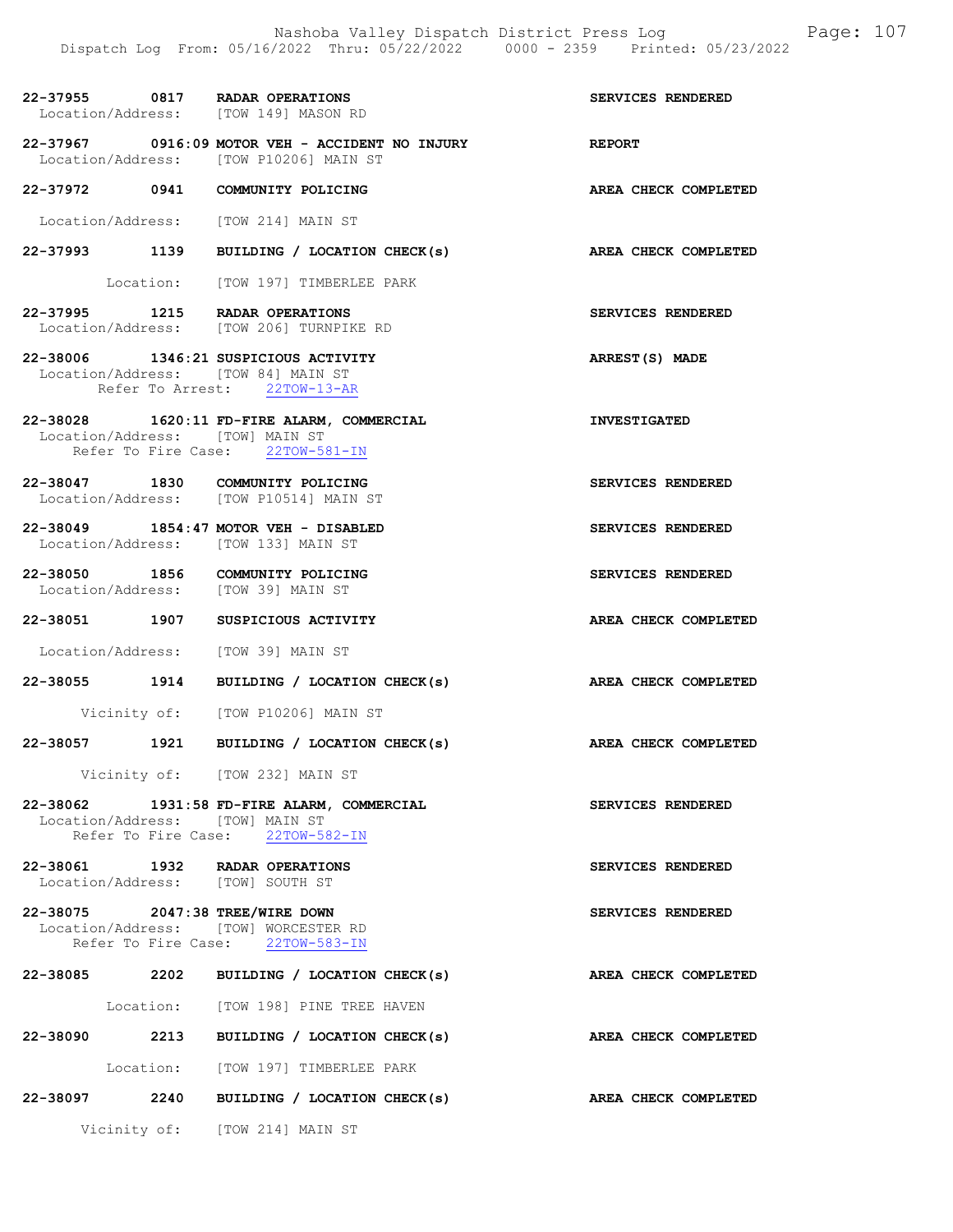| 22-37955 0817 RADAR OPERATIONS<br>Location/Address: [TOW 149] MASON RD       |                                                                                | SERVICES RENDERED    |
|------------------------------------------------------------------------------|--------------------------------------------------------------------------------|----------------------|
| Location/Address: [TOW P10206] MAIN ST                                       | $22-37967$ 0916:09 MOTOR VEH - ACCIDENT NO INJURY                              | <b>REPORT</b>        |
| 22-37972 0941 COMMUNITY POLICING                                             |                                                                                | AREA CHECK COMPLETED |
| Location/Address: [TOW 214] MAIN ST                                          |                                                                                |                      |
|                                                                              | 22-37993 1139 BUILDING / LOCATION CHECK(s)                                     | AREA CHECK COMPLETED |
|                                                                              | Location: [TOW 197] TIMBERLEE PARK                                             |                      |
| 22-37995 1215 RADAR OPERATIONS                                               | Location/Address: [TOW 206] TURNPIKE RD                                        | SERVICES RENDERED    |
| 22-38006 1346:21 SUSPICIOUS ACTIVITY<br>Location/Address: [TOW 84] MAIN ST   | Refer To Arrest: 22TOW-13-AR                                                   | ARREST(S) MADE       |
| Location/Address: [TOW] MAIN ST                                              | 22-38028 1620:11 FD-FIRE ALARM, COMMERCIAL<br>Refer To Fire Case: 22TOW-581-IN | <b>INVESTIGATED</b>  |
| 22-38047 1830 COMMUNITY POLICING<br>Location/Address: [TOW P10514] MAIN ST   |                                                                                | SERVICES RENDERED    |
| 22-38049 1854:47 MOTOR VEH - DISABLED<br>Location/Address: [TOW 133] MAIN ST |                                                                                | SERVICES RENDERED    |
| 22-38050 1856 COMMUNITY POLICING<br>Location/Address: [TOW 39] MAIN ST       |                                                                                | SERVICES RENDERED    |
| 22-38051 1907 SUSPICIOUS ACTIVITY                                            |                                                                                | AREA CHECK COMPLETED |
| Location/Address: [TOW 39] MAIN ST                                           |                                                                                |                      |
|                                                                              | 22-38055 1914 BUILDING / LOCATION CHECK(s)                                     | AREA CHECK COMPLETED |
|                                                                              | Vicinity of: [TOW P10206] MAIN ST                                              |                      |
|                                                                              | 22-38057 1921 BUILDING / LOCATION CHECK(s)                                     | AREA CHECK COMPLETED |
|                                                                              | Vicinity of: [TOW 232] MAIN ST                                                 |                      |
| Location/Address: [TOW] MAIN ST                                              | 22-38062 1931:58 FD-FIRE ALARM, COMMERCIAL<br>Refer To Fire Case: 22TOW-582-IN | SERVICES RENDERED    |
| 22-38061 1932 RADAR OPERATIONS<br>Location/Address: [TOW] SOUTH ST           |                                                                                | SERVICES RENDERED    |
| 22-38075 2047:38 TREE/WIRE DOWN<br>Location/Address: [TOW] WORCESTER RD      | Refer To Fire Case: 22TOW-583-IN                                               | SERVICES RENDERED    |
|                                                                              | 22-38085 2202 BUILDING / LOCATION CHECK(s)                                     | AREA CHECK COMPLETED |
|                                                                              | Location: [TOW 198] PINE TREE HAVEN                                            |                      |
|                                                                              | 22-38090 2213 BUILDING / LOCATION CHECK(s)                                     | AREA CHECK COMPLETED |
|                                                                              | Location: [TOW 197] TIMBERLEE PARK                                             |                      |
|                                                                              | 22-38097 2240 BUILDING / LOCATION CHECK(s)                                     | AREA CHECK COMPLETED |
|                                                                              | Vicinity of: [TOW 214] MAIN ST                                                 |                      |